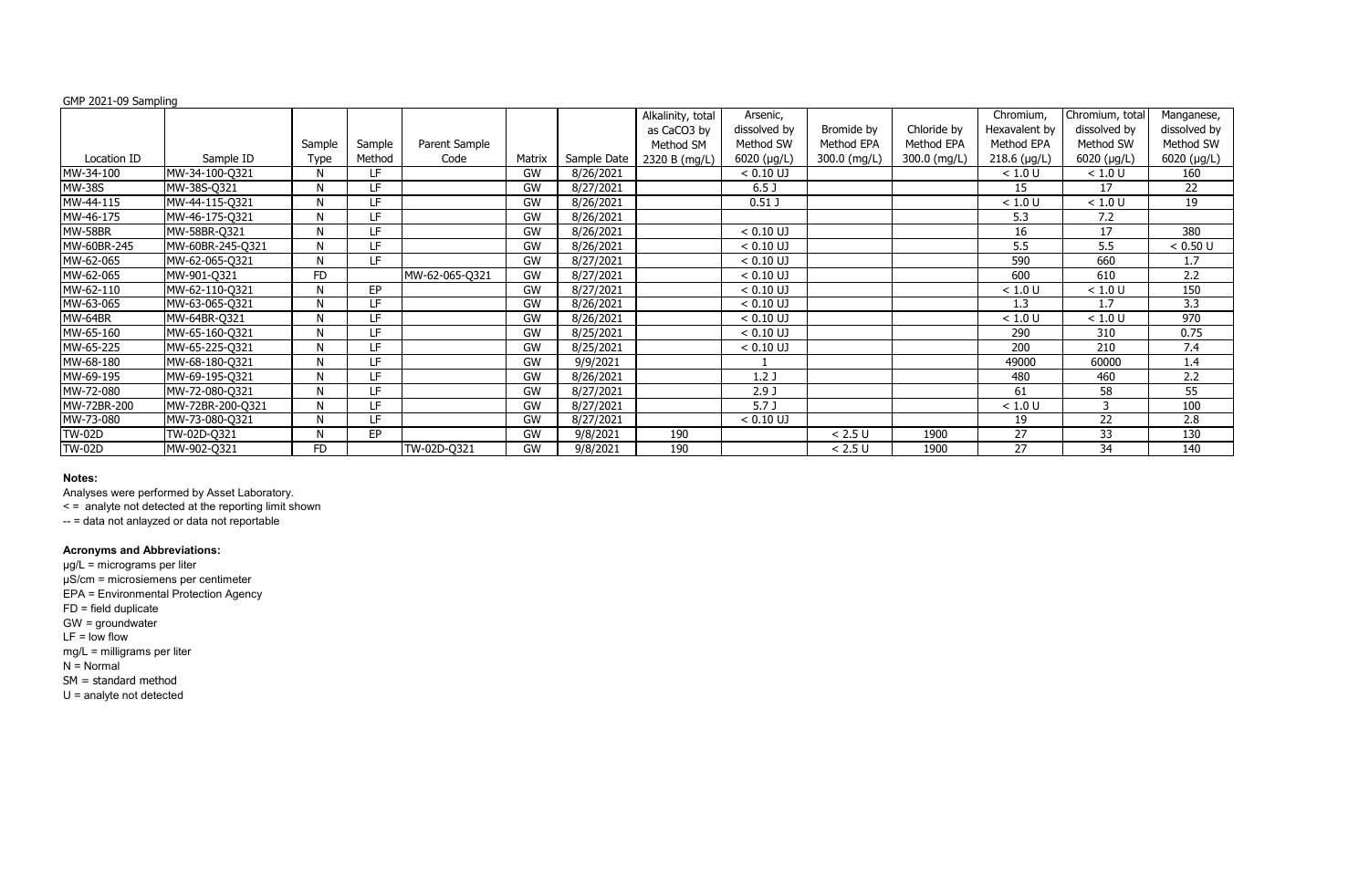# GMP 2021-09 Sampling

|               |                  |           |           |                |           |             | Alkalinity, total | Arsenic,         |              |              | Chromium,      | Chromium, total     | Manganese,   |
|---------------|------------------|-----------|-----------|----------------|-----------|-------------|-------------------|------------------|--------------|--------------|----------------|---------------------|--------------|
|               |                  |           |           |                |           |             | as CaCO3 by       | dissolved by     | Bromide by   | Chloride by  | Hexavalent by  | dissolved by        | dissolved by |
|               |                  | Sample    | Sample    | Parent Sample  |           |             | Method SM         | Method SW        | Method EPA   | Method EPA   | Method EPA     | Method SW           | Method SW    |
| Location ID   | Sample ID        | Type      | Method    | Code           | Matrix    | Sample Date | 2320 B (mg/L)     | $6020$ (µg/L)    | 300.0 (mg/L) | 300.0 (mg/L) | $218.6$ (µg/L) | $6020$ ( $\mu$ g/L) | 6020 (µg/L)  |
| MW-34-100     | MW-34-100-Q321   | N         | LF        |                | GW        | 8/26/2021   |                   | $< 0.10$ UJ      |              |              | < 1.0 U        | < 1.0 U             | 160          |
| <b>MW-38S</b> | MW-38S-Q321      | N         | LF        |                | GW        | 8/27/2021   |                   | 6.5 <sub>J</sub> |              |              | 15             | 17                  | 22           |
| MW-44-115     | MW-44-115-Q321   | N         | LF.       |                | <b>GW</b> | 8/26/2021   |                   | $0.51$ J         |              |              | < 1.0 U        | < 1.0 U             | 19           |
| MW-46-175     | MW-46-175-Q321   | N         | LF        |                | GW        | 8/26/2021   |                   |                  |              |              | 5.3            | 7.2                 |              |
| MW-58BR       | MW-58BR-Q321     | N         | LF        |                | <b>GW</b> | 8/26/2021   |                   | $< 0.10$ UJ      |              |              | 16             | 17                  | 380          |
| MW-60BR-245   | MW-60BR-245-Q321 | N         | LF.       |                | <b>GW</b> | 8/26/2021   |                   | $< 0.10$ UJ      |              |              | 5.5            | 5.5                 | < 0.50 U     |
| MW-62-065     | MW-62-065-Q321   | N         | LF        |                | <b>GW</b> | 8/27/2021   |                   | $< 0.10$ UJ      |              |              | 590            | 660                 | 1.7          |
| MW-62-065     | MW-901-Q321      | <b>FD</b> |           | MW-62-065-Q321 | <b>GW</b> | 8/27/2021   |                   | $< 0.10$ UJ      |              |              | 600            | 610                 | 2.2          |
| MW-62-110     | MW-62-110-Q321   | N         | <b>EP</b> |                | <b>GW</b> | 8/27/2021   |                   | $< 0.10$ UJ      |              |              | < 1.0 U        | < 1.0 U             | 150          |
| MW-63-065     | MW-63-065-Q321   | N         | LF        |                | <b>GW</b> | 8/26/2021   |                   | $< 0.10$ UJ      |              |              | 1.3            | 1.7                 | 3.3          |
| MW-64BR       | MW-64BR-Q321     | N         | LF        |                | <b>GW</b> | 8/26/2021   |                   | $< 0.10$ UJ      |              |              | < 1.0 U        | < 1.0 U             | 970          |
| MW-65-160     | MW-65-160-Q321   | N         | LF        |                | <b>GW</b> | 8/25/2021   |                   | $< 0.10$ UJ      |              |              | 290            | 310                 | 0.75         |
| MW-65-225     | MW-65-225-Q321   | N         | LF        |                | GW        | 8/25/2021   |                   | $< 0.10$ UJ      |              |              | 200            | 210                 | 7.4          |
| MW-68-180     | MW-68-180-Q321   | N         | LF        |                | <b>GW</b> | 9/9/2021    |                   |                  |              |              | 49000          | 60000               | 1.4          |
| MW-69-195     | MW-69-195-Q321   | N         | LF        |                | GW        | 8/26/2021   |                   | 1.2J             |              |              | 480            | 460                 | 2.2          |
| MW-72-080     | MW-72-080-Q321   | N         | LF        |                | GW        | 8/27/2021   |                   | 2.9 <sub>J</sub> |              |              | 61             | 58                  | 55           |
| MW-72BR-200   | MW-72BR-200-Q321 | N         | LF        |                | GW        | 8/27/2021   |                   | 5.7 <sub>J</sub> |              |              | < 1.0 U        | 3                   | 100          |
| MW-73-080     | MW-73-080-Q321   | N         | LF.       |                | GW        | 8/27/2021   |                   | $< 0.10$ UJ      |              |              | 19             | 22                  | 2.8          |
| <b>TW-02D</b> | TW-02D-Q321      | N         | EP        |                | GW        | 9/8/2021    | 190               |                  | < 2.5 U      | 1900         | 27             | 33                  | 130          |
| <b>TW-02D</b> | MW-902-Q321      | <b>FD</b> |           | TW-02D-Q321    | GW        | 9/8/2021    | 190               |                  | < 2.5 U      | 1900         | 27             | 34                  | 140          |

# **Notes:**

Analyses were performed by Asset Laboratory.

< = analyte not detected at the reporting limit shown

-- = data not anlayzed or data not reportable

# **Acronyms and Abbreviations:**

µg/L = micrograms per liter µS/cm = microsiemens per centimeter EPA = Environmental Protection Agency FD = field duplicate GW = groundwater  $LF = low$  flow mg/L = milligrams per liter  $N =$  Normal SM = standard method U = analyte not detected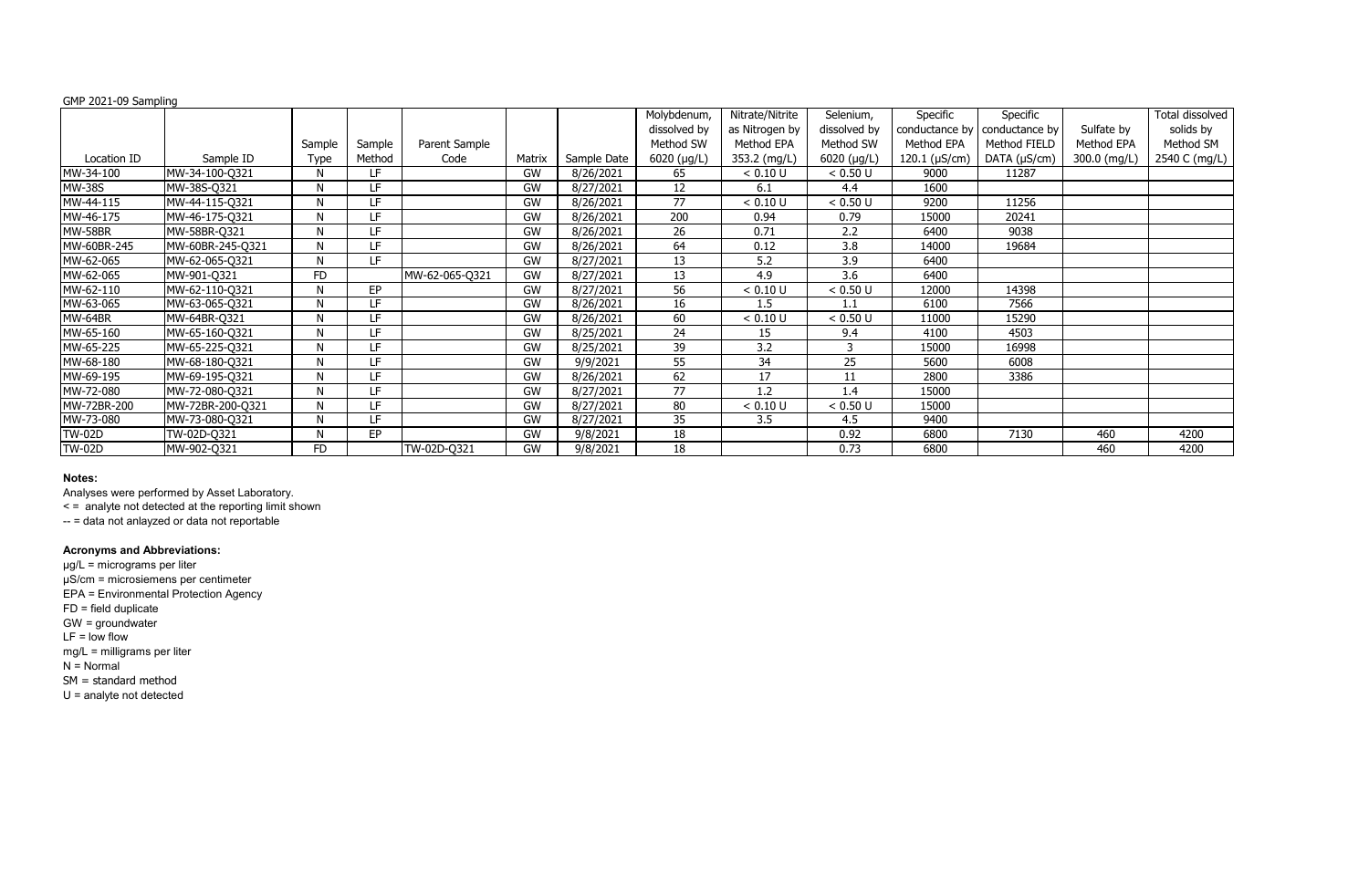# GMP 2021-09 Sampling

| שוווקווושט כט בשטב וויוט |                  |              |           |                |           |             |                     |                 |               |                    |                |              |                 |
|--------------------------|------------------|--------------|-----------|----------------|-----------|-------------|---------------------|-----------------|---------------|--------------------|----------------|--------------|-----------------|
|                          |                  |              |           |                |           |             | Molybdenum,         | Nitrate/Nitrite | Selenium,     | Specific           | Specific       |              | Total dissolved |
|                          |                  |              |           |                |           |             | dissolved by        | as Nitrogen by  | dissolved by  | conductance by     | conductance by | Sulfate by   | solids by       |
|                          |                  | Sample       | Sample    | Parent Sample  |           |             | Method SW           | Method EPA      | Method SW     | Method EPA         | Method FIELD   | Method EPA   | Method SM       |
| Location ID              | Sample ID        | <b>Type</b>  | Method    | Code           | Matrix    | Sample Date | $6020$ ( $\mu$ g/L) | 353.2 (mg/L)    | $6020$ (µg/L) | 120.1 $(\mu S/cm)$ | DATA (µS/cm)   | 300.0 (mg/L) | 2540 C (mg/L)   |
| MW-34-100                | MW-34-100-Q321   | N            | LF.       |                | <b>GW</b> | 8/26/2021   | 65                  | < 0.10 U        | < 0.50 U      | 9000               | 11287          |              |                 |
| <b>MW-38S</b>            | MW-38S-Q321      | N            | LF.       |                | <b>GW</b> | 8/27/2021   | 12                  | 6.1             | 4.4           | 1600               |                |              |                 |
| MW-44-115                | MW-44-115-Q321   | $\mathsf{N}$ | LF.       |                | <b>GW</b> | 8/26/2021   | 77                  | < 0.10 U        | < 0.50 U      | 9200               | 11256          |              |                 |
| MW-46-175                | MW-46-175-Q321   | N            | LF.       |                | <b>GW</b> | 8/26/2021   | 200                 | 0.94            | 0.79          | 15000              | 20241          |              |                 |
| MW-58BR                  | MW-58BR-Q321     | N            | LF.       |                | GW        | 8/26/2021   | 26                  | 0.71            | 2.2           | 6400               | 9038           |              |                 |
| MW-60BR-245              | MW-60BR-245-Q321 | N            | LF.       |                | <b>GW</b> | 8/26/2021   | 64                  | 0.12            | 3.8           | 14000              | 19684          |              |                 |
| MW-62-065                | MW-62-065-Q321   | N            | LF.       |                | GW        | 8/27/2021   | 13                  | 5.2             | 3.9           | 6400               |                |              |                 |
| MW-62-065                | MW-901-Q321      | <b>FD</b>    |           | MW-62-065-Q321 | GW        | 8/27/2021   | 13                  | 4.9             | 3.6           | 6400               |                |              |                 |
| MW-62-110                | MW-62-110-Q321   | N            | <b>EP</b> |                | GW        | 8/27/2021   | 56                  | < 0.10 U        | < 0.50 U      | 12000              | 14398          |              |                 |
| MW-63-065                | MW-63-065-Q321   | $\mathsf{N}$ | LF        |                | <b>GW</b> | 8/26/2021   | 16                  | 1.5             | 1.1           | 6100               | 7566           |              |                 |
| MW-64BR                  | MW-64BR-Q321     | N            | LF.       |                | GW        | 8/26/2021   | 60                  | < 0.10 U        | < 0.50 U      | 11000              | 15290          |              |                 |
| MW-65-160                | MW-65-160-Q321   | N            | LF.       |                | <b>GW</b> | 8/25/2021   | 24                  | 15              | 9.4           | 4100               | 4503           |              |                 |
| MW-65-225                | MW-65-225-Q321   | N            | LF.       |                | <b>GW</b> | 8/25/2021   | 39                  | 3.2             |               | 15000              | 16998          |              |                 |
| MW-68-180                | MW-68-180-Q321   | N            | LF.       |                | GW        | 9/9/2021    | 55                  | 34              | 25            | 5600               | 6008           |              |                 |
| MW-69-195                | MW-69-195-Q321   | N            | LF.       |                | GW        | 8/26/2021   | 62                  | 17              | 11            | 2800               | 3386           |              |                 |
| MW-72-080                | MW-72-080-Q321   | N            | LF.       |                | GW        | 8/27/2021   | 77                  | 1.2             | 1.4           | 15000              |                |              |                 |
| MW-72BR-200              | MW-72BR-200-Q321 | N            | LF.       |                | GW        | 8/27/2021   | 80                  | < 0.10 U        | < 0.50 U      | 15000              |                |              |                 |
| MW-73-080                | MW-73-080-Q321   | N            | LF.       |                | GW        | 8/27/2021   | 35                  | 3.5             | 4.5           | 9400               |                |              |                 |
| <b>TW-02D</b>            | TW-02D-Q321      | N            | <b>EP</b> |                | GW        | 9/8/2021    | 18                  |                 | 0.92          | 6800               | 7130           | 460          | 4200            |
| <b>TW-02D</b>            | MW-902-Q321      | <b>FD</b>    |           | TW-02D-Q321    | <b>GW</b> | 9/8/2021    | 18                  |                 | 0.73          | 6800               |                | 460          | 4200            |

# **Notes:**

Analyses were performed by Asset Laboratory.

< = analyte not detected at the reporting limit shown

-- = data not anlayzed or data not reportable

# **Acronyms and Abbreviations:**

µg/L = micrograms per liter µS/cm = microsiemens per centimeter EPA = Environmental Protection Agency FD = field duplicate GW = groundwater  $LF = low$  flow mg/L = milligrams per liter N = Normal SM = standard method U = analyte not detected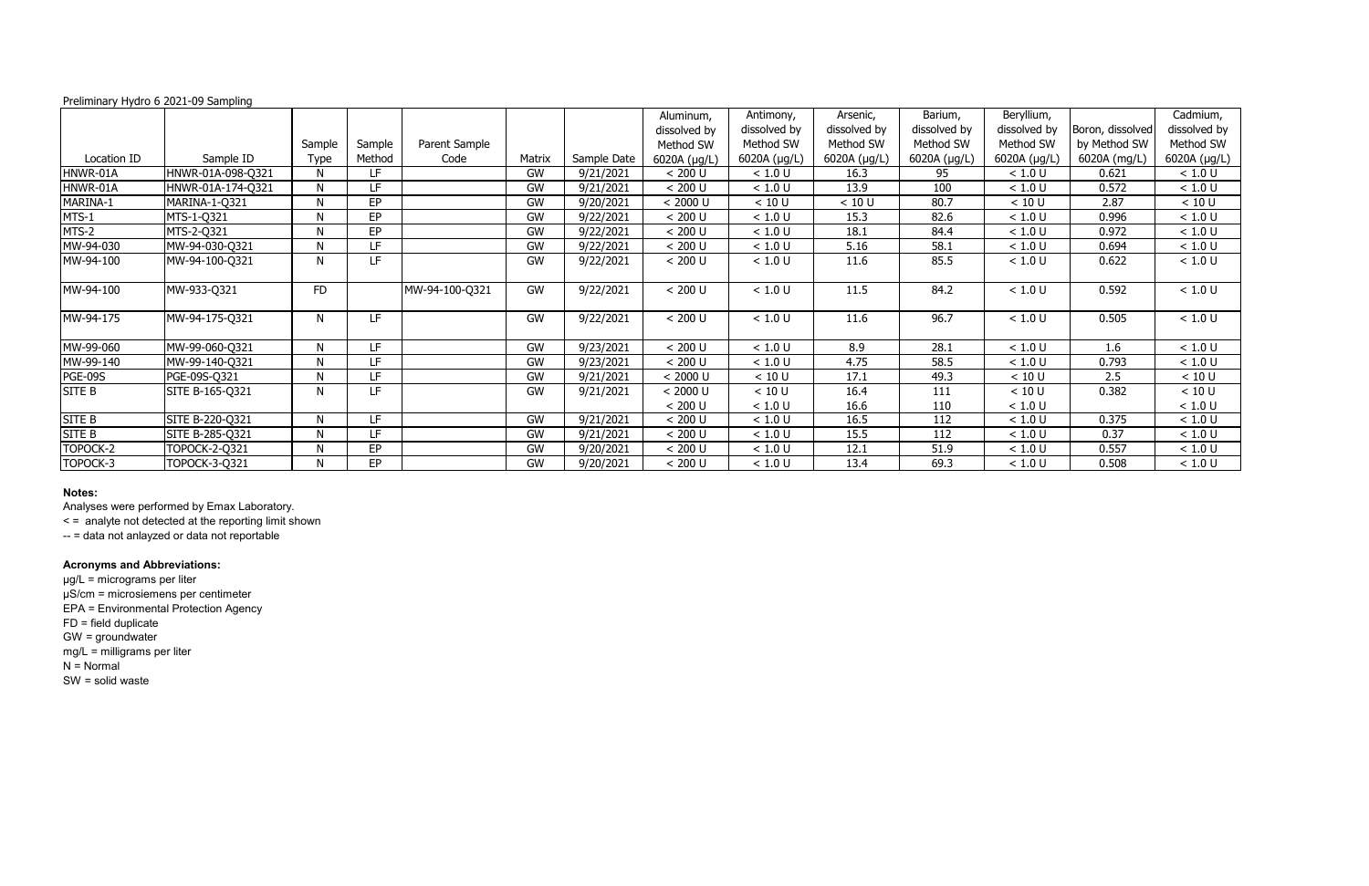|             |                   |             |           |                |           |             | Aluminum,    | Antimony,    | Arsenic,     | Barium,      | Beryllium,   |                  | Cadmium,     |
|-------------|-------------------|-------------|-----------|----------------|-----------|-------------|--------------|--------------|--------------|--------------|--------------|------------------|--------------|
|             |                   |             |           |                |           |             | dissolved by | dissolved by | dissolved by | dissolved by | dissolved by | Boron, dissolved | dissolved by |
|             |                   | Sample      | Sample    | Parent Sample  |           |             | Method SW    | Method SW    | Method SW    | Method SW    | Method SW    | by Method SW     | Method SW    |
| Location ID | Sample ID         | <b>Type</b> | Method    | Code           | Matrix    | Sample Date | 6020A (µg/L) | 6020A (µg/L) | 6020A (µg/L) | 6020A (µg/L) | 6020A (µg/L) | 6020A (mg/L)     | 6020A (µg/L) |
| HNWR-01A    | HNWR-01A-098-Q321 |             | LF.       |                | GW        | 9/21/2021   | < 200 U      | < 1.0 U      | 16.3         | 95           | < 1.0 U      | 0.621            | < 1.0 U      |
| HNWR-01A    | HNWR-01A-174-Q321 | N           | LF        |                | GW        | 9/21/2021   | < 200 U      | < 1.0 U      | 13.9         | 100          | < 1.0 U      | 0.572            | < 1.0 U      |
| MARINA-1    | MARINA-1-Q321     | N           | EP        |                | GW        | 9/20/2021   | < 2000 U     | < 10 U       | < 10 U       | 80.7         | < 10 U       | 2.87             | < 10 U       |
| MTS-1       | MTS-1-Q321        | <b>N</b>    | EP        |                | <b>GW</b> | 9/22/2021   | < 200 U      | < 1.0 U      | 15.3         | 82.6         | < 1.0 U      | 0.996            | < 1.0 U      |
| MTS-2       | MTS-2-Q321        | N.          | EP        |                | <b>GW</b> | 9/22/2021   | < 200 U      | < 1.0 U      | 18.1         | 84.4         | $<1.0$ U     | 0.972            | < 1.0 U      |
| MW-94-030   | MW-94-030-Q321    | N           | LF        |                | GW        | 9/22/2021   | < 200 U      | $<1.0$ U     | 5.16         | 58.1         | $<1.0$ U     | 0.694            | < 1.0 U      |
| MW-94-100   | MW-94-100-Q321    | N           | LF.       |                | GW        | 9/22/2021   | < 200 U      | $<1.0$ U     | 11.6         | 85.5         | < 1.0 U      | 0.622            | $<1.0$ U     |
| MW-94-100   | MW-933-Q321       | <b>FD</b>   |           | MW-94-100-Q321 | GW        | 9/22/2021   | < 200 U      | $<1.0$ U     | 11.5         | 84.2         | < 1.0 U      | 0.592            | $<1.0$ U     |
| MW-94-175   | MW-94-175-Q321    | N           | LF.       |                | GW        | 9/22/2021   | < 200 U      | $<1.0$ U     | 11.6         | 96.7         | < 1.0 U      | 0.505            | $<1.0$ U     |
| MW-99-060   | MW-99-060-Q321    | N           | LF        |                | GW        | 9/23/2021   | < 200 U      | < 1.0 U      | 8.9          | 28.1         | < 1.0 U      | 1.6              | < 1.0 U      |
| MW-99-140   | MW-99-140-Q321    | N           | LF        |                | GW        | 9/23/2021   | < 200 U      | < 1.0 U      | 4.75         | 58.5         | < 1.0 U      | 0.793            | < 1.0 U      |
| PGE-09S     | PGE-09S-Q321      | N           | LF        |                | GW        | 9/21/2021   | < 2000 U     | < 10 U       | 17.1         | 49.3         | < 10 U       | 2.5              | < 10 U       |
| SITE B      | SITE B-165-Q321   | N           | LF        |                | GW        | 9/21/2021   | < 2000 U     | < 10 U       | 16.4         | 111          | < 10 U       | 0.382            | < 10 U       |
|             |                   |             |           |                |           |             | < 200 U      | $<1.0$ U     | 16.6         | 110          | < 1.0 U      |                  | $<1.0$ U     |
| SITE B      | SITE B-220-Q321   | N           | LF        |                | GW        | 9/21/2021   | < 200 U      | < 1.0 U      | 16.5         | 112          | < 1.0 U      | 0.375            | < 1.0 U      |
| SITE B      | SITE B-285-Q321   |             | LF        |                | GW        | 9/21/2021   | < 200 U      | < 1.0 U      | 15.5         | 112          | < 1.0 U      | 0.37             | < 1.0 U      |
| TOPOCK-2    | TOPOCK-2-Q321     | N           | EP        |                | GW        | 9/20/2021   | < 200 U      | < 1.0 U      | 12.1         | 51.9         | < 1.0 U      | 0.557            | < 1.0 U      |
| TOPOCK-3    | TOPOCK-3-Q321     | N           | <b>EP</b> |                | GW        | 9/20/2021   | < 200 U      | < 1.0 U      | 13.4         | 69.3         | < 1.0 U      | 0.508            | < 1.0 U      |

# **Notes:**

Analyses were performed by Emax Laboratory.

< = analyte not detected at the reporting limit shown

-- = data not anlayzed or data not reportable

# **Acronyms and Abbreviations:**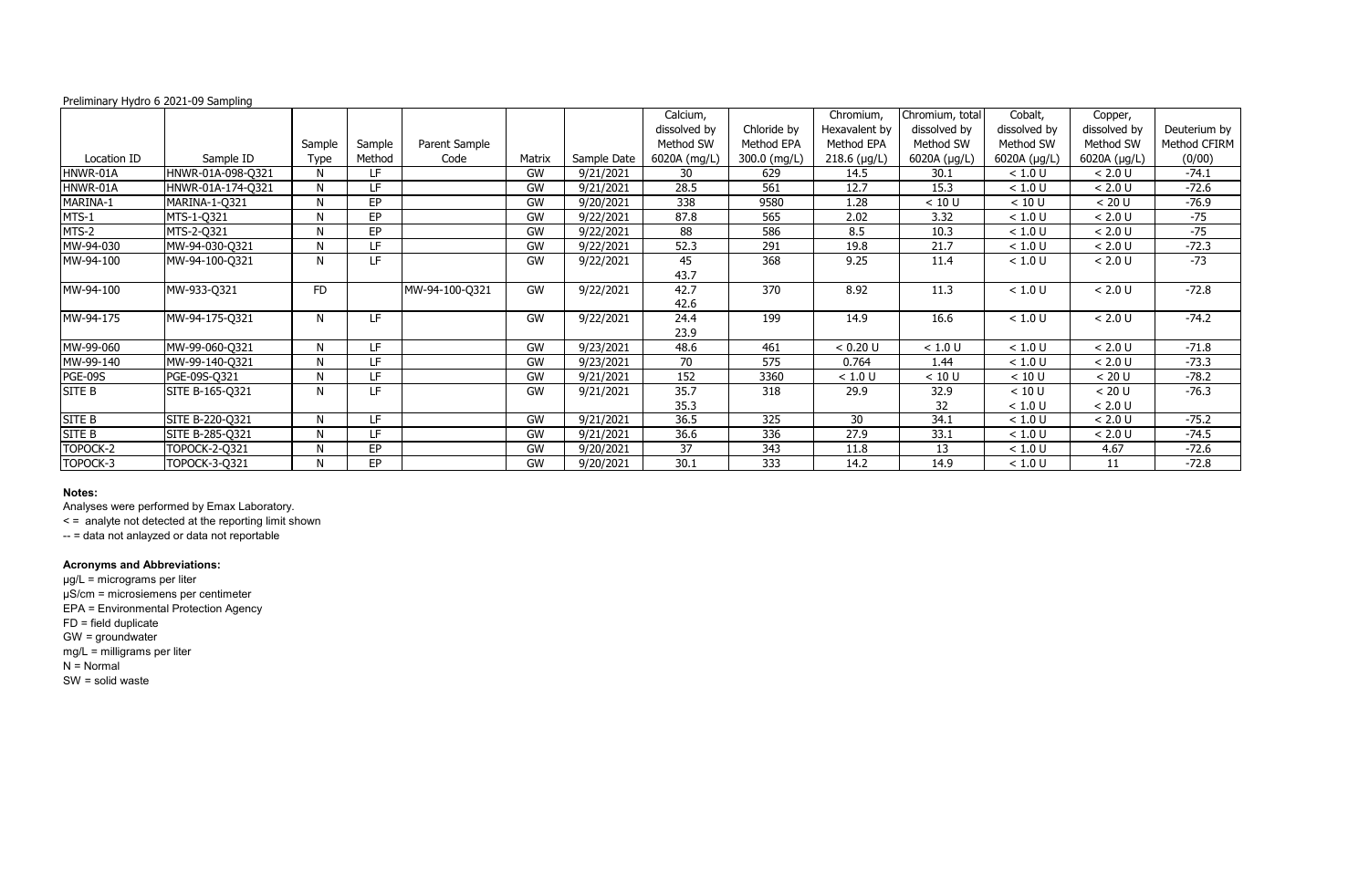|                |                      |              |           |                |           |             | Calcium,     |              | Chromium,     | Chromium, total | Cobalt,      | Copper,      |              |
|----------------|----------------------|--------------|-----------|----------------|-----------|-------------|--------------|--------------|---------------|-----------------|--------------|--------------|--------------|
|                |                      |              |           |                |           |             | dissolved by | Chloride by  | Hexavalent by | dissolved by    | dissolved by | dissolved by | Deuterium by |
|                |                      | Sample       | Sample    | Parent Sample  |           |             | Method SW    | Method EPA   | Method EPA    | Method SW       | Method SW    | Method SW    | Method CFIRM |
| Location ID    | Sample ID            | <b>Type</b>  | Method    | Code           | Matrix    | Sample Date | 6020A (mg/L) | 300.0 (mg/L) | 218.6 (µg/L)  | 6020A (µg/L)    | 6020A (µg/L) | 6020A (µg/L) | (0/00)       |
| HNWR-01A       | HNWR-01A-098-Q321    | N            | LF        |                | GW        | 9/21/2021   | 30           | 629          | 14.5          | 30.1            | < 1.0 U      | < 2.0 U      | $-74.1$      |
| HNWR-01A       | HNWR-01A-174-Q321    | $\mathsf{N}$ | LF        |                | GW        | 9/21/2021   | 28.5         | 561          | 12.7          | 15.3            | < 1.0 U      | < 2.0 U      | $-72.6$      |
| MARINA-1       | MARINA-1-Q321        | $\mathsf{N}$ | <b>EP</b> |                | GW        | 9/20/2021   | 338          | 9580         | 1.28          | < 10 U          | < 10 U       | < 20 U       | $-76.9$      |
| MTS-1          | MTS-1-Q321           | $\mathsf{N}$ | <b>EP</b> |                | GW        | 9/22/2021   | 87.8         | 565          | 2.02          | 3.32            | $<1.0$ U     | $< 2.0 U$    | $-75$        |
| MTS-2          | MTS-2-Q321           | N            | <b>EP</b> |                | GW        | 9/22/2021   | 88           | 586          | 8.5           | 10.3            | $<1.0$ U     | $< 2.0 U$    | $-75$        |
| MW-94-030      | MW-94-030-Q321       | $\mathsf{N}$ | LF.       |                | GW        | 9/22/2021   | 52.3         | 291          | 19.8          | 21.7            | $<1.0$ U     | $< 2.0 U$    | $-72.3$      |
| MW-94-100      | MW-94-100-Q321       | N            | LF.       |                | GW        | 9/22/2021   | 45           | 368          | 9.25          | 11.4            | $<1.0$ U     | $< 2.0 U$    | $-73$        |
|                |                      |              |           |                |           |             | 43.7         |              |               |                 |              |              |              |
| MW-94-100      | MW-933-Q321          | <b>FD</b>    |           | MW-94-100-Q321 | GW        | 9/22/2021   | 42.7         | 370          | 8.92          | 11.3            | < 1.0 U      | $< 2.0 U$    | $-72.8$      |
|                |                      |              |           |                |           |             | 42.6         |              |               |                 |              |              |              |
| MW-94-175      | MW-94-175-Q321       | $\mathsf{N}$ | LF.       |                | <b>GW</b> | 9/22/2021   | 24.4         | 199          | 14.9          | 16.6            | $<1.0$ U     | $< 2.0 U$    | $-74.2$      |
|                |                      |              |           |                |           |             | 23.9         |              |               |                 |              |              |              |
| MW-99-060      | MW-99-060-Q321       | N            | LF.       |                | GW        | 9/23/2021   | 48.6         | 461          | < 0.20 U      | < 1.0 U         | $<1.0$ U     | < 2.0 U      | $-71.8$      |
| MW-99-140      | MW-99-140-Q321       | N            | LF        |                | GW        | 9/23/2021   | 70           | 575          | 0.764         | 1.44            | < 1.0 U      | < 2.0 U      | $-73.3$      |
| <b>PGE-09S</b> | PGE-09S-Q321         | N            | LF.       |                | GW        | 9/21/2021   | 152          | 3360         | < 1.0 U       | < 10 U          | < 10 U       | < 20 U       | $-78.2$      |
| <b>SITE B</b>  | SITE B-165-Q321      | N            | LF        |                | GW        | 9/21/2021   | 35.7         | 318          | 29.9          | 32.9            | < 10 U       | < 20 U       | $-76.3$      |
|                |                      |              |           |                |           |             | 35.3         |              |               | 32              | < 1.0 U      | < 2.0 U      |              |
| SITE B         | SITE B-220-Q321      | N            | LF.       |                | GW        | 9/21/2021   | 36.5         | 325          | 30            | 34.1            | < 1.0 U      | < 2.0 U      | $-75.2$      |
| SITE B         | SITE B-285-Q321      | N            | LF        |                | GW        | 9/21/2021   | 36.6         | 336          | 27.9          | 33.1            | < 1.0 U      | < 2.0 U      | $-74.5$      |
| TOPOCK-2       | TOPOCK-2-Q321        | N            | EP        |                | GW        | 9/20/2021   | 37           | 343          | 11.8          | 13              | < 1.0 U      | 4.67         | $-72.6$      |
| TOPOCK-3       | <b>TOPOCK-3-Q321</b> | N            | EP        |                | GW        | 9/20/2021   | 30.1         | 333          | 14.2          | 14.9            | $<1.0$ U     | 11           | $-72.8$      |

# **Notes:**

Analyses were performed by Emax Laboratory.

< = analyte not detected at the reporting limit shown

-- = data not anlayzed or data not reportable

# **Acronyms and Abbreviations:**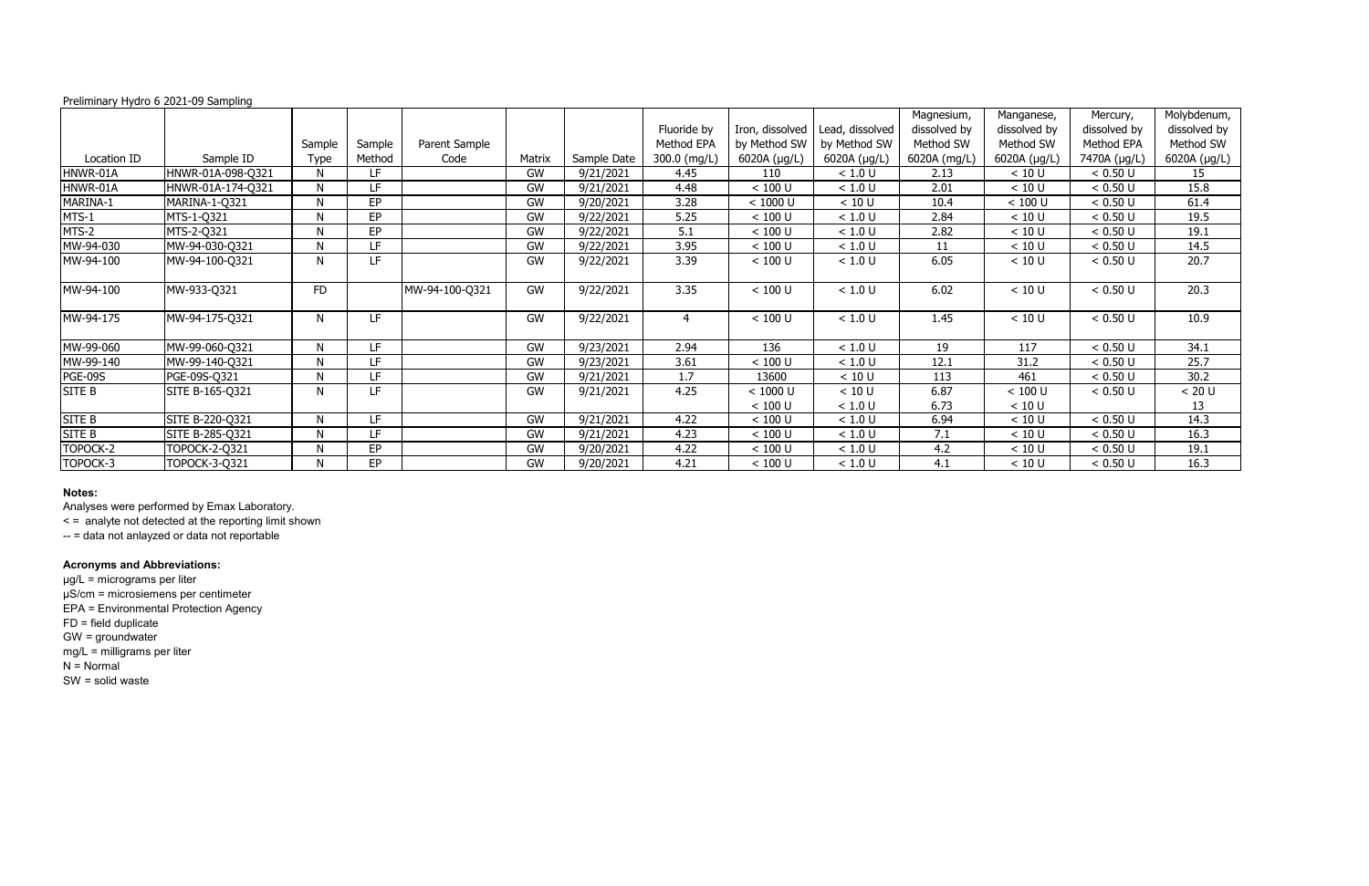|               |                   |              |           |                |           |             |                |                 |                 | Magnesium,   | Manganese,   | Mercury,     | Molybdenum,  |
|---------------|-------------------|--------------|-----------|----------------|-----------|-------------|----------------|-----------------|-----------------|--------------|--------------|--------------|--------------|
|               |                   |              |           |                |           |             | Fluoride by    | Iron, dissolved | Lead, dissolved | dissolved by | dissolved by | dissolved by | dissolved by |
|               |                   | Sample       | Sample    | Parent Sample  |           |             | Method EPA     | by Method SW    | by Method SW    | Method SW    | Method SW    | Method EPA   | Method SW    |
| Location ID   | Sample ID         | Type         | Method    | Code           | Matrix    | Sample Date | 300.0 (mg/L)   | 6020A (µg/L)    | 6020A (µg/L)    | 6020A (mg/L) | 6020A (µg/L) | 7470A (µg/L) | 6020A (µg/L) |
| HNWR-01A      | HNWR-01A-098-Q321 | N            | LF        |                | GW        | 9/21/2021   | 4.45           | 110             | < 1.0 U         | 2.13         | < 10 U       | < 0.50 U     | 15           |
| HNWR-01A      | HNWR-01A-174-Q321 | $\mathsf{N}$ | LF        |                | GW        | 9/21/2021   | 4.48           | < 100 U         | < 1.0 U         | 2.01         | < 10 U       | < 0.50 U     | 15.8         |
| MARINA-1      | MARINA-1-Q321     | $\mathsf{N}$ | EP        |                | GW        | 9/20/2021   | 3.28           | < 1000 U        | < 10 U          | 10.4         | < 100 U      | < 0.50 U     | 61.4         |
| MTS-1         | MTS-1-Q321        | N            | EP        |                | <b>GW</b> | 9/22/2021   | 5.25           | $< 100$ U       | $<1.0$ U        | 2.84         | < 10 U       | < 0.50 U     | 19.5         |
| MTS-2         | MTS-2-Q321        | N            | <b>EP</b> |                | GW        | 9/22/2021   | 5.1            | $< 100$ U       | $<1.0$ U        | 2.82         | < 10 U       | < 0.50 U     | 19.1         |
| MW-94-030     | MW-94-030-Q321    | N            | LF.       |                | GW        | 9/22/2021   | 3.95           | $< 100$ U       | $<1.0$ U        | 11           | < 10 U       | < 0.50 U     | 14.5         |
| MW-94-100     | MW-94-100-Q321    | N            | LF        |                | <b>GW</b> | 9/22/2021   | 3.39           | < 100 U         | $<1.0$ U        | 6.05         | < 10 U       | < 0.50 U     | 20.7         |
|               |                   |              |           |                |           |             |                |                 |                 |              |              |              |              |
| MW-94-100     | MW-933-Q321       | <b>FD</b>    |           | MW-94-100-Q321 | <b>GW</b> | 9/22/2021   | 3.35           | < 100 U         | < 1.0 U         | 6.02         | < 10 U       | < 0.50 U     | 20.3         |
|               |                   |              |           |                |           |             |                |                 |                 |              |              |              |              |
| MW-94-175     | MW-94-175-Q321    | N            | LF.       |                | <b>GW</b> | 9/22/2021   | $\overline{4}$ | $< 100$ U       | < 1.0 U         | 1.45         | < 10 U       | < 0.50 U     | 10.9         |
|               |                   |              |           |                |           |             |                |                 |                 |              |              |              |              |
| MW-99-060     | MW-99-060-Q321    | N            | LF        |                | <b>GW</b> | 9/23/2021   | 2.94           | 136             | < 1.0 U         | 19           | 117          | < 0.50 U     | 34.1         |
| MW-99-140     | MW-99-140-Q321    | N            | LF.       |                | GW        | 9/23/2021   | 3.61           | < 100 U         | < 1.0 U         | 12.1         | 31.2         | < 0.50 U     | 25.7         |
| PGE-09S       | PGE-09S-Q321      | N            | LF.       |                | GW        | 9/21/2021   | 1.7            | 13600           | < 10 U          | 113          | 461          | < 0.50 U     | 30.2         |
| <b>SITE B</b> | SITE B-165-Q321   | N            | LF.       |                | GW        | 9/21/2021   | 4.25           | < 1000 U        | < 10 U          | 6.87         | < 100 U      | < 0.50 U     | < 20 U       |
|               |                   |              |           |                |           |             |                | $< 100$ U       | < 1.0 U         | 6.73         | < 10 U       |              | 13           |
| SITE B        | SITE B-220-Q321   | N            | LF.       |                | GW        | 9/21/2021   | 4.22           | $< 100$ U       | $<1.0$ U        | 6.94         | < 10 U       | < 0.50 U     | 14.3         |
| SITE B        | SITE B-285-Q321   | $\mathsf{N}$ | LF.       |                | GW        | 9/21/2021   | 4.23           | < 100 U         | < 1.0 U         | 7.1          | < 10 U       | < 0.50 U     | 16.3         |
| TOPOCK-2      | TOPOCK-2-Q321     | N            | EP.       |                | GW        | 9/20/2021   | 4.22           | $< 100$ U       | < 1.0 U         | 4.2          | < 10 U       | < 0.50 U     | 19.1         |
| TOPOCK-3      | TOPOCK-3-Q321     | N            | <b>EP</b> |                | <b>GW</b> | 9/20/2021   | 4.21           | < 100 U         | < 1.0 U         | 4.1          | < 10 U       | < 0.50 U     | 16.3         |

# **Notes:**

Analyses were performed by Emax Laboratory.

< = analyte not detected at the reporting limit shown

-- = data not anlayzed or data not reportable

# **Acronyms and Abbreviations:**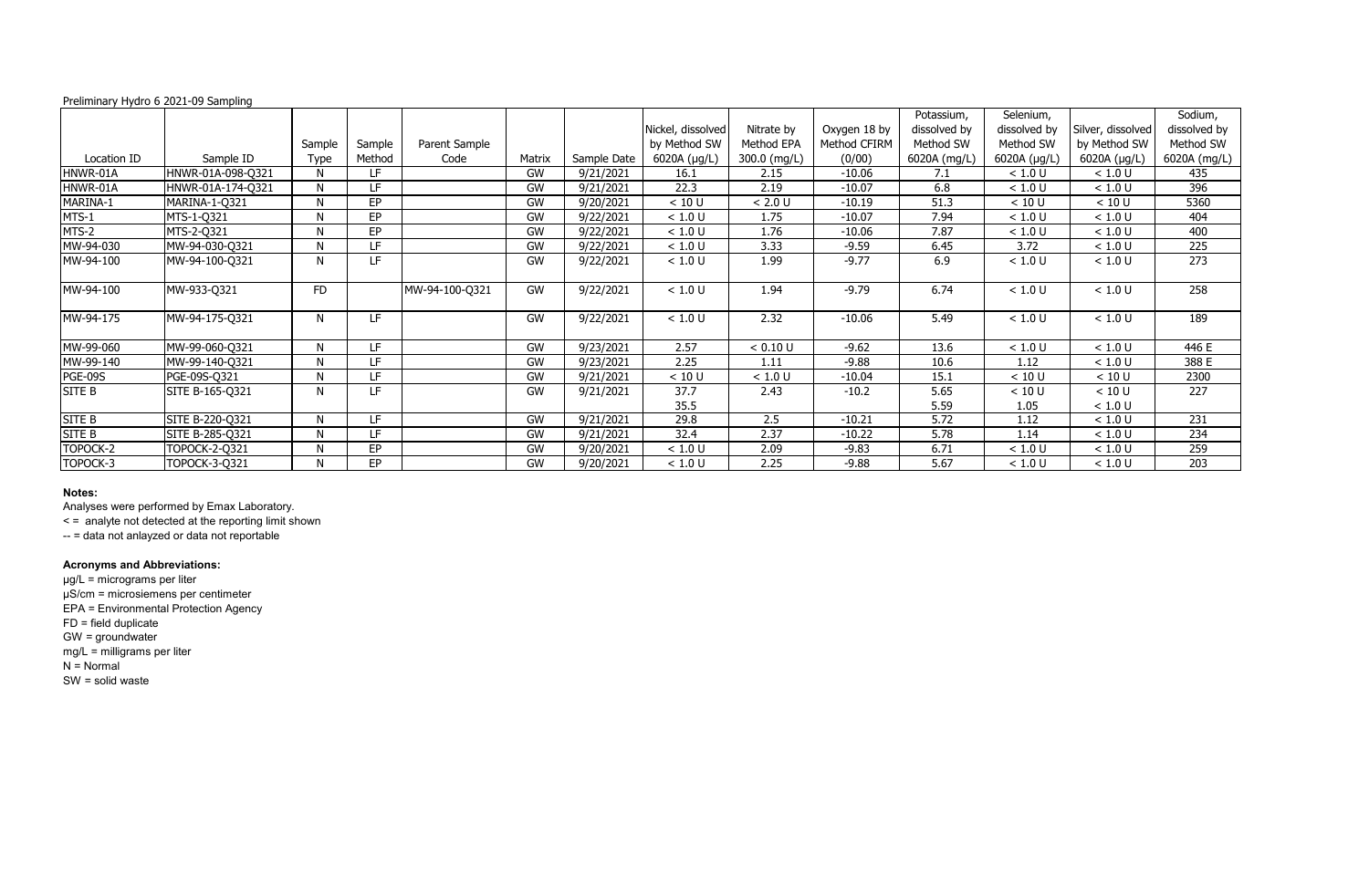|             | $1$ community $11$ y crise to Equate the contributing |             |           |                |        |             |                   |              |              | Potassium,   | Selenium,    |                   | Sodium,      |
|-------------|-------------------------------------------------------|-------------|-----------|----------------|--------|-------------|-------------------|--------------|--------------|--------------|--------------|-------------------|--------------|
|             |                                                       |             |           |                |        |             | Nickel, dissolved | Nitrate by   | Oxygen 18 by | dissolved by | dissolved by | Silver, dissolved | dissolved by |
|             |                                                       | Sample      | Sample    | Parent Sample  |        |             | by Method SW      | Method EPA   | Method CFIRM | Method SW    | Method SW    | by Method SW      | Method SW    |
| Location ID | Sample ID                                             | <b>Type</b> | Method    | Code           | Matrix | Sample Date | 6020A (µg/L)      | 300.0 (mg/L) | (0/00)       | 6020A (mg/L) | 6020A (µg/L) | 6020A (µg/L)      | 6020A (mg/L) |
| HNWR-01A    | HNWR-01A-098-Q321                                     | N           | LF.       |                | GW     | 9/21/2021   | 16.1              | 2.15         | $-10.06$     | 7.1          | < 1.0 U      | < 1.0 U           | 435          |
| HNWR-01A    | HNWR-01A-174-Q321                                     | N           | LF        |                | GW     | 9/21/2021   | 22.3              | 2.19         | $-10.07$     | 6.8          | < 1.0 U      | < 1.0 U           | 396          |
| MARINA-1    | MARINA-1-Q321                                         | N           | <b>EP</b> |                | GW     | 9/20/2021   | < 10 U            | < 2.0 U      | $-10.19$     | 51.3         | < 10 U       | < 10 U            | 5360         |
| MTS-1       | MTS-1-Q321                                            | N           | EP        |                | GW     | 9/22/2021   | < 1.0 U           | 1.75         | $-10.07$     | 7.94         | < 1.0 U      | $<1.0$ U          | 404          |
| MTS-2       | MTS-2-Q321                                            | N           | EP        |                | GW     | 9/22/2021   | < 1.0 U           | 1.76         | $-10.06$     | 7.87         | < 1.0 U      | < 1.0 U           | 400          |
| MW-94-030   | MW-94-030-Q321                                        | <b>N</b>    | LF        |                | GW     | 9/22/2021   | < 1.0 U           | 3.33         | $-9.59$      | 6.45         | 3.72         | $<1.0$ U          | 225          |
| MW-94-100   | MW-94-100-Q321                                        | N           | LF.       |                | GW     | 9/22/2021   | < 1.0 U           | 1.99         | $-9.77$      | 6.9          | $<1.0$ U     | < 1.0 U           | 273          |
| MW-94-100   | MW-933-Q321                                           | <b>FD</b>   |           | MW-94-100-Q321 | GW     | 9/22/2021   | < 1.0 U           | 1.94         | $-9.79$      | 6.74         | < 1.0 U      | $<1.0$ U          | 258          |
| MW-94-175   | MW-94-175-Q321                                        | N           | LF        |                | GW     | 9/22/2021   | < 1.0 U           | 2.32         | $-10.06$     | 5.49         | < 1.0 U      | $<1.0$ U          | 189          |
| MW-99-060   | MW-99-060-Q321                                        | N           | LF        |                | GW     | 9/23/2021   | 2.57              | < 0.10 U     | $-9.62$      | 13.6         | < 1.0 U      | < 1.0 U           | 446 E        |
| MW-99-140   | MW-99-140-Q321                                        | N           | LF        |                | GW     | 9/23/2021   | 2.25              | 1.11         | $-9.88$      | 10.6         | 1.12         | < 1.0 U           | 388 E        |
| PGE-09S     | PGE-09S-Q321                                          | N           | LF.       |                | GW     | 9/21/2021   | < 10 U            | < 1.0 U      | $-10.04$     | 15.1         | < 10 U       | < 10 U            | 2300         |
| SITE B      | SITE B-165-Q321                                       | N           | LF.       |                | GW     | 9/21/2021   | 37.7              | 2.43         | $-10.2$      | 5.65         | < 10 U       | < 10 U            | 227          |
|             |                                                       |             |           |                |        |             | 35.5              |              |              | 5.59         | 1.05         | < 1.0 U           |              |
| SITE B      | SITE B-220-Q321                                       | N           | LF.       |                | GW     | 9/21/2021   | 29.8              | 2.5          | $-10.21$     | 5.72         | 1.12         | < 1.0 U           | 231          |
| SITE B      | SITE B-285-Q321                                       | N           | LF        |                | GW     | 9/21/2021   | 32.4              | 2.37         | $-10.22$     | 5.78         | 1.14         | < 1.0 U           | 234          |
| TOPOCK-2    | TOPOCK-2-Q321                                         | N           | EP        |                | GW     | 9/20/2021   | < 1.0 U           | 2.09         | $-9.83$      | 6.71         | < 1.0 U      | < 1.0 U           | 259          |
| TOPOCK-3    | TOPOCK-3-Q321                                         | N           | <b>EP</b> |                | GW     | 9/20/2021   | < 1.0 U           | 2.25         | $-9.88$      | 5.67         | < 1.0 U      | < 1.0 U           | 203          |

# **Notes:**

Analyses were performed by Emax Laboratory.

< = analyte not detected at the reporting limit shown

-- = data not anlayzed or data not reportable

# **Acronyms and Abbreviations:**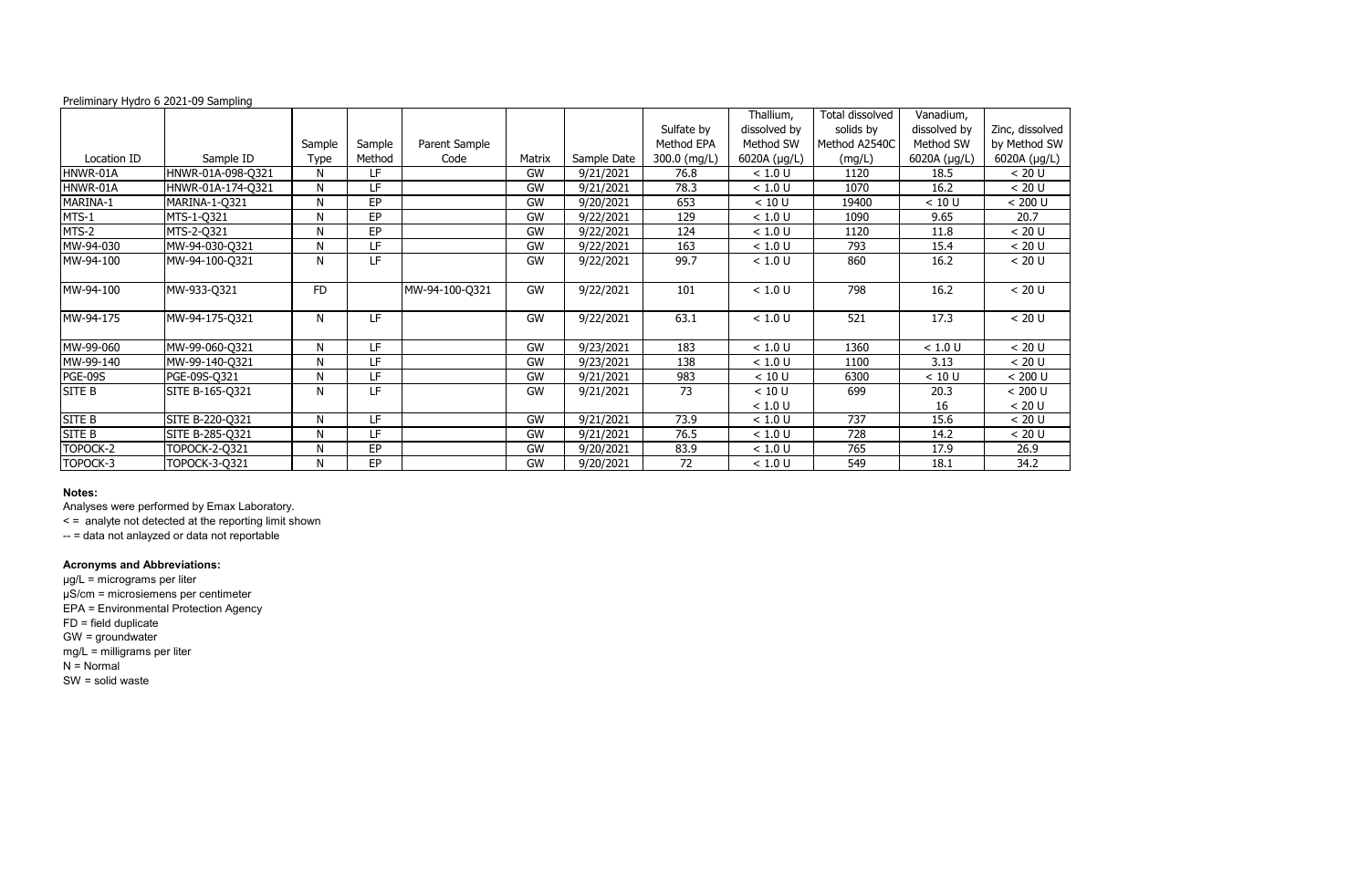#### Location ID Sample ID Sample Type Sample Method<br>LF Parent Sample Matrix Sample Date<br>GW 9/21/2021 Sulfate by Method EPA 300.0 (mg/L)<br>76.8 Thallium, dissolved by Method SW  $\frac{6020A (\mu g/L)}{1.0 \text{ U}}$ Total dissolved solids by Method A2540C  $\frac{(mg/L)}{1120}$ Vanadium, dissolved by Method SW  $\frac{6020A (\mu g/L)}{18.5}$ Zinc  $by<sub>l</sub>$ 602 HNWR-01A HNWR-01A-098-Q321 N LF GW 9/21/2021 76.8 < 1.0 U 1120 18.5 < 20 U HNWR-01A HNWR-01A-174-Q321 N LF GW 9/21/2021 78.3 < 1.0 U 1070 16.2 < 20 U MARINA-1 MARINA-1-Q321 N EP GW 9/20/2021 653 < 10 U 19400 < 10 U < 200 U MTS-1 MTS-1-Q321 N EP GW 9/22/2021 129 < 1.0 U 1090 9.65 20.7 MTS-2 MTS-2-Q321 N EP GW 9/22/2021 124 < 1.0 U 1120 11.8 < 20 U MW-94-030 MW-94-030-Q321 N LF GW 9/22/2021 163 < 1.0 U 793 15.4 < 20 U MW-94-100 |MW-94-100-Q321 | N | LF | | GW | 9/22/2021 | 99.7 | < 1.0 U | 860 | 16.2 | < 20 U MW-94-100 |MW-933-Q321 | FD | |MW-94-100-Q321 | GW | 9/22/2021 | 101 | < 1.0 U | 798 | 16.2 | < 20 U MW-94-175 |MW-94-175-Q321 | N | LF | | GW | 9/22/2021 | 63.1 | < 1.0 U | 521 | 17.3 | < 20 U MW-99-060 MW-99-060-Q321 N LF GW 9/23/2021 183 < 1.0 U 1360 < 1.0 U < 20 U MW-99-140 |MW-99-140-Q321 | N | LF | \_ \_ \_ \_ \_ \_ GW | 9/23/2021 | \_ 138 | \_ < 1.0 U | \_ 1100 | \_ \_ 3.13 | \_ < 20 U PGE-09S PGE-09S-Q321 N LF GW 9/21/2021 983 < 10 U 6300 < 10 U < 200 U SITE B |SITE B-165-Q321 | N | LF | | GW | 9/21/2021 | 73 | < < 1.0 U  $< 10 U$ 699 20.3  $\frac{16}{15.6}$ SITE B |SITE B-220-Q321 | N | LF | GW | 9/21/2021 | 73.9 | <1.0 U | 737 | 15.6 | <20 U SITE B SITE B-285-Q321 N LF GW 9/21/2021 76.5 < 1.0 U 728 14.2 < 20 U TOPOCK-2 |TOPOCK-2-Q321 | N | EP | \_ \_ | GW | 9/20/2021 | 83.9 | < 1.0 U | 765 | 17.9 | 26.9 TOPOCK-3 |TOPOCK-3-Q321 | N | EP | \_ \_ \_ | GW | 9/20/2021 | 72 | < 1.0 U 549 | 18.1 | 34.2

| c, dissolved                                                           |
|------------------------------------------------------------------------|
| Method SW                                                              |
| 20A (µg/L)                                                             |
|                                                                        |
| $\frac{20 \text{ U}}{20 \text{ U}}$                                    |
|                                                                        |
| $\frac{1}{200}$                                                        |
|                                                                        |
| $\frac{20.7}{\times 20 \text{ U}}$ $\frac{20 \text{ U}}{20 \text{ U}}$ |
|                                                                        |
|                                                                        |
|                                                                        |
| < 20 U                                                                 |
|                                                                        |
| $\frac{1}{20}$ U                                                       |
|                                                                        |
| < 20 U                                                                 |
| $\frac{1}{200}$                                                        |
|                                                                        |
| $< 200 U$<br>$< 200 U$                                                 |
|                                                                        |
|                                                                        |
|                                                                        |
| $\frac{20 \text{ U}}{26 \text{ A}}$                                    |
| $\frac{26.9}{34.2}$                                                    |
|                                                                        |
|                                                                        |

### **Notes:**

Analyses were performed by Emax Laboratory.

< = analyte not detected at the reporting limit shown

-- = data not anlayzed or data not reportable

### **Acronyms and Abbreviations:**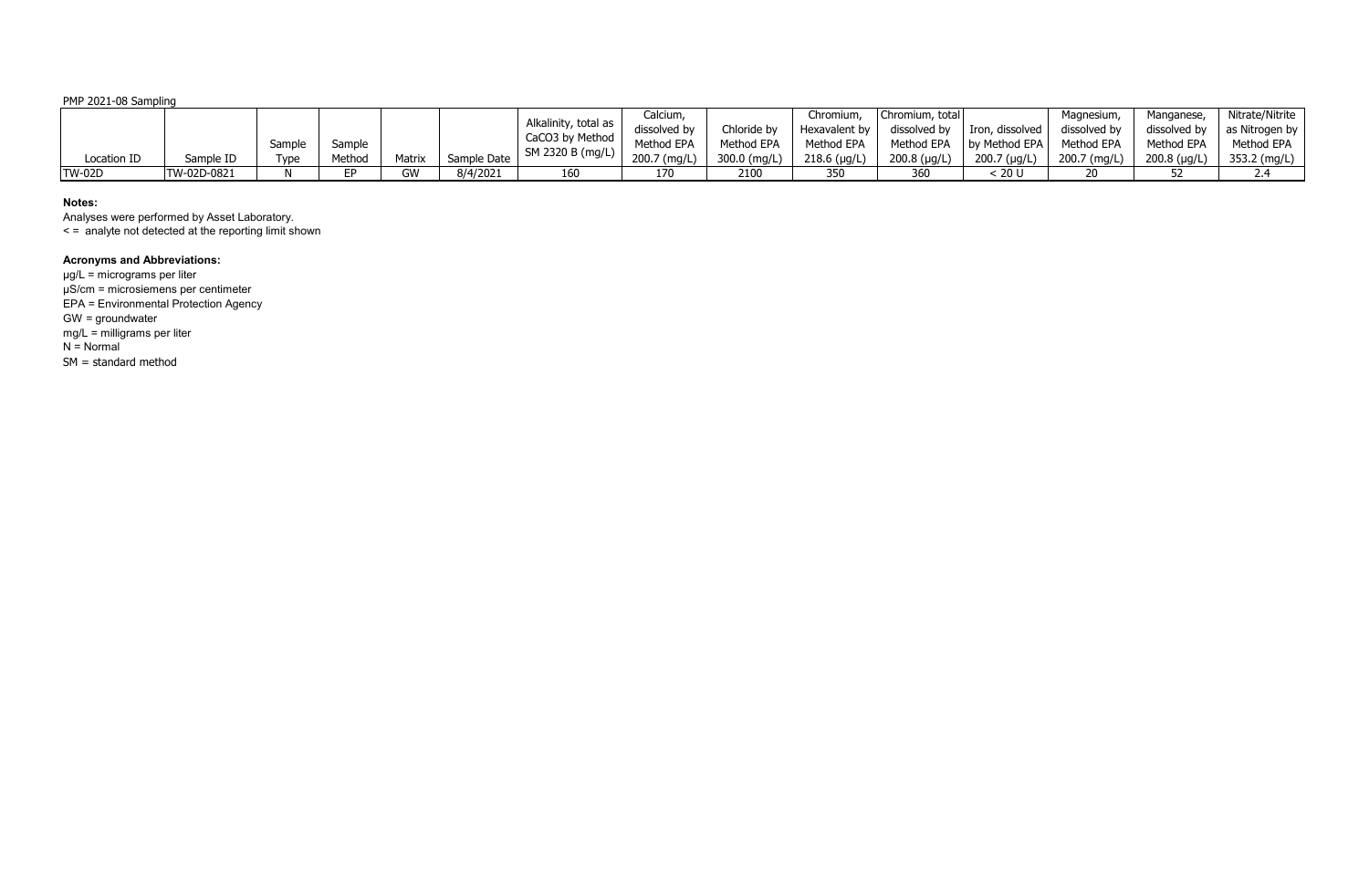PMP 2021-08 Sampling

|               |             |        |        |        |             |                      | Calcium,     |              | Chromium       | Chromium, total |                 | Magnesium,   | Manganese,     | Nitrate/Nitrite |
|---------------|-------------|--------|--------|--------|-------------|----------------------|--------------|--------------|----------------|-----------------|-----------------|--------------|----------------|-----------------|
|               |             |        |        |        |             | Alkalinity, total as | dissolved by | Chloride by  | Hexavalent by  | dissolved by    | Iron, dissolved | dissolved by | dissolved by   | as Nitrogen by  |
|               |             | Sample | Sample |        |             | CaCO3 by Method      | Method EPA   | Method EPA   | Method EPA     | Method EPA      | by Method EPA   | Method EPA   | Method EPA     | Method EPA      |
| Location ID   | Sample ID   | [ype   | Method | Matrix | Sample Date | SM 2320 B (mg/L)     | 200.7 (mg/L) | 300.0 (mg/L) | $218.6$ (µg/L) | $200.8$ (µg/L)  | $200.7$ (µg/L)  | 200.7 (mg/L) | $200.8$ (µg/L) | 353.2 (mg/L)    |
| <b>TW-02D</b> | TW-02D-0821 |        | сn.    | GW     | 8/4/2021    | 160                  |              | 2100         | 350            | 360             | 20 L            |              |                |                 |

### **Notes:**

Analyses were performed by Asset Laboratory.

< = analyte not detected at the reporting limit shown

# **Acronyms and Abbreviations:**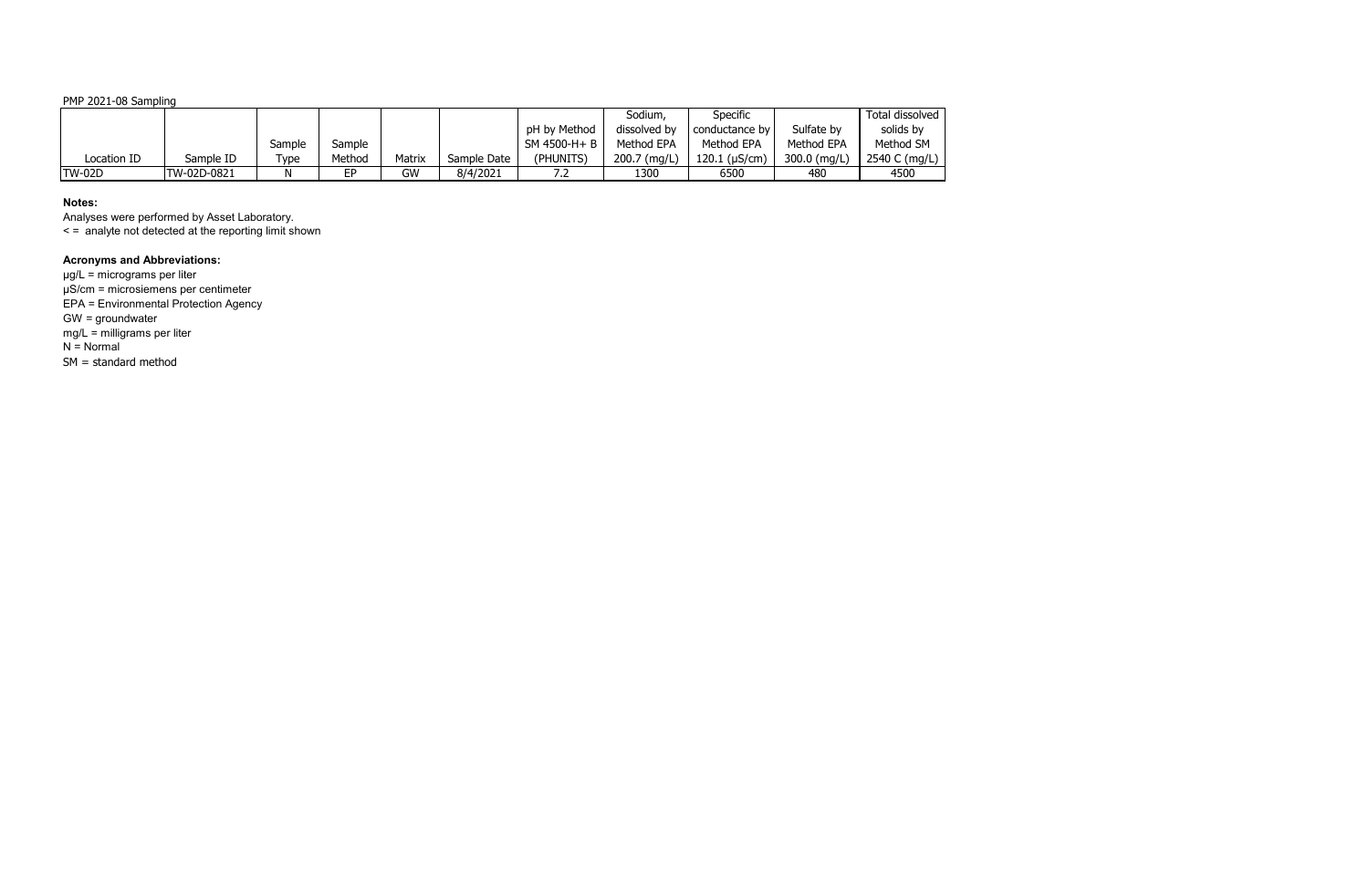PMP 2021-08 Sampling

|               |             |            |        |        |             |              | Sodium,      | Specific              |              | Total dissolved |
|---------------|-------------|------------|--------|--------|-------------|--------------|--------------|-----------------------|--------------|-----------------|
|               |             |            |        |        |             | pH by Method | dissolved by | I conductance by      | Sulfate by   | solids by       |
|               |             | Sample     | Sample |        |             | SM 4500-H+ B | Method EPA   | Method EPA            | Method EPA   | Method SM       |
| Location ID   | Sample ID   | $\tau$ ype | Method | Matrix | Sample Date | (PHUNITS)    | 200.7 (mg/L) | $120.1$ ( $\mu$ S/cm) | 300.0 (mg/L) | 2540 C (mg/L)   |
| <b>TW-02D</b> | TW-02D-0821 | Ν          | EР     | GW     | 8/4/2021    | ے. '         | 1300         | 6500                  | 480          | 4500            |

# **Notes:**

Analyses were performed by Asset Laboratory.

< = analyte not detected at the reporting limit shown

# **Acronyms and Abbreviations:**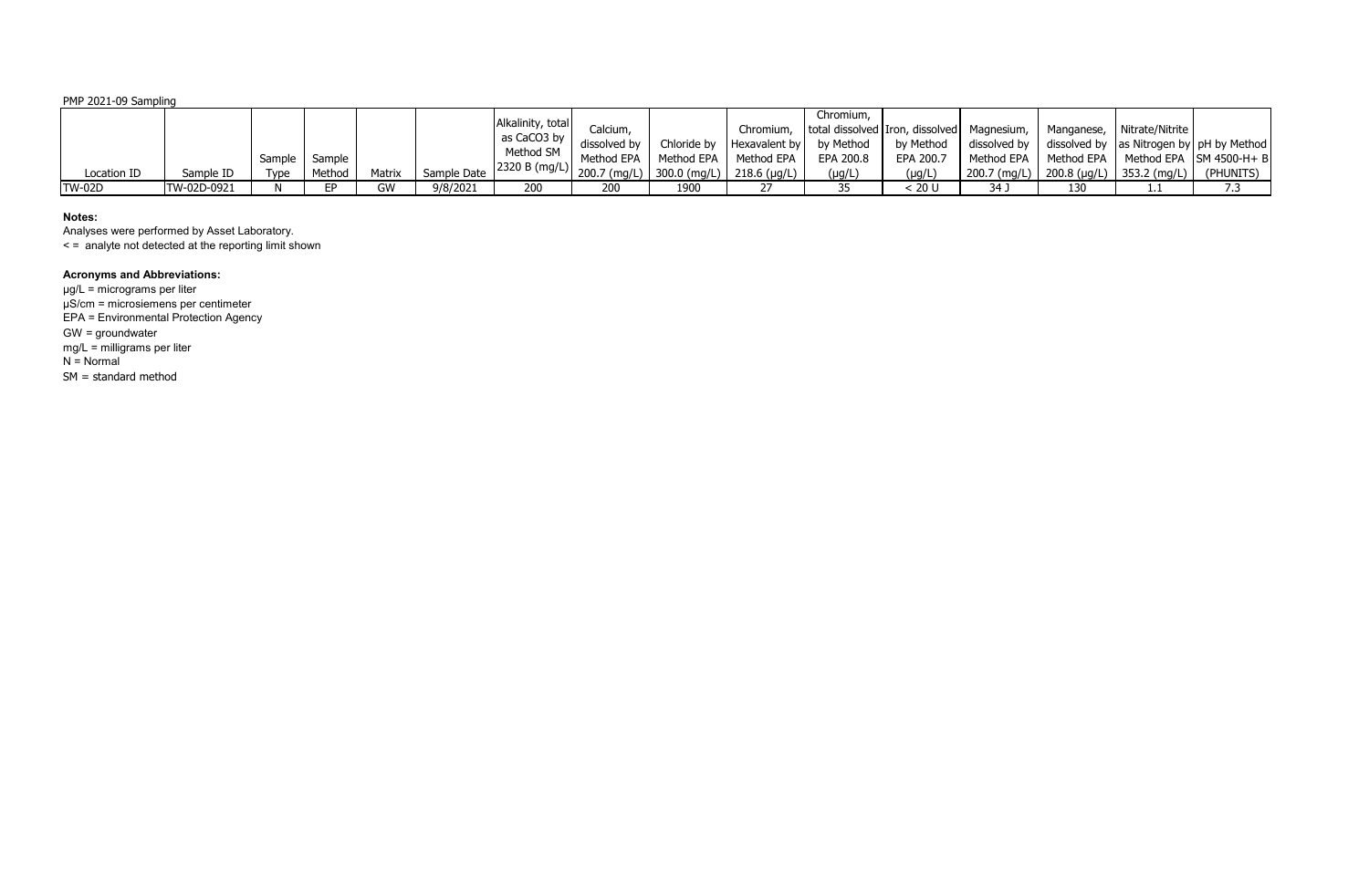PMP 2021-09 Sampling

| Location ID   | Sample ID   | Type | Sample Sample<br>Method | Matrix | Sample Date | Alkalinity, total<br>as CaCO3 by $\parallel$<br>Method SM | Calcium,<br>dissolved by<br>Method EPA | Method EPA | Chloride by $ $ Hexavalent by $ $<br>Method EPA | Chromium,<br>by Method<br>EPA 200.8<br>$(\mu g/L)$ | Chromium, total dissolved Iron, dissolved Magnesium, I<br>by Method<br>EPA 200.7<br>(µg/L | Method EPA<br>$200.7$ (mg/L) | Manganese, Nitrate/Nitrite<br>$\mid$ 200.8 (µg/L)   353.2 (mg/L) | dissolved by $\parallel$ dissolved by $\parallel$ as Nitrogen by $\parallel$ pH by Method<br>  Method EPA   Method EPA   SM 4500-H+ B<br>(PHUNITS) |
|---------------|-------------|------|-------------------------|--------|-------------|-----------------------------------------------------------|----------------------------------------|------------|-------------------------------------------------|----------------------------------------------------|-------------------------------------------------------------------------------------------|------------------------------|------------------------------------------------------------------|----------------------------------------------------------------------------------------------------------------------------------------------------|
| <b>TW-02D</b> | TW-02D-0921 |      | FD.                     | GW     | 9/8/2021    | 200                                                       | 200                                    | 1900       |                                                 | 35                                                 | 20 U                                                                                      | 34 J                         |                                                                  |                                                                                                                                                    |

# **Notes:**

Analyses were performed by Asset Laboratory. < = analyte not detected at the reporting limit shown

# **Acronyms and Abbreviations:**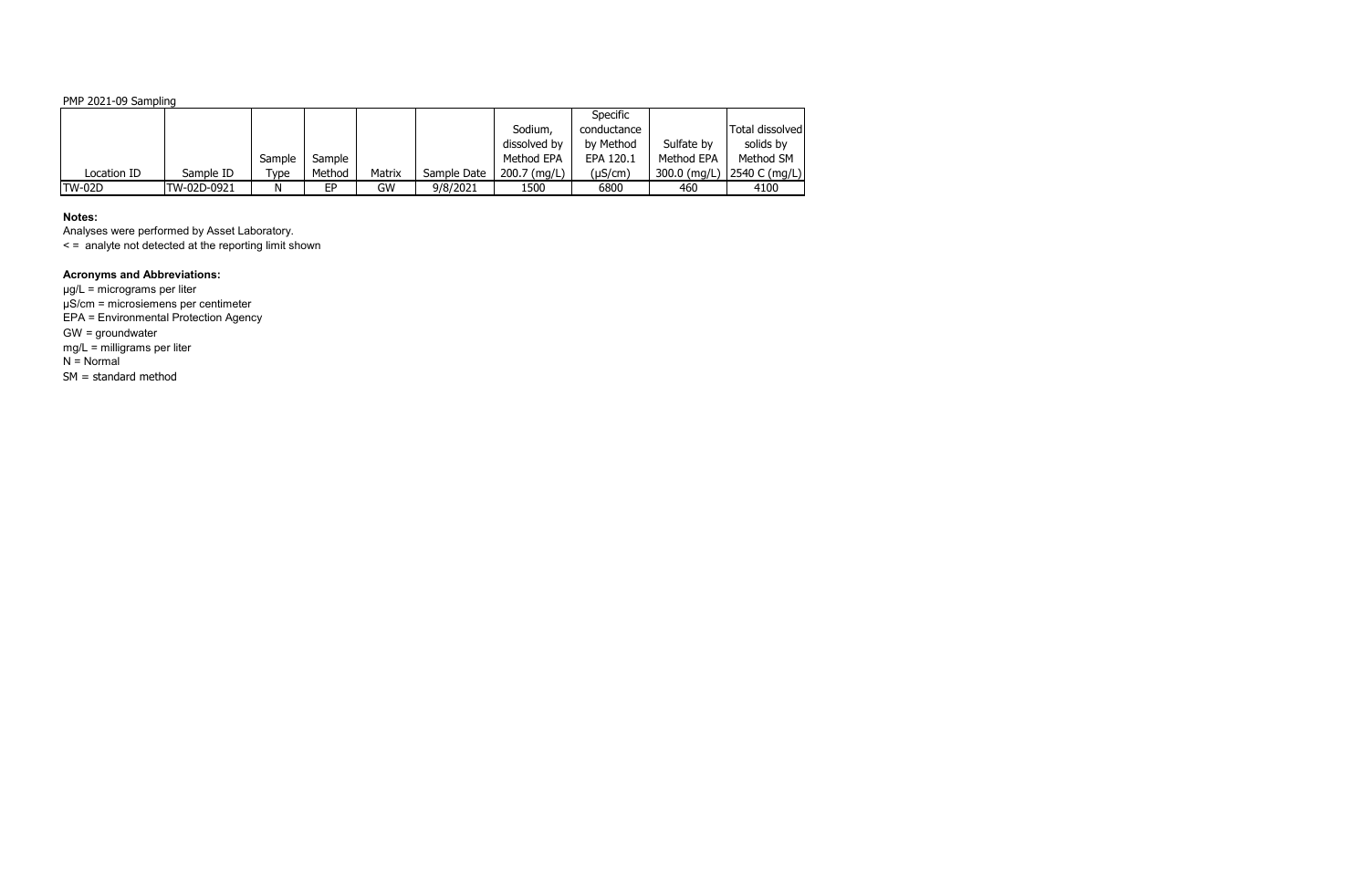PMP 2021-09 Sampling

|               |             |        |        |        |             |              | <b>Specific</b> |            |                            |
|---------------|-------------|--------|--------|--------|-------------|--------------|-----------------|------------|----------------------------|
|               |             |        |        |        |             | Sodium,      | conductance     |            | Total dissolved            |
|               |             |        |        |        |             | dissolved by | by Method       | Sulfate by | solids by                  |
|               |             | Sample | Sample |        |             | Method EPA   | EPA 120.1       | Method EPA | Method SM                  |
| Location ID   | Sample ID   | Type   | Method | Matrix | Sample Date | 200.7 (mg/L) | $(\mu S/cm)$    |            | 300.0 (mg/L) 2540 C (mg/L) |
| <b>TW-02D</b> | TW-02D-0921 | N      | EP     | GW     | 9/8/2021    | 1500         | 6800            | 460        | 4100                       |

### **Notes:**

Analyses were performed by Asset Laboratory. < = analyte not detected at the reporting limit shown

# **Acronyms and Abbreviations:**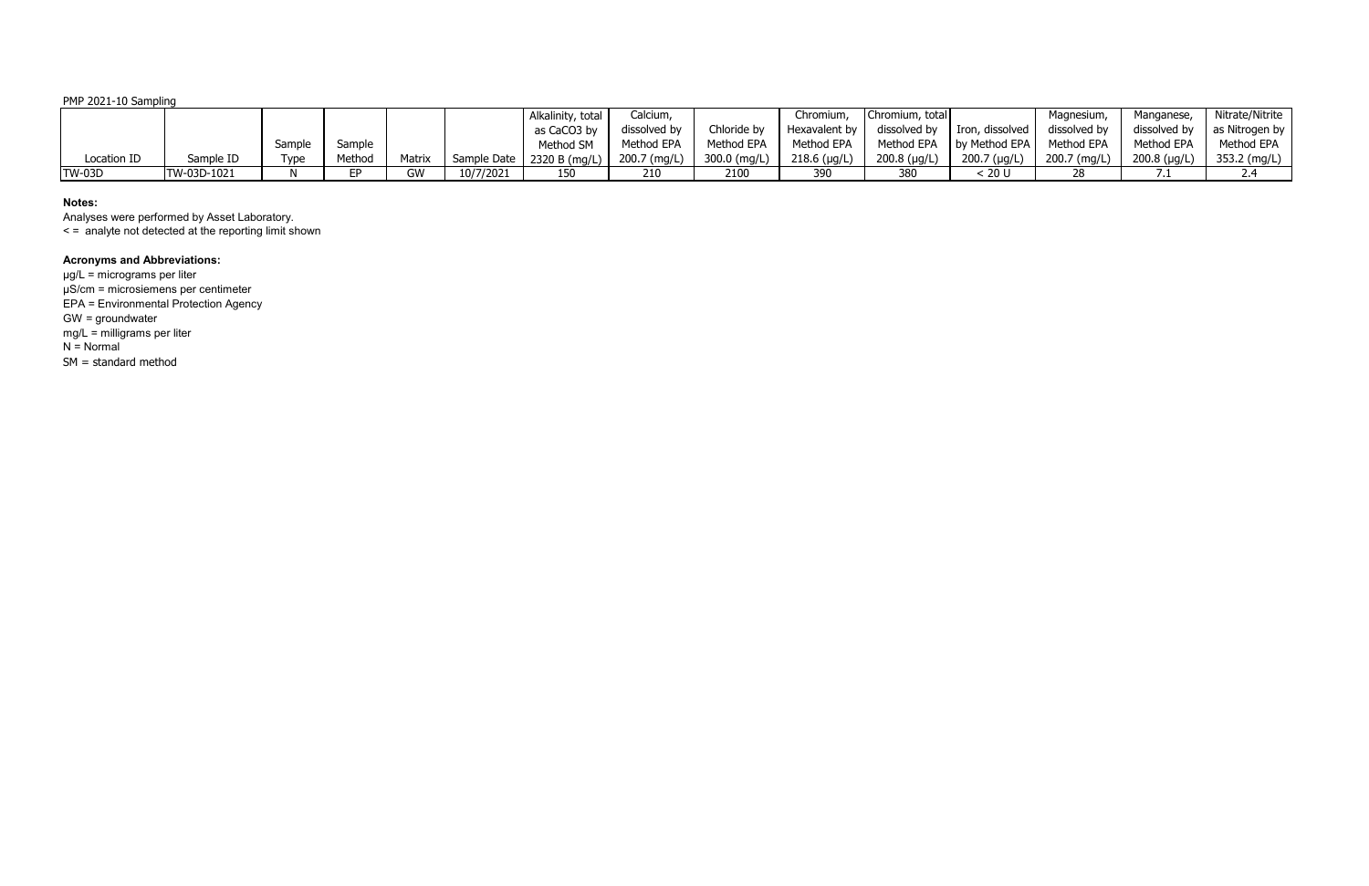PMP 2021-10 Sampling

|               |                     |        |        |        |           | Alkalinity, total                            | Calcium,     |              | Chromium.      | Chromium, total |                                          | Magnesium    | Manganese,           | Nitrate/Nitrite |
|---------------|---------------------|--------|--------|--------|-----------|----------------------------------------------|--------------|--------------|----------------|-----------------|------------------------------------------|--------------|----------------------|-----------------|
|               |                     |        |        |        |           | as CaCO3 by                                  | dissolved by | Chloride by  | Hexavalent by  |                 | dissolved by $\parallel$ Iron, dissolved | dissolved by | dissolved by         | as Nitrogen by  |
|               |                     | Sample | Sample |        |           | Method SM                                    | Method EPA   | Method EPA   | Method EPA     |                 | Method EPA   by Method EPA   Method EPA  |              | Method EPA           | Method EPA      |
| Location ID   | Sample ID           | Type   | Method | Matrix |           | ' Sample Date   2320 B (mg/L)   200.7 (mg/L) |              | 300.0 (mg/L) | $218.6$ (µg/L) | $200.8$ (µg/L)  | $200.7$ (µg/L)                           | 200.7 (mg/L) | $200.8$ ( $\mu$ g/L) | 353.2 (mg/L)    |
| <b>TW-03D</b> | <b>ITW-03D-1021</b> |        |        | GW     | 10/7/2021 | 150                                          | 210          | 2100         | 390            | 380             | : 20 U                                   |              |                      |                 |

# **Notes:**

Analyses were performed by Asset Laboratory.

< = analyte not detected at the reporting limit shown

# **Acronyms and Abbreviations:**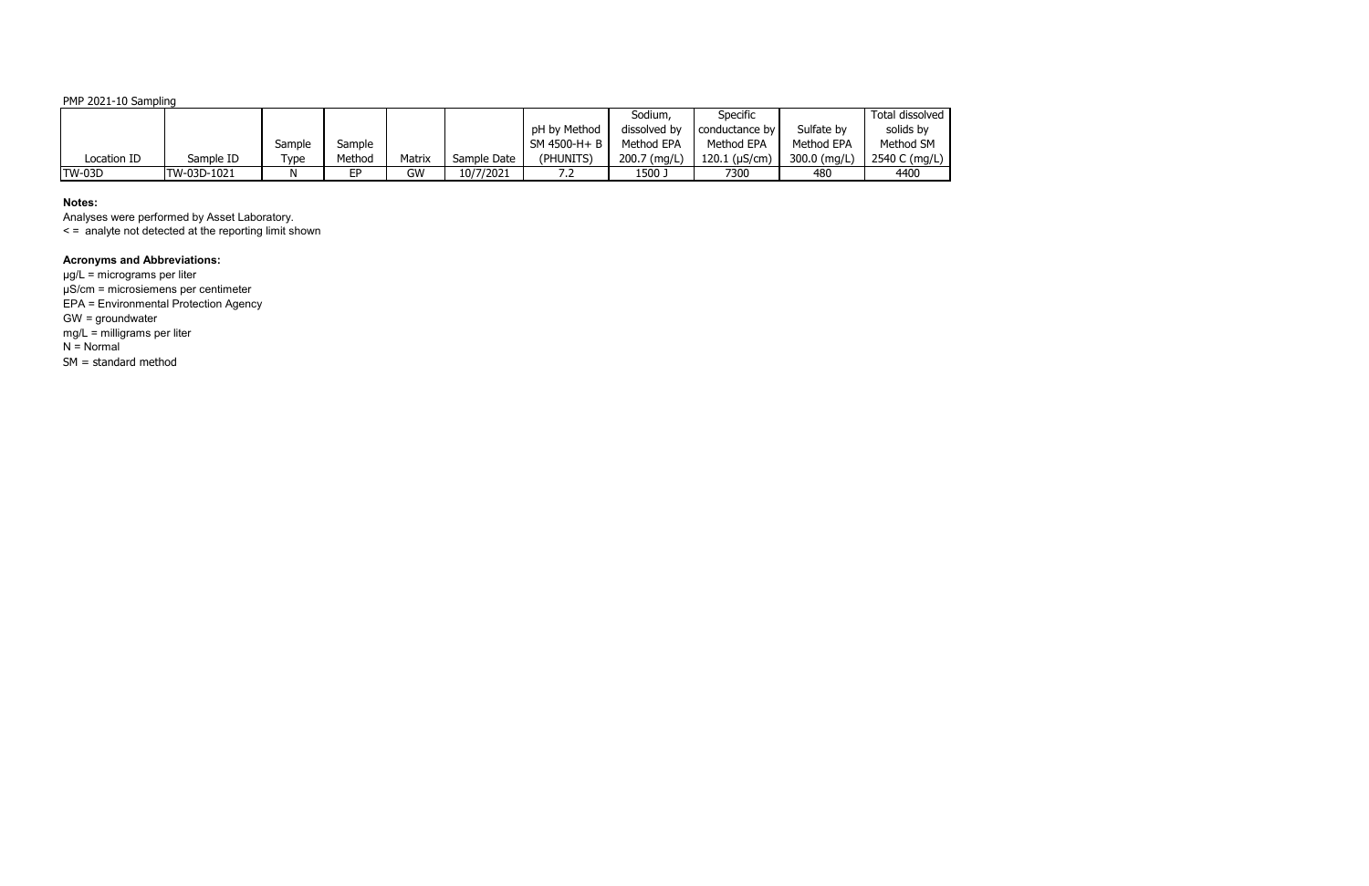PMP 2021-10 Sampling

|               |             |         |        |        |             |               | Sodium,      | Specific              |              | Total dissolved |
|---------------|-------------|---------|--------|--------|-------------|---------------|--------------|-----------------------|--------------|-----------------|
|               |             |         |        |        |             | pH by Method  | dissolved by | conductance by I      | Sulfate by   | solids by       |
|               |             | Sample  | Sample |        |             | $SM$ 4500-H+B | Method EPA   | Method EPA            | Method EPA   | Method SM       |
| Location ID   | Sample ID   | $T$ ype | Method | Matrix | Sample Date | (PHUNITS)     | 200.7 (mg/L) | $120.1$ ( $\mu$ S/cm) | 300.0 (mg/L) | 2540 C (mg/L)   |
| <b>TW-03D</b> | TW-03D-1021 |         | EP     | GW     | 10/7/2021   | ے ،           | ر 1500       | 7300                  | 480          | 4400            |

# **Notes:**

Analyses were performed by Asset Laboratory.

< = analyte not detected at the reporting limit shown

# **Acronyms and Abbreviations:**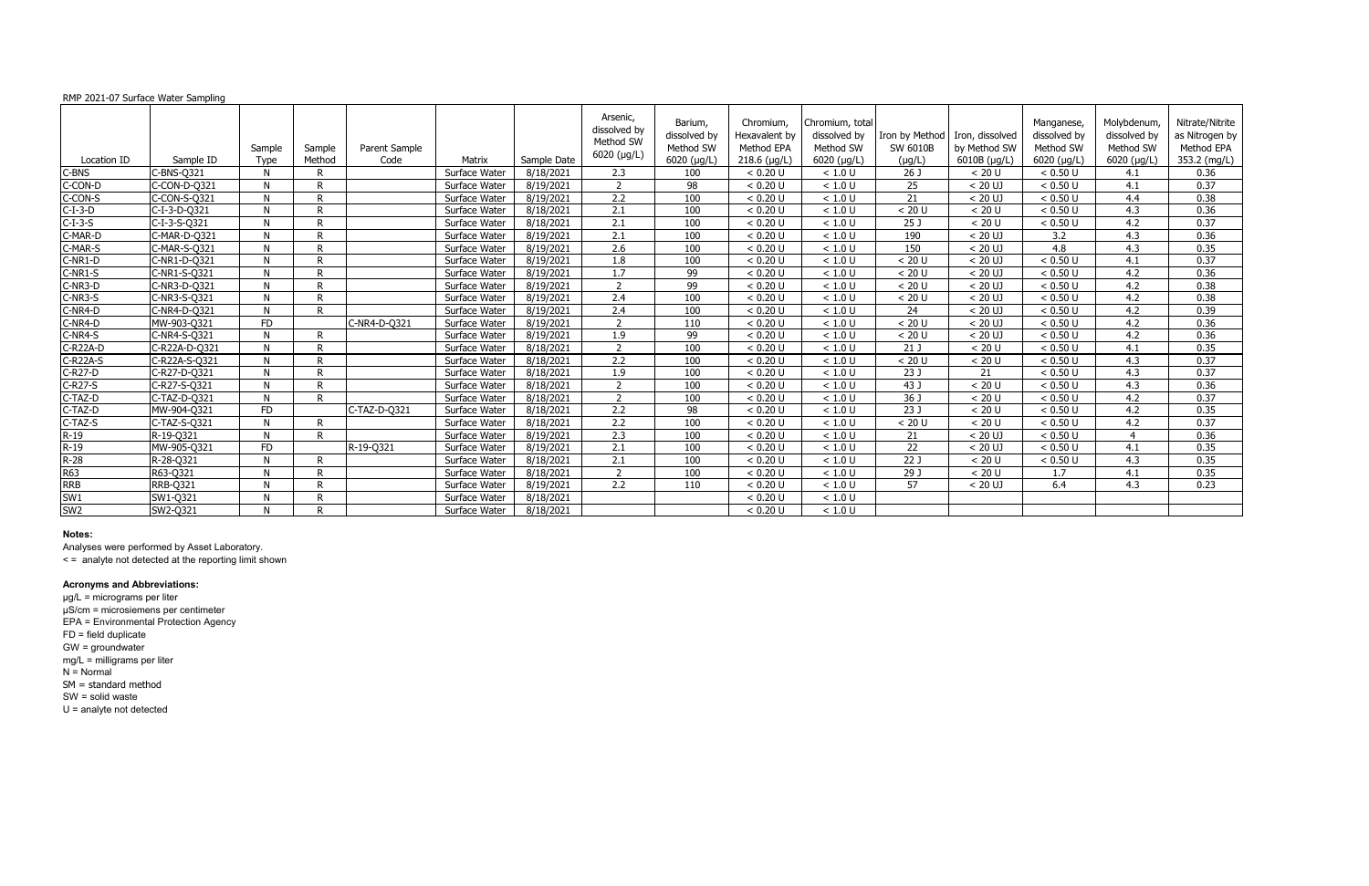### RMP 2021-07 Surface Water Sampling

| Location ID     | Sample ID       | Sample<br><b>Type</b> | Sample<br>Method | Parent Sample<br>Code | Matrix        | Sample Date | Arsenic,<br>dissolved by<br>Method SW<br>6020 (µg/L) | Barium,<br>dissolved by<br>Method SW<br>6020 (µg/L) | Chromium,<br>Hexavalent by<br>Method EPA<br>$218.6$ (µg/L) | Chromium, total<br>dissolved by<br>Method SW<br>6020 (µg/L) | Iron by Method<br>SW 6010B<br>$(\mu g/L)$ | Iron, dissolved<br>by Method SW<br>6010B (µg/L) | Manganese,<br>dissolved by<br>Method SW<br>$6020$ ( $\mu$ g/L) | Molybdenum,<br>dissolved by<br>Method SW<br>6020 (µg/L) | Nitrate/Nitrite<br>as Nitrogen by<br>Method EPA<br>353.2 (mg/L) |
|-----------------|-----------------|-----------------------|------------------|-----------------------|---------------|-------------|------------------------------------------------------|-----------------------------------------------------|------------------------------------------------------------|-------------------------------------------------------------|-------------------------------------------|-------------------------------------------------|----------------------------------------------------------------|---------------------------------------------------------|-----------------------------------------------------------------|
| C-BNS           | C-BNS-Q321      | N                     | D                |                       | Surface Water | 8/18/2021   | $\overline{2.3}$                                     | 100                                                 | < 0.20 U                                                   | < 1.0 U                                                     | 26 J                                      | < 20 U                                          | < 0.50 U                                                       | 4.1                                                     | 0.36                                                            |
| C-CON-D         | C-CON-D-Q321    | N                     | D                |                       | Surface Water | 8/19/2021   | $\overline{z}$                                       | 98                                                  | < 0.20 U                                                   | < 1.0 U                                                     | 25                                        | $< 20$ UJ                                       | < 0.50 U                                                       | 4.1                                                     | 0.37                                                            |
| C-CON-S         | C-CON-S-Q321    | N                     | R                |                       | Surface Water | 8/19/2021   | 2.2                                                  | 100                                                 | < 0.20 U                                                   | < 1.0 U                                                     | 21                                        | $< 20$ UJ                                       | < 0.50 U                                                       | 4.4                                                     | 0.38                                                            |
| $C-I-3-D$       | $C-I-3-D-Q321$  | N                     | D                |                       | Surface Water | 8/18/2021   | 2.1                                                  | 100                                                 | < 0.20 U                                                   | < 1.0 U                                                     | < 20 U                                    | < 20 U                                          | < 0.50 U                                                       | 4.3                                                     | 0.36                                                            |
| $C-I-3-S$       | C-I-3-S-Q321    | N                     | D                |                       | Surface Water | 8/18/2021   | $\overline{2.1}$                                     | 100                                                 | < 0.20 U                                                   | < 1.0 U                                                     | 25J                                       | < 20 U                                          | < 0.50 U                                                       | 4.2                                                     | 0.37                                                            |
| C-MAR-D         | C-MAR-D-Q321    | N                     | D                |                       | Surface Water | 8/19/2021   | 2.1                                                  | 100                                                 | < 0.20 U                                                   | < 1.0 U                                                     | 190                                       | $< 20$ UJ                                       | 3.2                                                            | 4.3                                                     | 0.36                                                            |
| C-MAR-S         | C-MAR-S-Q321    | N                     | D                |                       | Surface Water | 8/19/2021   | $\overline{2.6}$                                     | 100                                                 | < 0.20 U                                                   | < 1.0 U                                                     | 150                                       | $< 20$ UJ                                       | 4.8                                                            | 4.3                                                     | 0.35                                                            |
| C-NR1-D         | C-NR1-D-Q321    | N                     | D                |                       | Surface Water | 8/19/2021   | 1.8                                                  | 100                                                 | < 0.20 U                                                   | < 1.0 U                                                     | < 20 U                                    | $< 20$ UJ                                       | < 0.50 U                                                       | 4.1                                                     | 0.37                                                            |
| $C-NR1-S$       | C-NR1-S-Q321    | N                     | D                |                       | Surface Water | 8/19/2021   | $\overline{1.7}$                                     | 99                                                  | < 0.20 U                                                   | < 1.0 U                                                     | < 20 U                                    | $< 20$ UJ                                       | < 0.50 U                                                       | 4.2                                                     | 0.36                                                            |
| C-NR3-D         | C-NR3-D-Q321    | N                     | D                |                       | Surface Water | 8/19/2021   | $\overline{z}$                                       | 99                                                  | < 0.20 U                                                   | < 1.0 U                                                     | < 20 U                                    | $< 20$ UJ                                       | < 0.50 U                                                       | 4.2                                                     | 0.38                                                            |
| C-NR3-S         | C-NR3-S-Q321    | N                     | D                |                       | Surface Water | 8/19/2021   | 2.4                                                  | 100                                                 | < 0.20 U                                                   | < 1.0 U                                                     | < 20 U                                    | $< 20$ UJ                                       | < 0.50 U                                                       | 4.2                                                     | 0.38                                                            |
| C-NR4-D         | C-NR4-D-Q321    | N                     | D                |                       | Surface Water | 8/19/2021   | 2.4                                                  | 100                                                 | < 0.20 U                                                   | < 1.0 U                                                     | 24                                        | $< 20$ UJ                                       | < 0.50 U                                                       | 4.2                                                     | 0.39                                                            |
| C-NR4-D         | MW-903-Q321     | FD.                   |                  | C-NR4-D-Q321          | Surface Water | 8/19/2021   | $\overline{2}$                                       | 110                                                 | < 0.20 U                                                   | < 1.0 U                                                     | < 20 U                                    | $< 20$ UJ                                       | < 0.50 U                                                       | 4.2                                                     | 0.36                                                            |
| C-NR4-S         | C-NR4-S-Q321    | N                     | R                |                       | Surface Water | 8/19/2021   | $\overline{1.9}$                                     | 99                                                  | < 0.20 U                                                   | < 1.0 U                                                     | < 20 U                                    | $< 20$ UJ                                       | < 0.50 U                                                       | 4.2                                                     | 0.36                                                            |
| C-R22A-D        | C-R22A-D-Q321   | N                     | D                |                       | Surface Water | 8/18/2021   | $\overline{2}$                                       | 100                                                 | < 0.20 U                                                   | < 1.0 U                                                     | 21J                                       | < 20 U                                          | < 0.50 U                                                       | 4.1                                                     | 0.35                                                            |
| $CR22A-S$       | C-R22A-S-0321   | N                     | D                |                       | Surface Water | 8/18/2021   | $\overline{2.2}$                                     | 100                                                 | < 0.20 U                                                   | < 1.0 U                                                     | < 20 U                                    | < 20 U                                          | < 0.50 U                                                       | 4.3                                                     | 0.37                                                            |
| C-R27-D         | C-R27-D-Q321    | N                     | D                |                       | Surface Water | 8/18/2021   | 1.9                                                  | 100                                                 | < 0.20 U                                                   | < 1.0 U                                                     | 23 J                                      | 21                                              | < 0.50 U                                                       | 4.3                                                     | 0.37                                                            |
| C-R27-S         | C-R27-S-Q321    | N                     |                  |                       | Surface Water | 8/18/2021   | $\overline{2}$                                       | 100                                                 | < 0.20 U                                                   | < 1.0 U                                                     | 43 J                                      | < 20 U                                          | < 0.50 U                                                       | 4.3                                                     | 0.36                                                            |
| C-TAZ-D         | C-TAZ-D-Q321    | N                     | D                |                       | Surface Water | 8/18/2021   | $\overline{2}$                                       | 100                                                 | < 0.20 U                                                   | < 1.0 U                                                     | 36J                                       | < 20 U                                          | < 0.50 U                                                       | 4.2                                                     | 0.37                                                            |
| C-TAZ-D         | MW-904-Q321     | FD.                   |                  | C-TAZ-D-Q321          | Surface Water | 8/18/2021   | 2.2                                                  | 98                                                  | < 0.20 U                                                   | < 1.0 U                                                     | 23 J                                      | < 20 U                                          | < 0.50 U                                                       | 4.2                                                     | 0.35                                                            |
| C-TAZ-S         | C-TAZ-S-Q321    | N                     | R                |                       | Surface Water | 8/18/2021   | $\overline{2.2}$                                     | 100                                                 | < 0.20 U                                                   | < 1.0 U                                                     | < 20 U                                    | < 20 U                                          | < 0.50 U                                                       | 4.2                                                     | 0.37                                                            |
| $R-19$          | R-19-Q321       | N                     | D                |                       | Surface Water | 8/19/2021   | $\overline{2.3}$                                     | 100                                                 | < 0.20 U                                                   | < 1.0 U                                                     | 21                                        | $< 20$ UJ                                       | < 0.50 U                                                       |                                                         | 0.36                                                            |
| $R-19$          | MW-905-Q321     | FD.                   |                  | R-19-Q321             | Surface Water | 8/19/2021   | $\overline{2.1}$                                     | 100                                                 | < 0.20 U                                                   | < 1.0 U                                                     | $\overline{22}$                           | $< 20$ UJ                                       | < 0.50 U                                                       | 4.1                                                     | 0.35                                                            |
| $R-28$          | R-28-Q321       | N                     | R                |                       | Surface Water | 8/18/2021   | 2.1                                                  | 100                                                 | < 0.20 U                                                   | < 1.0 U                                                     | $\overline{22J}$                          | < 20 U                                          | < 0.50 U                                                       | 4.3                                                     | 0.35                                                            |
| R63             | R63-Q321        | N                     | D                |                       | Surface Water | 8/18/2021   | $\overline{2}$                                       | 100                                                 | < 0.20 U                                                   | < 1.0 U                                                     | 29 J                                      | < 20 U                                          | 1.7                                                            | 4.1                                                     | 0.35                                                            |
| <b>RRB</b>      | <b>RRB-Q321</b> | N                     | D                |                       | Surface Water | 8/19/2021   | 2.2                                                  | 110                                                 | < 0.20 U                                                   | < 1.0 U                                                     | 57                                        | $< 20$ UJ                                       | 6.4                                                            | 4.3                                                     | 0.23                                                            |
| SW1             | SW1-Q321        | N                     | D                |                       | Surface Water | 8/18/2021   |                                                      |                                                     | < 0.20 U                                                   | < 1.0 U                                                     |                                           |                                                 |                                                                |                                                         |                                                                 |
| SW <sub>2</sub> | SW2-Q321        |                       | D                |                       | Surface Water | 8/18/2021   |                                                      |                                                     | < 0.20 U                                                   | < 1.0 U                                                     |                                           |                                                 |                                                                |                                                         |                                                                 |

### **Notes:**

Analyses were performed by Asset Laboratory.

< = analyte not detected at the reporting limit shown

# **Acronyms and Abbreviations:**

µg/L = micrograms per liter µS/cm = microsiemens per centimeter EPA = Environmental Protection Agency FD = field duplicate GW = groundwater mg/L = milligrams per liter N = Normal SM = standard method SW = solid waste U = analyte not detected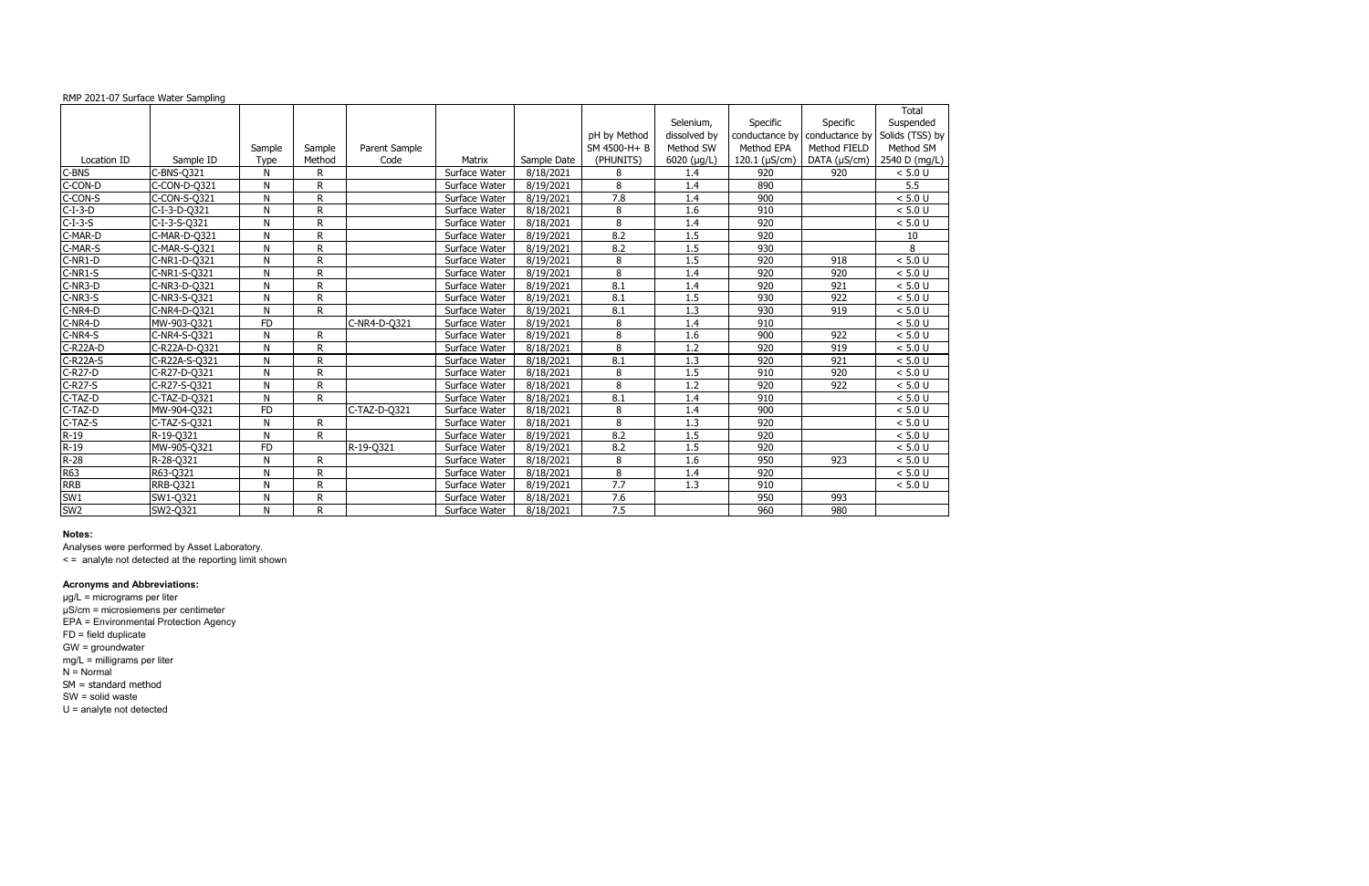### RMP 2021-07 Surface Water Sampling

|                 |                 |           |              |               |               |             |                |              |                     |                  | Total           |
|-----------------|-----------------|-----------|--------------|---------------|---------------|-------------|----------------|--------------|---------------------|------------------|-----------------|
|                 |                 |           |              |               |               |             |                | Selenium,    | Specific            | Specific         | Suspended       |
|                 |                 |           |              |               |               |             | pH by Method   | dissolved by | conductance by      | conductance by   | Solids (TSS) by |
|                 |                 | Sample    | Sample       | Parent Sample |               |             | SM 4500-H+ B   | Method SW    | Method EPA          | Method FIELD     | Method SM       |
| Location ID     | Sample ID       | Type      | Method       | Code          | Matrix        | Sample Date | (PHUNITS)      | 6020 (µg/L)  | 120.1 ( $\mu$ S/cm) | DATA (µS/cm)     | 2540 D (mg/L)   |
| C-BNS           | $C-BNS-Q321$    | N         | R            |               | Surface Water | 8/18/2021   | 8              | 1.4          | 920                 | 920              | < 5.0 U         |
| C-CON-D         | C-CON-D-Q321    | N         | R            |               | Surface Water | 8/19/2021   | 8              | 1.4          | 890                 |                  | 5.5             |
| C-CON-S         | C-CON-S-Q321    | N         | R            |               | Surface Water | 8/19/2021   | 7.8            | 1.4          | 900                 |                  | < 5.0 U         |
| $C-I-3-D$       | C-I-3-D-Q321    | N         | R            |               | Surface Water | 8/18/2021   | 8              | 1.6          | 910                 |                  | < 5.0 U         |
| $C-I-3-S$       | C-I-3-S-Q321    | N         | R.           |               | Surface Water | 8/18/2021   | 8              | 1.4          | 920                 |                  | < 5.0 U         |
| C-MAR-D         | C-MAR-D-Q321    | N         | R            |               | Surface Water | 8/19/2021   | 8.2            | 1.5          | 920                 |                  | 10              |
| C-MAR-S         | C-MAR-S-Q321    | N         | R            |               | Surface Water | 8/19/2021   | 8.2            | 1.5          | 930                 |                  | 8               |
| C-NR1-D         | C-NR1-D-Q321    | N         | R            |               | Surface Water | 8/19/2021   | 8              | 1.5          | 920                 | 918              | < 5.0 U         |
| $C-NR1-S$       | C-NR1-S-Q321    | N         | R            |               | Surface Water | 8/19/2021   | 8              | 1.4          | 920                 | $\overline{920}$ | < 5.0 U         |
| C-NR3-D         | C-NR3-D-Q321    | N         | R            |               | Surface Water | 8/19/2021   | 8.1            | 1.4          | 920                 | 921              | < 5.0 U         |
| C-NR3-S         | C-NR3-S-Q321    | N         | R.           |               | Surface Water | 8/19/2021   | 8.1            | 1.5          | 930                 | 922              | < 5.0 U         |
| C-NR4-D         | C-NR4-D-Q321    | N         | R            |               | Surface Water | 8/19/2021   | 8.1            | 1.3          | 930                 | 919              | < 5.0 U         |
| C-NR4-D         | MW-903-Q321     | <b>FD</b> |              | C-NR4-D-Q321  | Surface Water | 8/19/2021   | 8              | 1.4          | 910                 |                  | < 5.0 U         |
| C-NR4-S         | C-NR4-S-Q321    | N         | R            |               | Surface Water | 8/19/2021   | $\overline{8}$ | 1.6          | 900                 | 922              | < 5.0 U         |
| C-R22A-D        | C-R22A-D-Q321   | N         | R            |               | Surface Water | 8/18/2021   | 8              | 1.2          | 920                 | 919              | < 5.0 U         |
| C-R22A-S        | C-R22A-S-Q321   | N         | R.           |               | Surface Water | 8/18/2021   | 8.1            | 1.3          | 920                 | 921              | < 5.0 U         |
| $C-R27-D$       | C-R27-D-Q321    | N         | R            |               | Surface Water | 8/18/2021   | 8              | 1.5          | 910                 | 920              | < 5.0 U         |
| C-R27-S         | C-R27-S-Q321    | N         | R            |               | Surface Water | 8/18/2021   | 8              | 1.2          | 920                 | 922              | < 5.0 U         |
| C-TAZ-D         | C-TAZ-D-Q321    | N         | R            |               | Surface Water | 8/18/2021   | 8.1            | 1.4          | 910                 |                  | < 5.0 U         |
| C-TAZ-D         | MW-904-Q321     | <b>FD</b> |              | C-TAZ-D-Q321  | Surface Water | 8/18/2021   | 8              | 1.4          | 900                 |                  | < 5.0 U         |
| C-TAZ-S         | C-TAZ-S-Q321    | N         | $\mathsf{R}$ |               | Surface Water | 8/18/2021   | 8              | 1.3          | 920                 |                  | < 5.0 U         |
| $R-19$          | R-19-Q321       | N         | R            |               | Surface Water | 8/19/2021   | 8.2            | 1.5          | 920                 |                  | < 5.0 U         |
| $R-19$          | MW-905-Q321     | <b>FD</b> |              | R-19-Q321     | Surface Water | 8/19/2021   | 8.2            | 1.5          | 920                 |                  | < 5.0 U         |
| $R-28$          | R-28-Q321       | N         | R            |               | Surface Water | 8/18/2021   | 8              | 1.6          | 950                 | 923              | < 5.0 U         |
| <b>R63</b>      | R63-Q321        | N         | R.           |               | Surface Water | 8/18/2021   | 8              | 1.4          | 920                 |                  | < 5.0 U         |
| <b>RRB</b>      | <b>RRB-Q321</b> | N         | R.           |               | Surface Water | 8/19/2021   | 7.7            | 1.3          | 910                 |                  | < 5.0 U         |
| SW1             | SW1-Q321        | N         | $\mathsf{R}$ |               | Surface Water | 8/18/2021   | 7.6            |              | 950                 | 993              |                 |
| SW <sub>2</sub> | SW2-0321        | N         | R            |               | Surface Water | 8/18/2021   | 7.5            |              | 960                 | 980              |                 |

### **Notes:**

Analyses were performed by Asset Laboratory.

< = analyte not detected at the reporting limit shown

# **Acronyms and Abbreviations:**

µg/L = micrograms per liter µS/cm = microsiemens per centimeter EPA = Environmental Protection Agency FD = field duplicate GW = groundwater mg/L = milligrams per liter N = Normal SM = standard method SW = solid waste U = analyte not detected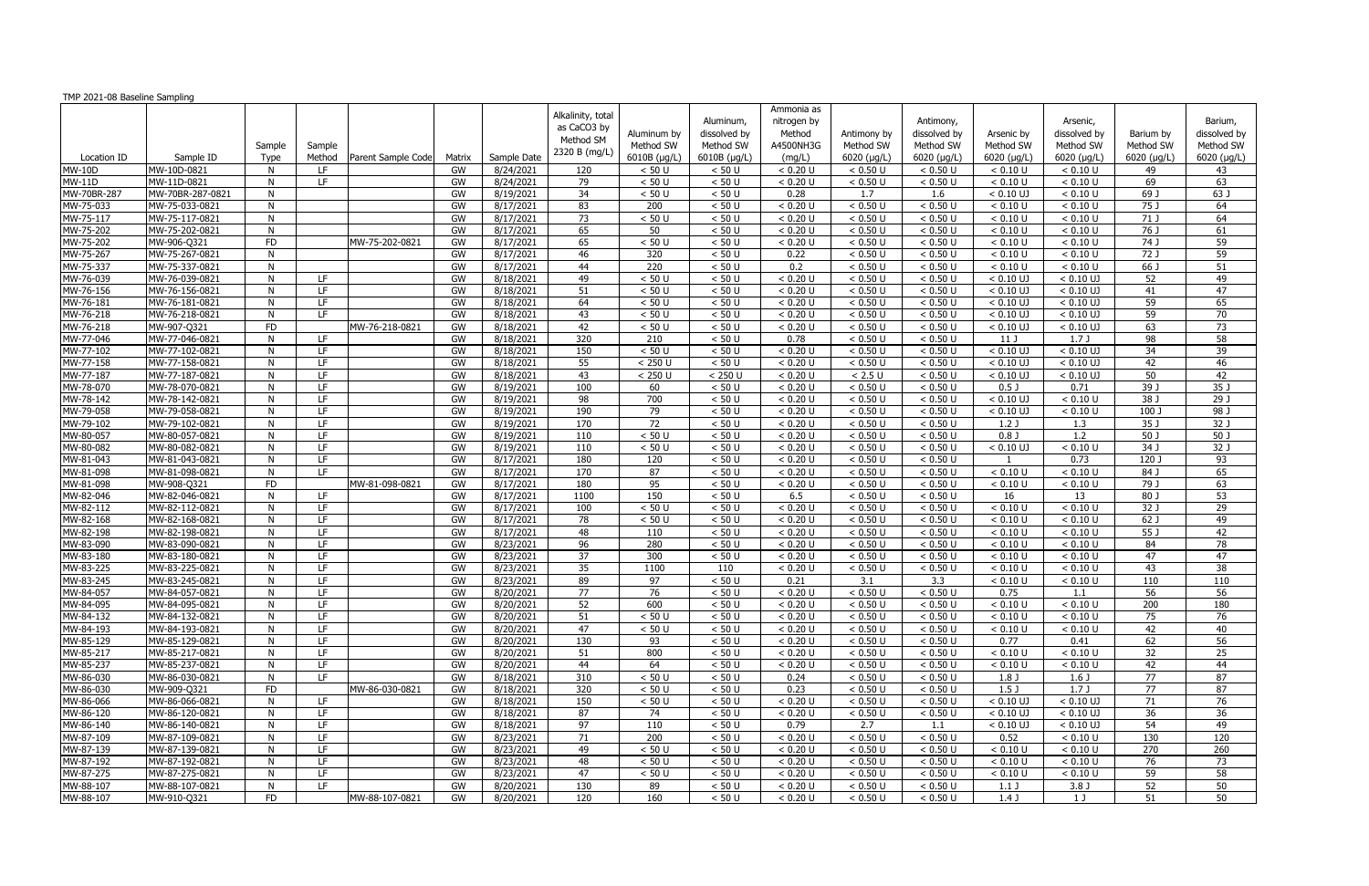| TMP 2021-08 Baseline Sampling |                                  |                |            |                    |          |                        |                   |                       |                      |                      |                      |                      |                      |                      |                 |                   |
|-------------------------------|----------------------------------|----------------|------------|--------------------|----------|------------------------|-------------------|-----------------------|----------------------|----------------------|----------------------|----------------------|----------------------|----------------------|-----------------|-------------------|
|                               |                                  |                |            |                    |          |                        | Alkalinity, total |                       |                      | Ammonia as           |                      |                      |                      |                      |                 |                   |
|                               |                                  |                |            |                    |          |                        | as CaCO3 by       |                       | Aluminum,            | nitrogen by          |                      | Antimony,            |                      | Arsenic,             |                 | Barium,           |
|                               |                                  |                |            |                    |          |                        | Method SM         | Aluminum by           | dissolved by         | Method               | Antimony by          | dissolved by         | Arsenic by           | dissolved by         | Barium by       | dissolved by      |
|                               |                                  | Sample         | Sample     |                    |          |                        | 2320 B (mg/L)     | Method SW             | Method SW            | A4500NH3G            | Method SW            | Method SW            | Method SW            | Method SW            | Method SW       | Method SW         |
| Location ID                   | Sample ID                        | Type           | Method     | Parent Sample Code | Matrix   | Sample Date            |                   | 6010B (µg/L)          | 6010B (µg/L)         | (mg/L)               | $6020$ ( $\mu$ g/L)  | 6020 ( $\mu$ g/L)    | 6020 (µg/L)          | $6020$ ( $\mu$ g/L)  | 6020 (µg/L)     | 6020 (µg/L)       |
| <b>MW-10D</b>                 | MW-10D-0821                      | N              | LF.        |                    | GW       | 8/24/2021              | 120               | < 50 U                | < 50 U               | < 0.20 U             | < 0.50 U             | < 0.50 U             | < 0.10 U             | < 0.10 U             | 49              | 43                |
| <b>MW-11D</b>                 | MW-11D-0821                      | N              | LF         |                    | GW       | 8/24/2021              | 79                | < 50 U                | < 50 U               | < 0.20 U             | < 0.50 U             | < 0.50 U             | < 0.10 U             | < 0.10 U             | 69              | 63                |
| MW-70BR-287                   | MW-70BR-287-0821                 | N              |            |                    | GW       | 8/19/2021              | 34                | < 50 U                | < 50 U               | 0.28                 | 1.7                  | 1.6                  | $< 0.10$ UJ          | < 0.10 U             | 69 J            | 63 J              |
| MW-75-033                     | MW-75-033-0821                   | N              |            |                    | GW       | 8/17/2021              | 83                | $\overline{200}$      | < 50 U               | < 0.20 U             | < 0.50 U             | < 0.50 U             | < 0.10 U             | < 0.10 U             | 75J             | 64                |
| MW-75-117                     | MW-75-117-0821                   | N              |            |                    | GW       | 8/17/2021              | 73                | < 50 U                | < 50 U               | < 0.20 U             | < 0.50 U             | < 0.50 U             | < 0.10 U             | < 0.10 U             | 71 J            | 64                |
| MW-75-202                     | MW-75-202-0821                   | N              |            |                    | GW       | 8/17/2021              | 65                | 50                    | $< 50 U$             | < 0.20 U             | < 0.50 U             | < 0.50 U             | < 0.10 U             | < 0.10 U             | 76 J            | 61                |
| MW-75-202                     | MW-906-Q321                      | <b>FD</b>      |            | MW-75-202-0821     | GW       | 8/17/2021              | 65                | < 50 U                | < 50 U               | < 0.20 U             | < 0.50 U             | < 0.50 U             | < 0.10 U             | < 0.10 U             | 74 J            | 59                |
| MW-75-267                     | MW-75-267-0821                   | N              |            |                    | GW       | 8/17/2021              | 46                | 320                   | < 50 U               | 0.22                 | < 0.50 U             | < 0.50 U             | < 0.10 U             | < 0.10 U             | 72 J            | 59                |
| MW-75-337                     | MW-75-337-0821                   | N              |            |                    | GW       | 8/17/2021              | 44                | 220                   | < 50 U               | 0.2                  | < 0.50 U             | < 0.50 U             | < 0.10 U             | < 0.10 U             | 66 J            | 51                |
| MW-76-039                     | MW-76-039-0821                   | N              | LF.        |                    | GW       | 8/18/2021              | 49                | < 50 U                | < 50 U               | < 0.20 U             | < 0.50 U             | < 0.50 U             | $< 0.10$ UJ          | $< 0.10$ UJ          | 52              | 49                |
| MW-76-156                     | MW-76-156-0821                   | N              | LF.        |                    | GW       | 8/18/2021              | 51                | < 50 U                | < 50 U               | < 0.20 U             | < 0.50 U             | < 0.50 U             | $< 0.10$ UJ          | $< 0.10$ UJ          | 41              | 47                |
| MW-76-181                     | MW-76-181-0821                   | N              | LF.        |                    | GW       | 8/18/2021              | 64                | < 50 U                | < 50 U               | < 0.20 U             | < 0.50 U             | < 0.50 U             | $< 0.10$ UJ          | $< 0.10$ UJ          | 59              | 65                |
| MW-76-218                     | MW-76-218-0821                   | N              | LF.        |                    | GW       | 8/18/2021              | 43                | < 50 U                | < 50 U               | < 0.20 U             | < 0.50 U             | < 0.50 U             | $< 0.10$ UJ          | $< 0.10$ UJ          | 59              | 70                |
| MW-76-218                     | MW-907-Q321                      | <b>FD</b>      |            | MW-76-218-0821     | GW       | 8/18/2021              | 42                | < 50 U                | < 50 U               | < 0.20 U             | < 0.50 U             | < 0.50 U             | $< 0.10$ UJ          | $< 0.10$ UJ          | 63              | $\overline{73}$   |
| MW-77-046                     | MW-77-046-0821                   | N              | LF         |                    | GW       | 8/18/2021              | 320               | 210                   | < 50 U               | 0.78                 | < 0.50 U             | < 0.50 U             | 11 J                 | 1.7J                 | 98              | $\overline{58}$   |
| MW-77-102                     | MW-77-102-0821                   | N              | LF         |                    | GW       | 8/18/2021              | 150               | < 50 U                | $< 50 U$             | < 0.20 U             | < 0.50 U             | < 0.50 U             | $< 0.10$ UJ          | $< 0.10$ UJ          | 34              | 39                |
| MW-77-158                     | MW-77-158-0821                   | N              | LF         |                    | GW       | 8/18/2021              | 55                | $< 250$ U             | < 50 U               | < 0.20 U             | < 0.50 U             | < 0.50 U             | $< 0.10$ UJ          | $< 0.10$ UJ          | 42              | 46                |
| MW-77-187                     | MW-77-187-0821                   | N              | LF.        |                    | GW       | 8/18/2021              | 43                | < 250 U               | < 250 U              | < 0.20 U             | $< 2.5 U$            | < 0.50 U             | $< 0.10$ UJ          | $< 0.10$ UJ          | 50              | 42                |
| MW-78-070                     | MW-78-070-0821                   | N              | LF.        |                    | GW       | 8/19/2021              | 100               | 60                    | < 50 U               | < 0.20 U             | < 0.50 U             | < 0.50 U             | 0.5 <sub>J</sub>     | 0.71                 | 39 J            | 35 J              |
| MW-78-142                     | MW-78-142-0821                   | N              | LF.        |                    | GW       | 8/19/2021              | 98                | 700                   | < 50 U               | < 0.20 U             | < 0.50 U             | < 0.50 U             | $< 0.10$ UJ          | < 0.10 U             | 38J             | $\overline{29}$ J |
| MW-79-058                     | MW-79-058-0821                   | N              | LF.        |                    | GW       | 8/19/2021              | 190               | 79                    | < 50 U               | < 0.20 U             | < 0.50 U             | < 0.50 U             | $< 0.10$ UJ          | < 0.10 U             | 100 J           | 98 J              |
| MW-79-102                     | MW-79-102-0821                   | N              | LF.        |                    | GW       | 8/19/2021              | 170               | 72                    | < 50 U               | < 0.20 U             | < 0.50 U             | < 0.50 U             | 1.2 <sub>J</sub>     | 1.3                  | 35J             | 32 J              |
| MW-80-057                     | MW-80-057-0821                   | N              | LF.        |                    | GW       | 8/19/2021              | 110               | < 50 U                | < 50 U               | < 0.20 U             | < 0.50 U             | < 0.50 U             | 0.8 <sub>0</sub>     | 1.2                  | 50 J            | 50 J              |
| MW-80-082                     | MW-80-082-0821                   | N              | LF.<br>LF. |                    | GW       | 8/19/2021              | 110               | < 50 U                | < 50 U               | < 0.20 U             | < 0.50 U             | < 0.50 U             | $< 0.10$ UJ          | < 0.10 U             | 34 J            | $32$ J            |
| MW-81-043                     | MW-81-043-0821                   | N              | LF.        |                    | GW       | 8/17/2021              | 180               | 120                   | < 50 U<br>< 50 U     | < 0.20 U             | < 0.50 U             | < 0.50 U             |                      | 0.73                 | 120 J<br>84 J   | 93                |
| MW-81-098                     | MW-81-098-0821                   | N              |            |                    | GW       | 8/17/2021              | 170               | $\overline{87}$<br>95 |                      | < 0.20 U             | < 0.50 U             | < 0.50 U             | < 0.10 U             | < 0.10 U             |                 | 65                |
| MW-81-098                     | MW-908-Q321                      | <b>FD</b><br>N | LF.        | MW-81-098-0821     | GW       | 8/17/2021              | 180               |                       | < 50 U               | < 0.20 U             | < 0.50 U             | < 0.50 U             | < 0.10 U             | < 0.10 U             | 79 J            | 63                |
| MW-82-046                     | MW-82-046-0821                   |                | LF.        |                    | GW<br>GW | 8/17/2021              | 1100<br>100       | 150<br>< 50 U         | < 50 U<br>< 50 U     | 6.5<br>< 0.20 U      | < 0.50 U<br>< 0.50 U | < 0.50 U<br>< 0.50 U | 16<br>< 0.10 U       | 13                   | 80 J<br>32 J    | 53<br>29          |
| MW-82-112                     | MW-82-112-0821                   | N              | LF.        |                    |          | 8/17/2021              |                   |                       |                      |                      |                      |                      |                      | < 0.10 U             |                 |                   |
| MW-82-168<br>MW-82-198        | MW-82-168-0821<br>MW-82-198-0821 | N<br>N         | LF.        |                    | GW<br>GW | 8/17/2021<br>8/17/2021 | 78<br>48          | < 50 U<br>110         | < 50 U<br>< 50 U     | < 0.20 U<br>< 0.20 U | < 0.50 U<br>< 0.50 U | < 0.50 U<br>< 0.50 U | < 0.10 U<br>< 0.10 U | < 0.10 U<br>< 0.10 U | 62 J<br>55J     | 49<br>42          |
| MW-83-090                     | MW-83-090-0821                   | N              | LF         |                    | GW       | 8/23/2021              | 96                | 280                   | < 50 U               | < 0.20 U             | < 0.50 U             | < 0.50 U             | < 0.10 U             | < 0.10 U             | 84              | $\overline{78}$   |
| MW-83-180                     | MW-83-180-0821                   | N              | LF.        |                    | GW       | 8/23/2021              | 37                | 300                   | < 50 U               | < 0.20 U             | < 0.50 U             | < 0.50 U             | < 0.10 U             | < 0.10 U             | 47              | 47                |
| MW-83-225                     | MW-83-225-0821                   | N              | LF.        |                    | GW       | 8/23/2021              | 35                | 1100                  | 110                  | < 0.20 U             | < 0.50 U             | < 0.50 U             | < 0.10 U             | < 0.10 U             | 43              | 38                |
| MW-83-245                     | MW-83-245-0821                   | N.             | LF.        |                    | GW       | 8/23/2021              | 89                | 97                    | < 50 U               | 0.21                 | 3.1                  | 3.3                  | < 0.10 U             | < 0.10 U             | 110             | 110               |
| MW-84-057                     | MW-84-057-0821                   | N              | LF         |                    | GW       | 8/20/2021              | $\overline{77}$   | 76                    | < 50 U               | < 0.20 U             | < 0.50 U             | < 0.50 U             | 0.75                 | 1.1                  | 56              | 56                |
| MW-84-095                     | MW-84-095-0821                   | N.             | LF.        |                    | GW       | 8/20/2021              | 52                | 600                   | < 50 U               | < 0.20 U             | < 0.50 U             | < 0.50 U             | < 0.10 U             | < 0.10 U             | 200             | 180               |
| MW-84-132                     | MW-84-132-0821                   | N              | LF.        |                    | GW       | 8/20/2021              | 51                | < 50 U                | < 50 U               | < 0.20 U             | < 0.50 U             | < 0.50 U             | < 0.10 U             | < 0.10 U             | 75              | 76                |
| MW-84-193                     | MW-84-193-0821                   | N              | LF.        |                    | GW       | 8/20/2021              | 47                | < 50 U                | < 50 U               | < 0.20 U             | < 0.50 U             | < 0.50 U             | < 0.10 U             | < 0.10 U             | 42              | 40                |
| MW-85-129                     | MW-85-129-0821                   | N              | LF.        |                    | GW       | 8/20/2021              | 130               | 93                    | < 50 U               | < 0.20 U             | < 0.50 U             | < 0.50 U             | 0.77                 | 0.41                 | 62              | 56                |
| MW-85-217                     | MW-85-217-0821                   | N              | LF.        |                    | GW       | 8/20/2021              | 51                | 800                   | < 50 U               | < 0.20 U             | < 0.50 U             | < 0.50 U             | < 0.10 U             | < 0.10 U             | $\overline{32}$ | $\overline{25}$   |
| MW-85-237                     | MW-85-237-0821                   | N              | LF.        |                    | GW       | 8/20/2021              | 44                | 64                    | < 50 U               | < 0.20 U             | < 0.50 U             | < 0.50 U             | < 0.10 U             | < 0.10 U             | 42              | 44                |
| MW-86-030                     | MW-86-030-0821                   | N              | LF.        |                    | GW       | 8/18/2021              | 310               | < 50 U                | < 50 U               | 0.24                 | < 0.50 U             | < 0.50 U             | 1.8 <sub>J</sub>     | 1.6 <sub>J</sub>     | 77              | 87                |
| MW-86-030                     | MW-909-Q321                      | <b>FD</b>      |            | MW-86-030-0821     | GW       | 8/18/2021              | 320               | < 50 U                | < 50 U               | 0.23                 | < 0.50 U             | < 0.50 U             | 1.5 <sub>J</sub>     | 1.7J                 | 77              | 87                |
| MW-86-066                     | MW-86-066-0821                   | N              | LF.        |                    | GW       | 8/18/2021              | 150               | < 50 U                | < 50 U               | < 0.20 U             | < 0.50 U             | < 0.50 U             | $< 0.10$ UJ          | $< 0.10$ UJ          | 71              | 76                |
| $MW-86-120$                   | MW-86-120-0821                   | N              | LF.        |                    | GW       | 8/18/2021              | 87                | 74                    | < 50 U               | < 0.20 U             | < 0.50 U             | < 0.50 U             | $< 0.10$ UJ          | $< 0.10$ UJ          | 36              | 36                |
| $MW-86-140$                   | MW-86-140-0821                   | N              | LF.        |                    | GW       | 8/18/2021              | 97                | 110                   | < 50 U               | 0.79                 | 2.7                  | 1.1                  | $< 0.10$ UJ          | $< 0.10$ UJ          | 54              | 49                |
| MW-87-109                     | MW-87-109-0821                   | N              | LF.        |                    | GW       | 8/23/2021              | 71                | 200                   | < 50 U               | < 0.20 U             | < 0.50 U             | < 0.50 U             | 0.52                 | < 0.10 U             | 130             | 120               |
| MW-87-139                     | MW-87-139-0821                   | N              | LF.        |                    | GW       | 8/23/2021              | 49                | < 50 U                | < 50 U               | < 0.20 U             | < 0.50 U             | < 0.50 U             | < 0.10 U             | < 0.10 U             | 270             | 260               |
| MW-87-192                     | MW-87-192-0821                   | N              | LF.        |                    | GW       | 8/23/2021              | 48                | < 50 U                | < 50 U               | < 0.20 U             | < 0.50 U             | < 0.50 U             | < 0.10 U             | < 0.10 U             | 76              | 73                |
| MW-87-275                     | MW-87-275-0821                   | N              | LF         |                    | GW       | 8/23/2021              | 47                | < 50 U                | $< 50 \, \mathrm{U}$ | < 0.20 U             | < 0.50 U             | $< 0.50$ U           | < 0.10 U             | < 0.10 U             | 59              | 58                |
| MW-88-107                     | MW-88-107-0821                   | N              | LF.        |                    | GW       | 8/20/2021              | 130               | 89                    | < 50 U               | < 0.20 U             | < 0.50 U             | < 0.50 U             | 1.1 <sub>J</sub>     | 3.8 J                | 52              | 50                |
| MW-88-107                     | MW-910-Q321                      | FD             |            | MW-88-107-0821     | GW       | 8/20/2021              | 120               | 160                   | < 50 U               | $\sqrt{0.20}$ U      | < 0.50 U             | < 0.50 U             | 1.4 J                | 1 J                  | 51              | 50                |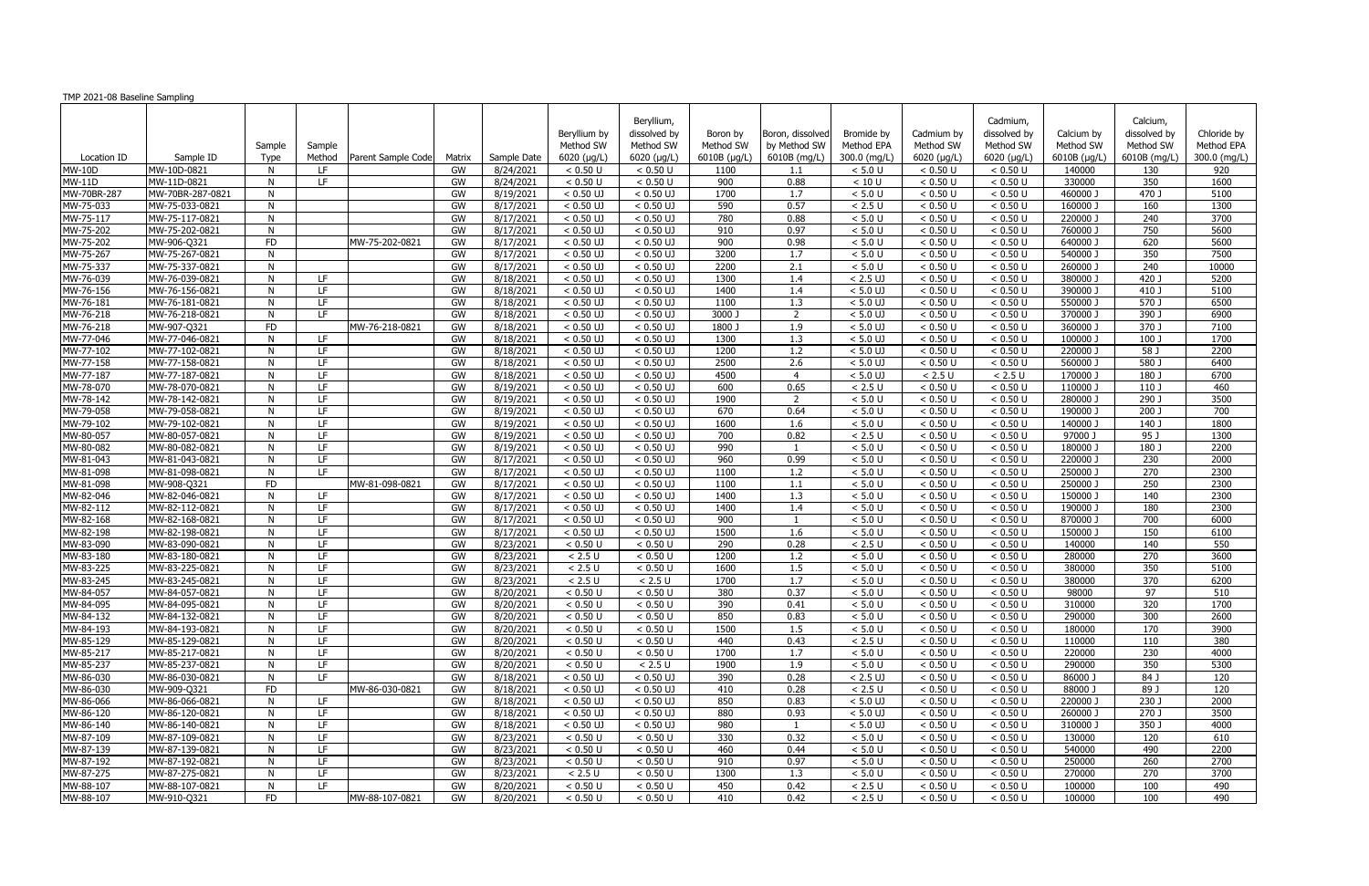| TMP 2021-08 Baseline Sampling |                                  |           |        |                    |          |                        |                            |                            |              |                  |                          |                      |                        |                      |                  |              |
|-------------------------------|----------------------------------|-----------|--------|--------------------|----------|------------------------|----------------------------|----------------------------|--------------|------------------|--------------------------|----------------------|------------------------|----------------------|------------------|--------------|
|                               |                                  |           |        |                    |          |                        |                            |                            |              |                  |                          |                      |                        |                      |                  |              |
|                               |                                  |           |        |                    |          |                        |                            | Beryllium,                 |              |                  |                          |                      | Cadmium,               |                      | Calcium,         |              |
|                               |                                  |           |        |                    |          |                        | Beryllium by               | dissolved by               | Boron by     | Boron, dissolved | Bromide by               | Cadmium by           | dissolved by           | Calcium by           | dissolved by     | Chloride by  |
|                               |                                  | Sample    | Sample |                    |          |                        | Method SW                  | Method SW                  | Method SW    | by Method SW     | Method EPA               | Method SW            | Method SW              | Method SW            | Method SW        | Method EPA   |
| Location ID                   | Sample ID                        | Type      | Method | Parent Sample Code | Matrix   | Sample Date            | 6020 (µg/L)                | 6020 (µg/L)                | 6010B (µg/L) | 6010B (mg/L)     | 300.0 (mg/L)             | 6020 (µg/L)          | 6020 (µg/L)            | 6010B (µg/L)         | 6010B (mg/L)     | 300.0 (mg/L) |
| <b>MW-10D</b>                 | MW-10D-0821                      | N         | LF.    |                    | GW       | 8/24/2021              | < 0.50 U                   | < 0.50 U                   | 1100         | 1.1              | < 5.0 U                  | < 0.50 U             | < 0.50 U               | 140000               | 130              | 920          |
| <b>MW-11D</b>                 | MW-11D-0821                      | N         | LF     |                    | GW       | 8/24/2021              | < 0.50 U                   | < 0.50 U                   | 900          | 0.88             | < 10 U                   | < 0.50 U             | < 0.50 U               | 330000               | 350              | 1600         |
| MW-70BR-287                   | MW-70BR-287-0821                 | N         |        |                    | GW       | 8/19/2021              | $< 0.50$ UJ                | $< 0.50$ UJ                | 1700         | 1.7              | $< 5.0 U$                | < 0.50 U             | < 0.50 U               | 460000 J             | 470 J            | 5100         |
| MW-75-033                     | MW-75-033-0821                   | N         |        |                    | GW       | 8/17/2021              | $< 0.50$ UJ                | $< 0.50$ UJ                | 590          | 0.57             | < 2.5 U                  | < 0.50 U             | < 0.50 U               | 160000 J             | 160              | 1300         |
| MW-75-117                     | MW-75-117-0821                   | N         |        |                    | GW       | 8/17/2021              | $< 0.50$ UJ                | $< 0.50$ UJ                | 780          | 0.88             | $< 5.0 U$                | < 0.50 U             | < 0.50 U               | 220000 J             | $\overline{240}$ | 3700         |
| MW-75-202                     | MW-75-202-0821                   | N         |        |                    | GW       | 8/17/2021              | $< 0.50$ UJ                | $< 0.50$ UJ                | 910          | 0.97             | $< 5.0 U$                | < 0.50 U             | < 0.50 U               | 760000 J             | 750              | 5600         |
| MW-75-202                     | MW-906-Q321                      | <b>FD</b> |        | MW-75-202-0821     | GW       | 8/17/2021              | $< 0.50$ UJ                | $< 0.50$ UJ                | 900          | 0.98             | $< 5.0 U$                | < 0.50 U             | < 0.50 U               | 640000 J             | 620              | 5600         |
| MW-75-267                     | MW-75-267-0821                   | N         |        |                    | GW       | 8/17/2021              | $< 0.50$ UJ                | $< 0.50$ UJ                | 3200         | 1.7              | $< 5.0 U$                | < 0.50 U             | < 0.50 U               | 540000 J             | 350              | 7500         |
| MW-75-337                     | MW-75-337-0821                   | N         |        |                    | GW       | 8/17/2021              | $< 0.50$ UJ                | $< 0.50$ UJ                | 2200         | 2.1              | $< 5.0 U$                | < 0.50 U             | < 0.50 U               | 260000 J             | 240              | 10000        |
| MW-76-039                     | MW-76-039-0821                   | N         | LF.    |                    | GW       | 8/18/2021              | $< 0.50$ UJ                | $< 0.50$ UJ                | 1300         | 1.4              | $< 2.5$ UJ               | < 0.50 U             | < 0.50 U               | 380000 J             | 420 J            | 5200         |
| MW-76-156                     | MW-76-156-0821                   | N         | LF.    |                    | GW       | 8/18/2021              | $< 0.50$ UJ                | $< 0.50$ UJ                | 1400         | 1.4              | $< 5.0$ UJ               | < 0.50 U             | < 0.50 U               | 390000 J             | 410 J            | 5100         |
| MW-76-181                     | MW-76-181-0821                   | N         | LF.    |                    | GW       | 8/18/2021              | $< 0.50$ UJ                | $< 0.50$ UJ                | 1100         | 1.3              | $< 5.0$ UJ               | < 0.50 U             | < 0.50 U               | 550000 J             | 570 J            | 6500         |
| MW-76-218                     | MW-76-218-0821                   | N         | LF.    |                    | GW       | 8/18/2021              | $< 0.50$ UJ                | $< 0.50$ UJ                | 3000J        | $\overline{2}$   | $< 5.0$ UJ               | < 0.50 U             | < 0.50 U               | 370000 J             | 390 J            | 6900         |
| MW-76-218                     | MW-907-Q321                      | <b>FD</b> | LF     | MW-76-218-0821     | GW       | 8/18/2021              | $< 0.50$ UJ                | $< 0.50$ UJ                | 1800 J       | 1.9              | $< 5.0$ UJ               | < 0.50 U             | < 0.50 U               | 360000 J             | 370J             | 7100         |
| MW-77-046                     | MW-77-046-0821<br>MW-77-102-0821 | N         | LF     |                    | GW<br>GW | 8/18/2021              | $< 0.50$ UJ                | $< 0.50$ UJ<br>$< 0.50$ UJ | 1300<br>1200 | 1.3              | $< 5.0$ UJ               | < 0.50 U<br>< 0.50 U | < 0.50 U<br>$< 0.50$ U | 100000 J<br>220000 J | 100 J<br>58 J    | 1700<br>2200 |
| MW-77-102<br>MW-77-158        | MW-77-158-0821                   | N<br>N    | LF     |                    | GW       | 8/18/2021<br>8/18/2021 | $< 0.50$ UJ<br>$< 0.50$ UJ | $< 0.50$ UJ                | 2500         | 1.2<br>2.6       | $< 5.0$ UJ<br>$< 5.0$ UJ | < 0.50 U             | < 0.50 U               | 560000 J             | $580$ J          | 6400         |
| MW-77-187                     | MW-77-187-0821                   | N         | LF.    |                    | GW       | 8/18/2021              | $< 0.50$ UJ                | $< 0.50$ UJ                | 4500         | 4                | $< 5.0$ UJ               | < 2.5 U              | $< 2.5 U$              | 170000 J             | 180 J            | 6700         |
| MW-78-070                     | MW-78-070-0821                   | N         | LF.    |                    | GW       | 8/19/2021              | $< 0.50$ UJ                | $< 0.50$ UJ                | 600          | 0.65             | $< 2.5 U$                | < 0.50 U             | < 0.50 U               | 110000 J             | 110J             | 460          |
| MW-78-142                     | MW-78-142-0821                   | N         | LF.    |                    | GW       | 8/19/2021              | $< 0.50$ UJ                | $< 0.50$ UJ                | 1900         | 2                | $< 5.0 U$                | < 0.50 U             | < 0.50 U               | 280000 J             | 290 J            | 3500         |
| MW-79-058                     | MW-79-058-0821                   | N         | LF.    |                    | GW       | 8/19/2021              | $< 0.50$ UJ                | $< 0.50$ UJ                | 670          | 0.64             | $< 5.0 U$                | < 0.50 U             | < 0.50 U               | 190000 J             | 200 J            | 700          |
| MW-79-102                     | MW-79-102-0821                   | N         | LF.    |                    | GW       | 8/19/2021              | $< 0.50$ UJ                | $< 0.50$ UJ                | 1600         | 1.6              | $< 5.0 U$                | < 0.50 U             | < 0.50 U               | 140000 J             | 140 J            | 1800         |
| MW-80-057                     | MW-80-057-0821                   | N         | LF.    |                    | GW       | 8/19/2021              | $< 0.50$ UJ                | $< 0.50$ UJ                | 700          | 0.82             | $< 2.5 U$                | < 0.50 U             | < 0.50 U               | 97000 J              | 95 J             | 1300         |
| MW-80-082                     | MW-80-082-0821                   | N         | LF.    |                    | GW       | 8/19/2021              | $< 0.50$ UJ                | $< 0.50$ UJ                | 990          |                  | $< 5.0 U$                | < 0.50 U             | < 0.50 U               | 180000 J             | 180 J            | 2200         |
| MW-81-043                     | MW-81-043-0821                   | N         | LF.    |                    | GW       | 8/17/2021              | $< 0.50$ UJ                | $< 0.50$ UJ                | 960          | 0.99             | $< 5.0 U$                | < 0.50 U             | < 0.50 U               | 220000 J             | 230              | 2000         |
| MW-81-098                     | MW-81-098-0821                   | N         | LF.    |                    | GW       | 8/17/2021              | $< 0.50$ UJ                | $< 0.50$ UJ                | 1100         | 1.2              | < 5.0 U                  | < 0.50 U             | < 0.50 U               | 250000 J             | 270              | 2300         |
| MW-81-098                     | MW-908-Q321                      | <b>FD</b> |        | MW-81-098-0821     | GW       | 8/17/2021              | $< 0.50$ UJ                | $< 0.50$ UJ                | 1100         | 1.1              | $< 5.0 U$                | < 0.50 U             | < 0.50 U               | 250000 J             | 250              | 2300         |
| MW-82-046                     | MW-82-046-0821                   | N         | LF.    |                    | GW       | 8/17/2021              | $< 0.50$ UJ                | $< 0.50$ UJ                | 1400         | 1.3              | $< 5.0 U$                | < 0.50 U             | < 0.50 U               | 150000 J             | 140              | 2300         |
| MW-82-112                     | MW-82-112-0821                   | N         | LF.    |                    | GW       | 8/17/2021              | $< 0.50$ UJ                | $< 0.50$ UJ                | 1400         | 1.4              | $< 5.0 U$                | < 0.50 U             | < 0.50 U               | 190000               | 180              | 2300         |
| MW-82-168                     | MW-82-168-0821                   | N         | LF.    |                    | GW       | 8/17/2021              | $< 0.50$ UJ                | $< 0.50$ UJ                | 900          | - 1              | $< 5.0 U$                | < 0.50 U             | < 0.50 U               | 870000 J             | 700              | 6000         |
| MW-82-198                     | MW-82-198-0821                   | N         | LF     |                    | GW       | 8/17/2021              | $< 0.50$ UJ                | $< 0.50$ UJ                | 1500         | 1.6              | < 5.0 U                  | < 0.50 U             | < 0.50 U               | 150000               | 150              | 6100         |
| MW-83-090                     | MW-83-090-0821                   | N         | LF     |                    | GW       | 8/23/2021              | < 0.50 U                   | < 0.50 U                   | 290          | 0.28             | < 2.5 U                  | < 0.50 U             | < 0.50 U               | 140000               | 140              | 550          |
| MW-83-180                     | MW-83-180-0821                   | N         | LF.    |                    | GW       | 8/23/2021              | $< 2.5 U$                  | < 0.50 U                   | 1200         | 1.2              | $< 5.0 U$                | < 0.50 U             | $< 0.50 \, \mathrm{U}$ | 280000               | 270              | 3600         |
| MW-83-225                     | MW-83-225-0821                   | N         | LF.    |                    | GW       | 8/23/2021              | < 2.5 U                    | < 0.50 U                   | 1600         | 1.5              | $< 5.0 U$                | < 0.50 U             | < 0.50 U               | 380000               | 350              | 5100         |
| MW-83-245                     | MW-83-245-0821                   | N.        | LF.    |                    | GW       | 8/23/2021              | < 2.5 U                    | < 2.5 U                    | 1700         | 1.7              | $< 5.0 U$                | < 0.50 U             | < 0.50 U               | 380000               | 370              | 6200         |
| MW-84-057                     | MW-84-057-0821                   | N         | LF     |                    | GW       | 8/20/2021              | < 0.50 U                   | < 0.50 U                   | 380          | 0.37             | < 5.0 U                  | < 0.50 U             | < 0.50 U               | 98000                | $\overline{97}$  | 510          |
| MW-84-095                     | MW-84-095-0821                   | N.        | LF.    |                    | GW       | 8/20/2021              | < 0.50 U                   | < 0.50 U                   | 390          | 0.41             | $< 5.0 U$                | < 0.50 U             | < 0.50 U               | 310000               | 320              | 1700         |
| MW-84-132                     | MW-84-132-0821                   | N         | LF.    |                    | GW       | 8/20/2021              | < 0.50 U                   | < 0.50 U                   | 850          | 0.83             | $< 5.0 U$                | < 0.50 U             | < 0.50 U               | 290000               | 300              | 2600         |
| MW-84-193                     | MW-84-193-0821                   | N         | LF.    |                    | GW       | 8/20/2021              | < 0.50 U                   | < 0.50 U                   | 1500         | 1.5              | $< 5.0 U$                | < 0.50 U             | < 0.50 U               | 180000               | 170              | 3900         |
| MW-85-129                     | MW-85-129-0821                   | N         | LF.    |                    | GW       | 8/20/2021              | < 0.50 U                   | < 0.50 U                   | 440          | 0.43             | < 2.5 U                  | < 0.50 U             | < 0.50 U               | 110000               | 110              | 380          |
| MW-85-217                     | MW-85-217-0821                   | N         | LF.    |                    | GW       | 8/20/2021              | < 0.50 U                   | < 0.50 U                   | 1700         | 1.7              | $< 5.0 U$                | < 0.50 U             | < 0.50 U               | 220000               | 230              | 4000         |
| MW-85-237                     | MW-85-237-0821                   | N         | LF.    |                    | GW       | 8/20/2021              | < 0.50 U                   | < 2.5 U                    | 1900         | 1.9              | $< 5.0 U$                | < 0.50 U             | < 0.50 U               | 290000               | 350              | 5300         |
| MW-86-030                     | MW-86-030-0821                   | N         | LF.    |                    | GW       | 8/18/2021              | $< 0.50$ UJ                | $< 0.50$ UJ                | 390          | 0.28             | $< 2.5$ UJ               | < 0.50 U             | < 0.50 U               | 86000 J              | 84 J             | 120          |
| MW-86-030                     | MW-909-Q321                      | <b>FD</b> |        | MW-86-030-0821     | GW       | 8/18/2021              | $< 0.50$ UJ                | $< 0.50$ UJ                | 410          | 0.28             | $< 2.5 U$                | < 0.50 U             | < 0.50 U               | 88000 J              | 89 J             | 120          |
| MW-86-066                     | MW-86-066-0821                   | N         | LF.    |                    | GW       | 8/18/2021              | $< 0.50$ UJ                | $< 0.50$ UJ                | 850          | 0.83             | $< 5.0$ UJ               | < 0.50 U             | < 0.50 U               | 220000 J             | 230 J            | 2000         |
| MW-86-120                     | MW-86-120-0821                   | N         | LF.    |                    | GW       | 8/18/2021              | $< 0.50$ UJ                | $< 0.50$ UJ                | 880          | 0.93             | $< 5.0$ UJ               | $< 0.50$ U           | $< 0.50$ U             | 260000 J             | 270 J            | 3500         |
| $MW-86-140$                   | MW-86-140-0821                   | N         | LF.    |                    | GW       | 8/18/2021              | $< 0.50$ UJ                | $< 0.50$ UJ                | 980          | $\overline{1}$   | $< 5.0$ UJ               | < 0.50 U             | < 0.50 U               | 310000 J             | 350 J            | 4000         |
| MW-87-109                     | MW-87-109-0821                   | N         | LF.    |                    | GW       | 8/23/2021              | < 0.50 U                   | < 0.50 U                   | 330          | 0.32             | $< 5.0 U$                | < 0.50 U             | < 0.50 U               | 130000               | 120              | 610          |
| MW-87-139                     | MW-87-139-0821                   | N         | LF.    |                    | GW       | 8/23/2021              | < 0.50 U                   | < 0.50 U                   | 460          | 0.44             | $< 5.0 U$                | < 0.50 U             | < 0.50 U               | 540000               | 490              | 2200         |
| MW-87-192                     | MW-87-192-0821                   | N         | LF.    |                    | GW       | 8/23/2021              | < 0.50 U                   | < 0.50 U                   | 910          | 0.97             | $< 5.0 U$                | < 0.50 U             | < 0.50 U               | 250000               | 260              | 2700         |
| MW-87-275                     | MW-87-275-0821                   | N         | LF.    |                    | GW       | 8/23/2021              | < 2.5 U                    | < 0.50 U                   | 1300         | 1.3              | $< 5.0 U$                | $< 0.50$ U           | $< 0.50$ U             | 270000               | 270              | 3700         |
| MW-88-107                     | MW-88-107-0821                   | N         | LF.    |                    | GW       | 8/20/2021              | < 0.50 U                   | < 0.50 U                   | 450          | 0.42             | $< 2.5 U$                | < 0.50 U             | < 0.50 U               | 100000               | 100              | 490          |
| MW-88-107                     | MW-910-Q321                      | FD        |        | MW-88-107-0821     | GW       | 8/20/2021              | < 0.50 U                   | < 0.50 U                   | 410          | 0.42             | $< 2.5 U$                | < 0.50 U             | < 0.50 U               | 100000               | 100              | 490          |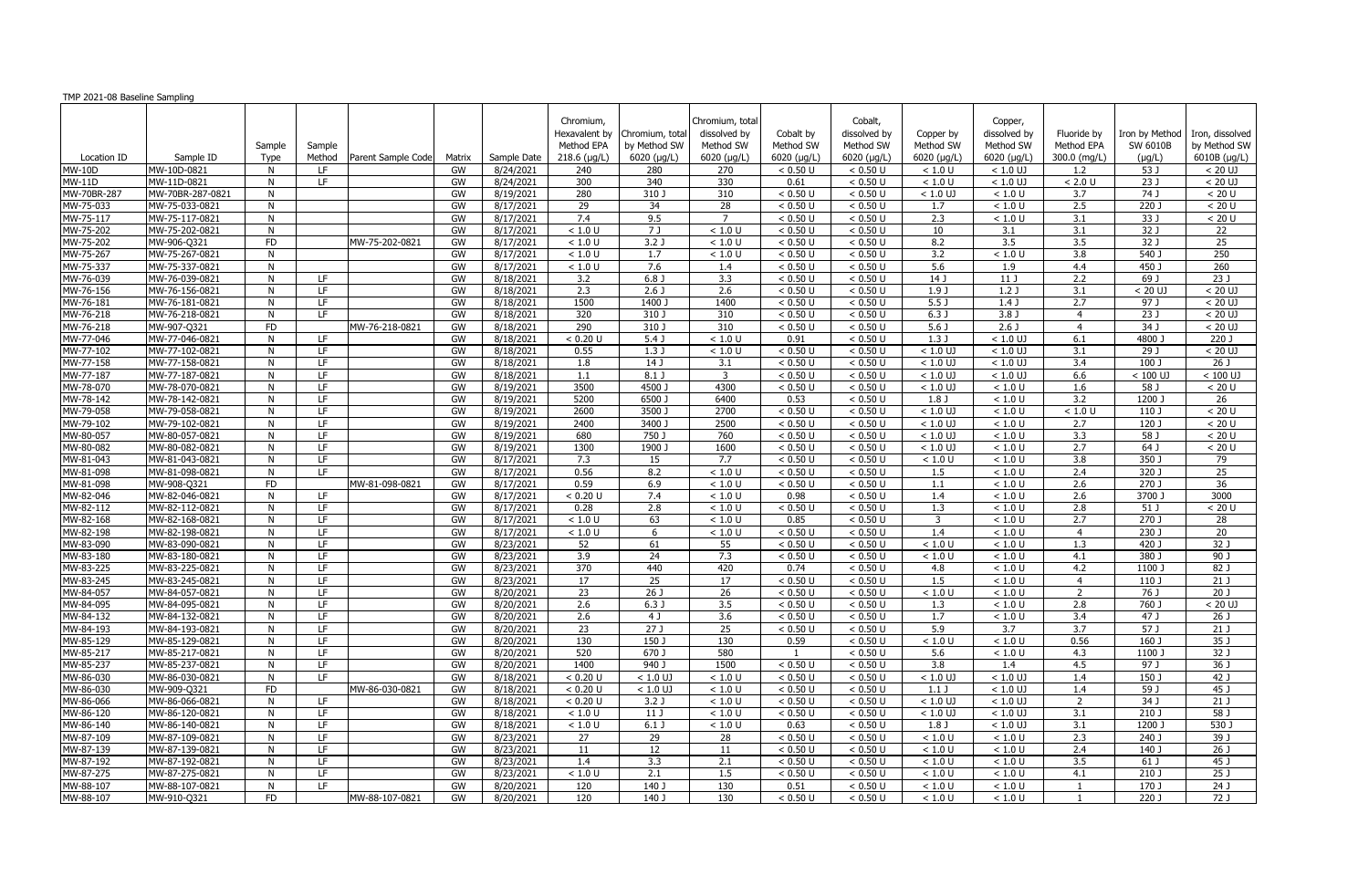| TMP 2021-08 Baseline Sampling |                                  |                |                          |                    |          |                        |                                                                  |                                               |                                                             |                                             |                                                             |                                               |                                                     |                                           |                                           |                                                 |
|-------------------------------|----------------------------------|----------------|--------------------------|--------------------|----------|------------------------|------------------------------------------------------------------|-----------------------------------------------|-------------------------------------------------------------|---------------------------------------------|-------------------------------------------------------------|-----------------------------------------------|-----------------------------------------------------|-------------------------------------------|-------------------------------------------|-------------------------------------------------|
| Location ID                   | Sample ID                        | Sample<br>Type | Sample<br>Method         | Parent Sample Code | Matrix   | Sample Date            | Chromium,<br>Hexavalent by<br>Method EPA<br>$218.6$ ( $\mu$ g/L) | Chromium, tota<br>by Method SW<br>6020 (µg/L) | Chromium, total<br>dissolved by<br>Method SW<br>6020 (µg/L) | Cobalt by<br>Method SW<br>6020 ( $\mu$ g/L) | Cobalt,<br>dissolved by<br>Method SW<br>$6020$ ( $\mu$ g/L) | Copper by<br>Method SW<br>$6020$ ( $\mu$ g/L) | Copper,<br>dissolved by<br>Method SW<br>6020 (µg/L) | Fluoride by<br>Method EPA<br>300.0 (mg/L) | Iron by Method<br>SW 6010B<br>$(\mu g/L)$ | Iron, dissolved<br>by Method SW<br>6010B (µg/L) |
| <b>MW-10D</b>                 | MW-10D-0821                      | N              | LF.                      |                    | GW       | 8/24/2021              | 240                                                              | 280                                           | 270                                                         | < 0.50 U                                    | < 0.50 U                                                    | < 1.0 U                                       | $< 1.0$ UJ                                          | 1.2                                       | 53 J                                      | $< 20$ UJ                                       |
| <b>MW-11D</b>                 | MW-11D-0821                      | N              | LF                       |                    | GW       | 8/24/2021              | 300                                                              | 340                                           | 330                                                         | 0.61                                        | < 0.50 U                                                    | < 1.0 U                                       | $< 1.0$ UJ                                          | $< 2.0 U$                                 | 23 J                                      | $< 20$ UJ                                       |
| MW-70BR-287                   | MW-70BR-287-0821                 | N              |                          |                    | GW       | 8/19/2021              | 280                                                              | 310J                                          | 310                                                         | < 0.50 U                                    | < 0.50 U                                                    | $<1.0$ UJ                                     | < 1.0 U                                             | 3.7                                       | 74 J                                      | < 20 U                                          |
| MW-75-033                     | MW-75-033-0821                   | N              |                          |                    | GW       | 8/17/2021              | $\overline{29}$                                                  | 34                                            | $\overline{28}$                                             | < 0.50 U                                    | < 0.50 U                                                    | 1.7                                           | < 1.0 U                                             | 2.5                                       | 220J                                      | < 20 U                                          |
| MW-75-117                     | MW-75-117-0821                   | N              |                          |                    | GW       | 8/17/2021              | 7.4                                                              | 9.5                                           | $\overline{7}$                                              | < 0.50 U                                    | < 0.50 U                                                    | 2.3                                           | < 1.0 U                                             | 3.1                                       | 33J                                       | < 20 U                                          |
| MW-75-202                     | MW-75-202-0821                   | N              |                          |                    | GW       | 8/17/2021              | < 1.0 U                                                          | 7 J                                           | < 1.0 U                                                     | < 0.50 U                                    | < 0.50 U                                                    | 10                                            | 3.1                                                 | 3.1                                       | 32 J                                      | 22                                              |
| MW-75-202                     | MW-906-Q321                      | <b>FD</b>      |                          | MW-75-202-0821     | GW       | 8/17/2021              | < 1.0 U                                                          | 3.2 <sub>0</sub>                              | < 1.0 U                                                     | < 0.50 U                                    | < 0.50 U                                                    | 8.2                                           | 3.5                                                 | $\overline{3.5}$                          | 32J                                       | $\overline{25}$                                 |
| MW-75-267                     | MW-75-267-0821                   | N              |                          |                    | GW       | 8/17/2021              | < 1.0 U                                                          | 1.7                                           | < 1.0 U                                                     | < 0.50 U                                    | < 0.50 U                                                    | 3.2                                           | < 1.0 U                                             | 3.8                                       | 540 J                                     | 250                                             |
| MW-75-337                     | MW-75-337-0821                   | N              |                          |                    | GW       | 8/17/2021              | < 1.0 U                                                          | 7.6                                           | 1.4                                                         | < 0.50 U                                    | < 0.50 U                                                    | 5.6                                           | 1.9                                                 | 4.4                                       | 450 J                                     | 260                                             |
| MW-76-039                     | MW-76-039-0821                   | N              | LF.                      |                    | GW       | 8/18/2021              | $\overline{3.2}$                                                 | 6.8 <sub>1</sub>                              | $\overline{3.3}$                                            | < 0.50 U                                    | < 0.50 U                                                    | 14J                                           | 11 J                                                | 2.2                                       | $69$ J                                    | 23J                                             |
| MW-76-156                     | MW-76-156-0821                   | N              | LF.                      |                    | GW       | 8/18/2021              | 2.3                                                              | 2.6 <sub>J</sub>                              | 2.6                                                         | < 0.50 U                                    | < 0.50 U                                                    | 1.9J                                          | 1.2J                                                | 3.1                                       | $< 20$ UJ                                 | $< 20$ UJ                                       |
| MW-76-181                     | MW-76-181-0821                   | N              | LF.                      |                    | GW       | 8/18/2021              | 1500                                                             | 1400 J                                        | 1400                                                        | < 0.50 U                                    | < 0.50 U                                                    | 5.5 <sub>J</sub>                              | 1.4J                                                | 2.7                                       | 97 J                                      | $< 20$ UJ                                       |
| MW-76-218                     | MW-76-218-0821                   | N              | LF.                      |                    | GW       | 8/18/2021              | 320                                                              | 310 J                                         | 310                                                         | < 0.50 U                                    | < 0.50 U                                                    | 6.3J                                          | 3.8 <sub>0</sub>                                    | $\overline{4}$                            | 23J                                       | $< 20$ UJ                                       |
| MW-76-218                     | MW-907-Q321                      | <b>FD</b>      |                          | MW-76-218-0821     | GW       | 8/18/2021              | 290                                                              | 310 J                                         | 310                                                         | < 0.50 U                                    | < 0.50 U                                                    | 5.6 <sub>0</sub>                              | $2.6$ J                                             | $\overline{4}$                            | 34J                                       | $< 20$ UJ                                       |
| MW-77-046                     | MW-77-046-0821                   | N              | LF.                      |                    | GW       | 8/18/2021              | < 0.20 U                                                         | $5.4$ J                                       | < 1.0 U                                                     | 0.91                                        | < 0.50 U                                                    | 1.3 J                                         | $< 1.0$ UJ                                          | 6.1                                       | 4800 J                                    | 220J                                            |
| MW-77-102                     | MW-77-102-0821                   | N.             | LF.                      |                    | GW       | 8/18/2021              | 0.55                                                             | 1.3J                                          | < 1.0 U                                                     | < 0.50 U                                    | < 0.50 U                                                    | $< 1.0$ UJ                                    | $< 1.0$ UJ                                          | 3.1                                       | 29J                                       | $< 20$ UJ                                       |
| MW-77-158                     | MW-77-158-0821                   | N              | LF.                      |                    | GW       | 8/18/2021              | 1.8                                                              | 14 J                                          | 3.1                                                         | < 0.50 U                                    | < 0.50 U                                                    | $< 1.0$ UJ                                    | $< 1.0$ UJ                                          | 3.4                                       | 100 J                                     | $\overline{26J}$                                |
| MW-77-187                     | MW-77-187-0821                   | N              | LF.                      |                    | GW       | 8/18/2021              | 1.1                                                              | $8.1$ J                                       | $\overline{3}$                                              | < 0.50 U                                    | < 0.50 U                                                    | $< 1.0$ UJ                                    | $< 1.0$ UJ                                          | 6.6                                       | $< 100$ UJ                                | $< 100$ UJ                                      |
| MW-78-070                     | MW-78-070-0821                   | N              | LF                       |                    | GW       | 8/19/2021              | 3500                                                             | 4500                                          | 4300                                                        | < 0.50 U                                    | < 0.50 U                                                    | $< 1.0$ UJ                                    | < 1.0 U                                             | 1.6                                       | 58 J                                      | < 20 U                                          |
| MW-78-142                     | MW-78-142-0821                   | N              | LF.                      |                    | GW       | 8/19/2021              | 5200                                                             | $6500$ J                                      | 6400                                                        | 0.53                                        | < 0.50 U                                                    | $1.8$ J                                       | < 1.0 U                                             | $\overline{3.2}$                          | 1200 J                                    | 26                                              |
| MW-79-058                     | MW-79-058-0821                   | N              | LF.                      |                    | GW       | 8/19/2021              | 2600                                                             | 3500                                          | 2700                                                        | < 0.50 U                                    | < 0.50 U                                                    | $< 1.0$ UJ                                    | < 1.0 U                                             | $<1.0$ U                                  | 110J                                      | < 20 U                                          |
| MW-79-102                     | MW-79-102-0821                   | N              | LF                       |                    | GW       | 8/19/2021              | 2400                                                             | 3400 J                                        | 2500                                                        | < 0.50 U                                    | < 0.50 U                                                    | $< 1.0$ UJ                                    | < 1.0 U                                             | 2.7                                       | 120 J                                     | < 20 U                                          |
| MW-80-057                     | MW-80-057-0821                   | N              | LF                       |                    | GW       | 8/19/2021              | 680                                                              | 750 J                                         | 760                                                         | < 0.50 U                                    | < 0.50 U                                                    | $< 1.0$ UJ                                    | < 1.0 U                                             | 3.3                                       | 58 J                                      | < 20 U                                          |
| MW-80-082                     | MW-80-082-0821                   | N              | LF.                      |                    | GW       | 8/19/2021              | 1300                                                             | 1900                                          | 1600                                                        | < 0.50 U                                    | < 0.50 U                                                    | $< 1.0$ UJ                                    | < 1.0 U                                             | 2.7                                       | 64 J                                      | < 20 U                                          |
| MW-81-043                     | MW-81-043-0821                   | N              | LF.                      |                    | GW       | 8/17/2021              | 7.3                                                              | 15                                            | 7.7                                                         | < 0.50 U                                    | < 0.50 U                                                    | < 1.0 U                                       | < 1.0 U                                             | $\overline{3.8}$                          | 350J                                      | 79                                              |
| MW-81-098                     | MW-81-098-0821                   | N.             | IF.                      |                    | GW       | 8/17/2021              | 0.56<br>0.59                                                     | 8.2                                           | < 1.0 U                                                     | < 0.50 U                                    | < 0.50 U                                                    | 1.5                                           | < 1.0 U                                             | 2.4                                       | $320$ J                                   | 25                                              |
| MW-81-098                     | MW-908-Q321                      | <b>FD</b>      |                          | MW-81-098-0821     | GW       | 8/17/2021              |                                                                  | 6.9                                           | < 1.0 U                                                     | < 0.50 U                                    | < 0.50 U                                                    | 1.1                                           | < 1.0 U                                             | 2.6                                       | $270$ J                                   | $\overline{36}$                                 |
| MW-82-046                     | MW-82-046-0821                   | N              | LF.                      |                    | GW       | 8/17/2021              | < 0.20 U                                                         | 7.4                                           | < 1.0 U                                                     | 0.98                                        | < 0.50 U                                                    | 1.4                                           | < 1.0 U                                             | 2.6                                       | 3700 J                                    | 3000                                            |
| MW-82-112                     | MW-82-112-0821                   | N<br>N         | LF.<br>LF.               |                    | GW       | 8/17/2021              | 0.28                                                             | 2.8                                           | < 1.0 U                                                     | < 0.50 U                                    | < 0.50 U                                                    | 1.3<br>$\overline{3}$                         | < 1.0 U                                             | 2.8<br>2.7                                | 51 J                                      | < 20 U                                          |
| MW-82-168<br>MW-82-198        | MW-82-168-0821<br>MW-82-198-0821 | N              | LF                       |                    | GW<br>GW | 8/17/2021<br>8/17/2021 | < 1.0 U<br>< 1.0 U                                               | 63<br>6                                       | < 1.0 U<br>< 1.0 U                                          | 0.85<br>< 0.50 U                            | < 0.50 U<br>< 0.50 U                                        | 1.4                                           | < 1.0 U<br>< 1.0 U                                  | $\overline{4}$                            | 270 J<br>$230$ J                          | 28<br>$\overline{20}$                           |
| MW-83-090                     | MW-83-090-0821                   | N              | LF.                      |                    | GW       | 8/23/2021              | 52                                                               | 61                                            | 55                                                          | < 0.50 U                                    | < 0.50 U                                                    | < 1.0 U                                       | < 1.0 U                                             | 1.3                                       | 420 J                                     | 32J                                             |
| MW-83-180                     | MW-83-180-0821                   | N <sub>N</sub> | LF.                      |                    | GW       | 8/23/2021              | 3.9                                                              | 24                                            | 7.3                                                         | < 0.50 U                                    | < 0.50 U                                                    | < 1.0 U                                       | < 1.0 U                                             | 4.1                                       | 380 J                                     | 90 J                                            |
| MW-83-225                     | MW-83-225-0821                   | N              | LF.                      |                    | GW       | 8/23/2021              | 370                                                              | 440                                           | 420                                                         | 0.74                                        | < 0.50 U                                                    | 4.8                                           | < 1.0 U                                             | 4.2                                       | 1100 J                                    | 82 J                                            |
| MW-83-245                     | MW-83-245-0821                   | N              | LF                       |                    | GW       | 8/23/2021              | 17                                                               | 25                                            | 17                                                          | < 0.50 U                                    | < 0.50 U                                                    | 1.5                                           | < 1.0 U                                             | $\overline{4}$                            | 110J                                      | 21 <sub>1</sub>                                 |
| MW-84-057                     | MW-84-057-0821                   | N              | $\overline{\mathsf{LF}}$ |                    | GW       | 8/20/2021              | 23                                                               | 26J                                           | 26                                                          | < 0.50 U                                    | < 0.50 U                                                    | < 1.0 U                                       | < 1.0 U                                             | $\overline{2}$                            | 76 J                                      | 20J                                             |
| MW-84-095                     | MW-84-095-0821                   | N              | LF.                      |                    | GW       | 8/20/2021              | 2.6                                                              | 6.3J                                          | 3.5                                                         | < 0.50 U                                    | < 0.50 U                                                    | 1.3                                           | < 1.0 U                                             | 2.8                                       | 760 J                                     | $< 20$ UJ                                       |
| MW-84-132                     | MW-84-132-0821                   | N.             | LF.                      |                    | GW       | 8/20/2021              | 2.6                                                              | 4 J                                           | 3.6                                                         | < 0.50 U                                    | < 0.50 U                                                    | 1.7                                           | < 1.0 U                                             | 3.4                                       | 47 J                                      | 26 J                                            |
| MW-84-193                     | MW-84-193-0821                   | N              | LF.                      |                    | GW       | 8/20/2021              | 23                                                               | 27 J                                          | 25                                                          | < 0.50 U                                    | < 0.50 U                                                    | 5.9                                           | 3.7                                                 | 3.7                                       | 57 J                                      | 21J                                             |
| MW-85-129                     | MW-85-129-0821                   | N <sub>N</sub> | LF                       |                    | GW       | 8/20/2021              | 130                                                              | 150 J                                         | 130                                                         | 0.59                                        | < 0.50 U                                                    | < 1.0 U                                       | < 1.0 U                                             | 0.56                                      | 160 J                                     | 35 J                                            |
| MW-85-217                     | MW-85-217-0821                   | N.             | LF.                      |                    | GW       | 8/20/2021              | 520                                                              | $670$ J                                       | 580                                                         |                                             | < 0.50 U                                                    | 5.6                                           | < 1.0 U                                             | 4.3                                       | 1100 J                                    | $32$ J                                          |
| MW-85-237                     | MW-85-237-0821                   | N              | LF.                      |                    | GW       | 8/20/2021              | 1400                                                             | $940$ J                                       | 1500                                                        | < 0.50 U                                    | < 0.50 U                                                    | $\overline{3.8}$                              | 1.4                                                 | 4.5                                       | 97 J                                      | 36 J                                            |
| MW-86-030                     | MW-86-030-0821                   | N              | LF.                      |                    | GW       | 8/18/2021              | < 0.20 U                                                         | $< 1.0$ UJ                                    | < 1.0 U                                                     | < 0.50 U                                    | < 0.50 U                                                    | $< 1.0$ UJ                                    | $< 1.0$ UJ                                          | 1.4                                       | 150 J                                     | 42 J                                            |
| MW-86-030                     | MW-909-Q321                      | <b>FD</b>      |                          | MW-86-030-0821     | GW       | 8/18/2021              | < 0.20 U                                                         | $< 1.0$ UJ                                    | < 1.0 U                                                     | < 0.50 U                                    | < 0.50 U                                                    | $1.1$ J                                       | $< 1.0$ UJ                                          | 1.4                                       | 59 J                                      | 45 J                                            |
| MW-86-066                     | MW-86-066-0821                   | N.             | LF.                      |                    | GW       | 8/18/2021              | < 0.20 U                                                         | 3.2 <sub>J</sub>                              | < 1.0 U                                                     | < 0.50 U                                    | < 0.50 U                                                    | $< 1.0$ UJ                                    | $< 1.0$ UJ                                          | 2                                         | 34 J                                      | 21J                                             |
| MW-86-120                     | MW-86-120-0821                   | N              | LF.                      |                    | GW       | 8/18/2021              | < 1.0 U                                                          | 11 J                                          | < 1.0 U                                                     | < 0.50 U                                    | < 0.50 U                                                    | $< 1.0$ UJ                                    | $< 1.0$ UJ                                          | 3.1                                       | 210 J                                     | 58 J                                            |
| MW-86-140                     | MW-86-140-0821                   | N              | LF.                      |                    | GW       | 8/18/2021              | < 1.0 U                                                          | 6.1 <sub>J</sub>                              | < 1.0 U                                                     | 0.63                                        | < 0.50 U                                                    | 1.8 J                                         | $< 1.0$ UJ                                          | 3.1                                       | 1200 J                                    | 530 J                                           |
| MW-87-109                     | MW-87-109-0821                   | N              | LF.                      |                    | GW       | 8/23/2021              | 27                                                               | 29                                            | 28                                                          | < 0.50 U                                    | < 0.50 U                                                    | < 1.0 U                                       | < 1.0 U                                             | 2.3                                       | 240 J                                     | 39 J                                            |
| MW-87-139                     | MW-87-139-0821                   | N              | LF.                      |                    | GW       | 8/23/2021              | 11                                                               | 12                                            | 11                                                          | < 0.50 U                                    | < 0.50 U                                                    | < 1.0 U                                       | < 1.0 U                                             | 2.4                                       | 140 J                                     | 26 J                                            |
| MW-87-192                     | MW-87-192-0821                   | <b>N</b>       | LF.                      |                    | GW       | 8/23/2021              | 1.4                                                              | 3.3                                           | 2.1                                                         | < 0.50 U                                    | < 0.50 U                                                    | < 1.0 U                                       | < 1.0 U                                             | 3.5                                       | 61 J                                      | 45 J                                            |
| MW-87-275                     | MW-87-275-0821                   | N              | LF.                      |                    | GW       | 8/23/2021              | < 1.0 U                                                          | 2.1                                           | 1.5                                                         | < 0.50 U                                    | < 0.50 U                                                    | < 1.0 U                                       | < 1.0 U                                             | 4.1                                       | 210 J                                     | 25 J                                            |
| MW-88-107                     | MW-88-107-0821                   | N              | LF.                      |                    | GW       | 8/20/2021              | 120                                                              | 140 J                                         | 130                                                         | 0.51                                        | < 0.50 U                                                    | < 1.0 U                                       | < 1.0 U                                             | -1                                        | 170 J                                     | 24 J                                            |
| MW-88-107                     | MW-910-Q321                      | FD             |                          | MW-88-107-0821     | GW       | 8/20/2021              | 120                                                              | 140 J                                         | 130                                                         | < 0.50 U                                    | < 0.50 U                                                    | < 1.0 U                                       | $<1.0$ U                                            | -1                                        | 220 J                                     | 72J                                             |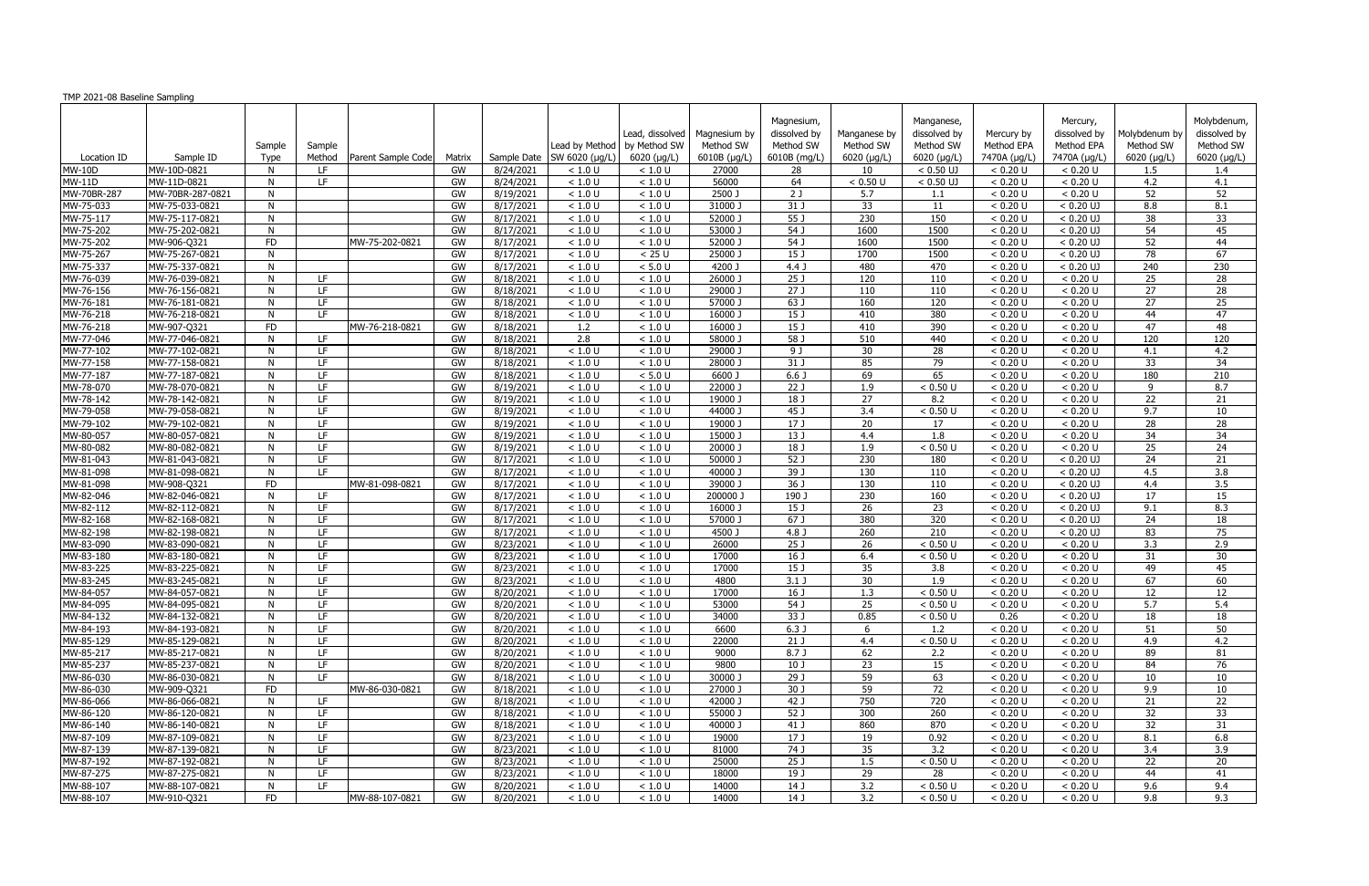| TMP 2021-08 Baseline Sampling |                                  |                |            |                    |          |                        |                    |                                 |                           |                                         |                           |                                         |                          |                                        |                            |                                          |
|-------------------------------|----------------------------------|----------------|------------|--------------------|----------|------------------------|--------------------|---------------------------------|---------------------------|-----------------------------------------|---------------------------|-----------------------------------------|--------------------------|----------------------------------------|----------------------------|------------------------------------------|
|                               |                                  | Sample         | Sample     |                    |          |                        | Lead by Method     | Lead, dissolved<br>by Method SW | Magnesium by<br>Method SW | Magnesium,<br>dissolved by<br>Method SW | Manganese by<br>Method SW | Manganese,<br>dissolved by<br>Method SW | Mercury by<br>Method EPA | Mercury,<br>dissolved by<br>Method EPA | Molybdenum by<br>Method SW | Molybdenum,<br>dissolved by<br>Method SW |
| Location ID                   | Sample ID                        | Type           | Method     | Parent Sample Code | Matrix   | Sample Date            | SW 6020 (µg/L)     | 6020 (µg/L)                     | 6010B (µg/L)              | 6010B (mg/L)                            | $6020$ (µg/L)             | $6020$ ( $\mu$ g/L)                     | 7470A (µg/L)             | 7470A (µg/L)                           | 6020 (µg/L)                | 6020 (µg/L)                              |
| <b>MW-10D</b>                 | MW-10D-0821                      | N              | LF.        |                    | GW       | 8/24/2021              | < 1.0 U            | < 1.0 U                         | 27000                     | 28                                      | 10                        | $< 0.50$ UJ                             | < 0.20 U                 | < 0.20 U                               | $1.5\,$                    | 1.4                                      |
| <b>MW-11D</b>                 | MW-11D-0821                      | N              | LF.        |                    | GW       | 8/24/2021              | < 1.0 U            | < 1.0 U                         | 56000                     | 64                                      | < 0.50 U                  | $< 0.50$ UJ                             | < 0.20 U                 | < 0.20 U                               | 4.2                        | 4.1                                      |
| MW-70BR-287                   | MW-70BR-287-0821                 | N              |            |                    | GW       | 8/19/2021              | < 1.0 U            | < 1.0 U                         | 2500 J                    | 2J                                      | 5.7                       | 1.1                                     | < 0.20 U                 | < 0.20 U                               | 52                         | 52                                       |
| MW-75-033                     | MW-75-033-0821                   | N              |            |                    | GW       | 8/17/2021              | < 1.0 U            | < 1.0 U                         | 31000 J                   | $31$ J                                  | $\overline{33}$           | 11                                      | < 0.20 U                 | $< 0.20$ UJ                            | 8.8                        | 8.1                                      |
| MW-75-117                     | MW-75-117-0821                   | N              |            |                    | GW       | 8/17/2021              | < 1.0 U            | < 1.0 U                         | 52000 J                   | 55 J                                    | 230                       | 150                                     | < 0.20 U                 | $< 0.20$ UJ                            | 38                         | 33                                       |
| MW-75-202<br>MW-75-202        | MW-75-202-0821                   | N              |            | MW-75-202-0821     | GW<br>GW | 8/17/2021              | < 1.0 U            | < 1.0 U<br>< 1.0 U              | 53000 J<br>52000 J        | 54 J<br>54 J                            | 1600<br>1600              | 1500<br>1500                            | < 0.20 U<br>< 0.20 U     | $< 0.20$ UJ<br>$< 0.20$ UJ             | 54<br>52                   | 45<br>44                                 |
| MW-75-267                     | MW-906-Q321<br>MW-75-267-0821    | <b>FD</b><br>N |            |                    | GW       | 8/17/2021<br>8/17/2021 | < 1.0 U<br>< 1.0 U | < 25U                           | 25000 J                   | 15 <sub>J</sub>                         | 1700                      | 1500                                    | < 0.20 U                 | $< 0.20$ UJ                            | 78                         | 67                                       |
| MW-75-337                     | MW-75-337-0821                   | N              |            |                    | GW       | 8/17/2021              | < 1.0 U            | < 5.0 U                         | 4200 J                    | 4.4 <sub>J</sub>                        | 480                       | 470                                     | < 0.20 U                 | $< 0.20$ UJ                            | 240                        | 230                                      |
| MW-76-039                     | MW-76-039-0821                   | N              | LF.        |                    | GW       | 8/18/2021              | < 1.0 U            | < 1.0 U                         | 26000 J                   | $\overline{25J}$                        | 120                       | 110                                     | < 0.20 U                 | < 0.20 U                               | 25                         | 28                                       |
| MW-76-156                     | MW-76-156-0821                   | N              | LF.        |                    | GW       | 8/18/2021              | < 1.0 U            | < 1.0 U                         | 29000 J                   | 27 J                                    | 110                       | 110                                     | < 0.20 U                 | < 0.20 U                               | 27                         | 28                                       |
| MW-76-181                     | MW-76-181-0821                   | N              | LF.        |                    | GW       | 8/18/2021              | < 1.0 U            | < 1.0 U                         | 57000 J                   | 63 J                                    | 160                       | 120                                     | < 0.20 U                 | < 0.20 U                               | 27                         | 25                                       |
| MW-76-218                     | MW-76-218-0821                   | N              | LF.        |                    | GW       | 8/18/2021              | < 1.0 U            | < 1.0 U                         | 16000 J                   | 15 <sub>J</sub>                         | 410                       | 380                                     | < 0.20 U                 | < 0.20 U                               | 44                         | 47                                       |
| MW-76-218                     | MW-907-Q321                      | <b>FD</b>      |            | MW-76-218-0821     | GW       | 8/18/2021              | 1.2                | < 1.0 U                         | 16000 J                   | 15J                                     | 410                       | 390                                     | < 0.20 U                 | < 0.20 U                               | 47                         | 48                                       |
| MW-77-046                     | MW-77-046-0821                   | N              | LF         |                    | GW       | 8/18/2021              | $\overline{2.8}$   | < 1.0 U                         | 58000 J                   | 58J                                     | 510                       | 440                                     | < 0.20 U                 | < 0.20 U                               | 120                        | 120                                      |
| MW-77-102                     | MW-77-102-0821                   | N              | LF         |                    | GW       | 8/18/2021              | < 1.0 U            | < 1.0 U                         | 29000                     | 9 J                                     | 30                        | 28                                      | < 0.20 U                 | < 0.20 U                               | 4.1                        | 4.2                                      |
| MW-77-158                     | MW-77-158-0821                   | N              | LF         |                    | GW       | $\sqrt{8/18/2021}$     | < 1.0 U            | < 1.0 U                         | 28000 J                   | 31 J                                    | 85                        | 79                                      | < 0.20 U                 | < 0.20 U                               | 33                         | $\overline{34}$                          |
| MW-77-187                     | MW-77-187-0821                   | N              | LF.        |                    | GW       | 8/18/2021              | < 1.0 U            | < 5.0 U                         | 6600 J                    | 6.6 <sub>J</sub>                        | 69                        | 65                                      | < 0.20 U                 | < 0.20 U                               | 180                        | 210                                      |
| MW-78-070                     | MW-78-070-0821                   | N              | LF.        |                    | GW       | 8/19/2021              | < 1.0 U            | < 1.0 U                         | 22000 J                   | 22 J                                    | 1.9                       | < 0.50 U                                | < 0.20 U                 | < 0.20 U                               | 9                          | 8.7                                      |
| MW-78-142                     | MW-78-142-0821                   | N              | LF.        |                    | GW       | 8/19/2021              | < 1.0 U            | < 1.0 U                         | 19000 J                   | 18 J                                    | $\overline{27}$           | 8.2                                     | < 0.20 U                 | < 0.20 U                               | $\overline{22}$            | 21                                       |
| MW-79-058                     | MW-79-058-0821                   | N              | LF.        |                    | GW       | 8/19/2021              | < 1.0 U            | < 1.0 U                         | 44000 J                   | 45 J                                    | 3.4                       | < 0.50 U                                | < 0.20 U                 | < 0.20 U                               | 9.7                        | 10                                       |
| MW-79-102                     | MW-79-102-0821                   | N              | LF.        |                    | GW       | 8/19/2021              | < 1.0 U            | < 1.0 U                         | 19000 J                   | 17 J                                    | 20                        | 17                                      | < 0.20 U                 | < 0.20 U                               | 28                         | 28                                       |
| MW-80-057                     | MW-80-057-0821                   | N              | LF.        |                    | GW       | 8/19/2021              | < 1.0 U            | < 1.0 U                         | 15000 J                   | 13 J                                    | 4.4                       | 1.8                                     | < 0.20 U                 | < 0.20 U                               | 34                         | 34                                       |
| MW-80-082                     | MW-80-082-0821                   | N              | LF.        |                    | GW       | 8/19/2021              | < 1.0 U            | < 1.0 U                         | 20000 J                   | 18 J                                    | 1.9                       | < 0.50 U                                | < 0.20 U                 | < 0.20 U                               | 25                         | 24                                       |
| MW-81-043                     | MW-81-043-0821                   | N              | LF.        |                    | GW       | 8/17/2021              | < 1.0 U            | < 1.0 U                         | $50000$ J                 | 52 J                                    | 230                       | 180                                     | < 0.20 U                 | $< 0.20$ UJ                            | 24                         | 21                                       |
| MW-81-098                     | MW-81-098-0821                   | N              | TE.        |                    | GW       | 8/17/2021              | < 1.0 U            | < 1.0 U                         | 40000 J                   | 39J                                     | 130                       | 110                                     | < 0.20 U                 | $< 0.20$ UJ                            | 4.5                        | 3.8                                      |
| MW-81-098                     | MW-908-Q321                      | <b>FD</b>      |            | MW-81-098-0821     | GW       | 8/17/2021              | < 1.0 U            | < 1.0 U                         | 39000 J                   | 36J                                     | 130                       | 110                                     | < 0.20 U                 | $< 0.20$ UJ                            | 4.4                        | 3.5                                      |
| MW-82-046                     | MW-82-046-0821                   | N              | LF.        |                    | GW       | 8/17/2021              | < 1.0 U            | < 1.0 U                         | 200000 J                  | 190 J                                   | 230                       | 160                                     | < 0.20 U                 | $< 0.20$ UJ                            | 17                         | 15                                       |
| MW-82-112                     | MW-82-112-0821                   | N              | LF.        |                    | GW       | 8/17/2021              | < 1.0 U            | < 1.0 U                         | 16000 J                   | 15 J                                    | 26                        | 23                                      | < 0.20 U                 | $< 0.20$ UJ                            | 9.1                        | 8.3                                      |
| MW-82-168<br>MW-82-198        | MW-82-168-0821<br>MW-82-198-0821 | N<br>N         | LF.<br>LF. |                    | GW<br>GW | 8/17/2021<br>8/17/2021 | < 1.0 U<br>< 1.0 U | < 1.0 U<br>< 1.0 U              | 57000 J<br>4500 J         | 67 J<br>$4.8$ J                         | 380<br>260                | 320<br>210                              | < 0.20 U<br>< 0.20 U     | $< 0.20$ UJ<br>$< 0.20$ UJ             | 24<br>83                   | 18<br>75                                 |
| MW-83-090                     | MW-83-090-0821                   | N              | LF         |                    | GW       | 8/23/2021              | < 1.0 U            | < 1.0 U                         | 26000                     | 25 J                                    | 26                        | < 0.50 U                                | < 0.20 U                 | < 0.20 U                               | $\overline{3.3}$           | 2.9                                      |
| MW-83-180                     | MW-83-180-0821                   | N              | LF.        |                    | GW       | 8/23/2021              | < 1.0 U            | < 1.0 U                         | 17000                     | 16 J                                    | 6.4                       | < 0.50 U                                | < 0.20 U                 | < 0.20 U                               | 31                         | 30                                       |
| MW-83-225                     | MW-83-225-0821                   | N              | LF.        |                    | GW       | 8/23/2021              | < 1.0 U            | < 1.0 U                         | 17000                     | 15 J                                    | 35                        | 3.8                                     | < 0.20 U                 | < 0.20 U                               | 49                         | 45                                       |
| MW-83-245                     | MW-83-245-0821                   | N.             | LF.        |                    | GW       | 8/23/2021              | < 1.0 U            | < 1.0 U                         | 4800                      | $3.1$ J                                 | 30                        | 1.9                                     | < 0.20 U                 | < 0.20 U                               | 67                         | 60                                       |
| MW-84-057                     | MW-84-057-0821                   | N              | LF         |                    | GW       | 8/20/2021              | < 1.0 U            | < 1.0 U                         | 17000                     | 16J                                     | 1.3                       | < 0.50 U                                | < 0.20 U                 | < 0.20 U                               | $\overline{12}$            | $\overline{12}$                          |
| MW-84-095                     | MW-84-095-0821                   | N.             | LF.        |                    | GW       | 8/20/2021              | < 1.0 U            | < 1.0 U                         | 53000                     | 54 J                                    | 25                        | < 0.50 U                                | < 0.20 U                 | < 0.20 U                               | 5.7                        | 5.4                                      |
| MW-84-132                     | MW-84-132-0821                   | N              | LF.        |                    | GW       | 8/20/2021              | < 1.0 U            | < 1.0 U                         | 34000                     | 33 J                                    | 0.85                      | < 0.50 U                                | 0.26                     | < 0.20 U                               | 18                         | 18                                       |
| MW-84-193                     | MW-84-193-0821                   | N              | LF.        |                    | GW       | 8/20/2021              | < 1.0 U            | < 1.0 U                         | 6600                      | 6.3J                                    | 6                         | 1.2                                     | < 0.20 U                 | < 0.20 U                               | 51                         | 50                                       |
| MW-85-129                     | MW-85-129-0821                   | N              | LF.        |                    | GW       | 8/20/2021              | < 1.0 U            | < 1.0 U                         | 22000                     | 21 J                                    | 4.4                       | < 0.50 U                                | < 0.20 U                 | < 0.20 U                               | 4.9                        | 4.2                                      |
| MW-85-217                     | MW-85-217-0821                   | N              | LF.        |                    | GW       | 8/20/2021              | < 1.0 U            | < 1.0 U                         | 9000                      | 8.7J                                    | 62                        | 2.2                                     | < 0.20 U                 | < 0.20 U                               | 89                         | 81                                       |
| MW-85-237                     | MW-85-237-0821                   | N              | LF.        |                    | GW       | 8/20/2021              | < 1.0 U            | < 1.0 U                         | 9800                      | 10 <sub>J</sub>                         | 23                        | 15                                      | < 0.20 U                 | < 0.20 U                               | 84                         | 76                                       |
| MW-86-030                     | MW-86-030-0821                   | N              | LF.        |                    | GW       | 8/18/2021              | < 1.0 U            | < 1.0 U                         | 30000 J                   | 29 J                                    | 59                        | 63                                      | < 0.20 U                 | < 0.20 U                               | 10                         | 10                                       |
| MW-86-030                     | MW-909-Q321                      | <b>FD</b>      |            | MW-86-030-0821     | GW       | 8/18/2021              | < 1.0 U            | < 1.0 U                         | 27000 J                   | 30 J                                    | 59                        | 72                                      | < 0.20 U                 | < 0.20 U                               | 9.9                        | 10                                       |
| MW-86-066                     | MW-86-066-0821                   | N              | LF.        |                    | GW       | 8/18/2021              | < 1.0 U            | < 1.0 U                         | 42000 J                   | 42 J                                    | 750                       | 720                                     | < 0.20 U                 | < 0.20 U                               | 21                         | 22                                       |
| MW-86-120                     | MW-86-120-0821                   | N              | LF.        |                    | GW       | 8/18/2021              | < 1.0 U            | < 1.0 U                         | 55000 J                   | 52 J                                    | 300                       | 260                                     | < 0.20 U                 | < 0.20 U                               | 32                         | 33                                       |
| $MW-86-140$                   | MW-86-140-0821                   | N              | LF.        |                    | GW       | 8/18/2021              | < 1.0 U            | < 1.0 U                         | 40000 J                   | 41 J                                    | 860                       | 870                                     | < 0.20 U                 | < 0.20 U                               | 32                         | 31                                       |
| MW-87-109                     | MW-87-109-0821                   | N              | LF.        |                    | GW       | 8/23/2021              | < 1.0 U            | < 1.0 U                         | 19000                     | 17 J                                    | 19                        | 0.92                                    | < 0.20 U                 | < 0.20 U                               | 8.1                        | 6.8                                      |
| MW-87-139                     | MW-87-139-0821                   | N              | LF.        |                    | GW       | 8/23/2021              | < 1.0 U            | < 1.0 U                         | 81000                     | 74 J                                    | 35                        | 3.2                                     | < 0.20 U                 | < 0.20 U                               | 3.4                        | 3.9                                      |
| MW-87-192                     | MW-87-192-0821                   | N              | LF.        |                    | GW       | 8/23/2021              | < 1.0 U            | < 1.0 U                         | 25000                     | 25 J                                    | 1.5                       | < 0.50 U                                | < 0.20 U                 | < 0.20 U                               | 22                         | 20                                       |
| MW-87-275<br>MW-88-107        | MW-87-275-0821<br>MW-88-107-0821 | N<br>N         | LF<br>LF.  |                    | GW<br>GW | 8/23/2021<br>8/20/2021 | < 1.0 U<br>< 1.0 U | < 1.0 U<br>< 1.0 U              | 18000<br>14000            | 19 J<br>14 J                            | 29<br>3.2                 | 28<br>< 0.50 U                          | < 0.20 U<br>< 0.20 U     | < 0.20 U<br>< 0.20 U                   | 44<br>9.6                  | 41<br>9.4                                |
| MW-88-107                     | MW-910-Q321                      | FD             |            | MW-88-107-0821     | GW       | 8/20/2021              | < 1.0 U            | $<1.0$ U                        | 14000                     | 14 J                                    | 3.2                       | < 0.50 U                                | < 0.20 U                 | < 0.20 U                               | 9.8                        | 9.3                                      |
|                               |                                  |                |            |                    |          |                        |                    |                                 |                           |                                         |                           |                                         |                          |                                        |                            |                                          |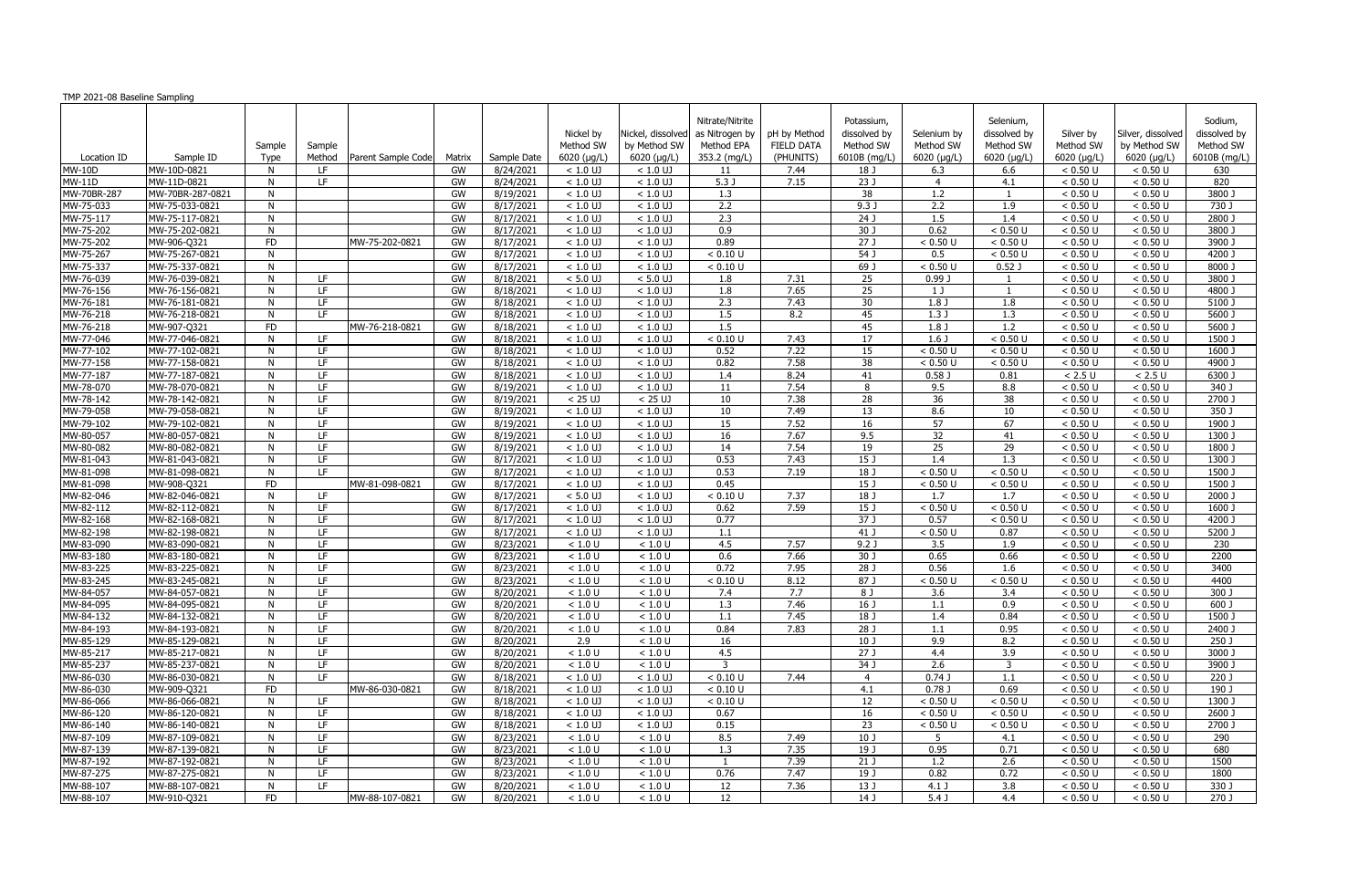| TMP 2021-08 Baseline Sampling |                                  |           |            |                    |          |                        |                          |                                   |                                                 |                                   |                                         |                          |                                        |                        |                                   |                                      |
|-------------------------------|----------------------------------|-----------|------------|--------------------|----------|------------------------|--------------------------|-----------------------------------|-------------------------------------------------|-----------------------------------|-----------------------------------------|--------------------------|----------------------------------------|------------------------|-----------------------------------|--------------------------------------|
|                               |                                  | Sample    | Sample     |                    |          |                        | Nickel by<br>Method SW   | Nickel, dissolved<br>by Method SW | Nitrate/Nitrite<br>as Nitrogen by<br>Method EPA | pH by Method<br><b>FIELD DATA</b> | Potassium,<br>dissolved by<br>Method SW | Selenium by<br>Method SW | Selenium,<br>dissolved by<br>Method SW | Silver by<br>Method SW | Silver, dissolved<br>by Method SW | Sodium,<br>dissolved by<br>Method SW |
| Location ID                   | Sample ID                        | Type      | Method     | Parent Sample Code | Matrix   | Sample Date            | 6020 (µg/L)              | 6020 (µg/L)                       | 353.2 (mg/L)                                    | (PHUNITS)                         | 6010B (mg/L)                            | $6020$ ( $\mu$ g/L)      | 6020 (µg/L)                            | 6020 (µg/L)            | $6020$ ( $\mu$ g/L)               | 6010B (mg/L)                         |
| <b>MW-10D</b>                 | MW-10D-0821                      | N         | LF.        |                    | GW       | 8/24/2021              | $< 1.0$ UJ               | $< 1.0$ UJ                        | 11                                              | 7.44                              | 18 J                                    | 6.3                      | 6.6                                    | < 0.50 U               | < 0.50 U                          | 630                                  |
| <b>MW-11D</b>                 | MW-11D-0821                      | N         | LF.        |                    | GW       | 8/24/2021              | $< 1.0$ UJ               | $< 1.0$ UJ                        | 5.3 <sub>1</sub>                                | 7.15                              | 23 J                                    |                          | 4.1                                    | < 0.50 U               | < 0.50 U                          | 820                                  |
| MW-70BR-287                   | MW-70BR-287-0821                 | N         |            |                    | GW       | 8/19/2021              | $< 1.0$ UJ               | $< 1.0$ UJ                        | 1.3                                             |                                   | 38                                      | 1.2                      | $\mathbf{1}$                           | < 0.50 U               | < 0.50 U                          | 3800 J                               |
| MW-75-033                     | MW-75-033-0821                   | N         |            |                    | GW       | 8/17/2021              | $< 1.0$ UJ               | $< 1.0$ UJ                        | 2.2                                             |                                   | 9.3 <sub>0</sub>                        | 2.2                      | 1.9                                    | < 0.50 U               | < 0.50 U                          | 730J                                 |
| MW-75-117                     | MW-75-117-0821                   | N         |            |                    | GW       | 8/17/2021              | $< 1.0$ UJ               | $< 1.0$ UJ                        | 2.3                                             |                                   | $\overline{24J}$                        | 1.5                      | 1.4                                    | < 0.50 U               | < 0.50 U                          | 2800 J                               |
| MW-75-202                     | MW-75-202-0821                   | N         |            |                    | GW       | 8/17/2021              | $< 1.0$ UJ               | $< 1.0$ UJ                        | 0.9                                             |                                   | 30J                                     | 0.62                     | < 0.50 U                               | < 0.50 U               | < 0.50 U                          | 3800 J                               |
| MW-75-202                     | MW-906-Q321                      | <b>FD</b> |            | MW-75-202-0821     | GW       | 8/17/2021              | $< 1.0$ UJ               | $< 1.0$ UJ                        | 0.89                                            |                                   | $\overline{27J}$                        | < 0.50 U                 | < 0.50 U                               | < 0.50 U               | < 0.50 U                          | 3900 J                               |
| MW-75-267                     | MW-75-267-0821                   | N         |            |                    | GW       | 8/17/2021              | $< 1.0$ UJ               | $< 1.0$ UJ                        | < 0.10 U                                        |                                   | 54 J                                    | 0.5                      | < 0.50 U                               | < 0.50 U               | < 0.50 U                          | 4200 J                               |
| MW-75-337                     | MW-75-337-0821                   | N         |            |                    | GW       | 8/17/2021              | $< 1.0$ UJ               | $< 1.0$ UJ                        | < 0.10 U                                        |                                   | $69$ J                                  | < 0.50 U                 | 0.52 <sub>0</sub>                      | < 0.50 U               | < 0.50 U                          | 8000 J                               |
| MW-76-039                     | MW-76-039-0821                   | N         | LF.        |                    | GW       | 8/18/2021              | $< 5.0$ UJ               | $< 5.0$ UJ                        | 1.8                                             | 7.31                              | $\overline{25}$                         | 0.99 J                   | $\mathbf{1}$                           | < 0.50 U               | < 0.50 U                          | 3800 J                               |
| MW-76-156                     | MW-76-156-0821                   | N         | LF.        |                    | GW       | 8/18/2021              | $< 1.0$ UJ               | $< 1.0$ UJ                        | 1.8                                             | 7.65                              | 25                                      | 1 J                      | $\overline{1}$                         | < 0.50 U               | < 0.50 U                          | 4800 J                               |
| MW-76-181                     | MW-76-181-0821                   | N         | LF.        |                    | GW       | 8/18/2021              | $< 1.0 \overline{U}$     | $< 1.0$ UJ                        | 2.3                                             | 7.43                              | 30                                      | 1.8 <sub>J</sub>         | 1.8                                    | < 0.50 U               | < 0.50 U                          | 5100 J                               |
| MW-76-218                     | MW-76-218-0821                   | N         | LF.        |                    | GW       | 8/18/2021              | $< 1.0$ UJ               | $< 1.0$ UJ                        | 1.5                                             | 8.2                               | 45                                      | 1.3J                     | 1.3                                    | < 0.50 U               | < 0.50 U                          | 5600 J                               |
| MW-76-218                     | MW-907-Q321                      | <b>FD</b> |            | MW-76-218-0821     | GW       | 8/18/2021              | $< 1.0$ UJ               | $< 1.0$ UJ                        | 1.5                                             |                                   | 45                                      | 1.8J                     | 1.2                                    | < 0.50 U               | < 0.50 U                          | $5600$ J                             |
| MW-77-046                     | MW-77-046-0821                   | N         | LF         |                    | GW       | 8/18/2021              | $< 1.0$ UJ               | $< 1.0$ UJ                        | < 0.10 U                                        | 7.43                              | $\overline{17}$                         | $1.6$ J                  | < 0.50 U                               | < 0.50 U               | < 0.50 U                          | $1500$ J                             |
| MW-77-102                     | MW-77-102-0821                   | N         | LF         |                    | GW       | 8/18/2021              | $< 1.0$ UJ               | $< 1.0$ UJ                        | 0.52                                            | 7.22                              | 15                                      | < 0.50 U                 | $< 0.50$ U                             | < 0.50 U               | < 0.50 U                          | 1600 J                               |
| MW-77-158                     | MW-77-158-0821                   | N         | LF         |                    | GW       | 8/18/2021              | $< 1.0$ UJ               | $< 1.0$ UJ                        | 0.82                                            | 7.58                              | 38                                      | < 0.50 U                 | < 0.50 U                               | < 0.50 U               | < 0.50 U                          | 4900 J                               |
| MW-77-187                     | MW-77-187-0821                   | N         | LF.        |                    | GW       | 8/18/2021              | $< 1.0$ UJ               | $< 1.0$ UJ                        | 1.4                                             | 8.24                              | 41                                      | $0.58$ J                 | 0.81                                   | $< 2.5 U$              | $< 2.5 \text{ U}$                 | 6300 J                               |
| MW-78-070                     | MW-78-070-0821                   | N         | LF.        |                    | GW       | 8/19/2021              | $< 1.0$ UJ               | $< 1.0$ UJ                        | 11                                              | 7.54                              | 8                                       | 9.5                      | 8.8                                    | < 0.50 U               | < 0.50 U                          | 340 J                                |
| MW-78-142                     | MW-78-142-0821                   | N         | LF.        |                    | GW       | 8/19/2021              | $< 25$ UJ                | $< 25 \text{ U}$                  | 10                                              | 7.38                              | 28                                      | 36                       | 38                                     | < 0.50 U               | < 0.50 U                          | $2700$ J                             |
| MW-79-058                     | MW-79-058-0821                   | N         | LF.        |                    | GW       | 8/19/2021              | $< 1.0$ UJ               | $< 1.0$ UJ                        | 10                                              | 7.49                              | 13                                      | 8.6                      | 10                                     | < 0.50 U               | < 0.50 U                          | 350 J                                |
| MW-79-102                     | MW-79-102-0821                   | N         | LF.        |                    | GW       | 8/19/2021              | $< 1.0$ UJ               | $< 1.0$ UJ                        | 15                                              | 7.52                              | 16                                      | 57                       | 67                                     | < 0.50 U               | < 0.50 U                          | 1900 J                               |
| MW-80-057                     | MW-80-057-0821                   | N         | LF.        |                    | GW       | 8/19/2021              | $< 1.0$ UJ               | $< 1.0$ UJ                        | 16                                              | 7.67                              | 9.5                                     | 32                       | 41                                     | < 0.50 U               | < 0.50 U                          | 1300 J                               |
| MW-80-082<br>MW-81-043        | MW-80-082-0821<br>MW-81-043-0821 | N<br>N    | LF.<br>LF. |                    | GW<br>GW | 8/19/2021<br>8/17/2021 | $< 1.0$ UJ<br>$< 1.0$ UJ | $< 1.0$ UJ<br>$< 1.0$ UJ          | 14<br>0.53                                      | 7.54<br>7.43                      | 19<br>15J                               | 25<br>1.4                | 29<br>1.3                              | < 0.50 U<br>< 0.50 U   | < 0.50 U<br>< 0.50 U              | 1800 J<br>1300 J                     |
| MW-81-098                     | MW-81-098-0821                   | N         | LF.        |                    | GW       | 8/17/2021              | $< 1.0$ UJ               | $< 1.0$ UJ                        | 0.53                                            | 7.19                              | $18$ J                                  | < 0.50 U                 | < 0.50 U                               | < 0.50 U               | < 0.50 U                          | $1500$ J                             |
| MW-81-098                     | MW-908-Q321                      | <b>FD</b> |            | MW-81-098-0821     | GW       | 8/17/2021              | $< 1.0 \overline{U}$     | $< 1.0$ UJ                        | 0.45                                            |                                   | 15 J                                    | < 0.50 U                 | < 0.50 U                               | < 0.50 U               | < 0.50 U                          | 1500 J                               |
| MW-82-046                     | MW-82-046-0821                   | N         | LF.        |                    | GW       | 8/17/2021              | $< 5.0$ UJ               | $< 1.0$ UJ                        | < 0.10 U                                        | 7.37                              | 18 J                                    | 1.7                      | 1.7                                    | < 0.50 U               | < 0.50 U                          | 2000 J                               |
| MW-82-112                     | MW-82-112-0821                   | N         | LF.        |                    | GW       | 8/17/2021              | $< 1.0$ UJ               | $< 1.0$ UJ                        | 0.62                                            | 7.59                              | 15 J                                    | < 0.50 U                 | < 0.50 U                               | < 0.50 U               | < 0.50 U                          | 1600 J                               |
| MW-82-168                     | MW-82-168-0821                   | N         | LF.        |                    | GW       | 8/17/2021              | $< 1.0$ UJ               | $< 1.0$ UJ                        | 0.77                                            |                                   | 37 J                                    | 0.57                     | < 0.50 U                               | < 0.50 U               | < 0.50 U                          | 4200 J                               |
| MW-82-198                     | MW-82-198-0821                   | N         | LF.        |                    | GW       | 8/17/2021              | $< 1.0$ UJ               | $< 1.0$ UJ                        | 1.1                                             |                                   | $41$ J                                  | < 0.50 U                 | 0.87                                   | < 0.50 U               | < 0.50 U                          | $5200$ J                             |
| MW-83-090                     | MW-83-090-0821                   | N         | LF         |                    | GW       | 8/23/2021              | < 1.0 U                  | < 1.0 U                           | 4.5                                             | 7.57                              | $9.2$ J                                 | 3.5                      | 1.9                                    | < 0.50 U               | < 0.50 U                          | 230                                  |
| MW-83-180                     | MW-83-180-0821                   | N         | LF.        |                    | GW       | 8/23/2021              | < 1.0 U                  | < 1.0 U                           | 0.6                                             | 7.66                              | 30 J                                    | 0.65                     | 0.66                                   | < 0.50 U               | < 0.50 U                          | 2200                                 |
| MW-83-225                     | MW-83-225-0821                   | N         | LF.        |                    | GW       | 8/23/2021              | < 1.0 U                  | < 1.0 U                           | 0.72                                            | 7.95                              | 28 J                                    | 0.56                     | 1.6                                    | < 0.50 U               | < 0.50 U                          | 3400                                 |
| MW-83-245                     | MW-83-245-0821                   | N.        | LF.        |                    | GW       | 8/23/2021              | < 1.0 U                  | < 1.0 U                           | < 0.10 U                                        | 8.12                              | 87 J                                    | < 0.50 U                 | < 0.50 U                               | < 0.50 U               | < 0.50 U                          | 4400                                 |
| MW-84-057                     | MW-84-057-0821                   | N         | LF         |                    | GW       | 8/20/2021              | < 1.0 U                  | < 1.0 U                           | 7.4                                             | 7.7                               | 8J                                      | 3.6                      | 3.4                                    | < 0.50 U               | < 0.50 U                          | 300 J                                |
| MW-84-095                     | MW-84-095-0821                   | N.        | LF.        |                    | GW       | 8/20/2021              | < 1.0 U                  | < 1.0 U                           | 1.3                                             | 7.46                              | 16 <sub>J</sub>                         | 1.1                      | 0.9                                    | < 0.50 U               | < 0.50 U                          | 600 J                                |
| MW-84-132                     | MW-84-132-0821                   | N         | LF.        |                    | GW       | 8/20/2021              | < 1.0 U                  | < 1.0 U                           | 1.1                                             | 7.45                              | 18 J                                    | 1.4                      | 0.84                                   | < 0.50 U               | < 0.50 U                          | 1500 J                               |
| MW-84-193                     | MW-84-193-0821                   | N         | LF.        |                    | GW       | 8/20/2021              | < 1.0 U                  | < 1.0 U                           | 0.84                                            | 7.83                              | 28 J                                    | 1.1                      | 0.95                                   | < 0.50 U               | < 0.50 U                          | 2400 J                               |
| MW-85-129                     | MW-85-129-0821                   | N         | LF.        |                    | GW       | 8/20/2021              | 2.9                      | < 1.0 U                           | 16                                              |                                   | 10 <sub>J</sub>                         | 9.9                      | 8.2                                    | < 0.50 U               | < 0.50 U                          | 250 J                                |
| MW-85-217                     | MW-85-217-0821                   | N         | LF         |                    | GW       | 8/20/2021              | < 1.0 U                  | < 1.0 U                           | 4.5                                             |                                   | 27J                                     | 4.4                      | 3.9                                    | < 0.50 U               | < 0.50 U                          | 3000 J                               |
| MW-85-237                     | MW-85-237-0821                   | N         | LF.        |                    | GW       | 8/20/2021              | < 1.0 U                  | < 1.0 U                           | $\overline{3}$                                  |                                   | 34J                                     | 2.6                      | 3                                      | < 0.50 U               | < 0.50 U                          | 3900 J                               |
| MW-86-030                     | MW-86-030-0821                   | N         | LF.        |                    | GW       | 8/18/2021              | $< 1.0$ UJ               | $< 1.0$ UJ                        | < 0.10 U                                        | 7.44                              | $\overline{4}$                          | 0.74J                    | 1.1                                    | < 0.50 U               | < 0.50 U                          | 220 J                                |
| MW-86-030                     | MW-909-Q321                      | <b>FD</b> |            | MW-86-030-0821     | GW       | 8/18/2021              | $< 1.0$ UJ               | $< 1.0$ UJ                        | < 0.10 U                                        |                                   | 4.1                                     | 0.78J                    | 0.69                                   | < 0.50 U               | < 0.50 U                          | 190 J                                |
| MW-86-066                     | MW-86-066-0821                   | N         | LF.        |                    | GW       | 8/18/2021              | $< 1.0$ UJ               | $< 1.0$ UJ                        | < 0.10 U                                        |                                   | 12                                      | < 0.50 U                 | < 0.50 U                               | < 0.50 U               | < 0.50 U                          | 1300 J                               |
| $MW-86-120$                   | MW-86-120-0821                   | N         | LF.        |                    | GW       | 8/18/2021              | $< 1.0$ UJ               | $< 1.0$ UJ                        | 0.67                                            |                                   | 16                                      | < 0.50 U                 | $< 0.50$ U                             | < 0.50 U               | < 0.50 U                          | 2600 J                               |
| MW-86-140                     | MW-86-140-0821                   | N         | LF.        |                    | GW       | 8/18/2021              | $< 1.0$ UJ               | $< 1.0$ UJ                        | 0.15                                            |                                   | 23                                      | < 0.50 U                 | < 0.50 U                               | < 0.50 U               | < 0.50 U                          | 2700 J                               |
| MW-87-109                     | MW-87-109-0821                   | N         | LF.        |                    | GW       | 8/23/2021              | < 1.0 U                  | < 1.0 U                           | 8.5                                             | 7.49                              | 10 <sub>J</sub>                         | 5                        | 4.1                                    | < 0.50 U               | < 0.50 U                          | 290                                  |
| MW-87-139                     | MW-87-139-0821                   | N         | LF.        |                    | GW       | 8/23/2021              | < 1.0 U                  | < 1.0 U                           | 1.3                                             | 7.35                              | 19 J                                    | 0.95                     | 0.71                                   | < 0.50 U               | < 0.50 U                          | 680                                  |
| MW-87-192                     | MW-87-192-0821                   | N         | LF.        |                    | GW       | 8/23/2021              | < 1.0 U                  | < 1.0 U                           | $\overline{1}$                                  | 7.39                              | 21J                                     | 1.2                      | 2.6                                    | < 0.50 U               | < 0.50 U                          | 1500                                 |
| MW-87-275                     | MW-87-275-0821                   | N         | LF         |                    | GW       | 8/23/2021              | < 1.0 U                  | < 1.0 U                           | 0.76                                            | 7.47                              | 19 J                                    | 0.82                     | 0.72                                   | < 0.50 U               | < 0.50 U                          | 1800                                 |
| MW-88-107                     | MW-88-107-0821                   | N         | LF.        |                    | GW       | 8/20/2021              | < 1.0 U                  | < 1.0 U                           | 12                                              | 7.36                              | 13 J                                    | $4.1$ J                  | 3.8                                    | < 0.50 U               | < 0.50 U                          | 330 J                                |
| MW-88-107                     | MW-910-Q321                      | FD        |            | MW-88-107-0821     | GW       | 8/20/2021              | < 1.0 U                  | $<1.0$ U                          | 12                                              |                                   | 14 J                                    | 5.4 <sub>0</sub>         | 4.4                                    | < 0.50 U               | < 0.50 U                          | 270J                                 |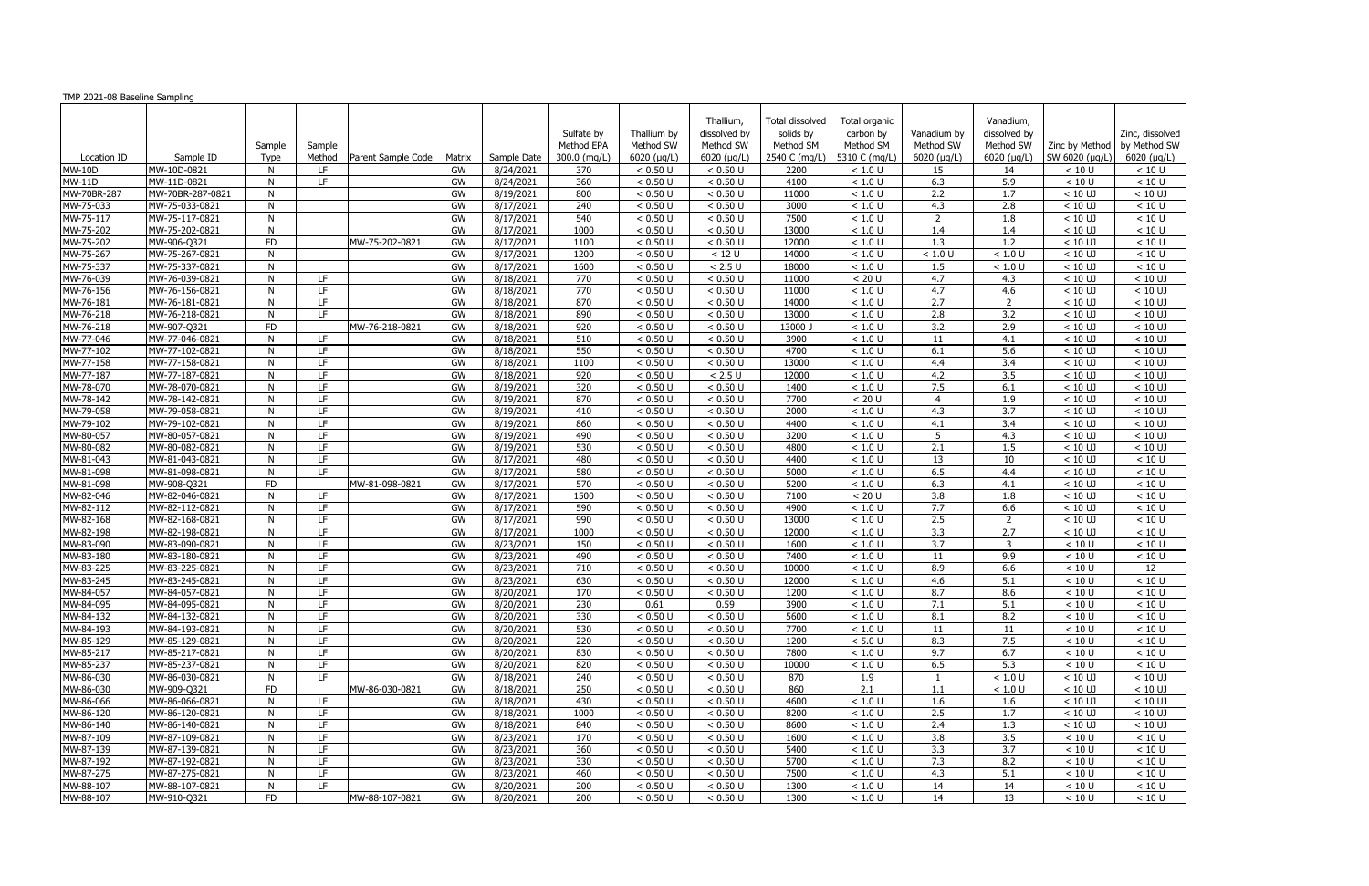| TMP 2021-08 Baseline Sampling |                  |              |                  |                    |        |             |              |             |                     |                        |                             |                  |                  |                     |                               |
|-------------------------------|------------------|--------------|------------------|--------------------|--------|-------------|--------------|-------------|---------------------|------------------------|-----------------------------|------------------|------------------|---------------------|-------------------------------|
|                               |                  |              |                  |                    |        |             |              |             | Thallium,           | <b>Total dissolved</b> | Total organic               |                  | Vanadium,        |                     |                               |
|                               |                  |              |                  |                    |        |             | Sulfate by   | Thallium by | dissolved by        | solids by              | carbon by                   | Vanadium by      | dissolved by     |                     | Zinc, dissolved               |
|                               |                  | Sample       |                  |                    |        |             | Method EPA   | Method SW   | Method SW           | Method SM              | Method SM                   | Method SW        | Method SW        |                     | Zinc by Method   by Method SW |
| Location ID                   | Sample ID        | Type         | Sample<br>Method | Parent Sample Code | Matrix | Sample Date | 300.0 (mg/L) | 6020 (µg/L) | $6020$ ( $\mu$ g/L) |                        | 2540 C (mg/L) 5310 C (mg/L) | 6020 (µg/L)      | 6020 (µg/L)      | SW 6020 (µg/L)      | 6020 (µg/L)                   |
| <b>MW-10D</b>                 | MW-10D-0821      | N            | LF.              |                    | GW     | 8/24/2021   | 370          | < 0.50 U    | < 0.50 U            | 2200                   | < 1.0 U                     | 15               | 14               | < 10 U              | < 10 U                        |
| $MW-11D$                      | MW-11D-0821      | N            | LF.              |                    | GW     | 8/24/2021   | 360          | < 0.50 U    | < 0.50 U            | 4100                   | < 1.0 U                     | 6.3              | 5.9              | < 10 U              | < 10 U                        |
| MW-70BR-287                   | MW-70BR-287-0821 | N            |                  |                    | GW     | 8/19/2021   | 800          | < 0.50 U    | < 0.50 U            | 11000                  | < 1.0 U                     | 2.2              | 1.7              | $< 10$ UJ           | $< 10$ UJ                     |
| MW-75-033                     | MW-75-033-0821   | N            |                  |                    | GW     | 8/17/2021   | 240          | < 0.50 U    | < 0.50 U            | 3000                   | < 1.0 U                     | 4.3              | 2.8              | $< 10$ UJ           | < 10 U                        |
| MW-75-117                     | MW-75-117-0821   | N            |                  |                    | GW     | 8/17/2021   | 540          | < 0.50 U    | < 0.50 U            | 7500                   | < 1.0 U                     | $\overline{2}$   | 1.8              | $< 10$ UJ           | < 10 U                        |
| MW-75-202                     | MW-75-202-0821   | N            |                  |                    | GW     | 8/17/2021   | 1000         | < 0.50 U    | < 0.50 U            | 13000                  | < 1.0 U                     | 1.4              | 1.4              | $< 10$ UJ           | < 10 U                        |
| MW-75-202                     | MW-906-Q321      | <b>FD</b>    |                  | MW-75-202-0821     | GW     | 8/17/2021   | 1100         | < 0.50 U    | < 0.50 U            | 12000                  | < 1.0 U                     | 1.3              | 1.2              | $< 10$ UJ           | < 10 U                        |
| MW-75-267                     | MW-75-267-0821   | N            |                  |                    | GW     | 8/17/2021   | 1200         | < 0.50 U    | < 12 U              | 14000                  | < 1.0 U                     | < 1.0 U          | < 1.0 U          | $< 10 \overline{U}$ | < 10 U                        |
| MW-75-337                     | MW-75-337-0821   | N            |                  |                    | GW     | 8/17/2021   | 1600         | < 0.50 U    | < 2.5 U             | 18000                  | < 1.0 U                     | 1.5              | < 1.0 U          | $< 10$ UJ           | < 10 U                        |
| MW-76-039                     | MW-76-039-0821   | N            | LF.              |                    | GW     | 8/18/2021   | 770          | < 0.50 U    | < 0.50 U            | 11000                  | < 20 U                      | 4.7              | 4.3              | $< 10$ UJ           | $< 10$ UJ                     |
| MW-76-156                     | MW-76-156-0821   | N            | LF               |                    | GW     | 8/18/2021   | 770          | < 0.50 U    | < 0.50 U            | 11000                  | < 1.0 U                     | 4.7              | 4.6              | $< 10$ UJ           | $< 10$ UJ                     |
| MW-76-181                     | MW-76-181-0821   | N            | LF.              |                    | GW     | 8/18/2021   | 870          | < 0.50 U    | < 0.50 U            | 14000                  | < 1.0 U                     | 2.7              | $\overline{2}$   | $< 10 \overline{U}$ | $< 10$ UJ                     |
| MW-76-218                     | MW-76-218-0821   | N            | TF.              |                    | GW     | 8/18/2021   | 890          | < 0.50 U    | < 0.50 U            | 13000                  | < 1.0 U                     | 2.8              | 3.2              | $< 10$ UJ           | $< 10$ UJ                     |
| MW-76-218                     | MW-907-Q321      | FD           |                  | MW-76-218-0821     | GW     | 8/18/2021   | 920          | < 0.50 U    | < 0.50 U            | 13000 J                | < 1.0 U                     | $\overline{3.2}$ | 2.9              | $< 10$ UJ           | $< 10$ UJ                     |
| MW-77-046                     | MW-77-046-0821   | N            | LF.              |                    | GW     | 8/18/2021   | 510          | < 0.50 U    | < 0.50 U            | 3900                   | < 1.0 U                     | 11               | 4.1              | $< 10$ UJ           | $< 10$ UJ                     |
| MW-77-102                     | MW-77-102-0821   | N            | LF               |                    | GW     | 8/18/2021   | 550          | < 0.50 U    | < 0.50 U            | 4700                   | < 1.0 U                     | 6.1              | 5.6              | $< 10$ UJ           | $< 10$ UJ                     |
| MW-77-158                     | MW-77-158-0821   | N            | LF.              |                    | GW     | 8/18/2021   | 1100         | < 0.50 U    | < 0.50 U            | 13000                  | < 1.0 U                     | 4.4              | 3.4              | $< 10 \overline{U}$ | $< 10$ UJ                     |
| MW-77-187                     | MW-77-187-0821   | N            | LF.              |                    | GW     | 8/18/2021   | 920          | < 0.50 U    | $< 2.5 U$           | 12000                  | < 1.0 U                     | 4.2              | 3.5              | $< 10$ UJ           | $< 10$ UJ                     |
| MW-78-070                     | MW-78-070-0821   | N            | LF               |                    | GW     | 8/19/2021   | 320          | < 0.50 U    | < 0.50 U            | 1400                   | < 1.0 U                     | 7.5              | 6.1              | $< 10$ UJ           | $< 10$ UJ                     |
| $\overline{MW-78-1}42$        | MW-78-142-0821   | N            | LF.              |                    | GW     | 8/19/2021   | 870          | < 0.50 U    | < 0.50 U            | 7700                   | < 20 U                      | $\overline{4}$   | 1.9              | $< 10$ UJ           | $< 10$ UJ                     |
| MW-79-058                     | MW-79-058-0821   | N            | LF               |                    | GW     | 8/19/2021   | 410          | < 0.50 U    | < 0.50 U            | 2000                   | < 1.0 U                     | 4.3              | $\overline{3.7}$ | $< 10$ UJ           | $< 10$ UJ                     |
| MW-79-102                     | MW-79-102-0821   | N            | LF               |                    | GW     | 8/19/2021   | 860          | < 0.50 U    | < 0.50 U            | 4400                   | < 1.0 U                     | 4.1              | 3.4              | $< 10 \overline{U}$ | $< 10$ UJ                     |
| MW-80-057                     | MW-80-057-0821   | N            | LF.              |                    | GW     | 8/19/2021   | 490          | < 0.50 U    | < 0.50 U            | 3200                   | < 1.0 U                     | 5                | 4.3              | $< 10$ UJ           | $< 10$ UJ                     |
| MW-80-082                     | MW-80-082-0821   | N            | LF               |                    | GW     | 8/19/2021   | 530          | < 0.50 U    | < 0.50 U            | 4800                   | < 1.0 U                     | 2.1              | 1.5              | $< 10$ UJ           | $< 10$ UJ                     |
| MW-81-043                     | MW-81-043-0821   | N            | LF.              |                    | GW     | 8/17/2021   | 480          | < 0.50 U    | < 0.50 U            | 4400                   | < 1.0 U                     | 13               | 10               | $< 10$ UJ           | < 10 U                        |
| MW-81-098                     | MW-81-098-0821   | N            | <b>IF</b>        |                    | GW     | 8/17/2021   | 580          | < 0.50 U    | < 0.50 U            | 5000                   | < 1.0 U                     | 6.5              | 4.4              | $< 10$ UJ           | < 10 U                        |
| MW-81-098                     | MW-908-Q321      | FD           |                  | MW-81-098-0821     | GW     | 8/17/2021   | 570          | < 0.50 U    | < 0.50 U            | 5200                   | < 1.0 U                     | 6.3              | 4.1              | $< 10$ UJ           | < 10 U                        |
| MW-82-046                     | MW-82-046-0821   | N            | LF.              |                    | GW     | 8/17/2021   | 1500         | < 0.50 U    | < 0.50 U            | 7100                   | < 20 U                      | 3.8              | 1.8              | $< 10$ UJ           | < 10 U                        |
| MW-82-112                     | MW-82-112-0821   | N            | LF               |                    | GW     | 8/17/2021   | 590          | < 0.50 U    | < 0.50 U            | 4900                   | < 1.0 U                     | 7.7              | 6.6              | $< 10$ UJ           | < 10 U                        |
| MW-82-168                     | MW-82-168-0821   | N            | LF.              |                    | GW     | 8/17/2021   | 990          | < 0.50 U    | < 0.50 U            | 13000                  | < 1.0 U                     | 2.5              | 2                | $< 10$ UJ           | < 10 U                        |
| MW-82-198                     | MW-82-198-0821   | $\mathsf{N}$ | LF               |                    | GW     | 8/17/2021   | 1000         | < 0.50 U    | < 0.50 U            | 12000                  | < 1.0 U                     | 3.3              | 2.7              | $< 10$ UJ           | < 10 U                        |
| MW-83-090                     | MW-83-090-0821   | N            | LF               |                    | GW     | 8/23/2021   | 150          | < 0.50 U    | < 0.50 U            | 1600                   | < 1.0 U                     | $\overline{3.7}$ | 3                | < 10 U              | < 10 U                        |
| MW-83-180                     | MW-83-180-0821   | N            | LF.              |                    | GW     | 8/23/2021   | 490          | < 0.50 U    | < 0.50 U            | 7400                   | < 1.0 U                     | 11               | 9.9              | < 10 U              | < 10 U                        |
| MW-83-225                     | MW-83-225-0821   | N            | LF               |                    | GW     | 8/23/2021   | 710          | < 0.50 U    | < 0.50 U            | 10000                  | < 1.0 U                     | 8.9              | 6.6              | < 10 U              | 12                            |
| MW-83-245                     | MW-83-245-0821   | N            | LF.              |                    | GW     | 8/23/2021   | 630          | < 0.50 U    | < 0.50 U            | 12000                  | < 1.0 U                     | 4.6              | 5.1              | < 10 U              | < 10 U                        |
| MW-84-057                     | MW-84-057-0821   | N            | $\overline{LF}$  |                    | GW     | 8/20/2021   | 170          | < 0.50 U    | < 0.50 U            | 1200                   | $<1.0$ U                    | 8.7              | 8.6              | < 10 U              | < 10 U                        |
| MW-84-095                     | MW-84-095-0821   | N            | LF.              |                    | GW     | 8/20/2021   | 230          | 0.61        | 0.59                | 3900                   | < 1.0 U                     | 7.1              | 5.1              | < 10 U              | < 10 U                        |
| MW-84-132                     | MW-84-132-0821   | N            | LF.              |                    | GW     | 8/20/2021   | 330          | < 0.50 U    | < 0.50 U            | 5600                   | < 1.0 U                     | 8.1              | 8.2              | < 10 U              | < 10 U                        |
| MW-84-193                     | MW-84-193-0821   | N            | LF.              |                    | GW     | 8/20/2021   | 530          | < 0.50 U    | < 0.50 U            | 7700                   | < 1.0 U                     | 11               | 11               | < 10 U              | < 10 U                        |
| MW-85-129                     | MW-85-129-0821   | N            | LF.              |                    | GW     | 8/20/2021   | 220          | < 0.50 U    | < 0.50 U            | 1200                   | $< 5.0 U$                   | 8.3              | 7.5              | < 10 U              | < 10 U                        |
| MW-85-217                     | MW-85-217-0821   | N            | LF.              |                    | GW     | 8/20/2021   | 830          | < 0.50 U    | < 0.50 U            | 7800                   | < 1.0 U                     | 9.7              | 6.7              | < 10 U              | < 10 U                        |
| MW-85-237                     | MW-85-237-0821   | N            | LF.              |                    | GW     | 8/20/2021   | 820          | < 0.50 U    | < 0.50 U            | 10000                  | < 1.0 U                     | 6.5              | 5.3              | < 10 U              | < 10 U                        |
| MW-86-030                     | MW-86-030-0821   | N            | LF.              |                    | GW     | 8/18/2021   | 240          | < 0.50 U    | < 0.50 U            | 870                    | 1.9                         | 1                | < 1.0 U          | $< 10$ UJ           | $< 10$ UJ                     |
| MW-86-030                     | MW-909-Q321      | FD.          |                  | MW-86-030-0821     | GW     | 8/18/2021   | 250          | < 0.50 U    | < 0.50 U            | 860                    | 2.1                         | $1.1\,$          | < 1.0 U          | $< 10$ UJ           | $< 10$ UJ                     |
| MW-86-066                     | MW-86-066-0821   | N            | LF.              |                    | GW     | 8/18/2021   | 430          | < 0.50 U    | < 0.50 U            | 4600                   | < 1.0 U                     | 1.6              | 1.6              | $< 10$ UJ           | $< 10$ UJ                     |
| MW-86-120                     | MW-86-120-0821   | N            | LF.              |                    | GW     | 8/18/2021   | 1000         | < 0.50 U    | < 0.50 U            | 8200                   | < 1.0 U                     | 2.5              | 1.7              | $< 10$ UJ           | $< 10$ UJ                     |
| MW-86-140                     | MW-86-140-0821   | N            | LF.              |                    | GW     | 8/18/2021   | 840          | < 0.50 U    | < 0.50 U            | 8600                   | < 1.0 U                     | 2.4              | 1.3              | $< 10$ UJ           | $< 10$ UJ                     |
| MW-87-109                     | MW-87-109-0821   | N            | LF.              |                    | GW     | 8/23/2021   | 170          | < 0.50 U    | < 0.50 U            | 1600                   | < 1.0 U                     | 3.8              | 3.5              | < 10 U              | < 10 U                        |
| MW-87-139                     | MW-87-139-0821   | N            | LF.              |                    | GW     | 8/23/2021   | 360          | < 0.50 U    | < 0.50 U            | 5400                   | < 1.0 U                     | 3.3              | 3.7              | < 10 U              | < 10 U                        |
| MW-87-192                     | MW-87-192-0821   | N            | LF.              |                    | GW     | 8/23/2021   | 330          | < 0.50 U    | < 0.50 U            | 5700                   | < 1.0 U                     | 7.3              | 8.2              | < 10 U              | < 10 U                        |
| MW-87-275                     | MW-87-275-0821   | N            | LF.              |                    | GW     | 8/23/2021   | 460          | < 0.50 U    | < 0.50 U            | 7500                   | < 1.0 U                     | 4.3              | 5.1              | < 10 U              | < 10 U                        |
| MW-88-107                     | MW-88-107-0821   | N            | LF               |                    | GW     | 8/20/2021   | 200          | < 0.50 U    | < 0.50 U            | 1300                   | < 1.0 U                     | 14               | 14               | < 10 U              | < 10 U                        |
| MW-88-107                     | MW-910-Q321      | <b>FD</b>    |                  | MW-88-107-0821     | GW     | 8/20/2021   | 200          | < 0.50 U    | < 0.50 U            | 1300                   | < 1.0 U                     | 14               | 13               | < 10 U              | < 10 U                        |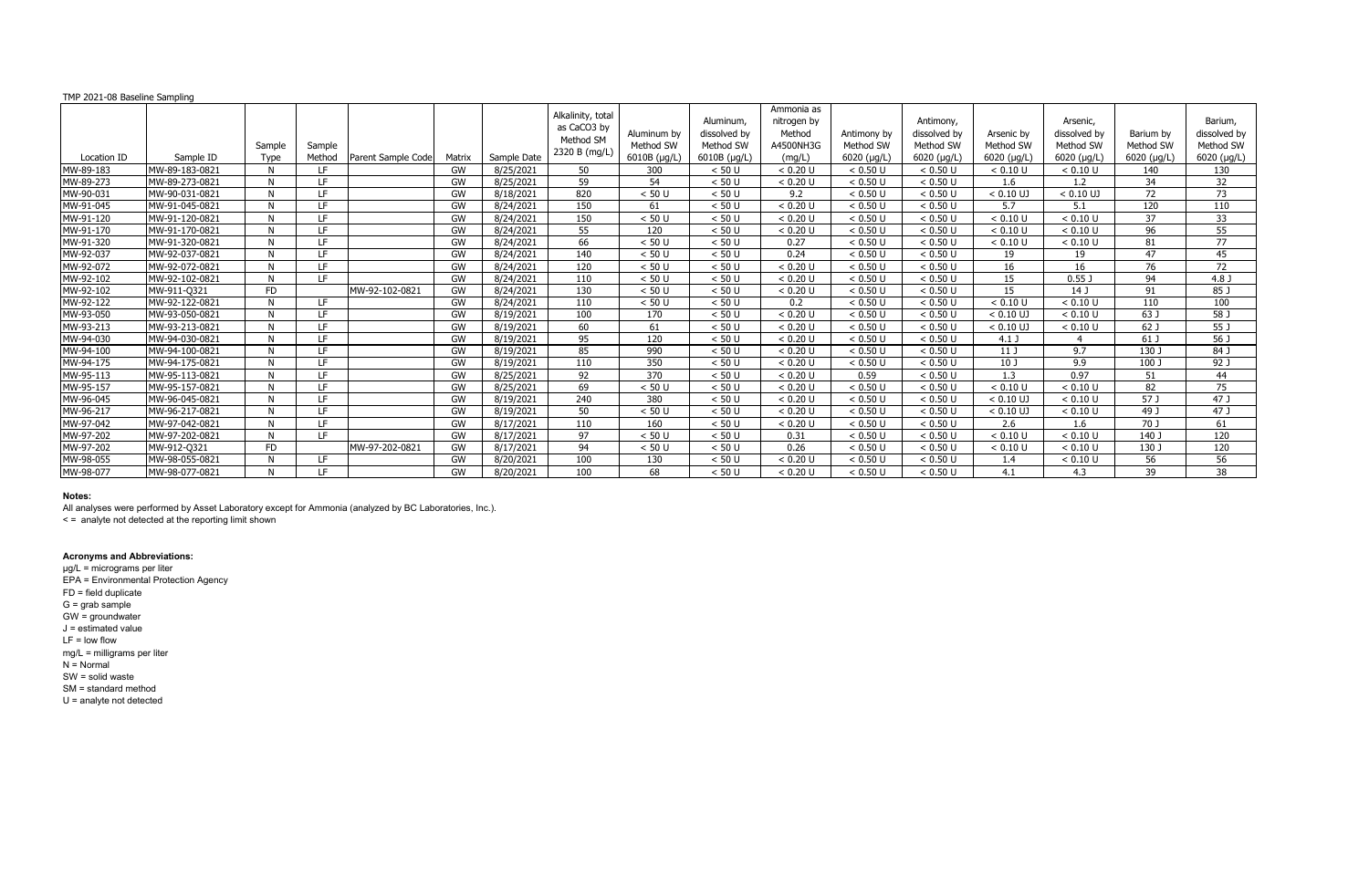| TMP 2021-08 Baseline Sampling |                |                |                  |                    |        |             |                                                                |                                                  |                                                                |                                                            |                                                 |                                                               |                                                |                                                      |                                               |                                                     |
|-------------------------------|----------------|----------------|------------------|--------------------|--------|-------------|----------------------------------------------------------------|--------------------------------------------------|----------------------------------------------------------------|------------------------------------------------------------|-------------------------------------------------|---------------------------------------------------------------|------------------------------------------------|------------------------------------------------------|-----------------------------------------------|-----------------------------------------------------|
| Location ID                   | Sample ID      | Sample<br>Type | Sample<br>Method | Parent Sample Code | Matrix | Sample Date | Alkalinity, total<br>as CaCO3 by<br>Method SM<br>2320 B (mg/L) | Aluminum by<br>Method SW<br>$6010B$ ( $\mu$ g/L) | Aluminum.<br>dissolved by<br>Method SW<br>$6010B$ ( $\mu$ g/L) | Ammonia as<br>nitrogen by<br>Method<br>A4500NH3G<br>(mq/L) | Antimony by<br>Method SW<br>$6020$ ( $\mu$ g/L) | Antimony,<br>dissolved by<br>Method SW<br>$6020$ ( $\mu$ g/L) | Arsenic by<br>Method SW<br>$6020$ ( $\mu$ g/L) | Arsenic,<br>dissolved by<br>Method SW<br>6020 (µg/L) | Barium by<br>Method SW<br>$6020$ ( $\mu$ g/L) | Barium,<br>dissolved by<br>Method SW<br>6020 (µg/L) |
| MW-89-183                     | MW-89-183-0821 | N.             | LF.              |                    | GW     | 8/25/2021   | 50                                                             | 300                                              | < 50 U                                                         | < 0.20 U                                                   | < 0.50 U                                        | < 0.50 U                                                      | < 0.10 U                                       | < 0.10 U                                             | 140                                           | 130                                                 |
| MW-89-273                     | MW-89-273-0821 | N.             | TE.              |                    | GW     | 8/25/2021   | 59                                                             | 54                                               | < 50 U                                                         | < 0.20 U                                                   | < 0.50 U                                        | < 0.50 U                                                      | 1.6                                            | 1.2                                                  | 34                                            | 32                                                  |
| MW-90-031                     | MW-90-031-0821 | N.             | TE.              |                    | GW     | 8/18/2021   | 820                                                            | $< 50$ U                                         | < 50 U                                                         | 9.2                                                        | < 0.50 U                                        | < 0.50 U                                                      | $< 0.10$ UJ                                    | $< 0.10$ UJ                                          | 72                                            | 73                                                  |
| MW-91-045                     | MW-91-045-0821 | N.             | LF               |                    | GW     | 8/24/2021   | 150                                                            | 61                                               | < 50 U                                                         | < 0.20 U                                                   | < 0.50 U                                        | < 0.50 U                                                      | 5.7                                            | 5.1                                                  | 120                                           | 110                                                 |
| MW-91-120                     | MW-91-120-0821 | N.             | IF.              |                    | GW     | 8/24/2021   | 150                                                            | < 50 U                                           | < 50 U                                                         | < 0.20 U                                                   | < 0.50 U                                        | < 0.50 U                                                      | < 0.10 U                                       | < 0.10 U                                             | 37                                            | 33                                                  |
| MW-91-170                     | MW-91-170-0821 | N.             | IF.              |                    | GW     | 8/24/2021   | 55                                                             | 120                                              | < 50 U                                                         | < 0.20 U                                                   | < 0.50 U                                        | < 0.50 U                                                      | < 0.10 U                                       | < 0.10 U                                             | 96                                            | 55                                                  |
| MW-91-320                     | MW-91-320-0821 | N <sub>N</sub> | TE.              |                    | GW     | 8/24/2021   | 66                                                             | < 50 U                                           | < 50 U                                                         | 0.27                                                       | < 0.50 U                                        | < 0.50 U                                                      | < 0.10 U                                       | < 0.10 U                                             | 81                                            | 77                                                  |
| MW-92-037                     | MW-92-037-0821 | N              | IF.              |                    | GW     | 8/24/2021   | 140                                                            | < 50 U                                           | < 50 U                                                         | 0.24                                                       | < 0.50 U                                        | < 0.50 U                                                      | 19                                             | 19                                                   | 47                                            | 45                                                  |
| MW-92-072                     | MW-92-072-0821 | N              | LF               |                    | GW     | 8/24/2021   | 120                                                            | < 50 U                                           | < 50 U                                                         | < 0.20 U                                                   | < 0.50 U                                        | < 0.50 U                                                      | 16                                             | 16                                                   | 76                                            | 72                                                  |
| MW-92-102                     | MW-92-102-0821 | N.             | TE.              |                    | GW     | 8/24/2021   | 110                                                            | < 50 U                                           | < 50 U                                                         | < 0.20 U                                                   | < 0.50 U                                        | < 0.50 U                                                      | 15                                             | 0.55                                                 | 94                                            | 4.8 J                                               |
| MW-92-102                     | MW-911-Q321    | <b>FD</b>      |                  | MW-92-102-0821     | GW     | 8/24/2021   | 130                                                            | < 50U                                            | < 50 U                                                         | < 0.20 U                                                   | < 0.50 U                                        | < 0.50 U                                                      | 15                                             | 14 <sub>1</sub>                                      | 91                                            | 85 J                                                |
| MW-92-122                     | MW-92-122-0821 | N              | TE.              |                    | GW     | 8/24/2021   | 110                                                            | $< 50$ U                                         | < 50 U                                                         | 0.2                                                        | < 0.50 U                                        | < 0.50 U                                                      | < 0.10 U                                       | < 0.10 U                                             | 110                                           | 100                                                 |
| MW-93-050                     | MW-93-050-0821 | N.             | LF               |                    | GW     | 8/19/2021   | 100                                                            | 170                                              | < 50 U                                                         | < 0.20 U                                                   | < 0.50 U                                        | < 0.50 U                                                      | $< 0.10$ UJ                                    | < 0.10 U                                             | 63 J                                          | 58 <sub>1</sub>                                     |
| MW-93-213                     | MW-93-213-0821 | N.             | IF.              |                    | GW     | 8/19/2021   | 60                                                             | 61                                               | < 50 U                                                         | < 0.20 U                                                   | < 0.50 U                                        | < 0.50 U                                                      | $< 0.10$ UJ                                    | < 0.10 U                                             | 62 J                                          | 55 J                                                |
| MW-94-030                     | MW-94-030-0821 | N              | TE.              |                    | GW     | 8/19/2021   | 95                                                             | 120                                              | < 50 U                                                         | < 0.20 U                                                   | < 0.50 U                                        | < 0.50 U                                                      | $4.1$ J                                        |                                                      | 61 J                                          | 56 J                                                |
| MW-94-100                     | MW-94-100-0821 | N.             | IE.              |                    | GW     | 8/19/2021   | 85                                                             | 990                                              | < 50 U                                                         | < 0.20 U                                                   | < 0.50 U                                        | < 0.50 U                                                      | 11 <sub>J</sub>                                | 9.7                                                  | 130 J                                         | 84 J                                                |
| MW-94-175                     | MW-94-175-0821 | N.             | IF.              |                    | GW     | 8/19/2021   | 110                                                            | 350                                              | < 50 U                                                         | < 0.20 U                                                   | < 0.50 U                                        | < 0.50 U                                                      | 10 <sub>J</sub>                                | 9.9                                                  | 100 J                                         | 92 J                                                |
| MW-95-113                     | MW-95-113-0821 | N <sub>N</sub> | LF               |                    | GW     | 8/25/2021   | 92                                                             | 370                                              | < 50 U                                                         | < 0.20 U                                                   | 0.59                                            | < 0.50 U                                                      | 1.3                                            | 0.97                                                 | 51                                            | 44                                                  |
| MW-95-157                     | MW-95-157-0821 | N.             | IF.              |                    | GW     | 8/25/2021   | 69                                                             | < 50 U                                           | < 50 U                                                         | < 0.20 U                                                   | < 0.50 U                                        | < 0.50 U                                                      | < 0.10 U                                       | < 0.10 U                                             | 82                                            | 75                                                  |
| MW-96-045                     | MW-96-045-0821 | N              | IF.              |                    | GW     | 8/19/2021   | 240                                                            | 380                                              | < 50 U                                                         | < 0.20 U                                                   | < 0.50 U                                        | < 0.50 U                                                      | $< 0.10$ UJ                                    | < 0.10 U                                             | 57 J                                          | 47 J                                                |
| MW-96-217                     | MW-96-217-0821 | N <sub>N</sub> | LF               |                    | GW     | 8/19/2021   | 50                                                             | < 50 U                                           | < 50 U                                                         | < 0.20 U                                                   | < 0.50 U                                        | < 0.50 U                                                      | $< 0.10$ UJ                                    | < 0.10 U                                             | 49 J                                          | 47 J                                                |
| MW-97-042                     | MW-97-042-0821 | N              | TE.              |                    | GW     | 8/17/2021   | 110                                                            | 160                                              | < 50 U                                                         | < 0.20 U                                                   | < 0.50 U                                        | < 0.50 U                                                      | 2.6                                            | 1.6                                                  | 70 J                                          | 61                                                  |
| MW-97-202                     | MW-97-202-0821 | N.             | TE.              |                    | GW     | 8/17/2021   | 97                                                             | $< 50$ U                                         | < 50 U                                                         | 0.31                                                       | < 0.50 U                                        | < 0.50 U                                                      | < 0.10 U                                       | < 0.10 U                                             | 140 J                                         | 120                                                 |
| MW-97-202                     | MW-912-Q321    | <b>FD</b>      |                  | MW-97-202-0821     | GW     | 8/17/2021   | 94                                                             | < 50 U                                           | < 50 U                                                         | 0.26                                                       | < 0.50 U                                        | < 0.50 U                                                      | < 0.10 U                                       | < 0.10 U                                             | 130 J                                         | 120                                                 |
| MW-98-055                     | MW-98-055-0821 | N              | IF.              |                    | GW     | 8/20/2021   | 100                                                            | 130                                              | < 50 U                                                         | < 0.20 U                                                   | < 0.50 U                                        | < 0.50 U                                                      | 1.4                                            | < 0.10 U                                             | $\overline{56}$                               | $\overline{56}$                                     |
| MW-98-077                     | MW-98-077-0821 | N              | I F              |                    | GW     | 8/20/2021   | 100                                                            | 68                                               | < 50 U                                                         | < 0.20 U                                                   | < 0.50 U                                        | < 0.50 U                                                      | 4.1                                            | 4.3                                                  | 39                                            | 38                                                  |

All analyses were performed by Asset Laboratory except for Ammonia (analyzed by BC Laboratories, Inc.).

< = analyte not detected at the reporting limit shown

### **Acronyms and Abbreviations:**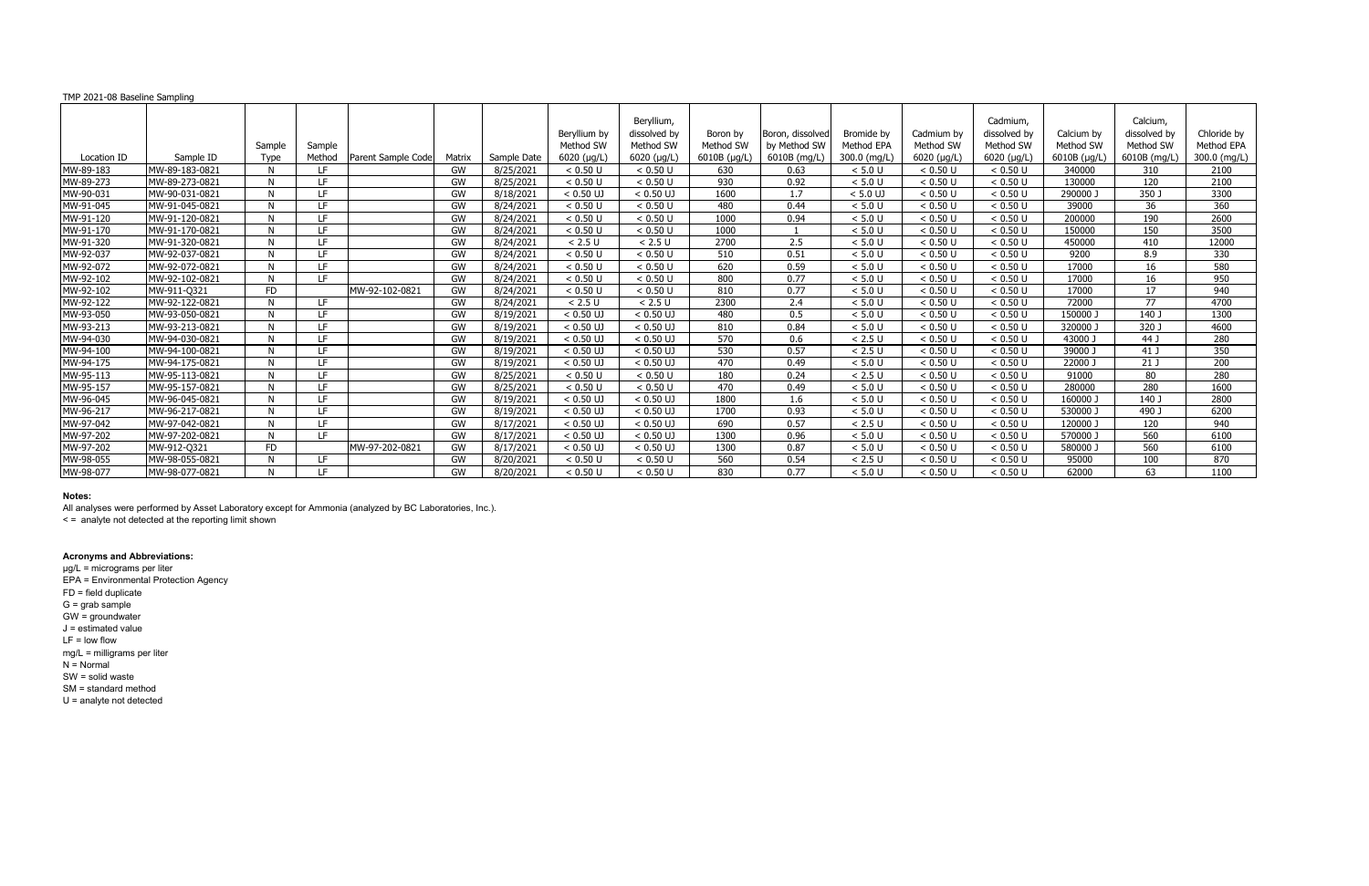All analyses were performed by Asset Laboratory except for Ammonia (analyzed by BC Laboratories, Inc.).

< = analyte not detected at the reporting limit shown

### **Acronyms and Abbreviations:**

| TMP 2021-08 Baseline Sampling |                |                |                  |                    |           |             |                                                  |                                                                |                                               |                                                  |                                          |                                                |                                                              |                                                 |                                                       |                                           |
|-------------------------------|----------------|----------------|------------------|--------------------|-----------|-------------|--------------------------------------------------|----------------------------------------------------------------|-----------------------------------------------|--------------------------------------------------|------------------------------------------|------------------------------------------------|--------------------------------------------------------------|-------------------------------------------------|-------------------------------------------------------|-------------------------------------------|
| Location ID                   | Sample ID      | Sample<br>Type | Sample<br>Method | Parent Sample Code | Matrix    | Sample Date | Beryllium by<br>Method SW<br>$6020$ ( $\mu$ g/L) | Beryllium,<br>dissolved by<br>Method SW<br>$6020$ ( $\mu$ g/L) | Boron by<br>Method SW<br>$6010B$ ( $\mu$ g/L) | Boron, dissolved<br>by Method SW<br>6010B (mg/L) | Bromide by<br>Method EPA<br>300.0 (mg/L) | Cadmium by<br>Method SW<br>$6020$ ( $\mu$ g/L) | Cadmium,<br>dissolved by<br>Method SW<br>$6020$ ( $\mu$ g/L) | Calcium by<br>Method SW<br>$6010B$ ( $\mu$ g/L) | Calcium,<br>dissolved by<br>Method SW<br>6010B (mg/L) | Chloride by<br>Method EPA<br>300.0 (mg/L) |
| MW-89-183                     | MW-89-183-0821 | N.             | LF.              |                    | GW        | 8/25/2021   | < 0.50 U                                         | < 0.50 U                                                       | 630                                           | 0.63                                             | < 5.0 U                                  | < 0.50 U                                       | < 0.50 U                                                     | 340000                                          | 310                                                   | 2100                                      |
| MW-89-273                     | MW-89-273-0821 | N.             | IF.              |                    | GW        | 8/25/2021   | < 0.50 U                                         | < 0.50 U                                                       | 930                                           | 0.92                                             | < 5.0 U                                  | < 0.50 U                                       | < 0.50 U                                                     | 130000                                          | 120                                                   | 2100                                      |
| MW-90-031                     | MW-90-031-0821 | N.             | LE.              |                    | GW        | 8/18/2021   | $< 0.50$ UJ                                      | $< 0.50$ UJ                                                    | 1600                                          | 1.7                                              | $< 5.0$ UJ                               | < 0.50 U                                       | < 0.50 U                                                     | 290000                                          | 350 J                                                 | 3300                                      |
| MW-91-045                     | MW-91-045-0821 | N.             | LF               |                    | GW        | 8/24/2021   | < 0.50 U                                         | < 0.50 U                                                       | 480                                           | 0.44                                             | < 5.0 U                                  | < 0.50 U                                       | < 0.50 U                                                     | 39000                                           | 36                                                    | 360                                       |
| MW-91-120                     | MW-91-120-0821 | N.             | IF.              |                    | GW        | 8/24/2021   | < 0.50 U                                         | < 0.50 U                                                       | 1000                                          | 0.94                                             | < 5.0 U                                  | < 0.50 U                                       | < 0.50 U                                                     | 200000                                          | 190                                                   | 2600                                      |
| MW-91-170                     | MW-91-170-0821 | N <sub>N</sub> | IF.              |                    | GW        | 8/24/2021   | < 0.50 U                                         | < 0.50 U                                                       | 1000                                          |                                                  | < 5.0 U                                  | < 0.50 U                                       | < 0.50 U                                                     | 150000                                          | 150                                                   | 3500                                      |
| MW-91-320                     | MW-91-320-0821 | N.             | IF.              |                    | GW        | 8/24/2021   | < 2.5 U                                          | < 2.5 U                                                        | 2700                                          | 2.5                                              | < 5.0 U                                  | < 0.50 U                                       | < 0.50 U                                                     | 450000                                          | 410                                                   | 12000                                     |
| MW-92-037                     | MW-92-037-0821 | N.             | IF.              |                    | <b>GW</b> | 8/24/2021   | < 0.50 U                                         | < 0.50 U                                                       | 510                                           | 0.51                                             | < 5.0 U                                  | < 0.50 U                                       | < 0.50 U                                                     | 9200                                            | 8.9                                                   | 330                                       |
| MW-92-072                     | MW-92-072-0821 | N.             | LF               |                    | GW        | 8/24/2021   | < 0.50 U                                         | < 0.50 U                                                       | 620                                           | 0.59                                             | < 5.0 U                                  | < 0.50 U                                       | < 0.50 U                                                     | 17000                                           | 16                                                    | 580                                       |
| MW-92-102                     | MW-92-102-0821 | N.             | LE.              |                    | GW        | 8/24/2021   | < 0.50 U                                         | < 0.50 U                                                       | 800                                           | 0.77                                             | < 5.0 U                                  | < 0.50 U                                       | < 0.50 U                                                     | 17000                                           | 16                                                    | 950                                       |
| MW-92-102                     | MW-911-Q321    | <b>FD</b>      |                  | MW-92-102-0821     | GW        | 8/24/2021   | < 0.50 U                                         | < 0.50 U                                                       | 810                                           | 0.77                                             | < 5.0 U                                  | < 0.50 U                                       | < 0.50 U                                                     | 17000                                           | 17                                                    | 940                                       |
| MW-92-122                     | MW-92-122-0821 | N              | <b>IF</b>        |                    | GW        | 8/24/2021   | < 2.5 U                                          | < 2.5 U                                                        | 2300                                          | 2.4                                              | < 5.0 U                                  | < 0.50 U                                       | < 0.50 U                                                     | 72000                                           | 77                                                    | 4700                                      |
| MW-93-050                     | MW-93-050-0821 | N.             | LF               |                    | GW        | 8/19/2021   | $< 0.50$ UJ                                      | $< 0.50$ UJ                                                    | 480                                           | 0.5                                              | < 5.0 U                                  | < 0.50 U                                       | < 0.50 U                                                     | 150000                                          | 140 J                                                 | 1300                                      |
| MW-93-213                     | MW-93-213-0821 | N.             | LF.              |                    | GW        | 8/19/2021   | $< 0.50$ UJ                                      | $< 0.50$ UJ                                                    | 810                                           | 0.84                                             | < 5.0 U                                  | < 0.50 U                                       | < 0.50 U                                                     | 320000                                          | 320 J                                                 | 4600                                      |
| MW-94-030                     | MW-94-030-0821 | N.             | IF.              |                    | GW        | 8/19/2021   | $< 0.50$ UJ                                      | $< 0.50$ UJ                                                    | 570                                           | 0.6                                              | < 2.5 U                                  | < 0.50 U                                       | < 0.50 U                                                     | 43000 J                                         | 44 J                                                  | 280                                       |
| MW-94-100                     | MW-94-100-0821 | N              | IF.              |                    | GW        | 8/19/2021   | $< 0.50$ UJ                                      | $< 0.50$ UJ                                                    | 530                                           | 0.57                                             | < 2.5 U                                  | < 0.50 U                                       | < 0.50 U                                                     | 39000 J                                         | 41 J                                                  | 350                                       |
| MW-94-175                     | MW-94-175-0821 | N.             | IF.              |                    | GW        | 8/19/2021   | $< 0.50$ UJ                                      | $< 0.50$ UJ                                                    | 470                                           | 0.49                                             | < 5.0 U                                  | < 0.50 U                                       | < 0.50 U                                                     | 22000 J                                         | 21J                                                   | 200                                       |
| MW-95-113                     | MW-95-113-0821 | N.             | LF               |                    | GW        | 8/25/2021   | < 0.50 U                                         | < 0.50 U                                                       | 180                                           | 0.24                                             | < 2.5 U                                  | < 0.50 U                                       | < 0.50 U                                                     | 91000                                           | 80                                                    | 280                                       |
| MW-95-157                     | MW-95-157-0821 | N              | IF.              |                    | GW        | 8/25/2021   | < 0.50 U                                         | < 0.50 U                                                       | 470                                           | 0.49                                             | < 5.0 U                                  | < 0.50 U                                       | < 0.50 U                                                     | 280000                                          | 280                                                   | 1600                                      |
| MW-96-045                     | MW-96-045-0821 | N.             | IF.              |                    | GW        | 8/19/2021   | $< 0.50$ UJ                                      | $< 0.50$ UJ                                                    | 1800                                          | 1.6                                              | < 5.0 U                                  | < 0.50 U                                       | < 0.50 U                                                     | 160000                                          | 140 J                                                 | 2800                                      |
| MW-96-217                     | MW-96-217-0821 | N.             | LF               |                    | GW        | 8/19/2021   | $< 0.50$ UJ                                      | $< 0.50$ UJ                                                    | 1700                                          | 0.93                                             | < 5.0 U                                  | < 0.50 U                                       | < 0.50 U                                                     | 530000 J                                        | 490 J                                                 | 6200                                      |
| MW-97-042                     | MW-97-042-0821 | N.             | LE.              |                    | GW        | 8/17/2021   | $< 0.50$ UJ                                      | $< 0.50$ UJ                                                    | 690                                           | 0.57                                             | < 2.5 U                                  | < 0.50 U                                       | < 0.50 U                                                     | 120000                                          | 120                                                   | 940                                       |
| MW-97-202                     | MW-97-202-0821 | N.             | TE.              |                    | GW        | 8/17/2021   | $< 0.50$ UJ                                      | $< 0.50$ UJ                                                    | 1300                                          | 0.96                                             | < 5.0 U                                  | < 0.50 U                                       | < 0.50 U                                                     | 570000 J                                        | 560                                                   | 6100                                      |
| MW-97-202                     | MW-912-Q321    | <b>FD</b>      |                  | MW-97-202-0821     | GW        | 8/17/2021   | $< 0.50$ UJ                                      | $< 0.50$ UJ                                                    | 1300                                          | 0.87                                             | < 5.0 U                                  | < 0.50 U                                       | < 0.50 U                                                     | 580000 J                                        | 560                                                   | 6100                                      |
| MW-98-055                     | MW-98-055-0821 | N              | IF.              |                    | GW        | 8/20/2021   | < 0.50 U                                         | < 0.50 U                                                       | 560                                           | 0.54                                             | < 2.5 U                                  | < 0.50 U                                       | < 0.50 U                                                     | 95000                                           | 100                                                   | 870                                       |
| MW-98-077                     | MW-98-077-0821 | N              | TE.              |                    | GW        | 8/20/2021   | < 0.50 U                                         | < 0.50 U                                                       | 830                                           | 0.77                                             | < 5.0 U                                  | < 0.50 U                                       | < 0.50 U                                                     | 62000                                           | 63                                                    | 1100                                      |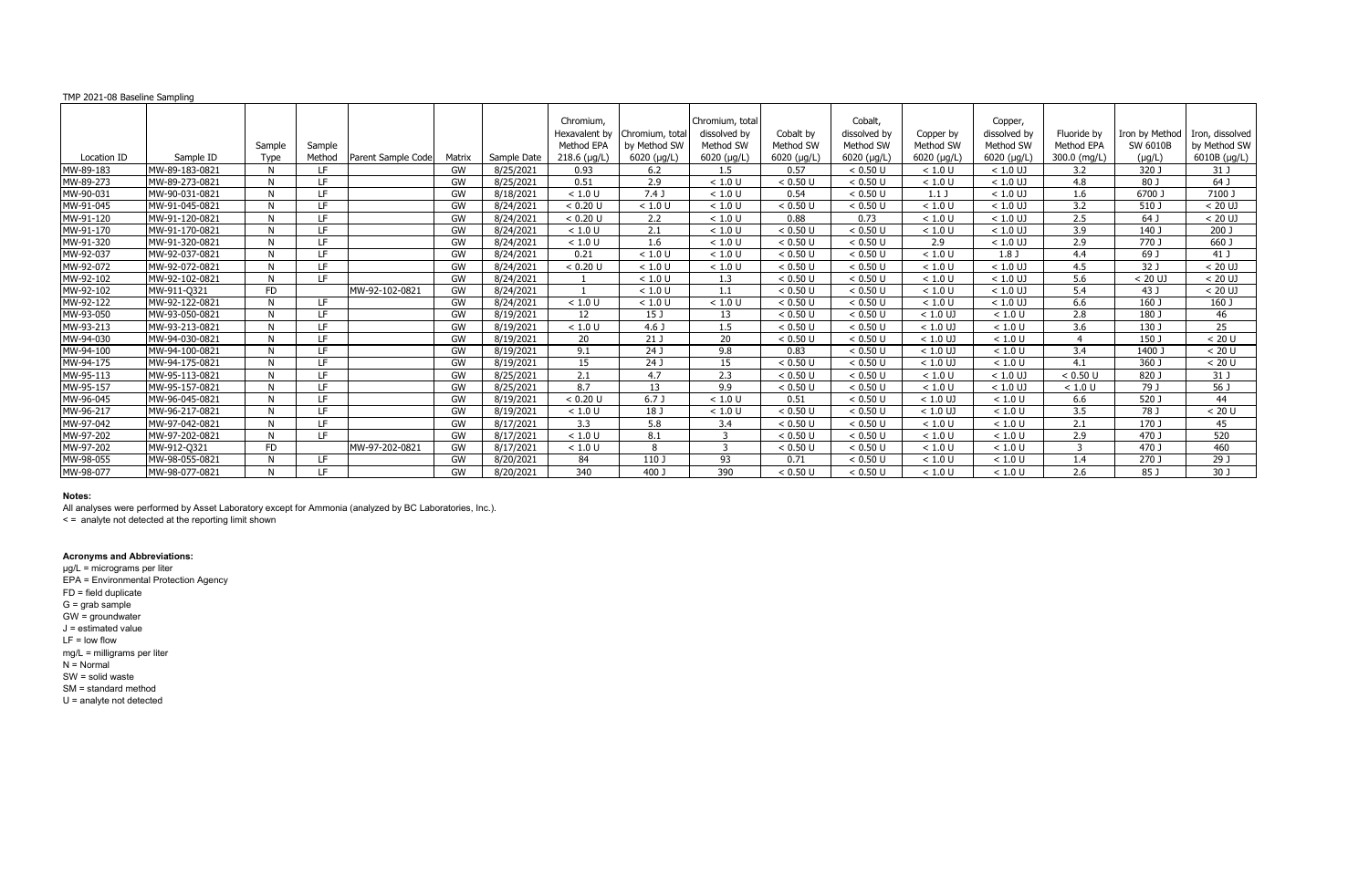#### TMP 2021-08 Baseline Sampling

### **Notes:**

All analyses were performed by Asset Laboratory except for Ammonia (analyzed by BC Laboratories, Inc.).

< = analyte not detected at the reporting limit shown

### **Acronyms and Abbreviations:**

µg/L = micrograms per liter EPA = Environmental Protection Agency FD = field duplicate G = grab sample GW = groundwater J = estimated value LF = low flow mg/L = milligrams per liter  $N =$  Normal SW = solid waste SM = standard method

U = analyte not detected

|             |                |             |        |                    |        |             | Chromium.            |                     | Chromium, total |                     | Cobalt.             |                     | Copper,             |              |                |                 |
|-------------|----------------|-------------|--------|--------------------|--------|-------------|----------------------|---------------------|-----------------|---------------------|---------------------|---------------------|---------------------|--------------|----------------|-----------------|
|             |                |             |        |                    |        |             | Hexavalent by        | Chromium, total     | dissolved by    | Cobalt by           | dissolved by        | Copper by           | dissolved by        | Fluoride by  | Iron by Method | Iron, dissolved |
|             |                | Sample      | Sample |                    |        |             | Method EPA           | by Method SW        | Method SW       | Method SW           | Method SW           | Method SW           | Method SW           | Method EPA   | SW 6010B       | by Method SW    |
| Location ID | Sample ID      | <b>Type</b> | Method | Parent Sample Code | Matrix | Sample Date | $218.6$ ( $\mu$ g/L) | $6020$ ( $\mu$ g/L) | 6020 (µg/L)     | $6020$ ( $\mu$ g/L) | $6020$ ( $\mu$ g/L) | $6020$ ( $\mu$ g/L) | $6020$ ( $\mu$ g/L) | 300.0 (mg/L) | $(\mu g/L)$    | 6010B (µg/L)    |
| MW-89-183   | MW-89-183-0821 | N           | IF.    |                    | GW     | 8/25/2021   | 0.93                 | $6.2$               | 1.5             | 0.57                | < 0.50 U            | < 1.0 U             | $< 1.0$ UJ          | 3.2          | 320 J          | 31 J            |
| MW-89-273   | MW-89-273-0821 | N           | LF.    |                    | GW     | 8/25/2021   | 0.51                 | 2.9                 | < 1.0 U         | < 0.50 U            | < 0.50 U            | < 1.0 U             | $< 1.0$ UJ          | 4.8          | 80 J           | 64 J            |
| MW-90-031   | MW-90-031-0821 | N           | LE.    |                    | GW     | 8/18/2021   | < 1.0 U              | 7.4J                | < 1.0 U         | 0.54                | < 0.50 U            | 1.1 <sub>J</sub>    | $< 1.0$ UJ          | $1.6\,$      | 6700 J         | 7100 J          |
| MW-91-045   | MW-91-045-0821 | N           | LE.    |                    | GW     | 8/24/2021   | < 0.20 U             | < 1.0 U             | < 1.0 U         | < 0.50 U            | < 0.50 U            | < 1.0 U             | $< 1.0$ UJ          | 3.2          | 510 J          | $< 20$ UJ       |
| MW-91-120   | MW-91-120-0821 | N           | IF.    |                    | GW     | 8/24/2021   | < 0.20 U             | 2.2                 | < 1.0 U         | 0.88                | 0.73                | < 1.0 U             | $< 1.0$ UJ          | 2.5          | 64 J           | $< 20$ UJ       |
| MW-91-170   | MW-91-170-0821 | N           | LF.    |                    | GW     | 8/24/2021   | < 1.0 U              | 2.1                 | < 1.0 U         | < 0.50 U            | < 0.50 U            | < 1.0 U             | $< 1.0$ UJ          | 3.9          | 140 J          | 200J            |
| MW-91-320   | MW-91-320-0821 | N           | IF.    |                    | GW     | 8/24/2021   | < 1.0 U              | 1.6                 | < 1.0 U         | < 0.50 U            | < 0.50 U            | 2.9                 | $< 1.0$ UJ          | 2.9          | 770 J          | 660 J           |
| MW-92-037   | MW-92-037-0821 | N.          | LE.    |                    | GW     | 8/24/2021   | 0.21                 | < 1.0 U             | < 1.0 U         | < 0.50 U            | < 0.50 U            | < 1.0 U             | 1.8 <sub>J</sub>    | 4.4          | 69 J           | 41 J            |
| MW-92-072   | MW-92-072-0821 | N           | IF.    |                    | GW     | 8/24/2021   | < 0.20 U             | < 1.0 U             | < 1.0 U         | < 0.50 U            | < 0.50 U            | < 1.0 U             | $< 1.0$ UJ          | 4.5          | 32J            | $< 20$ UJ       |
| MW-92-102   | MW-92-102-0821 | N           | IF.    |                    | GW     | 8/24/2021   |                      | < 1.0 U             | 1.3             | < 0.50 U            | < 0.50 U            | < 1.0 U             | $< 1.0$ UJ          | 5.6          | $< 20$ UJ      | $< 20$ UJ       |
| MW-92-102   | MW-911-0321    | <b>FD</b>   |        | MW-92-102-0821     | GW     | 8/24/2021   |                      | < 1.0 U             | 1.1             | < 0.50 U            | < 0.50 U            | < 1.0 U             | $< 1.0$ UJ          | 5.4          | 43 J           | $< 20$ UJ       |
| MW-92-122   | MW-92-122-0821 | N           | IF.    |                    | GW     | 8/24/2021   | < 1.0 U              | < 1.0 U             | < 1.0 U         | < 0.50 U            | < 0.50 U            | < 1.0 U             | $< 1.0$ UJ          | 6.6          | 160 J          | 160 J           |
| MW-93-050   | MW-93-050-0821 | N           | IF.    |                    | GW     | 8/19/2021   | 12                   | 15 J                | 13              | < 0.50 U            | < 0.50 U            | $< 1.0$ UJ          | < 1.0 U             | 2.8          | 180 J          | 46              |
| MW-93-213   | MW-93-213-0821 | N           | LF.    |                    | GW     | 8/19/2021   | < 1.0 U              | 4.6 <sub>J</sub>    | 1.5             | < 0.50 U            | < 0.50 U            | $< 1.0$ UJ          | < 1.0 U             | 3.6          | 130 J          | 25              |
| MW-94-030   | MW-94-030-0821 | N           | IF.    |                    | GW     | 8/19/2021   | 20                   | 21J                 | 20              | < 0.50 U            | < 0.50 U            | $< 1.0$ UJ          | < 1.0 U             | Δ            | 150 J          | < 20 U          |
| MW-94-100   | MW-94-100-0821 | N           | IF.    |                    | GW     | 8/19/2021   | 9.1                  | 24 J                | 9.8             | 0.83                | < 0.50 U            | $< 1.0$ UJ          | < 1.0 U             | 3.4          | 1400 J         | < 20 U          |
| MW-94-175   | MW-94-175-0821 | N           | IF.    |                    | GW     | 8/19/2021   | 15                   | 24 J                | 15              | < 0.50 U            | < 0.50 U            | $< 1.0$ UJ          | < 1.0 U             | 4.1          | 360 J          | < 20 U          |
| MW-95-113   | MW-95-113-0821 | N           | IF.    |                    | GW     | 8/25/2021   | 2.1                  | 4.7                 | 2.3             | < 0.50 U            | < 0.50 U            | < 1.0 U             | $< 1.0$ UJ          | < 0.50 U     | 820 J          | 31 J            |
| MW-95-157   | MW-95-157-0821 | N           | LF.    |                    | GW     | 8/25/2021   | 8.7                  | 13                  | 9.9             | < 0.50 U            | < 0.50 U            | < 1.0 U             | $< 1.0$ UJ          | $<1.0$ U     | 79 J           | 56 J            |
| MW-96-045   | MW-96-045-0821 | N           | LE.    |                    | GW     | 8/19/2021   | < 0.20 U             | 6.7 <sub>J</sub>    | < 1.0 U         | 0.51                | < 0.50 U            | $< 1.0$ UJ          | < 1.0 U             | 6.6          | 520 J          | 44              |
| MW-96-217   | MW-96-217-0821 | N.          | IF.    |                    | GW     | 8/19/2021   | < 1.0 U              | 18 J                | < 1.0 U         | < 0.50 U            | < 0.50 U            | $< 1.0$ UJ          | < 1.0 U             | 3.5          | 78 J           | < 20 U          |
| MW-97-042   | MW-97-042-0821 | N           | IE.    |                    | GW     | 8/17/2021   | 3.3                  | 5.8                 | 3.4             | < 0.50 U            | < 0.50 U            | < 1.0 U             | < 1.0 U             | 2.1          | 170 J          | 45              |
| MW-97-202   | MW-97-202-0821 | N           | LF.    |                    | GW     | 8/17/2021   | < 1.0 U              | 8.1                 | -२              | < 0.50 U            | < 0.50 U            | < 1.0 U             | < 1.0 U             | 2.9          | 470 J          | 520             |
| MW-97-202   | MW-912-0321    | <b>FD</b>   |        | MW-97-202-0821     | GW     | 8/17/2021   | < 1.0 U              | 8                   | २               | < 0.50 U            | < 0.50 U            | < 1.0 U             | < 1.0 U             | 3            | 470 J          | 460             |
| MW-98-055   | MW-98-055-0821 | N           | IE.    |                    | GW     | 8/20/2021   | 84                   | 110 J               | 93              | 0.71                | < 0.50 U            | < 1.0 U             | < 1.0 U             | 1.4          | 270 J          | 29 J            |
| MW-98-077   | MW-98-077-0821 | N           | LE.    |                    | GW     | 8/20/2021   | 340                  | 400 J               | 390             | < 0.50 U            | < 0.50 U            | < 1.0 U             | < 1.0 U             | 2.6          | 85 J           | 30 <sub>1</sub> |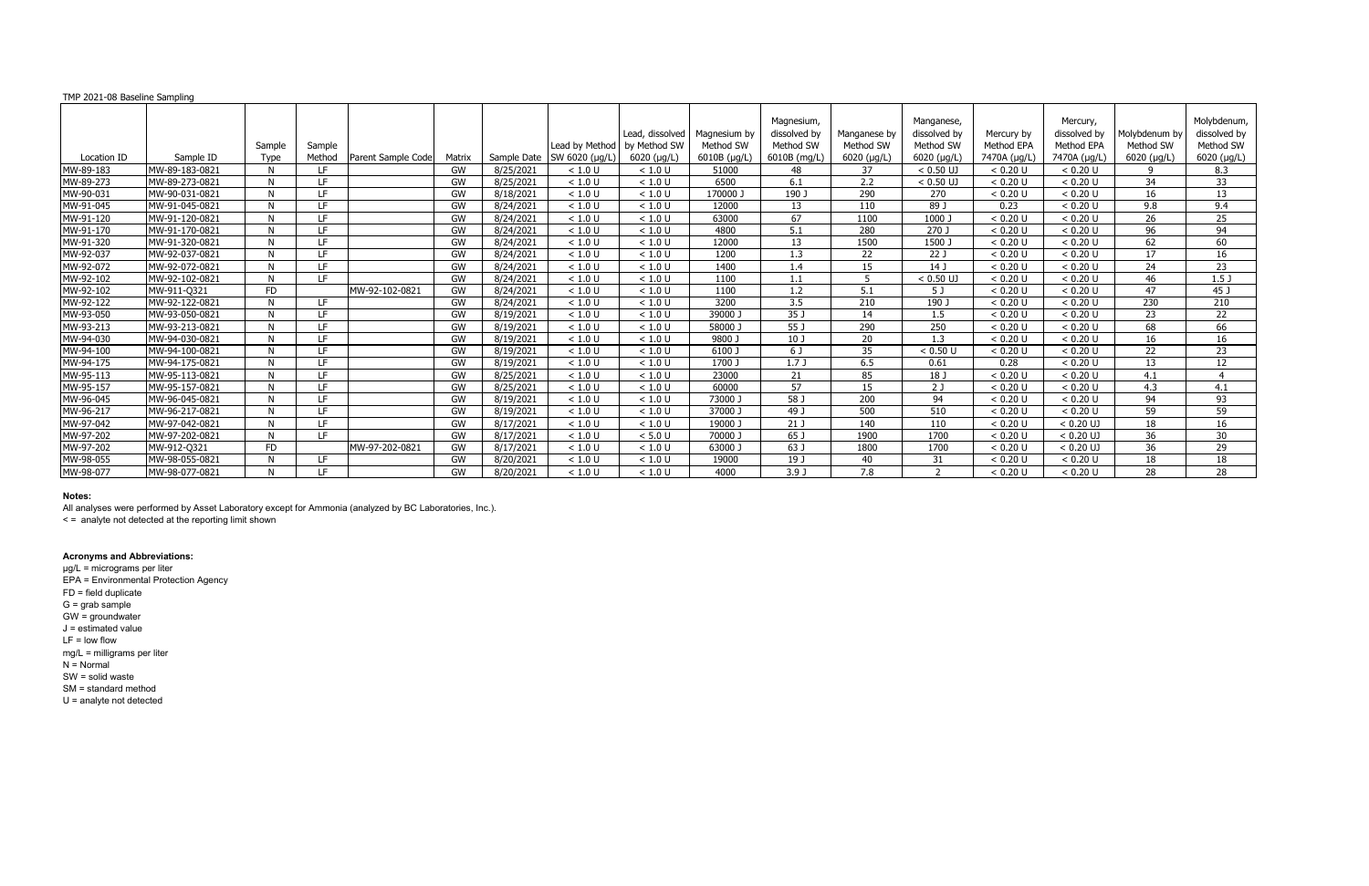All analyses were performed by Asset Laboratory except for Ammonia (analyzed by BC Laboratories, Inc.).

< = analyte not detected at the reporting limit shown

### **Acronyms and Abbreviations:**

| TMP 2021-08 Baseline Sampling |                |                       |                  |                    |        |             |                                          |                                                |                                           |                                                         |                                                  |                                                        |                                          |                                                        |                                                  |                                                         |
|-------------------------------|----------------|-----------------------|------------------|--------------------|--------|-------------|------------------------------------------|------------------------------------------------|-------------------------------------------|---------------------------------------------------------|--------------------------------------------------|--------------------------------------------------------|------------------------------------------|--------------------------------------------------------|--------------------------------------------------|---------------------------------------------------------|
| Location ID                   | Sample ID      | Sample<br><b>Type</b> | Sample<br>Method | Parent Sample Code | Matrix | Sample Date | Lead by Method<br>$SW 6020$ ( $\mu$ g/L) | Lead, dissolved<br>by Method SW<br>6020 (µg/L) | Magnesium by<br>Method SW<br>6010B (µg/L) | Magnesium,<br>dissolved by<br>Method SW<br>6010B (mg/L) | Manganese by<br>Method SW<br>$6020$ ( $\mu$ g/L) | Manganese,<br>dissolved by<br>Method SW<br>6020 (µg/L) | Mercury by<br>Method EPA<br>7470A (µg/L) | Mercury,<br>dissolved by<br>Method EPA<br>7470A (µg/L) | Molybdenum b<br>Method SW<br>$6020$ ( $\mu$ g/L) | Molybdenum,<br>dissolved by<br>Method SW<br>6020 (µg/L) |
| MW-89-183                     | MW-89-183-0821 | N.                    | LF.              |                    | GW     | 8/25/2021   | < 1.0 U                                  | < 1.0 U                                        | 51000                                     | 48                                                      | 37                                               | $< 0.50$ UJ                                            | < 0.20 U                                 | < 0.20 U                                               | q                                                | 8.3                                                     |
| MW-89-273                     | MW-89-273-0821 | N.                    | TE.              |                    | GW     | 8/25/2021   | < 1.0 U                                  | < 1.0 U                                        | 6500                                      | 6.1                                                     | 2.2                                              | $< 0.50$ UJ                                            | < 0.20 U                                 | < 0.20 U                                               | 34                                               | 33                                                      |
| MW-90-031                     | MW-90-031-0821 | N.                    | TE.              |                    | GW     | 8/18/2021   | < 1.0 U                                  | < 1.0 U                                        | 170000 J                                  | 190 J                                                   | 290                                              | 270                                                    | < 0.20 U                                 | < 0.20 U                                               | 16                                               | 13                                                      |
| MW-91-045                     | MW-91-045-0821 | N.                    | LF               |                    | GW     | 8/24/2021   | < 1.0 U                                  | < 1.0 U                                        | 12000                                     | 13                                                      | 110                                              | 89 J                                                   | 0.23                                     | < 0.20 U                                               | 9.8                                              | 9.4                                                     |
| MW-91-120                     | MW-91-120-0821 | N.                    | IF.              |                    | GW     | 8/24/2021   | < 1.0 U                                  | < 1.0 U                                        | 63000                                     | 67                                                      | 1100                                             | 1000                                                   | < 0.20 U                                 | < 0.20 U                                               | 26                                               | 25                                                      |
| MW-91-170                     | MW-91-170-0821 | N.                    | IF.              |                    | GW     | 8/24/2021   | < 1.0 U                                  | < 1.0 U                                        | 4800                                      | 5.1                                                     | 280                                              | 270 J                                                  | < 0.20 U                                 | < 0.20 U                                               | 96                                               | 94                                                      |
| MW-91-320                     | MW-91-320-0821 | N.                    | IF.              |                    | GW     | 8/24/2021   | < 1.0 U                                  | < 1.0 U                                        | 12000                                     | 13                                                      | 1500                                             | 1500 J                                                 | < 0.20 U                                 | < 0.20 U                                               | 62                                               | 60                                                      |
| MW-92-037                     | MW-92-037-0821 | N.                    | IF.              |                    | GW     | 8/24/2021   | < 1.0 U                                  | < 1.0 U                                        | 1200                                      | 1.3                                                     | 22                                               | 22 J                                                   | < 0.20 U                                 | < 0.20 U                                               | 17                                               | 16                                                      |
| MW-92-072                     | MW-92-072-0821 | N                     | LF               |                    | GW     | 8/24/2021   | < 1.0 U                                  | < 1.0 U                                        | 1400                                      | 1.4                                                     | 15                                               | 14 <sub>1</sub>                                        | < 0.20 U                                 | < 0.20 U                                               | 24                                               | 23                                                      |
| MW-92-102                     | MW-92-102-0821 | N.                    | LE.              |                    | GW     | 8/24/2021   | < 1.0 U                                  | < 1.0 U                                        | 1100                                      | 1.1                                                     | 5                                                | $< 0.50$ UJ                                            | < 0.20 U                                 | < 0.20 U                                               | 46                                               | 1.5 <sub>J</sub>                                        |
| MW-92-102                     | MW-911-Q321    | <b>FD</b>             |                  | MW-92-102-0821     | GW     | 8/24/2021   | < 1.0 U                                  | < 1.0 U                                        | 1100                                      | 1.2                                                     | 5.1                                              | 5 J                                                    | < 0.20 U                                 | < 0.20 U                                               | 47                                               | 45 J                                                    |
| MW-92-122                     | MW-92-122-0821 | N                     | <b>IF</b>        |                    | GW     | 8/24/2021   | $<1.0$ U                                 | < 1.0 U                                        | 3200                                      | 3.5                                                     | 210                                              | 190 J                                                  | < 0.20 U                                 | < 0.20 U                                               | 230                                              | 210                                                     |
| MW-93-050                     | MW-93-050-0821 | N.                    | LF               |                    | GW     | 8/19/2021   | < 1.0 U                                  | < 1.0 U                                        | 39000 J                                   | 35 J                                                    | 14                                               | 1.5                                                    | < 0.20 U                                 | < 0.20 U                                               | 23                                               | 22                                                      |
| MW-93-213                     | MW-93-213-0821 | N.                    | LF.              |                    | GW     | 8/19/2021   | < 1.0 U                                  | < 1.0 U                                        | 58000 J                                   | 55 J                                                    | 290                                              | 250                                                    | < 0.20 U                                 | < 0.20 U                                               | 68                                               | 66                                                      |
| MW-94-030                     | MW-94-030-0821 | N.                    | IF.              |                    | GW     | 8/19/2021   | < 1.0 U                                  | < 1.0 U                                        | 9800 J                                    | 10 <sub>J</sub>                                         | 20                                               | 1.3                                                    | < 0.20 U                                 | < 0.20 U                                               | 16                                               | 16                                                      |
| MW-94-100                     | MW-94-100-0821 | N                     | TE.              |                    | GW     | 8/19/2021   | < 1.0 U                                  | < 1.0 U                                        | 6100 J                                    | 6 J                                                     | 35                                               | < 0.50 U                                               | < 0.20 U                                 | < 0.20 U                                               | 22                                               | 23                                                      |
| MW-94-175                     | MW-94-175-0821 | N.                    | TE.              |                    | GW     | 8/19/2021   | < 1.0 U                                  | < 1.0 U                                        | 1700 J                                    | 1.7J                                                    | 6.5                                              | 0.61                                                   | 0.28                                     | < 0.20 U                                               | 13                                               | 12                                                      |
| MW-95-113                     | MW-95-113-0821 | N.                    | LF               |                    | GW     | 8/25/2021   | < 1.0 U                                  | < 1.0 U                                        | 23000                                     | 21                                                      | 85                                               | 18 J                                                   | < 0.20 U                                 | < 0.20 U                                               | 4.1                                              | $\boldsymbol{\Delta}$                                   |
| MW-95-157                     | MW-95-157-0821 | N                     | IF.              |                    | GW     | 8/25/2021   | < 1.0 U                                  | < 1.0 U                                        | 60000                                     | 57                                                      | 15                                               | 2J                                                     | < 0.20 U                                 | < 0.20 U                                               | 4.3                                              | 4.1                                                     |
| MW-96-045                     | MW-96-045-0821 | N.                    | IF.              |                    | GW     | 8/19/2021   | < 1.0 U                                  | < 1.0 U                                        | 73000 J                                   | 58 J                                                    | 200                                              | 94                                                     | < 0.20 U                                 | < 0.20 U                                               | 94                                               | 93                                                      |
| MW-96-217                     | MW-96-217-0821 | N.                    | LF               |                    | GW     | 8/19/2021   | < 1.0 U                                  | < 1.0 U                                        | 37000J                                    | 49 J                                                    | 500                                              | 510                                                    | < 0.20 U                                 | < 0.20 U                                               | 59                                               | 59                                                      |
| MW-97-042                     | MW-97-042-0821 | N.                    | LE.              |                    | GW     | 8/17/2021   | < 1.0 U                                  | < 1.0 U                                        | 19000                                     | 21 <sub>J</sub>                                         | 140                                              | 110                                                    | < 0.20 U                                 | $< 0.20$ UJ                                            | 18                                               | 16                                                      |
| MW-97-202                     | MW-97-202-0821 | N.                    | LE.              |                    | GW     | 8/17/2021   | < 1.0 U                                  | < 5.0 U                                        | 70000 J                                   | 65 J                                                    | 1900                                             | 1700                                                   | < 0.20 U                                 | $< 0.20$ UJ                                            | 36                                               | 30                                                      |
| MW-97-202                     | MW-912-Q321    | <b>FD</b>             |                  | MW-97-202-0821     | GW     | 8/17/2021   | < 1.0 U                                  | < 1.0 U                                        | 63000 J                                   | 63 J                                                    | 1800                                             | 1700                                                   | < 0.20 U                                 | $< 0.20$ UJ                                            | 36                                               | 29                                                      |
| MW-98-055                     | MW-98-055-0821 | N                     | LE.              |                    | GW     | 8/20/2021   | < 1.0 U                                  | < 1.0 U                                        | 19000                                     | 19 J                                                    | 40                                               | 31                                                     | < 0.20 U                                 | < 0.20 U                                               | 18                                               | 18                                                      |
| MW-98-077                     | MW-98-077-0821 | N                     | TE.              |                    | GW     | 8/20/2021   | < 1.0 U                                  | < 1.0 U                                        | 4000                                      | 3.9J                                                    | 7.8                                              |                                                        | < 0.20 U                                 | < 0.20 U                                               | 28                                               | 28                                                      |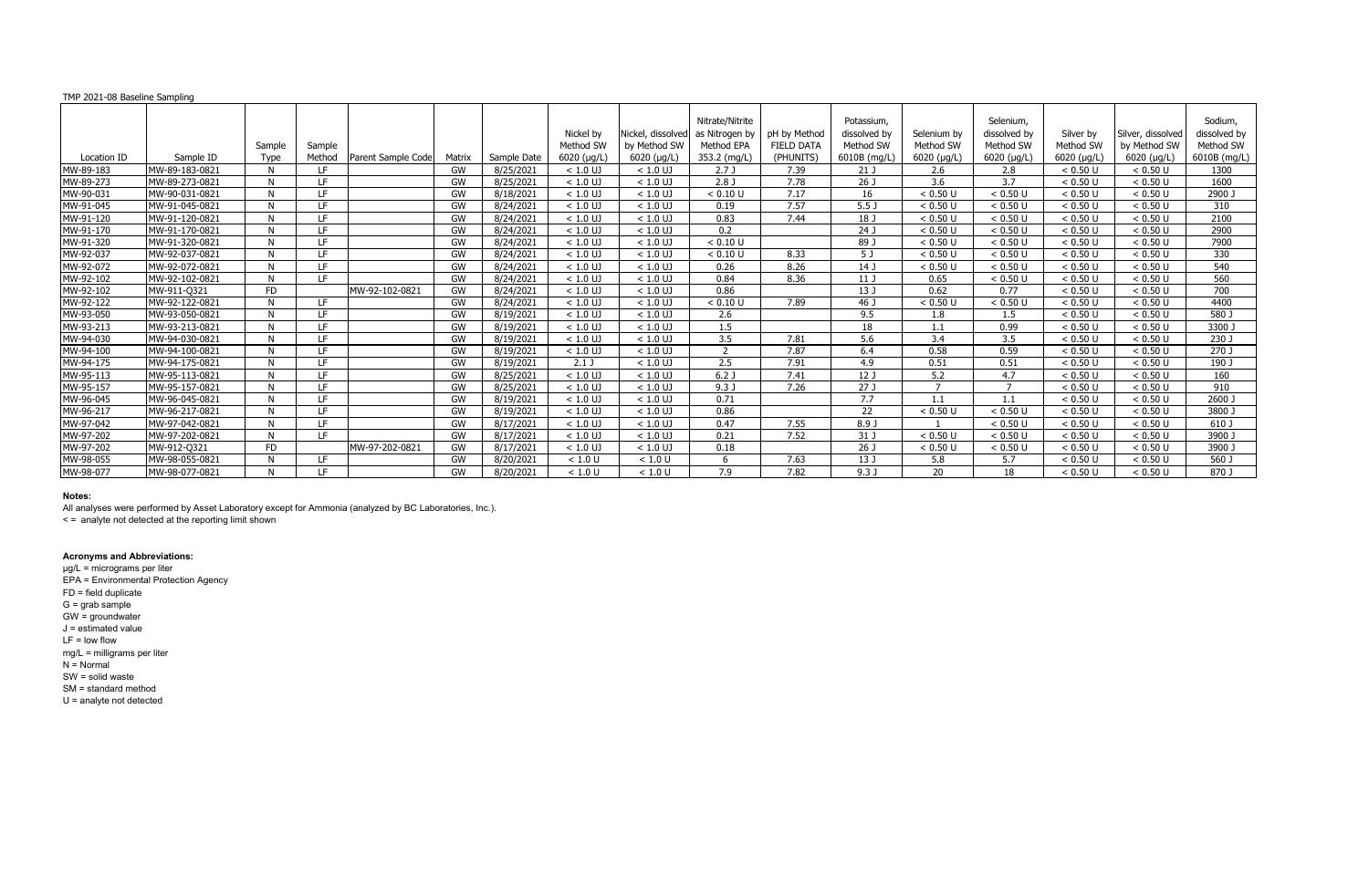All analyses were performed by Asset Laboratory except for Ammonia (analyzed by BC Laboratories, Inc.).

< = analyte not detected at the reporting limit shown

# **Acronyms and Abbreviations:**

| TMP 2021-08 Baseline Sampling |                |                |                  |                    |        |             |                                               |                                                          |                                                                 |                                                |                                                         |                                                 |                                                               |                                               |                                                          |                                                      |
|-------------------------------|----------------|----------------|------------------|--------------------|--------|-------------|-----------------------------------------------|----------------------------------------------------------|-----------------------------------------------------------------|------------------------------------------------|---------------------------------------------------------|-------------------------------------------------|---------------------------------------------------------------|-----------------------------------------------|----------------------------------------------------------|------------------------------------------------------|
| Location ID                   | Sample ID      | Sample<br>Type | Sample<br>Method | Parent Sample Code | Matrix | Sample Date | Nickel by<br>Method SW<br>$6020$ ( $\mu$ g/L) | Nickel, dissolved<br>by Method SW<br>$6020$ ( $\mu$ g/L) | Nitrate/Nitrite<br>as Nitrogen by<br>Method EPA<br>353.2 (mg/L) | pH by Method<br><b>FIELD DATA</b><br>(PHUNITS) | Potassium,<br>dissolved by<br>Method SW<br>6010B (mg/L) | Selenium by<br>Method SW<br>$6020$ ( $\mu$ g/L) | Selenium,<br>dissolved by<br>Method SW<br>$6020$ ( $\mu$ g/L) | Silver by<br>Method SW<br>$6020$ ( $\mu$ g/L) | Silver, dissolved<br>by Method SW<br>$6020$ ( $\mu$ g/L) | Sodium,<br>dissolved by<br>Method SW<br>6010B (mg/L) |
| MW-89-183                     | MW-89-183-0821 | N.             | LF.              |                    | GW     | 8/25/2021   | $< 1.0$ UJ                                    | $< 1.0$ UJ                                               | 2.7J                                                            | 7.39                                           | 21J                                                     | 2.6                                             | 2.8                                                           | < 0.50 U                                      | < 0.50 U                                                 | 1300                                                 |
| MW-89-273                     | MW-89-273-0821 | N.             | IF.              |                    | GW     | 8/25/2021   | $< 1.0$ UJ                                    | $< 1.0$ UJ                                               | 2.8 <sub>J</sub>                                                | 7.78                                           | 26 J                                                    | 3.6                                             | 3.7                                                           | < 0.50 U                                      | < 0.50 U                                                 | 1600                                                 |
| MW-90-031                     | MW-90-031-0821 | N.             | LE.              |                    | GW     | 8/18/2021   | $< 1.0$ UJ                                    | $< 1.0$ UJ                                               | < 0.10 U                                                        | 7.17                                           | 16                                                      | < 0.50 U                                        | < 0.50 U                                                      | < 0.50 U                                      | < 0.50 U                                                 | 2900                                                 |
| MW-91-045                     | MW-91-045-0821 | N.             | LF               |                    | GW     | 8/24/2021   | $< 1.0$ UJ                                    | $< 1.0$ UJ                                               | 0.19                                                            | 7.57                                           | 5.5 <sub>J</sub>                                        | < 0.50 U                                        | < 0.50 U                                                      | < 0.50 U                                      | < 0.50 U                                                 | 310                                                  |
| MW-91-120                     | MW-91-120-0821 | N.             | IF.              |                    | GW     | 8/24/2021   | $< 1.0$ UJ                                    | $< 1.0$ UJ                                               | 0.83                                                            | 7.44                                           | 18 J                                                    | < 0.50 U                                        | < 0.50 U                                                      | < 0.50 U                                      | < 0.50 U                                                 | 2100                                                 |
| MW-91-170                     | MW-91-170-0821 | N.             | IF.              |                    | GW     | 8/24/2021   | $< 1.0$ UJ                                    | $< 1.0$ UJ                                               | 0.2                                                             |                                                | 24 J                                                    | < 0.50 U                                        | < 0.50 U                                                      | < 0.50 U                                      | < 0.50 U                                                 | 2900                                                 |
| MW-91-320                     | MW-91-320-0821 | N.             | IF.              |                    | GW     | 8/24/2021   | $< 1.0$ UJ                                    | $< 1.0$ UJ                                               | < 0.10 U                                                        |                                                | 89 J                                                    | < 0.50 U                                        | < 0.50 U                                                      | < 0.50 U                                      | < 0.50 U                                                 | 7900                                                 |
| MW-92-037                     | MW-92-037-0821 | N.             | IF.              |                    | GW     | 8/24/2021   | $< 1.0$ UJ                                    | $< 1.0$ UJ                                               | < 0.10 U                                                        | 8.33                                           | 5 J                                                     | < 0.50 U                                        | < 0.50 U                                                      | < 0.50 U                                      | < 0.50 U                                                 | 330                                                  |
| MW-92-072                     | MW-92-072-0821 | N              | LF               |                    | GW     | 8/24/2021   | $< 1.0$ UJ                                    | $< 1.0$ UJ                                               | 0.26                                                            | 8.26                                           | 14J                                                     | < 0.50 U                                        | < 0.50 U                                                      | < 0.50 U                                      | < 0.50 U                                                 | 540                                                  |
| MW-92-102                     | MW-92-102-0821 | N.             | LE.              |                    | GW     | 8/24/2021   | $< 1.0$ UJ                                    | $< 1.0$ UJ                                               | 0.84                                                            | 8.36                                           | 11J                                                     | 0.65                                            | < 0.50 U                                                      | < 0.50 U                                      | < 0.50 U                                                 | 560                                                  |
| MW-92-102                     | MW-911-Q321    | <b>FD</b>      |                  | MW-92-102-0821     | GW     | 8/24/2021   | $< 1.0$ UJ                                    | $< 1.0$ UJ                                               | 0.86                                                            |                                                | 13J                                                     | 0.62                                            | 0.77                                                          | < 0.50 U                                      | < 0.50 U                                                 | 700                                                  |
| MW-92-122                     | MW-92-122-0821 | N              | <b>IF</b>        |                    | GW     | 8/24/2021   | $< 1.0$ UJ                                    | $< 1.0$ UJ                                               | < 0.10 U                                                        | 7.89                                           | 46 J                                                    | < 0.50 U                                        | < 0.50 U                                                      | < 0.50 U                                      | < 0.50 U                                                 | 4400                                                 |
| MW-93-050                     | MW-93-050-0821 | N.             | LF               |                    | GW     | 8/19/2021   | $< 1.0$ UJ                                    | $< 1.0$ UJ                                               | 2.6                                                             |                                                | 9.5                                                     | 1.8                                             | 1.5                                                           | < 0.50 U                                      | < 0.50 U                                                 | 580 J                                                |
| MW-93-213                     | MW-93-213-0821 | N.             | LF.              |                    | GW     | 8/19/2021   | $< 1.0$ UJ                                    | $< 1.0$ UJ                                               | 1.5                                                             |                                                | 18                                                      | 1.1                                             | 0.99                                                          | < 0.50 U                                      | < 0.50 U                                                 | 3300 J                                               |
| MW-94-030                     | MW-94-030-0821 | N.             | IF.              |                    | GW     | 8/19/2021   | $< 1.0$ UJ                                    | $< 1.0$ UJ                                               | 3.5                                                             | 7.81                                           | 5.6                                                     | 3.4                                             | 3.5                                                           | < 0.50 U                                      | < 0.50 U                                                 | 230 J                                                |
| MW-94-100                     | MW-94-100-0821 | N              | IF.              |                    | GW     | 8/19/2021   | $< 1.0$ UJ                                    | $< 1.0$ UJ                                               |                                                                 | 7.87                                           | 6.4                                                     | 0.58                                            | 0.59                                                          | < 0.50 U                                      | < 0.50 U                                                 | 270 J                                                |
| MW-94-175                     | MW-94-175-0821 | N.             | TE.              |                    | GW     | 8/19/2021   | $2.1$ J                                       | $< 1.0$ UJ                                               | 2.5                                                             | 7.91                                           | 4.9                                                     | 0.51                                            | 0.51                                                          | < 0.50 U                                      | < 0.50 U                                                 | 190 J                                                |
| MW-95-113                     | MW-95-113-0821 | N.             | LF               |                    | GW     | 8/25/2021   | $< 1.0$ UJ                                    | $< 1.0$ UJ                                               | 6.2J                                                            | 7.41                                           | 12 <sub>J</sub>                                         | 5.2                                             | 4.7                                                           | < 0.50 U                                      | < 0.50 U                                                 | 160                                                  |
| MW-95-157                     | MW-95-157-0821 | N              | IF.              |                    | GW     | 8/25/2021   | $< 1.0$ UJ                                    | $< 1.0$ UJ                                               | 9.3J                                                            | 7.26                                           | 27J                                                     |                                                 | $\overline{ }$                                                | < 0.50 U                                      | < 0.50 U                                                 | 910                                                  |
| MW-96-045                     | MW-96-045-0821 | N.             | IF.              |                    | GW     | 8/19/2021   | $< 1.0$ UJ                                    | $< 1.0$ UJ                                               | 0.71                                                            |                                                | 7.7                                                     |                                                 | 1.1                                                           | $< 0.50$ U                                    | < 0.50 U                                                 | 2600 J                                               |
| MW-96-217                     | MW-96-217-0821 | N.             | LF               |                    | GW     | 8/19/2021   | $< 1.0$ UJ                                    | $< 1.0$ UJ                                               | 0.86                                                            |                                                | 22                                                      | < 0.50 U                                        | < 0.50 U                                                      | $< 0.50$ U                                    | < 0.50 U                                                 | 3800 J                                               |
| MW-97-042                     | MW-97-042-0821 | N.             | LE.              |                    | GW     | 8/17/2021   | $< 1.0$ UJ                                    | $< 1.0$ UJ                                               | 0.47                                                            | 7.55                                           | 8.9 <sup>°</sup>                                        |                                                 | < 0.50 U                                                      | < 0.50 U                                      | < 0.50 U                                                 | 610 J                                                |
| MW-97-202                     | MW-97-202-0821 | N.             | TE.              |                    | GW     | 8/17/2021   | $< 1.0$ UJ                                    | $< 1.0$ UJ                                               | 0.21                                                            | 7.52                                           | 31 J                                                    | < 0.50 U                                        | < 0.50 U                                                      | < 0.50 U                                      | < 0.50 U                                                 | 3900 J                                               |
| MW-97-202                     | MW-912-Q321    | <b>FD</b>      |                  | MW-97-202-0821     | GW     | 8/17/2021   | $< 1.0$ UJ                                    | $< 1.0$ UJ                                               | 0.18                                                            |                                                | 26 J                                                    | < 0.50 U                                        | < 0.50 U                                                      | < 0.50 U                                      | < 0.50 U                                                 | 3900 J                                               |
| MW-98-055                     | MW-98-055-0821 | N              | IF.              |                    | GW     | 8/20/2021   | < 1.0 U                                       | < 1.0 U                                                  | 6                                                               | 7.63                                           | 13J                                                     | 5.8                                             | 5.7                                                           | < 0.50 U                                      | < 0.50 U                                                 | $560$ J                                              |
| MW-98-077                     | MW-98-077-0821 | N              | TE.              |                    | GW     | 8/20/2021   | < 1.0 U                                       | < 1.0 U                                                  | 7.9                                                             | 7.82                                           | 9.3J                                                    | 20                                              | 18                                                            | < 0.50 U                                      | < 0.50 U                                                 | 870 J                                                |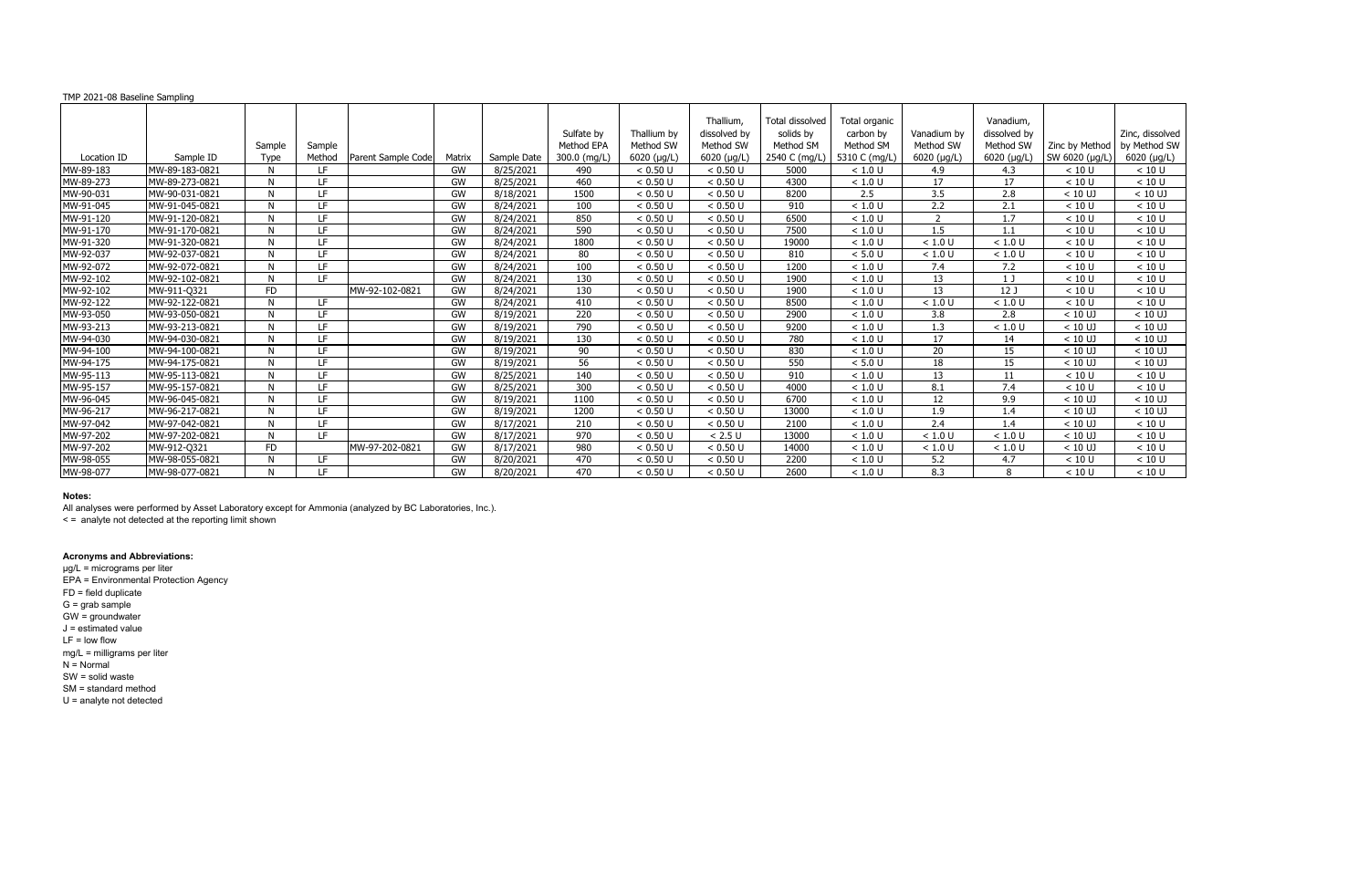All analyses were performed by Asset Laboratory except for Ammonia (analyzed by BC Laboratories, Inc.).

< = analyte not detected at the reporting limit shown

# **Acronyms and Abbreviations:**

| TMP 2021-08 Baseline Sampling |                |                |                  |                    |           |             |                                          |                                                 |                                                               |                                                            |                                                          |                                                 |                                                            |                                  |                                                |
|-------------------------------|----------------|----------------|------------------|--------------------|-----------|-------------|------------------------------------------|-------------------------------------------------|---------------------------------------------------------------|------------------------------------------------------------|----------------------------------------------------------|-------------------------------------------------|------------------------------------------------------------|----------------------------------|------------------------------------------------|
| Location ID                   | Sample ID      | Sample<br>Type | Sample<br>Method | Parent Sample Code | Matrix    | Sample Date | Sulfate by<br>Method EPA<br>300.0 (mg/L) | Thallium by<br>Method SW<br>$6020$ ( $\mu$ g/L) | Thallium,<br>dissolved by<br>Method SW<br>$6020$ ( $\mu$ g/L) | Total dissolved<br>solids by<br>Method SM<br>2540 C (mg/L) | Total organic<br>carbon by<br>Method SM<br>5310 C (mg/L) | Vanadium by<br>Method SW<br>$6020$ ( $\mu$ g/L) | Vanadium,<br>dissolved by<br>Method SW<br>6020 $(\mu g/L)$ | Zinc by Method<br>SW 6020 (µg/L) | Zinc, dissolved<br>by Method SW<br>6020 (µg/L) |
| MW-89-183                     | MW-89-183-0821 | N              | LF.              |                    | GW        | 8/25/2021   | 490                                      | < 0.50 U                                        | < 0.50 U                                                      | 5000                                                       | < 1.0 U                                                  | 4.9                                             | 4.3                                                        | < 10 U                           | < 10 U                                         |
| MW-89-273                     | MW-89-273-0821 | N              | <b>IF</b>        |                    | GW        | 8/25/2021   | 460                                      | < 0.50 U                                        | < 0.50 U                                                      | 4300                                                       | < 1.0 U                                                  | 17                                              | 17                                                         | < 10 U                           | < 10 U                                         |
| MW-90-031                     | MW-90-031-0821 | N              | <b>IF</b>        |                    | <b>GW</b> | 8/18/2021   | 1500                                     | < 0.50 U                                        | < 0.50 U                                                      | 8200                                                       | $\overline{2.5}$                                         | $\overline{3.5}$                                | $\overline{2.8}$                                           | $< 10$ UJ                        | $< 10$ UJ                                      |
| MW-91-045                     | MW-91-045-0821 | N              | LF               |                    | <b>GW</b> | 8/24/2021   | 100                                      | < 0.50 U                                        | < 0.50 U                                                      | 910                                                        | < 1.0 U                                                  | 2.2                                             | 2.1                                                        | < 10 U                           | < 10 U                                         |
| MW-91-120                     | MW-91-120-0821 | N              | <b>IF</b>        |                    | <b>GW</b> | 8/24/2021   | 850                                      | < 0.50 U                                        | < 0.50 U                                                      | 6500                                                       | < 1.0 U                                                  | 2                                               | 1.7                                                        | < 10 U                           | < 10 U                                         |
| MW-91-170                     | MW-91-170-0821 | N              | LF               |                    | <b>GW</b> | 8/24/2021   | 590                                      | < 0.50 U                                        | < 0.50 U                                                      | 7500                                                       | < 1.0 U                                                  | 1.5                                             | 1.1                                                        | < 10 U                           | < 10 U                                         |
| MW-91-320                     | MW-91-320-0821 | N              | LF               |                    | GW        | 8/24/2021   | 1800                                     | < 0.50 U                                        | < 0.50 U                                                      | 19000                                                      | < 1.0 U                                                  | < 1.0 U                                         | < 1.0 U                                                    | < 10 U                           | < 10 U                                         |
| MW-92-037                     | MW-92-037-0821 | N              | <b>IF</b>        |                    | <b>GW</b> | 8/24/2021   | 80                                       | < 0.50 U                                        | < 0.50 U                                                      | 810                                                        | < 5.0 U                                                  | < 1.0 U                                         | < 1.0 U                                                    | < 10 U                           | < 10 U                                         |
| MW-92-072                     | MW-92-072-0821 | N              | LF               |                    | <b>GW</b> | 8/24/2021   | 100                                      | < 0.50 U                                        | < 0.50 U                                                      | 1200                                                       | < 1.0 U                                                  | 7.4                                             | 7.2                                                        | < 10 U                           | < 10 U                                         |
| MW-92-102                     | MW-92-102-0821 | N              | <b>IF</b>        |                    | <b>GW</b> | 8/24/2021   | 130                                      | < 0.50 U                                        | < 0.50 U                                                      | 1900                                                       | < 1.0 U                                                  | 13                                              | 1 J                                                        | < 10 U                           | < 10 U                                         |
| MW-92-102                     | MW-911-0321    | FD.            |                  | MW-92-102-0821     | <b>GW</b> | 8/24/2021   | 130                                      | < 0.50 U                                        | < 0.50 U                                                      | 1900                                                       | < 1.0 U                                                  | 13                                              | 12 <sub>J</sub>                                            | < 10 U                           | < 10 U                                         |
| MW-92-122                     | MW-92-122-0821 | N              | LF               |                    | GW        | 8/24/2021   | 410                                      | < 0.50 U                                        | < 0.50 U                                                      | 8500                                                       | < 1.0 U                                                  | < 1.0 U                                         | < 1.0 U                                                    | < 10 U                           | < 10 U                                         |
| MW-93-050                     | MW-93-050-0821 | N              | LF               |                    | <b>GW</b> | 8/19/2021   | $\overline{220}$                         | < 0.50 U                                        | < 0.50 U                                                      | 2900                                                       | < 1.0 U                                                  | 3.8                                             | 2.8                                                        | $< 10$ UJ                        | $< 10$ UJ                                      |
| MW-93-213                     | MW-93-213-0821 | N              | <b>IF</b>        |                    | GW        | 8/19/2021   | 790                                      | < 0.50 U                                        | < 0.50 U                                                      | 9200                                                       | < 1.0 U                                                  | 1.3                                             | < 1.0 U                                                    | $< 10$ UJ                        | $< 10$ UJ                                      |
| MW-94-030                     | MW-94-030-0821 | N              | <b>IF</b>        |                    | <b>GW</b> | 8/19/2021   | 130                                      | < 0.50 U                                        | < 0.50 U                                                      | 780                                                        | < 1.0 U                                                  | 17                                              | 14                                                         | $< 10$ UJ                        | $< 10$ UJ                                      |
| MW-94-100                     | MW-94-100-0821 | N              | <b>IF</b>        |                    | <b>GW</b> | 8/19/2021   | 90                                       | < 0.50 U                                        | < 0.50 U                                                      | 830                                                        | < 1.0 U                                                  | 20                                              | 15                                                         | $< 10$ UJ                        | $< 10$ UJ                                      |
| MW-94-175                     | MW-94-175-0821 | N              | <b>IF</b>        |                    | GW        | 8/19/2021   | 56                                       | < 0.50 U                                        | < 0.50 U                                                      | 550                                                        | < 5.0 U                                                  | 18                                              | 15                                                         | $< 10$ UJ                        | $< 10$ UJ                                      |
| MW-95-113                     | MW-95-113-0821 | N              | LF               |                    | GW        | 8/25/2021   | 140                                      | < 0.50 U                                        | < 0.50 U                                                      | 910                                                        | < 1.0 U                                                  | 13                                              | 11                                                         | < 10 U                           | < 10 U                                         |
| MW-95-157                     | MW-95-157-0821 | N              | <b>IF</b>        |                    | <b>GW</b> | 8/25/2021   | 300                                      | < 0.50 U                                        | < 0.50 U                                                      | 4000                                                       | < 1.0 U                                                  | 8.1                                             | 7.4                                                        | < 10 U                           | < 10 U                                         |
| MW-96-045                     | MW-96-045-0821 | N              | <b>IF</b>        |                    | GW        | 8/19/2021   | 1100                                     | < 0.50 U                                        | < 0.50 U                                                      | 6700                                                       | < 1.0 U                                                  | 12                                              | 9.9                                                        | $< 10$ UJ                        | $< 10$ UJ                                      |
| MW-96-217                     | MW-96-217-0821 | N              | LF               |                    | <b>GW</b> | 8/19/2021   | 1200                                     | < 0.50 U                                        | < 0.50 U                                                      | 13000                                                      | < 1.0 U                                                  | 1.9                                             | 1.4                                                        | $< 10$ UJ                        | $< 10$ UJ                                      |
| MW-97-042                     | MW-97-042-0821 | N              | <b>IF</b>        |                    | <b>GW</b> | 8/17/2021   | 210                                      | < 0.50 U                                        | < 0.50 U                                                      | 2100                                                       | < 1.0 U                                                  | 2.4                                             | 1.4                                                        | $< 10$ UJ                        | < 10 U                                         |
| MW-97-202                     | MW-97-202-0821 | N              | <b>IF</b>        |                    | GW        | 8/17/2021   | 970                                      | < 0.50 U                                        | < 2.5 U                                                       | 13000                                                      | < 1.0 U                                                  | < 1.0 U                                         | < 1.0 U                                                    | $< 10$ UJ                        | < 10 U                                         |
| MW-97-202                     | MW-912-Q321    | FD.            |                  | MW-97-202-0821     | GW        | 8/17/2021   | 980                                      | < 0.50 U                                        | < 0.50 U                                                      | 14000                                                      | < 1.0 U                                                  | < 1.0 U                                         | < 1.0 U                                                    | $< 10$ UJ                        | < 10 U                                         |
| MW-98-055                     | MW-98-055-0821 | N              | <b>IF</b>        |                    | <b>GW</b> | 8/20/2021   | 470                                      | < 0.50 U                                        | < 0.50 U                                                      | 2200                                                       | < 1.0 U                                                  | 5.2                                             | 4.7                                                        | < 10 U                           | < 10 U                                         |
| MW-98-077                     | MW-98-077-0821 | N              | <b>IF</b>        |                    | GW        | 8/20/2021   | 470                                      | < 0.50 U                                        | < 0.50 U                                                      | 2600                                                       | < 1.0 U                                                  | 8.3                                             | 8                                                          | < 10 U                           | < 10 U                                         |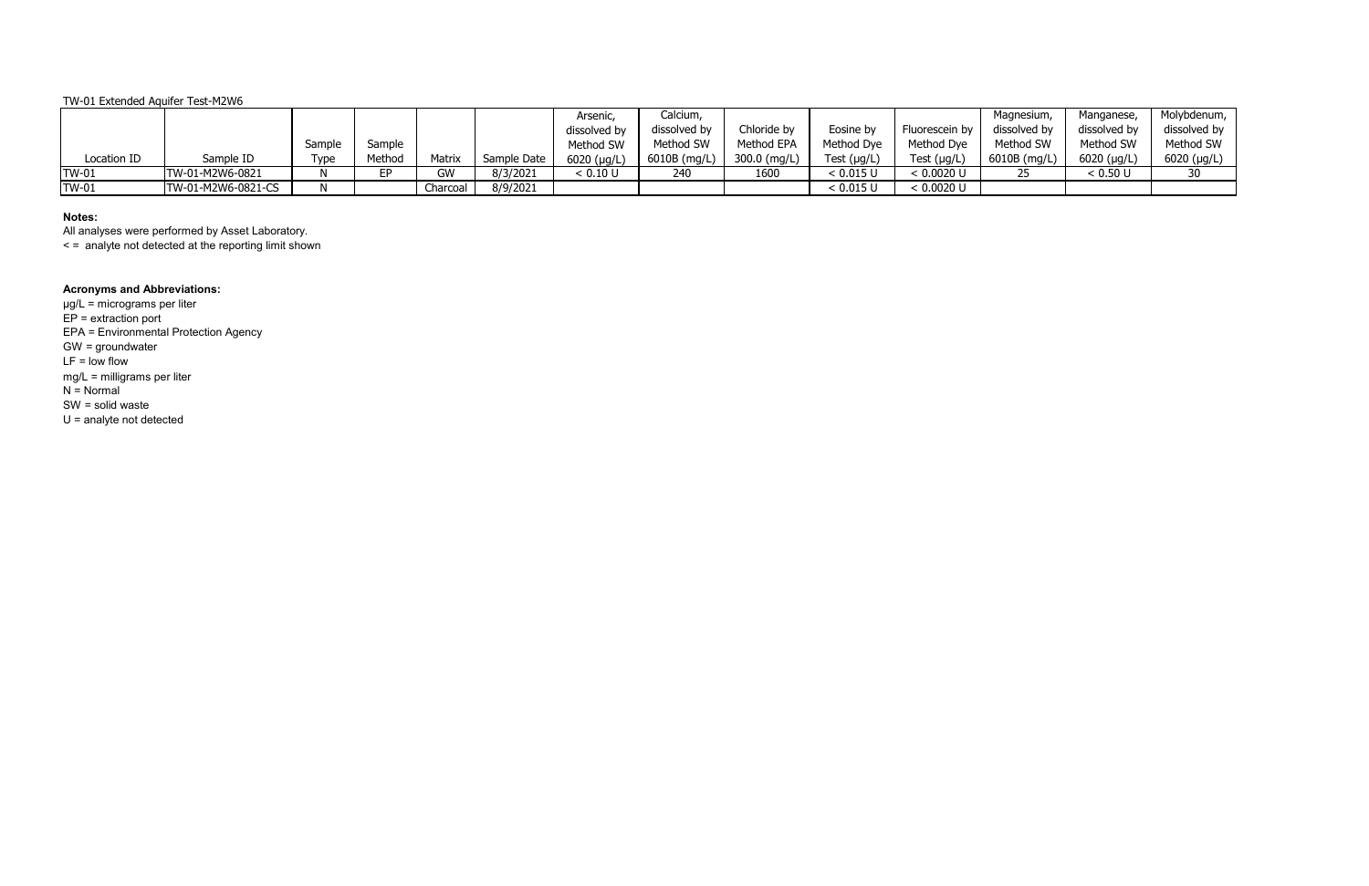|              |                    |        |        |          |             | Arsenic,      | Calcium,     |              |                  |                  | Magnesium,   | Manganese,   | Molybdenum,         |
|--------------|--------------------|--------|--------|----------|-------------|---------------|--------------|--------------|------------------|------------------|--------------|--------------|---------------------|
|              |                    |        |        |          |             | dissolved by  | dissolved by | Chloride by  | Eosine by        | Fluorescein by   | dissolved by | dissolved by | dissolved by        |
|              |                    | Sample | Sample |          |             | Method SW     | Method SW    | Method EPA   | Method Dye       | Method Dye       | Method SW    | Method SW    | Method SW           |
| Location ID  | Sample ID          | Type   | Method | Matrix   | Sample Date | $6020$ (µg/L) | 6010B (mg/L) | 300.0 (mg/L) | Test $(\mu g/L)$ | Test $(\mu g/L)$ | 6010B (mg/L) | 6020 (µg/L)  | $6020$ ( $\mu$ g/L) |
| <b>TW-01</b> | TW-01-M2W6-0821    |        | FD     | GW       | 8/3/2021    | < 0.10 U      | 240          | 1600         | $< 0.015$ L      | < 0.0020 U       |              | < 0.50 U     |                     |
| <b>TW-01</b> | TW-01-M2W6-0821-CS |        |        | Charcoal | 8/9/2021    |               |              |              | < 0.015          | < 0.0020 U       |              |              |                     |

# **Notes:**

All analyses were performed by Asset Laboratory.

< = analyte not detected at the reporting limit shown

# **Acronyms and Abbreviations:**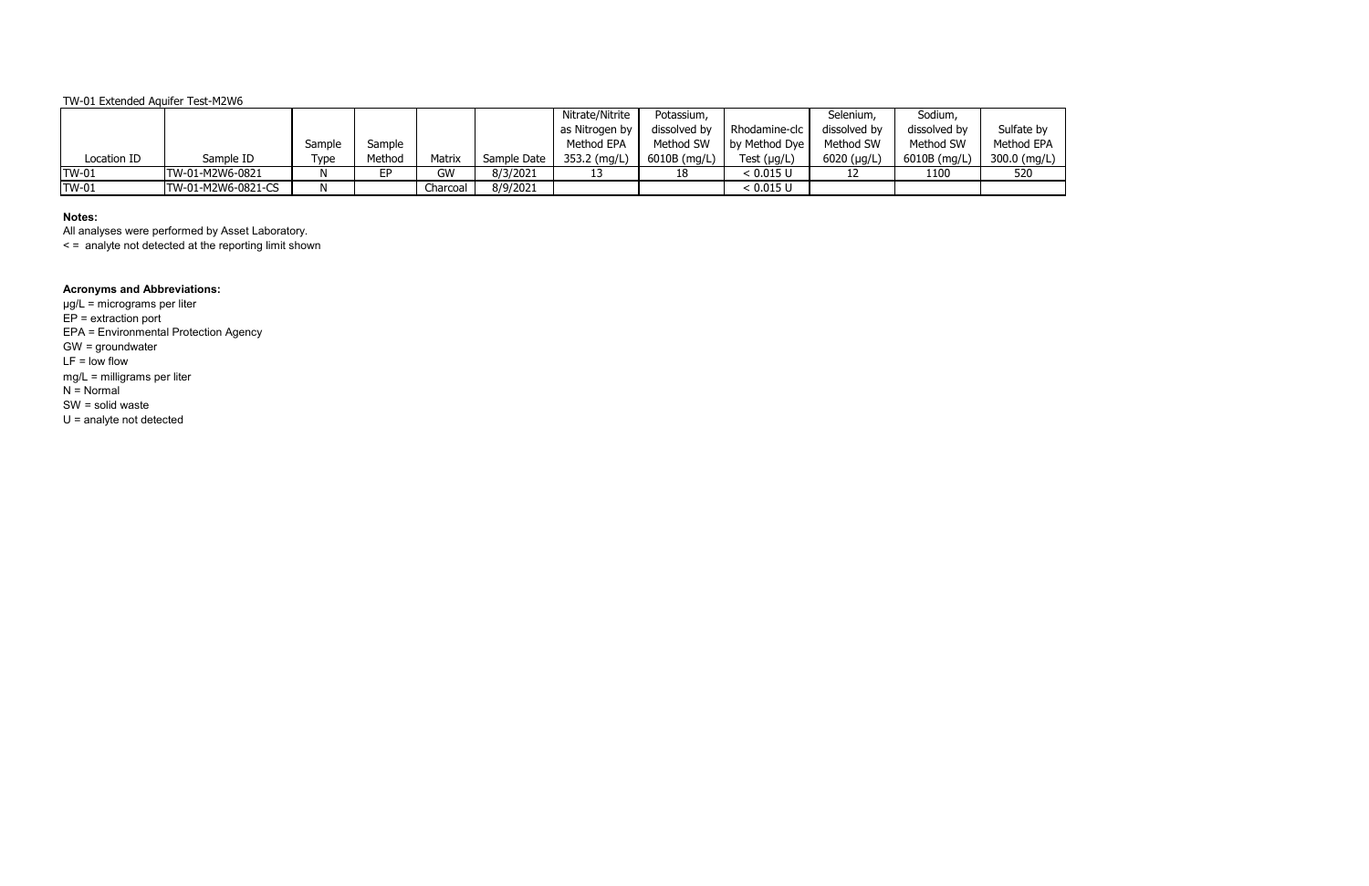# **Notes:**

All analyses were performed by Asset Laboratory.

< = analyte not detected at the reporting limit shown

# **Acronyms and Abbreviations:**

|              |                    |        |        |          |             | Nitrate/Nitrite | Potassium,     |               | Selenium,    | Sodium,      |              |
|--------------|--------------------|--------|--------|----------|-------------|-----------------|----------------|---------------|--------------|--------------|--------------|
|              |                    |        |        |          |             | as Nitrogen by  | dissolved by   | Rhodamine-clc | dissolved by | dissolved by | Sulfate by   |
|              |                    | Sample | Sample |          |             | Method EPA      | Method SW      | by Method Dye | Method SW    | Method SW    | Method EPA   |
| Location ID  | Sample ID          | Type   | Method | Matrix   | Sample Date | 353.2 (mg/L)    | $6010B$ (mg/L) | Test (µg/L)   | 6020 (µg/L)  | 6010B (mg/L) | 300.0 (mg/L) |
| <b>TW-01</b> | TW-01-M2W6-0821    |        | EР     | GW       | 8/3/2021    |                 | 18             | < 0.015 U     |              | 1100         | 520          |
| <b>TW-01</b> | TW-01-M2W6-0821-CS |        |        | Charcoal | 8/9/2021    |                 |                | < 0.015 U     |              |              |              |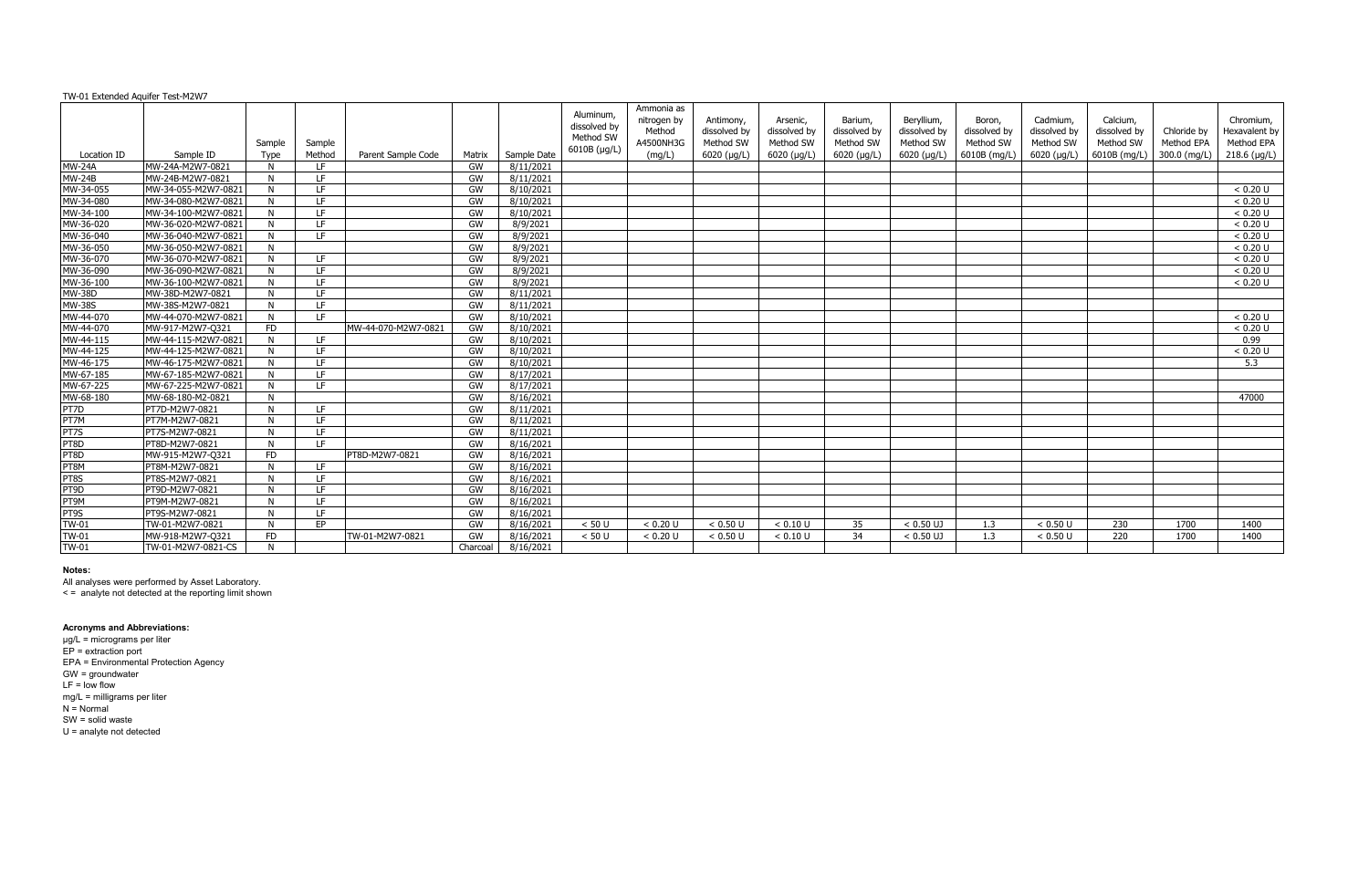| TW-01 Extended Aquifer Test-M2W7 |                     |                |                  |                     |          |             |                                                        |                                                            |                                                       |                                                      |                                                     |                                                        |                                                     |                                                        |                                                       |                                           |                                                            |
|----------------------------------|---------------------|----------------|------------------|---------------------|----------|-------------|--------------------------------------------------------|------------------------------------------------------------|-------------------------------------------------------|------------------------------------------------------|-----------------------------------------------------|--------------------------------------------------------|-----------------------------------------------------|--------------------------------------------------------|-------------------------------------------------------|-------------------------------------------|------------------------------------------------------------|
| Location ID                      | Sample ID           | Sample<br>Type | Sample<br>Method | Parent Sample Code  | Matrix   | Sample Date | Aluminum,<br>dissolved by<br>Method SW<br>6010B (µg/L) | Ammonia as<br>nitrogen by<br>Method<br>A4500NH3G<br>(mg/L) | Antimony,<br>dissolved by<br>Method SW<br>6020 (µg/L) | Arsenic,<br>dissolved by<br>Method SW<br>6020 (µg/L) | Barium,<br>dissolved by<br>Method SW<br>6020 (µg/L) | Beryllium,<br>dissolved by<br>Method SW<br>6020 (µg/L) | Boron,<br>dissolved by<br>Method SW<br>6010B (mg/L) | Cadmium.<br>dissolved by<br>Method SW<br>$6020$ (µg/L) | Calcium.<br>dissolved by<br>Method SW<br>6010B (mg/L) | Chloride by<br>Method EPA<br>300.0 (mg/L) | Chromium,<br>Hexavalent by<br>Method EPA<br>$218.6$ (µg/L) |
| <b>MW-24A</b>                    | MW-24A-M2W7-0821    | N              | IF.              |                     | GW       | 8/11/2021   |                                                        |                                                            |                                                       |                                                      |                                                     |                                                        |                                                     |                                                        |                                                       |                                           |                                                            |
| <b>MW-24B</b>                    | MW-24B-M2W7-0821    | N              | LE.              |                     | GW       | 8/11/2021   |                                                        |                                                            |                                                       |                                                      |                                                     |                                                        |                                                     |                                                        |                                                       |                                           |                                                            |
| MW-34-055                        | MW-34-055-M2W7-0821 | N              | IF.              |                     | GW       | 8/10/2021   |                                                        |                                                            |                                                       |                                                      |                                                     |                                                        |                                                     |                                                        |                                                       |                                           | < 0.20 U                                                   |
| MW-34-080                        | MW-34-080-M2W7-0821 | N              | LE.              |                     | GW       | 8/10/2021   |                                                        |                                                            |                                                       |                                                      |                                                     |                                                        |                                                     |                                                        |                                                       |                                           | < 0.20 U                                                   |
| MW-34-100                        | MW-34-100-M2W7-0821 | N              | LE.              |                     | GW       | 8/10/2021   |                                                        |                                                            |                                                       |                                                      |                                                     |                                                        |                                                     |                                                        |                                                       |                                           | < 0.20 U                                                   |
| MW-36-020                        | MW-36-020-M2W7-0821 | N              | LF.              |                     | GW       | 8/9/2021    |                                                        |                                                            |                                                       |                                                      |                                                     |                                                        |                                                     |                                                        |                                                       |                                           | < 0.20 U                                                   |
| MW-36-040                        | MW-36-040-M2W7-0821 | N              | LF.              |                     | GW       | 8/9/2021    |                                                        |                                                            |                                                       |                                                      |                                                     |                                                        |                                                     |                                                        |                                                       |                                           | < 0.20 U                                                   |
| MW-36-050                        | MW-36-050-M2W7-0821 | N              |                  |                     | GW       | 8/9/2021    |                                                        |                                                            |                                                       |                                                      |                                                     |                                                        |                                                     |                                                        |                                                       |                                           | < 0.20 U                                                   |
| MW-36-070                        | MW-36-070-M2W7-0821 | N.             | I F.             |                     | GW       | 8/9/2021    |                                                        |                                                            |                                                       |                                                      |                                                     |                                                        |                                                     |                                                        |                                                       |                                           | < 0.20 U                                                   |
| MW-36-090                        | MW-36-090-M2W7-0821 | N              | LE.              |                     | GW       | 8/9/2021    |                                                        |                                                            |                                                       |                                                      |                                                     |                                                        |                                                     |                                                        |                                                       |                                           | < 0.20 U                                                   |
| MW-36-100                        | MW-36-100-M2W7-0821 | N              | LE.              |                     | GW       | 8/9/2021    |                                                        |                                                            |                                                       |                                                      |                                                     |                                                        |                                                     |                                                        |                                                       |                                           | < 0.20 U                                                   |
| <b>MW-38D</b>                    | MW-38D-M2W7-0821    | N              | LE.              |                     | GW       | 8/11/2021   |                                                        |                                                            |                                                       |                                                      |                                                     |                                                        |                                                     |                                                        |                                                       |                                           |                                                            |
| <b>MW-38S</b>                    | MW-38S-M2W7-0821    | N              | LF.              |                     | GW       | 8/11/2021   |                                                        |                                                            |                                                       |                                                      |                                                     |                                                        |                                                     |                                                        |                                                       |                                           |                                                            |
| MW-44-070                        | MW-44-070-M2W7-0821 | N.             | IF.              |                     | GW       | 8/10/2021   |                                                        |                                                            |                                                       |                                                      |                                                     |                                                        |                                                     |                                                        |                                                       |                                           | < 0.20 U                                                   |
| MW-44-070                        | MW-917-M2W7-Q321    | <b>FD</b>      |                  | MW-44-070-M2W7-0821 | GW       | 8/10/2021   |                                                        |                                                            |                                                       |                                                      |                                                     |                                                        |                                                     |                                                        |                                                       |                                           | < 0.20 U                                                   |
| MW-44-115                        | MW-44-115-M2W7-0821 | N              | I F.             |                     | GW       | 8/10/2021   |                                                        |                                                            |                                                       |                                                      |                                                     |                                                        |                                                     |                                                        |                                                       |                                           | 0.99                                                       |
| MW-44-125                        | MW-44-125-M2W7-0821 | N              | LE.              |                     | GW       | 8/10/2021   |                                                        |                                                            |                                                       |                                                      |                                                     |                                                        |                                                     |                                                        |                                                       |                                           | < 0.20 U                                                   |
| MW-46-175                        | MW-46-175-M2W7-0821 | N              | LE.              |                     | GW       | 8/10/2021   |                                                        |                                                            |                                                       |                                                      |                                                     |                                                        |                                                     |                                                        |                                                       |                                           | 5.3                                                        |
| MW-67-185                        | MW-67-185-M2W7-0821 | N              | LE.              |                     | GW       | 8/17/2021   |                                                        |                                                            |                                                       |                                                      |                                                     |                                                        |                                                     |                                                        |                                                       |                                           |                                                            |
| MW-67-225                        | MW-67-225-M2W7-0821 | N              | LF.              |                     | GW       | 8/17/2021   |                                                        |                                                            |                                                       |                                                      |                                                     |                                                        |                                                     |                                                        |                                                       |                                           |                                                            |
| MW-68-180                        | MW-68-180-M2-0821   | N.             |                  |                     | GW       | 8/16/2021   |                                                        |                                                            |                                                       |                                                      |                                                     |                                                        |                                                     |                                                        |                                                       |                                           | 47000                                                      |
| PT7D                             | PT7D-M2W7-0821      | N              | LE.              |                     | GW       | 8/11/2021   |                                                        |                                                            |                                                       |                                                      |                                                     |                                                        |                                                     |                                                        |                                                       |                                           |                                                            |
| PT7M                             | PT7M-M2W7-0821      | N              | LE.              |                     | GW       | 8/11/2021   |                                                        |                                                            |                                                       |                                                      |                                                     |                                                        |                                                     |                                                        |                                                       |                                           |                                                            |
| PT7S                             | PT7S-M2W7-0821      | N              | LF.              |                     | GW       | 8/11/2021   |                                                        |                                                            |                                                       |                                                      |                                                     |                                                        |                                                     |                                                        |                                                       |                                           |                                                            |
| PT8D                             | PT8D-M2W7-0821      | N              | LE.              |                     | GW       | 8/16/2021   |                                                        |                                                            |                                                       |                                                      |                                                     |                                                        |                                                     |                                                        |                                                       |                                           |                                                            |
| PT8D                             | MW-915-M2W7-Q321    | <b>FD</b>      |                  | PT8D-M2W7-0821      | GW       | 8/16/2021   |                                                        |                                                            |                                                       |                                                      |                                                     |                                                        |                                                     |                                                        |                                                       |                                           |                                                            |
| PT8M                             | PT8M-M2W7-0821      | N.             | LE.              |                     | GW       | 8/16/2021   |                                                        |                                                            |                                                       |                                                      |                                                     |                                                        |                                                     |                                                        |                                                       |                                           |                                                            |
| PT8S                             | PT8S-M2W7-0821      | N.             | LE.              |                     | GW       | 8/16/2021   |                                                        |                                                            |                                                       |                                                      |                                                     |                                                        |                                                     |                                                        |                                                       |                                           |                                                            |
| PT9D                             | PT9D-M2W7-0821      | N              | LE.              |                     | GW       | 8/16/2021   |                                                        |                                                            |                                                       |                                                      |                                                     |                                                        |                                                     |                                                        |                                                       |                                           |                                                            |
| PT9M                             | PT9M-M2W7-0821      | N              | LE.              |                     | GW       | 8/16/2021   |                                                        |                                                            |                                                       |                                                      |                                                     |                                                        |                                                     |                                                        |                                                       |                                           |                                                            |
| PT9S                             | PT9S-M2W7-0821      | N              | LE.              |                     | GW       | 8/16/2021   |                                                        |                                                            |                                                       |                                                      |                                                     |                                                        |                                                     |                                                        |                                                       |                                           |                                                            |
| <b>TW-01</b>                     | TW-01-M2W7-0821     | N              | <b>FP</b>        |                     | GW       | 8/16/2021   | < 50 U                                                 | < 0.20 U                                                   | < 0.50 U                                              | < 0.10 U                                             | 35                                                  | $< 0.50$ UJ                                            | 1.3                                                 | < 0.50 U                                               | 230                                                   | 1700                                      | 1400                                                       |
| <b>TW-01</b>                     | MW-918-M2W7-Q321    | <b>FD</b>      |                  | TW-01-M2W7-0821     | GW       | 8/16/2021   | < 50 U                                                 | < 0.20 U                                                   | $< 0.50$ U                                            | < 0.10 U                                             | 34                                                  | $< 0.50$ UJ                                            | 1.3                                                 | < 0.50 U                                               | 220                                                   | 1700                                      | 1400                                                       |
| <b>TW-01</b>                     | TW-01-M2W7-0821-CS  | N              |                  |                     | Charcoal | 8/16/2021   |                                                        |                                                            |                                                       |                                                      |                                                     |                                                        |                                                     |                                                        |                                                       |                                           |                                                            |

All analyses were performed by Asset Laboratory.

< = analyte not detected at the reporting limit shown

#### **Acronyms and Abbreviations:**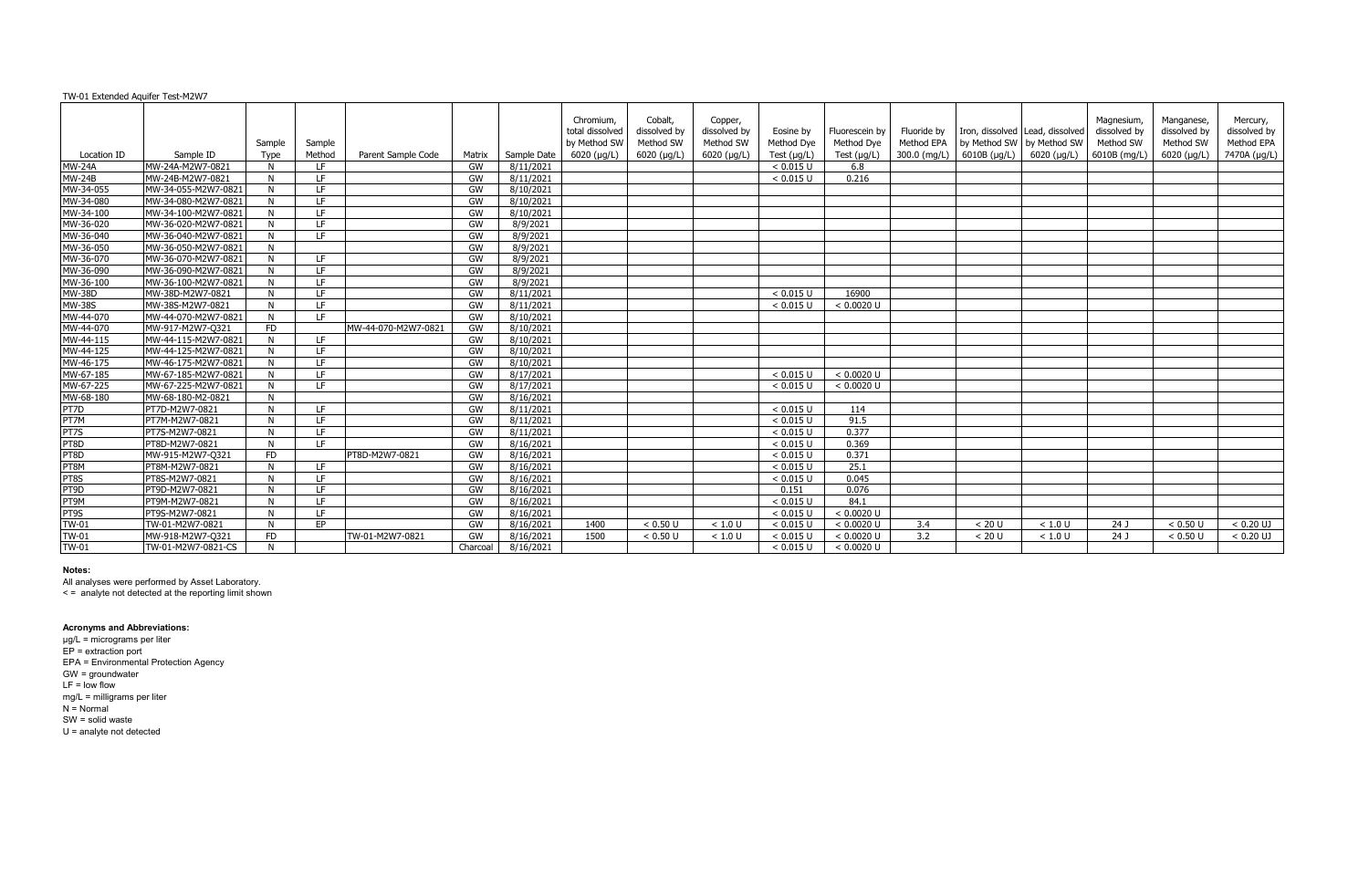|               |                     | Sample      | Sample    |                     |          |             | Chromium.<br>total dissolved<br>by Method SW | Cobalt,<br>dissolved by<br>Method SW | Copper,<br>dissolved by<br>Method SW | Eosine by<br>Method Dye | Fluorescein by<br>Method Dye | Fluoride by<br>Method EPA | by Method SW   by Method SW | Iron, dissolved Lead, dissolved | Magnesium,<br>dissolved by<br>Method SW | Manganese,<br>dissolved by<br>Method SW | Mercury,<br>dissolved by<br>Method EPA |
|---------------|---------------------|-------------|-----------|---------------------|----------|-------------|----------------------------------------------|--------------------------------------|--------------------------------------|-------------------------|------------------------------|---------------------------|-----------------------------|---------------------------------|-----------------------------------------|-----------------------------------------|----------------------------------------|
| Location ID   | Sample ID           | Type        | Method    | Parent Sample Code  | Matrix   | Sample Date | $6020$ ( $\mu$ g/L)                          | $6020$ (µg/L)                        | $6020$ (µg/L)                        | Test $(\mu g/L)$        | Test $(\mu g/L)$             |                           | 300.0 (mg/L) 6010B (µg/L)   | 6020 (µg/L)                     | 6010B (mg/L)                            | $6020$ (µg/L)                           | 7470A (µg/L)                           |
| <b>MW-24A</b> | MW-24A-M2W7-0821    | N           | LF.       |                     | GW       | 8/11/2021   |                                              |                                      |                                      | < 0.015 U               | 6.8                          |                           |                             |                                 |                                         |                                         |                                        |
| <b>MW-24B</b> | MW-24B-M2W7-0821    | N           | LE.       |                     | GW       | 8/11/2021   |                                              |                                      |                                      | < 0.015 U               | 0.216                        |                           |                             |                                 |                                         |                                         |                                        |
| MW-34-055     | MW-34-055-M2W7-0821 | N           | LE.       |                     | GW       | 8/10/2021   |                                              |                                      |                                      |                         |                              |                           |                             |                                 |                                         |                                         |                                        |
| MW-34-080     | MW-34-080-M2W7-0821 |             | LE.       |                     | GW       | 8/10/2021   |                                              |                                      |                                      |                         |                              |                           |                             |                                 |                                         |                                         |                                        |
| MW-34-100     | MW-34-100-M2W7-0821 | N           | LE.       |                     | GW       | 8/10/2021   |                                              |                                      |                                      |                         |                              |                           |                             |                                 |                                         |                                         |                                        |
| MW-36-020     | MW-36-020-M2W7-0821 | N           | LE.       |                     | GW       | 8/9/2021    |                                              |                                      |                                      |                         |                              |                           |                             |                                 |                                         |                                         |                                        |
| MW-36-040     | MW-36-040-M2W7-0821 | N           | LE.       |                     | GW       | 8/9/2021    |                                              |                                      |                                      |                         |                              |                           |                             |                                 |                                         |                                         |                                        |
| MW-36-050     | MW-36-050-M2W7-0821 | N           |           |                     | GW       | 8/9/2021    |                                              |                                      |                                      |                         |                              |                           |                             |                                 |                                         |                                         |                                        |
| MW-36-070     | MW-36-070-M2W7-0821 |             | LE.       |                     | GW       | 8/9/2021    |                                              |                                      |                                      |                         |                              |                           |                             |                                 |                                         |                                         |                                        |
| MW-36-090     | MW-36-090-M2W7-0821 | $\mathbf N$ | LF.       |                     | GW       | 8/9/2021    |                                              |                                      |                                      |                         |                              |                           |                             |                                 |                                         |                                         |                                        |
| MW-36-100     | MW-36-100-M2W7-0821 | N.          | IF.       |                     | GW       | 8/9/2021    |                                              |                                      |                                      |                         |                              |                           |                             |                                 |                                         |                                         |                                        |
| <b>MW-38D</b> | MW-38D-M2W7-0821    | N           | LE.       |                     | GW       | 8/11/2021   |                                              |                                      |                                      | < 0.015 U               | 16900                        |                           |                             |                                 |                                         |                                         |                                        |
| <b>MW-38S</b> | MW-38S-M2W7-0821    | N           | LF.       |                     | GW       | 8/11/2021   |                                              |                                      |                                      | < 0.015 U               | $< 0.0020$ U                 |                           |                             |                                 |                                         |                                         |                                        |
| MW-44-070     | MW-44-070-M2W7-0821 | N           | LE.       |                     | GW       | 8/10/2021   |                                              |                                      |                                      |                         |                              |                           |                             |                                 |                                         |                                         |                                        |
| MW-44-070     | MW-917-M2W7-Q321    | <b>FD</b>   |           | MW-44-070-M2W7-0821 | GW       | 8/10/2021   |                                              |                                      |                                      |                         |                              |                           |                             |                                 |                                         |                                         |                                        |
| MW-44-115     | MW-44-115-M2W7-0821 | N.          | IF.       |                     | GW       | 8/10/2021   |                                              |                                      |                                      |                         |                              |                           |                             |                                 |                                         |                                         |                                        |
| MW-44-125     | MW-44-125-M2W7-0821 | N           | LE.       |                     | GW       | 8/10/2021   |                                              |                                      |                                      |                         |                              |                           |                             |                                 |                                         |                                         |                                        |
| MW-46-175     | MW-46-175-M2W7-0821 | N           | LF.       |                     | GW       | 8/10/2021   |                                              |                                      |                                      |                         |                              |                           |                             |                                 |                                         |                                         |                                        |
| MW-67-185     | MW-67-185-M2W7-0821 | N           | LF.       |                     | GW       | 8/17/2021   |                                              |                                      |                                      | < 0.015 U               | $< 0.0020$ U                 |                           |                             |                                 |                                         |                                         |                                        |
| MW-67-225     | MW-67-225-M2W7-0821 | N           | LF.       |                     | GW       | 8/17/2021   |                                              |                                      |                                      | < 0.015 U               | $< 0.0020$ U                 |                           |                             |                                 |                                         |                                         |                                        |
| MW-68-180     | MW-68-180-M2-0821   | N           |           |                     | GW       | 8/16/2021   |                                              |                                      |                                      |                         |                              |                           |                             |                                 |                                         |                                         |                                        |
| PT7D          | PT7D-M2W7-0821      | N           | LE.       |                     | GW       | 8/11/2021   |                                              |                                      |                                      | < 0.015 U               | 114                          |                           |                             |                                 |                                         |                                         |                                        |
| PT7M          | PT7M-M2W7-0821      | N           | LF.       |                     | GW       | 8/11/2021   |                                              |                                      |                                      | < 0.015 U               | 91.5                         |                           |                             |                                 |                                         |                                         |                                        |
| PT7S          | PT7S-M2W7-0821      | N           | LE.       |                     | GW       | 8/11/2021   |                                              |                                      |                                      | < 0.015 U               | 0.377                        |                           |                             |                                 |                                         |                                         |                                        |
| PT8D          | PT8D-M2W7-0821      | N.          | TE.       |                     | GW       | 8/16/2021   |                                              |                                      |                                      | < 0.015 U               | 0.369                        |                           |                             |                                 |                                         |                                         |                                        |
| PT8D          | MW-915-M2W7-Q321    | FD.         |           | PT8D-M2W7-0821      | GW       | 8/16/2021   |                                              |                                      |                                      | < 0.015 U               | 0.371                        |                           |                             |                                 |                                         |                                         |                                        |
| PT8M          | PT8M-M2W7-0821      | N           | LE.       |                     | GW       | 8/16/2021   |                                              |                                      |                                      | < 0.015 U               | 25.1                         |                           |                             |                                 |                                         |                                         |                                        |
| PT8S          | PT8S-M2W7-0821      | <b>N</b>    | LE.       |                     | GW       | 8/16/2021   |                                              |                                      |                                      | < 0.015 U               | 0.045                        |                           |                             |                                 |                                         |                                         |                                        |
| PT9D          | PT9D-M2W7-0821      | N           | LE.       |                     | GW       | 8/16/2021   |                                              |                                      |                                      | 0.151                   | 0.076                        |                           |                             |                                 |                                         |                                         |                                        |
| PT9M          | PT9M-M2W7-0821      | N           | LE.       |                     | GW       | 8/16/2021   |                                              |                                      |                                      | < 0.015 U               | 84.1                         |                           |                             |                                 |                                         |                                         |                                        |
| PT9S          | PT9S-M2W7-0821      | N           | LE.       |                     | GW       | 8/16/2021   |                                              |                                      |                                      | < 0.015 U               | < 0.0020 U                   |                           |                             |                                 |                                         |                                         |                                        |
| $TW-01$       | TW-01-M2W7-0821     | N           | <b>FP</b> |                     | GW       | 8/16/2021   | 1400                                         | < 0.50 U                             | < 1.0 U                              | $< 0.015$ U             | $< 0.0020$ U                 | 3.4                       | < 20 U                      | < 1.0 U                         | 24 J                                    | < 0.50 U                                | $< 0.20$ UJ                            |
| <b>TW-01</b>  | MW-918-M2W7-Q321    | <b>FD</b>   |           | TW-01-M2W7-0821     | GW       | 8/16/2021   | 1500                                         | < 0.50 U                             | < 1.0 U                              | < 0.015 L               | < 0.0020 U                   | 3.2                       | < 20 U                      | < 1.0 U                         | 24J                                     | < 0.50 U                                | $< 0.20$ UJ                            |
| <b>TW-01</b>  | TW-01-M2W7-0821-CS  | N           |           |                     | Charcoal | 8/16/2021   |                                              |                                      |                                      | < 0.015 U               | < 0.0020 U                   |                           |                             |                                 |                                         |                                         |                                        |
|               |                     |             |           |                     |          |             |                                              |                                      |                                      |                         |                              |                           |                             |                                 |                                         |                                         |                                        |

#### **Notes:**

All analyses were performed by Asset Laboratory.

< = analyte not detected at the reporting limit shown

#### **Acronyms and Abbreviations:**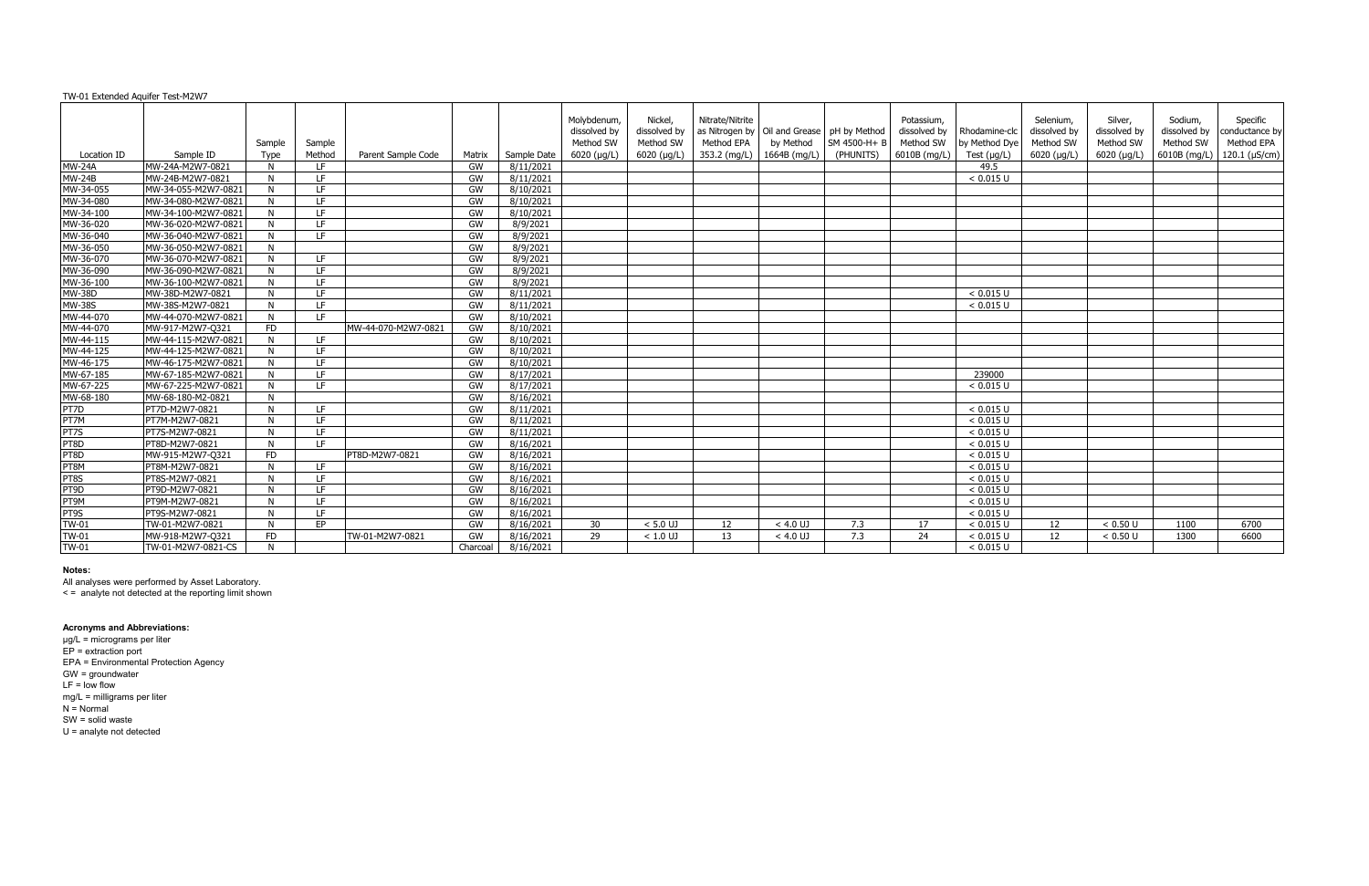| TW-01 Extended Aquifer Test-M2W7 |                     |           |           |                     |          |             |                                          |                                      |                               |                                                             |              |                                         |                                |                                        |                                      |                                      |                                          |
|----------------------------------|---------------------|-----------|-----------|---------------------|----------|-------------|------------------------------------------|--------------------------------------|-------------------------------|-------------------------------------------------------------|--------------|-----------------------------------------|--------------------------------|----------------------------------------|--------------------------------------|--------------------------------------|------------------------------------------|
|                                  |                     | Sample    | Sample    |                     |          |             | Molybdenum,<br>dissolved by<br>Method SW | Nickel,<br>dissolved by<br>Method SW | Nitrate/Nitrite<br>Method EPA | as Nitrogen by   Oil and Grease   pH by Method<br>by Method | SM 4500-H+ B | Potassium,<br>dissolved by<br>Method SW | Rhodamine-clc<br>by Method Dye | Selenium.<br>dissolved by<br>Method SW | Silver,<br>dissolved by<br>Method SW | Sodium,<br>dissolved by<br>Method SW | Specific<br>conductance by<br>Method EPA |
| Location ID                      | Sample ID           | Type      | Method    | Parent Sample Code  | Matrix   | Sample Date | $6020$ (µg/L)                            | $6020$ ( $\mu$ g/L)                  |                               | 353.2 (mg/L)   1664B (mg/L)                                 | (PHUNITS)    | 6010B (mg/L)                            | Test $(\mu g/L)$               | 6020 (µg/L)                            | $6020$ ( $\mu$ g/L)                  |                                      | 6010B (mg/L)   120.1 ( $\mu$ S/cm)       |
| <b>MW-24A</b>                    | MW-24A-M2W7-0821    | N         | IF.       |                     | GW       | 8/11/2021   |                                          |                                      |                               |                                                             |              |                                         | 49.5                           |                                        |                                      |                                      |                                          |
| MW-24B                           | MW-24B-M2W7-0821    | N.        | LE.       |                     | GW       | 8/11/2021   |                                          |                                      |                               |                                                             |              |                                         | < 0.015 U                      |                                        |                                      |                                      |                                          |
| MW-34-055                        | MW-34-055-M2W7-0821 | N.        | LF.       |                     | GW       | 8/10/2021   |                                          |                                      |                               |                                                             |              |                                         |                                |                                        |                                      |                                      |                                          |
| MW-34-080                        | MW-34-080-M2W7-0821 | N         | LE.       |                     | GW       | 8/10/2021   |                                          |                                      |                               |                                                             |              |                                         |                                |                                        |                                      |                                      |                                          |
| MW-34-100                        | MW-34-100-M2W7-0821 | N         | LE.       |                     | GW       | 8/10/2021   |                                          |                                      |                               |                                                             |              |                                         |                                |                                        |                                      |                                      |                                          |
| MW-36-020                        | MW-36-020-M2W7-0821 | N         | LE.       |                     | GW       | 8/9/2021    |                                          |                                      |                               |                                                             |              |                                         |                                |                                        |                                      |                                      |                                          |
| MW-36-040                        | MW-36-040-M2W7-0821 | N         | LF.       |                     | GW       | 8/9/2021    |                                          |                                      |                               |                                                             |              |                                         |                                |                                        |                                      |                                      |                                          |
| MW-36-050                        | MW-36-050-M2W7-0821 | N         |           |                     | GW       | 8/9/2021    |                                          |                                      |                               |                                                             |              |                                         |                                |                                        |                                      |                                      |                                          |
| MW-36-070                        | MW-36-070-M2W7-0821 | N.        | LE.       |                     | GW       | 8/9/2021    |                                          |                                      |                               |                                                             |              |                                         |                                |                                        |                                      |                                      |                                          |
| MW-36-090                        | MW-36-090-M2W7-0821 | N         | LE.       |                     | GW       | 8/9/2021    |                                          |                                      |                               |                                                             |              |                                         |                                |                                        |                                      |                                      |                                          |
| MW-36-100                        | MW-36-100-M2W7-0821 | N         | LE.       |                     | GW       | 8/9/2021    |                                          |                                      |                               |                                                             |              |                                         |                                |                                        |                                      |                                      |                                          |
| <b>MW-38D</b>                    | MW-38D-M2W7-0821    | N         | LE.       |                     | GW       | 8/11/2021   |                                          |                                      |                               |                                                             |              |                                         | < 0.015 U                      |                                        |                                      |                                      |                                          |
| <b>MW-38S</b>                    | MW-38S-M2W7-0821    | N         | LE.       |                     | GW       | 8/11/2021   |                                          |                                      |                               |                                                             |              |                                         | < 0.015 U                      |                                        |                                      |                                      |                                          |
| MW-44-070                        | MW-44-070-M2W7-0821 | N         | TF.       |                     | GW       | 8/10/2021   |                                          |                                      |                               |                                                             |              |                                         |                                |                                        |                                      |                                      |                                          |
| MW-44-070                        | MW-917-M2W7-Q321    | <b>FD</b> |           | MW-44-070-M2W7-0821 | GW       | 8/10/2021   |                                          |                                      |                               |                                                             |              |                                         |                                |                                        |                                      |                                      |                                          |
| MW-44-115                        | MW-44-115-M2W7-0821 | N.        | LE.       |                     | GW       | 8/10/2021   |                                          |                                      |                               |                                                             |              |                                         |                                |                                        |                                      |                                      |                                          |
| MW-44-125                        | MW-44-125-M2W7-0821 | N         | IF.       |                     | GW       | 8/10/2021   |                                          |                                      |                               |                                                             |              |                                         |                                |                                        |                                      |                                      |                                          |
| MW-46-175                        | MW-46-175-M2W7-0821 | N.        | LE.       |                     | GW       | 8/10/2021   |                                          |                                      |                               |                                                             |              |                                         |                                |                                        |                                      |                                      |                                          |
| MW-67-185                        | MW-67-185-M2W7-0821 | N         | LE.       |                     | GW       | 8/17/2021   |                                          |                                      |                               |                                                             |              |                                         | 239000                         |                                        |                                      |                                      |                                          |
| MW-67-225                        | MW-67-225-M2W7-0821 | N         | LF.       |                     | GW       | 8/17/2021   |                                          |                                      |                               |                                                             |              |                                         | < 0.015 U                      |                                        |                                      |                                      |                                          |
| MW-68-180                        | MW-68-180-M2-0821   | N.        |           |                     | GW       | 8/16/2021   |                                          |                                      |                               |                                                             |              |                                         |                                |                                        |                                      |                                      |                                          |
| PT7D                             | PT7D-M2W7-0821      | N         | LE.       |                     | GW       | 8/11/2021   |                                          |                                      |                               |                                                             |              |                                         | < 0.015 U                      |                                        |                                      |                                      |                                          |
| PT7M                             | PT7M-M2W7-0821      | N         | LE.       |                     | GW       | 8/11/2021   |                                          |                                      |                               |                                                             |              |                                         | < 0.015 U                      |                                        |                                      |                                      |                                          |
| PT7S                             | PT7S-M2W7-0821      | N         | LF.       |                     | GW       | 8/11/2021   |                                          |                                      |                               |                                                             |              |                                         | < 0.015 U                      |                                        |                                      |                                      |                                          |
| PT8D                             | PT8D-M2W7-0821      | N         | LE.       |                     | GW       | 8/16/2021   |                                          |                                      |                               |                                                             |              |                                         | < 0.015 U                      |                                        |                                      |                                      |                                          |
| PT8D                             | MW-915-M2W7-Q321    | <b>FD</b> |           | PT8D-M2W7-0821      | GW       | 8/16/2021   |                                          |                                      |                               |                                                             |              |                                         | < 0.015 U                      |                                        |                                      |                                      |                                          |
| PT8M                             | PT8M-M2W7-0821      | N         | LE.       |                     | GW       | 8/16/2021   |                                          |                                      |                               |                                                             |              |                                         | < 0.015 U                      |                                        |                                      |                                      |                                          |
| PT8S                             | PT8S-M2W7-0821      | N.        | IF.       |                     | GW       | 8/16/2021   |                                          |                                      |                               |                                                             |              |                                         | < 0.015 U                      |                                        |                                      |                                      |                                          |
| PT9D                             | PT9D-M2W7-0821      | N.        | LE.       |                     | GW       | 8/16/2021   |                                          |                                      |                               |                                                             |              |                                         | < 0.015 U                      |                                        |                                      |                                      |                                          |
| PT9M                             | PT9M-M2W7-0821      | N         | LE.       |                     | GW       | 8/16/2021   |                                          |                                      |                               |                                                             |              |                                         | < 0.015 U                      |                                        |                                      |                                      |                                          |
| PT9S                             | PT9S-M2W7-0821      | N         | LE.       |                     | GW       | 8/16/2021   |                                          |                                      |                               |                                                             |              |                                         | < 0.015 U                      |                                        |                                      |                                      |                                          |
| <b>TW-01</b>                     | TW-01-M2W7-0821     | N         | <b>FP</b> |                     | GW       | 8/16/2021   | 30                                       | $< 5.0$ UJ                           | 12                            | $< 4.0$ UJ                                                  | 7.3          | 17                                      | < 0.015 U                      | 12                                     | < 0.50 U                             | 1100                                 | 6700                                     |
| <b>TW-01</b>                     | MW-918-M2W7-Q321    | <b>FD</b> |           | TW-01-M2W7-0821     | GW       | 8/16/2021   | 29                                       | $< 1.0$ UJ                           | 13                            | $< 4.0$ UJ                                                  | 7.3          | 24                                      | < 0.015 U                      | 12                                     | < 0.50 U                             | 1300                                 | 6600                                     |
| <b>TW-01</b>                     | TW-01-M2W7-0821-CS  | N         |           |                     | Charcoal | 8/16/2021   |                                          |                                      |                               |                                                             |              |                                         | < 0.015 U                      |                                        |                                      |                                      |                                          |

All analyses were performed by Asset Laboratory.

< = analyte not detected at the reporting limit shown

#### **Acronyms and Abbreviations:**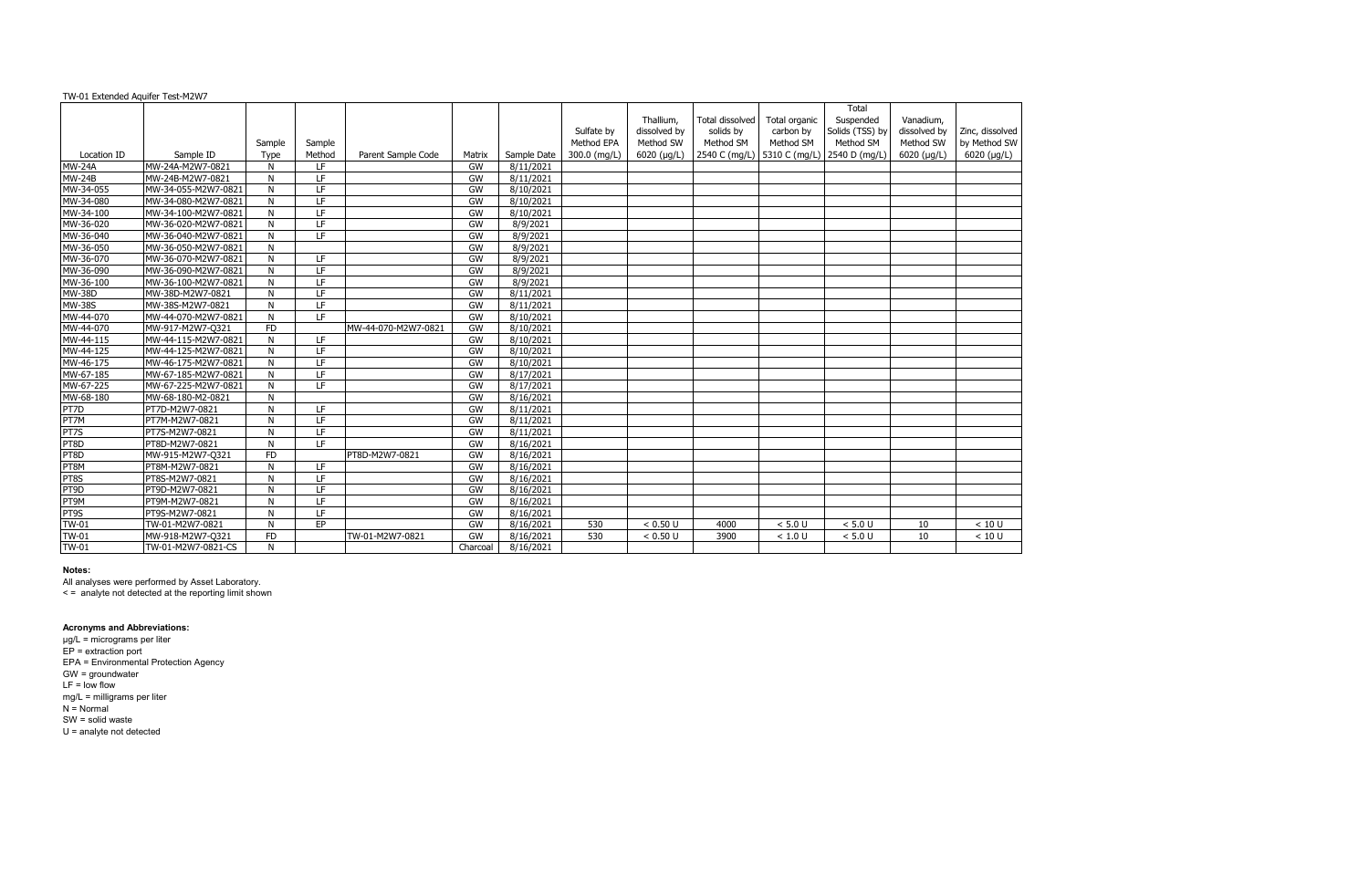| TW-01 Extended Aquifer Test-M2W7 |                     |              |        |                     |          |                    |              |              |                 |               |                                               |              |                 |
|----------------------------------|---------------------|--------------|--------|---------------------|----------|--------------------|--------------|--------------|-----------------|---------------|-----------------------------------------------|--------------|-----------------|
|                                  |                     |              |        |                     |          |                    |              |              |                 |               | Total                                         |              |                 |
|                                  |                     |              |        |                     |          |                    |              | Thallium,    | Total dissolved | Total organic | Suspended                                     | Vanadium,    |                 |
|                                  |                     |              |        |                     |          |                    | Sulfate by   | dissolved by | solids by       | carbon by     | Solids (TSS) by                               | dissolved by | Zinc, dissolved |
|                                  |                     | Sample       | Sample |                     |          |                    | Method EPA   | Method SW    | Method SM       | Method SM     | Method SM                                     | Method SW    | by Method SW    |
| Location ID                      | Sample ID           | Type         | Method | Parent Sample Code  | Matrix   | Sample Date        | 300.0 (mg/L) | 6020 (µg/L)  |                 |               | 2540 C (mg/L)   5310 C (mg/L)   2540 D (mg/L) | 6020 (µg/L)  | $6020$ (µg/L)   |
| <b>MW-24A</b>                    | MW-24A-M2W7-0821    | N            | LF.    |                     | GW       | 8/11/2021          |              |              |                 |               |                                               |              |                 |
| <b>MW-24B</b>                    | MW-24B-M2W7-0821    | N            | LF.    |                     | GW       | 8/11/2021          |              |              |                 |               |                                               |              |                 |
| MW-34-055                        | MW-34-055-M2W7-0821 | N            | LF     |                     | GW       | 8/10/2021          |              |              |                 |               |                                               |              |                 |
| MW-34-080                        | MW-34-080-M2W7-0821 | N            | LF     |                     | GW       | $\sqrt{8/10/2021}$ |              |              |                 |               |                                               |              |                 |
| MW-34-100                        | MW-34-100-M2W7-0821 | N            | LF     |                     | GW       | 8/10/2021          |              |              |                 |               |                                               |              |                 |
| MW-36-020                        | MW-36-020-M2W7-0821 | N            | LF     |                     | GW       | 8/9/2021           |              |              |                 |               |                                               |              |                 |
| MW-36-040                        | MW-36-040-M2W7-0821 | N            | LF     |                     | GW       | 8/9/2021           |              |              |                 |               |                                               |              |                 |
| MW-36-050                        | MW-36-050-M2W7-0821 | N            |        |                     | GW       | 8/9/2021           |              |              |                 |               |                                               |              |                 |
| MW-36-070                        | MW-36-070-M2W7-0821 | N            | LF.    |                     | GW       | 8/9/2021           |              |              |                 |               |                                               |              |                 |
| MW-36-090                        | MW-36-090-M2W7-0821 | N            | LF     |                     | GW       | $\sqrt{8/9}/2021$  |              |              |                 |               |                                               |              |                 |
| MW-36-100                        | MW-36-100-M2W7-0821 | N            | LF     |                     | GW       | 8/9/2021           |              |              |                 |               |                                               |              |                 |
| <b>MW-38D</b>                    | MW-38D-M2W7-0821    | N            | LF     |                     | GW       | 8/11/2021          |              |              |                 |               |                                               |              |                 |
| <b>MW-38S</b>                    | MW-38S-M2W7-0821    | N            | LF     |                     | GW       | 8/11/2021          |              |              |                 |               |                                               |              |                 |
| MW-44-070                        | MW-44-070-M2W7-0821 | N            | LF.    |                     | GW       | 8/10/2021          |              |              |                 |               |                                               |              |                 |
| MW-44-070                        | MW-917-M2W7-Q321    | <b>FD</b>    |        | MW-44-070-M2W7-0821 | GW       | 8/10/2021          |              |              |                 |               |                                               |              |                 |
| MW-44-115                        | MW-44-115-M2W7-0821 | N            | LF.    |                     | GW       | 8/10/2021          |              |              |                 |               |                                               |              |                 |
| MW-44-125                        | MW-44-125-M2W7-0821 | N            | LF     |                     | GW       | 8/10/2021          |              |              |                 |               |                                               |              |                 |
| MW-46-175                        | MW-46-175-M2W7-0821 | N            | LF     |                     | GW       | 8/10/2021          |              |              |                 |               |                                               |              |                 |
| MW-67-185                        | MW-67-185-M2W7-0821 | $\mathsf{N}$ | LF     |                     | GW       | 8/17/2021          |              |              |                 |               |                                               |              |                 |
| MW-67-225                        | MW-67-225-M2W7-0821 | N            | LF     |                     | GW       | 8/17/2021          |              |              |                 |               |                                               |              |                 |
| MW-68-180                        | MW-68-180-M2-0821   | N            |        |                     | GW       | 8/16/2021          |              |              |                 |               |                                               |              |                 |
| PT7D                             | PT7D-M2W7-0821      | N            | LF.    |                     | GW       | 8/11/2021          |              |              |                 |               |                                               |              |                 |
| PT7M                             | PT7M-M2W7-0821      | N            | LF     |                     | GW       | 8/11/2021          |              |              |                 |               |                                               |              |                 |
| PT7S                             | PT7S-M2W7-0821      | N            | LF     |                     | GW       | 8/11/2021          |              |              |                 |               |                                               |              |                 |
| PT8D                             | PT8D-M2W7-0821      | N            | LE.    |                     | GW       | 8/16/2021          |              |              |                 |               |                                               |              |                 |
| PT8D                             | MW-915-M2W7-Q321    | <b>FD</b>    |        | PT8D-M2W7-0821      | GW       | 8/16/2021          |              |              |                 |               |                                               |              |                 |
| PT8M                             | PT8M-M2W7-0821      | N            | LF     |                     | GW       | 8/16/2021          |              |              |                 |               |                                               |              |                 |
| PT8S                             | PT8S-M2W7-0821      | N            | LF     |                     | GW       | 8/16/2021          |              |              |                 |               |                                               |              |                 |
| PT9D                             | PT9D-M2W7-0821      | N            | LF.    |                     | GW       | 8/16/2021          |              |              |                 |               |                                               |              |                 |
| PT9M                             | PT9M-M2W7-0821      | N            | LF     |                     | GW       | 8/16/2021          |              |              |                 |               |                                               |              |                 |
| PT9S                             | PT9S-M2W7-0821      | N            | LF     |                     | GW       | 8/16/2021          |              |              |                 |               |                                               |              |                 |
| <b>TW-01</b>                     | TW-01-M2W7-0821     | N            | EP     |                     | GW       | 8/16/2021          | 530          | < 0.50 U     | 4000            | $< 5.0 U$     | < 5.0 U                                       | 10           | < 10 U          |
| <b>TW-01</b>                     | MW-918-M2W7-Q321    | <b>FD</b>    |        | TW-01-M2W7-0821     | GW       | 8/16/2021          | 530          | < 0.50 U     | 3900            | < 1.0 U       | < 5.0 U                                       | 10           | < 10 U          |
| <b>TW-01</b>                     | TW-01-M2W7-0821-CS  | N            |        |                     | Charcoal | 8/16/2021          |              |              |                 |               |                                               |              |                 |
|                                  |                     |              |        |                     |          |                    |              |              |                 |               |                                               |              |                 |

All analyses were performed by Asset Laboratory.

< = analyte not detected at the reporting limit shown

#### **Acronyms and Abbreviations:**

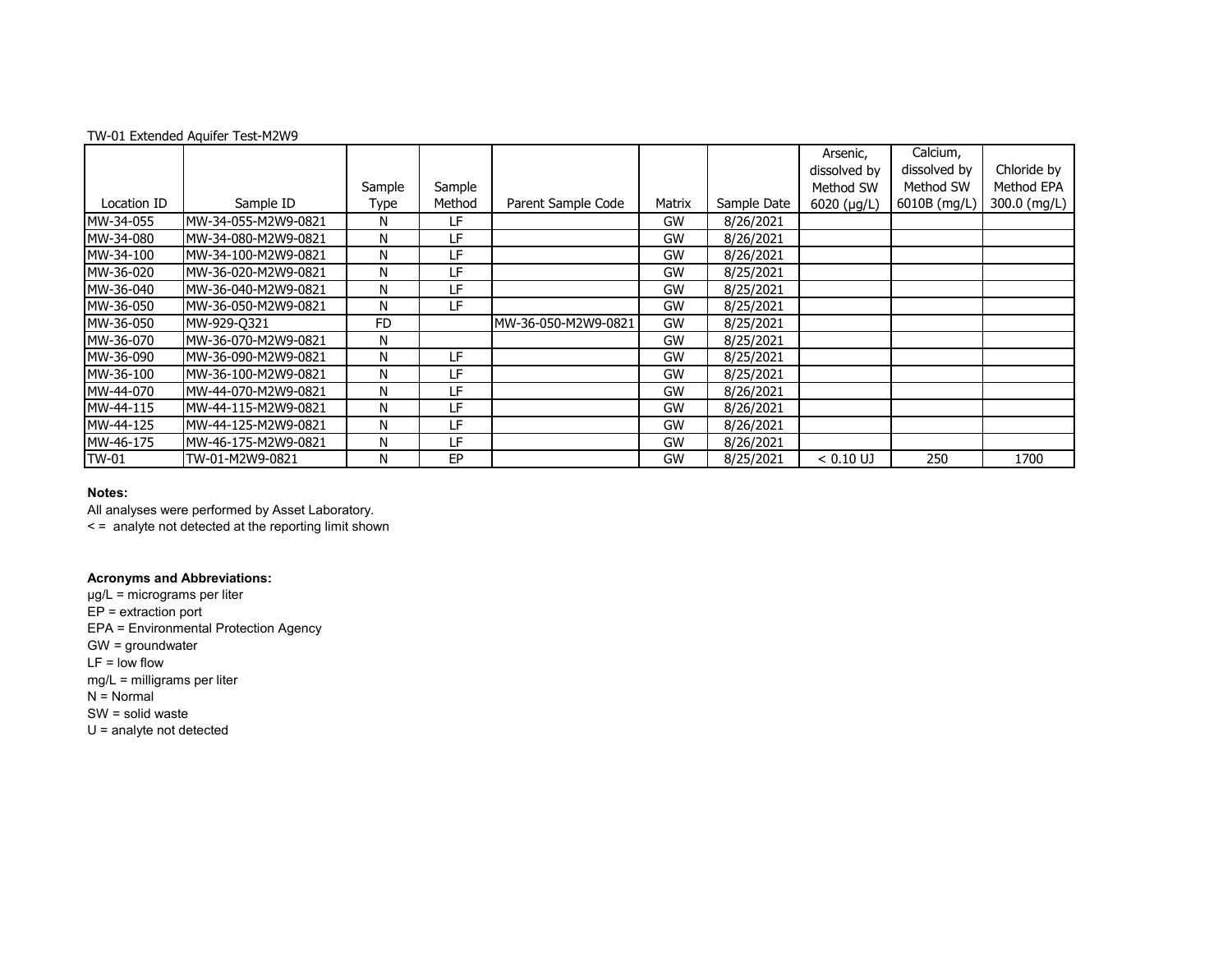| TW-01 Extended Aquifer Test-M2W9 |  |
|----------------------------------|--|
|----------------------------------|--|

|             |                      |           |        |                     |        |             | Arsenic,     | Calcium,     |              |
|-------------|----------------------|-----------|--------|---------------------|--------|-------------|--------------|--------------|--------------|
|             |                      |           |        |                     |        |             | dissolved by | dissolved by | Chloride by  |
|             |                      | Sample    | Sample |                     |        |             | Method SW    | Method SW    | Method EPA   |
| Location ID | Sample ID            | Type      | Method | Parent Sample Code  | Matrix | Sample Date | 6020 (µg/L)  | 6010B (mg/L) | 300.0 (mg/L) |
| MW-34-055   | MW-34-055-M2W9-0821  | N         | LF     |                     | GW     | 8/26/2021   |              |              |              |
| MW-34-080   | MW-34-080-M2W9-0821  | N         | LF     |                     | GW     | 8/26/2021   |              |              |              |
| MW-34-100   | IMW-34-100-M2W9-0821 | N         | LF     |                     | GW     | 8/26/2021   |              |              |              |
| MW-36-020   | MW-36-020-M2W9-0821  | N         | LF     |                     | GW     | 8/25/2021   |              |              |              |
| MW-36-040   | MW-36-040-M2W9-0821  | N         | LF     |                     | GW     | 8/25/2021   |              |              |              |
| MW-36-050   | IMW-36-050-M2W9-0821 | N         | LF     |                     | GW     | 8/25/2021   |              |              |              |
| MW-36-050   | MW-929-0321          | <b>FD</b> |        | MW-36-050-M2W9-0821 | GW     | 8/25/2021   |              |              |              |
| MW-36-070   | MW-36-070-M2W9-0821  | N         |        |                     | GW     | 8/25/2021   |              |              |              |
| MW-36-090   | IMW-36-090-M2W9-0821 | N         | LF     |                     | GW     | 8/25/2021   |              |              |              |
| MW-36-100   | IMW-36-100-M2W9-0821 | N         | LF     |                     | GW     | 8/25/2021   |              |              |              |
| MW-44-070   | IMW-44-070-M2W9-0821 | N         | LF     |                     | GW     | 8/26/2021   |              |              |              |
| MW-44-115   | IMW-44-115-M2W9-0821 | N         | LF.    |                     | GW     | 8/26/2021   |              |              |              |
| MW-44-125   | IMW-44-125-M2W9-0821 | N         | LF     |                     | GW     | 8/26/2021   |              |              |              |
| MW-46-175   | MW-46-175-M2W9-0821  | N         | ΙF     |                     | GW     | 8/26/2021   |              |              |              |
| TW-01       | TW-01-M2W9-0821      | N         | EP     |                     | GW     | 8/25/2021   | $< 0.10$ UJ  | 250          | 1700         |

All analyses were performed by Asset Laboratory. < = analyte not detected at the reporting limit shown

### **Acronyms and Abbreviations:**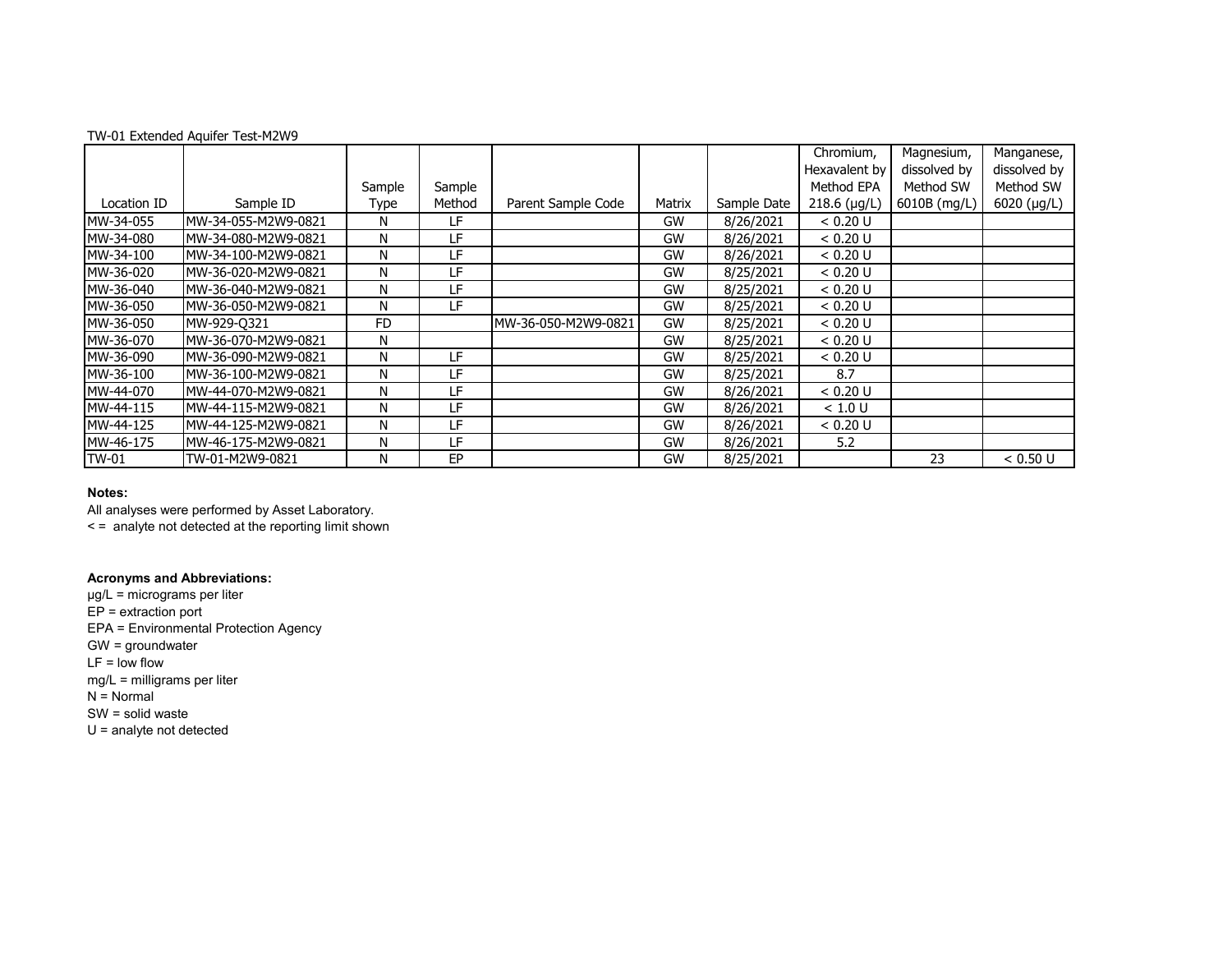| TW-01 Extended Aquifer Test-M2W9 |  |
|----------------------------------|--|
|----------------------------------|--|

|             |                      |        |        |                      |        |             | Chromium,      | Magnesium,   | Manganese,   |
|-------------|----------------------|--------|--------|----------------------|--------|-------------|----------------|--------------|--------------|
|             |                      |        |        |                      |        |             | Hexavalent by  | dissolved by | dissolved by |
|             |                      | Sample | Sample |                      |        |             | Method EPA     | Method SW    | Method SW    |
| Location ID | Sample ID            | Type   | Method | Parent Sample Code   | Matrix | Sample Date | $218.6$ (µg/L) | 6010B (mg/L) | 6020 (µg/L)  |
| MW-34-055   | IMW-34-055-M2W9-0821 | N      | LF     |                      | GW     | 8/26/2021   | < 0.20 U       |              |              |
| MW-34-080   | IMW-34-080-M2W9-0821 | N      | LF     |                      | GW     | 8/26/2021   | < 0.20 U       |              |              |
| MW-34-100   | IMW-34-100-M2W9-0821 | N      | LF     |                      | GW     | 8/26/2021   | < 0.20 U       |              |              |
| MW-36-020   | MW-36-020-M2W9-0821  | N      | LF     |                      | GW     | 8/25/2021   | < 0.20 U       |              |              |
| MW-36-040   | IMW-36-040-M2W9-0821 | N      | LF     |                      | GW     | 8/25/2021   | < 0.20 U       |              |              |
| MW-36-050   | IMW-36-050-M2W9-0821 | N      | LF     |                      | GW     | 8/25/2021   | < 0.20 U       |              |              |
| MW-36-050   | MW-929-0321          | FD     |        | IMW-36-050-M2W9-0821 | GW     | 8/25/2021   | < 0.20 U       |              |              |
| MW-36-070   | MW-36-070-M2W9-0821  | N      |        |                      | GW     | 8/25/2021   | < 0.20 U       |              |              |
| MW-36-090   | IMW-36-090-M2W9-0821 | N      | LF     |                      | GW     | 8/25/2021   | < 0.20 U       |              |              |
| MW-36-100   | IMW-36-100-M2W9-0821 | N      | LF     |                      | GW     | 8/25/2021   | 8.7            |              |              |
| MW-44-070   | IMW-44-070-M2W9-0821 | N      | LF     |                      | GW     | 8/26/2021   | < 0.20 U       |              |              |
| MW-44-115   | IMW-44-115-M2W9-0821 | N      | LF.    |                      | GW     | 8/26/2021   | < 1.0 U        |              |              |
| MW-44-125   | IMW-44-125-M2W9-0821 | N      | LF     |                      | GW     | 8/26/2021   | < 0.20 U       |              |              |
| MW-46-175   | IMW-46-175-M2W9-0821 | N      | LF     |                      | GW     | 8/26/2021   | 5.2            |              |              |
| TW-01       | TW-01-M2W9-0821      | N      | EP     |                      | GW     | 8/25/2021   |                | 23           | < 0.50 U     |

All analyses were performed by Asset Laboratory. < = analyte not detected at the reporting limit shown

### **Acronyms and Abbreviations:**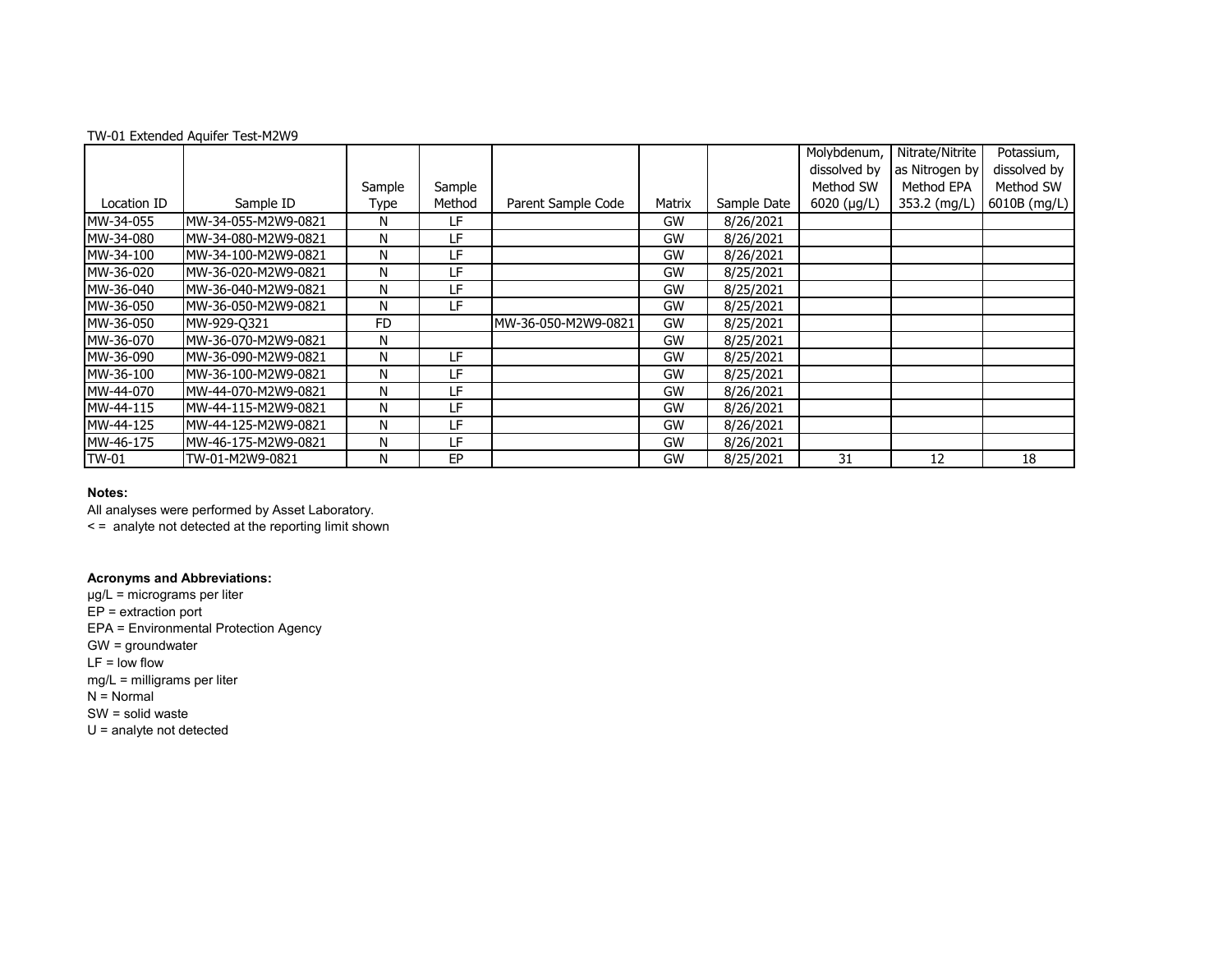| TW-01 Extended Aquifer Test-M2W9 |  |
|----------------------------------|--|
|----------------------------------|--|

|             |                      |           |        |                     |        |             | Molybdenum,  | Nitrate/Nitrite | Potassium,   |
|-------------|----------------------|-----------|--------|---------------------|--------|-------------|--------------|-----------------|--------------|
|             |                      |           |        |                     |        |             | dissolved by | as Nitrogen by  | dissolved by |
|             |                      | Sample    | Sample |                     |        |             | Method SW    | Method EPA      | Method SW    |
| Location ID | Sample ID            | Type      | Method | Parent Sample Code  | Matrix | Sample Date | 6020 (µg/L)  | 353.2 (mg/L)    | 6010B (mg/L) |
| MW-34-055   | MW-34-055-M2W9-0821  | N         | LF     |                     | GW     | 8/26/2021   |              |                 |              |
| MW-34-080   | MW-34-080-M2W9-0821  | N         | LF     |                     | GW     | 8/26/2021   |              |                 |              |
| MW-34-100   | MW-34-100-M2W9-0821  | N         | LF     |                     | GW     | 8/26/2021   |              |                 |              |
| MW-36-020   | MW-36-020-M2W9-0821  | N         | LF     |                     | GW     | 8/25/2021   |              |                 |              |
| MW-36-040   | MW-36-040-M2W9-0821  | N         | LF     |                     | GW     | 8/25/2021   |              |                 |              |
| MW-36-050   | IMW-36-050-M2W9-0821 | N         | LF     |                     | GW     | 8/25/2021   |              |                 |              |
| MW-36-050   | MW-929-0321          | <b>FD</b> |        | MW-36-050-M2W9-0821 | GW     | 8/25/2021   |              |                 |              |
| MW-36-070   | MW-36-070-M2W9-0821  | N         |        |                     | GW     | 8/25/2021   |              |                 |              |
| MW-36-090   | IMW-36-090-M2W9-0821 | N         | LF     |                     | GW     | 8/25/2021   |              |                 |              |
| MW-36-100   | IMW-36-100-M2W9-0821 | N         | LF     |                     | GW     | 8/25/2021   |              |                 |              |
| MW-44-070   | IMW-44-070-M2W9-0821 | N         | LF     |                     | GW     | 8/26/2021   |              |                 |              |
| MW-44-115   | IMW-44-115-M2W9-0821 | N         | LF     |                     | GW     | 8/26/2021   |              |                 |              |
| MW-44-125   | IMW-44-125-M2W9-0821 | N         | LF     |                     | GW     | 8/26/2021   |              |                 |              |
| MW-46-175   | MW-46-175-M2W9-0821  | N         | ΙF     |                     | GW     | 8/26/2021   |              |                 |              |
| TW-01       | TW-01-M2W9-0821      | N         | EP.    |                     | GW     | 8/25/2021   | 31           | 12              | 18           |

All analyses were performed by Asset Laboratory. < = analyte not detected at the reporting limit shown

**Acronyms and Abbreviations:**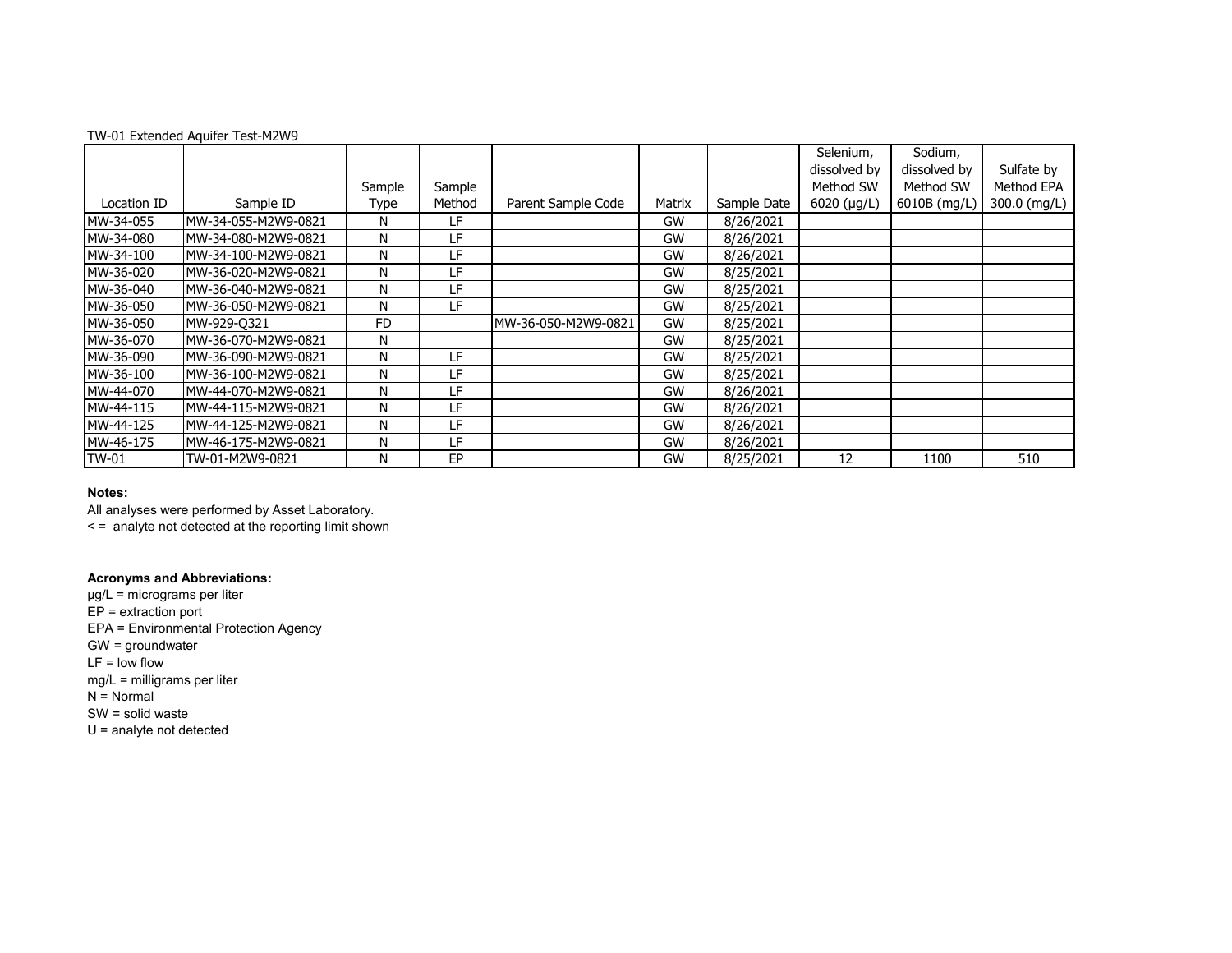| TW-01 Extended Aquifer Test-M2W9 |  |
|----------------------------------|--|
|----------------------------------|--|

|             |                      |           |        |                     |        |             | Selenium,    | Sodium,      |              |
|-------------|----------------------|-----------|--------|---------------------|--------|-------------|--------------|--------------|--------------|
|             |                      |           |        |                     |        |             | dissolved by | dissolved by | Sulfate by   |
|             |                      | Sample    | Sample |                     |        |             | Method SW    | Method SW    | Method EPA   |
| Location ID | Sample ID            | Type      | Method | Parent Sample Code  | Matrix | Sample Date | 6020 (µg/L)  | 6010B (mg/L) | 300.0 (mg/L) |
| MW-34-055   | MW-34-055-M2W9-0821  | N         | LF     |                     | GW     | 8/26/2021   |              |              |              |
| MW-34-080   | MW-34-080-M2W9-0821  | N         | LF     |                     | GW     | 8/26/2021   |              |              |              |
| MW-34-100   | IMW-34-100-M2W9-0821 | N         | LF     |                     | GW     | 8/26/2021   |              |              |              |
| MW-36-020   | MW-36-020-M2W9-0821  | N         | LF     |                     | GW     | 8/25/2021   |              |              |              |
| MW-36-040   | MW-36-040-M2W9-0821  | N         | LF     |                     | GW     | 8/25/2021   |              |              |              |
| MW-36-050   | IMW-36-050-M2W9-0821 | N         | LF     |                     | GW     | 8/25/2021   |              |              |              |
| MW-36-050   | MW-929-0321          | <b>FD</b> |        | MW-36-050-M2W9-0821 | GW     | 8/25/2021   |              |              |              |
| MW-36-070   | MW-36-070-M2W9-0821  | N         |        |                     | GW     | 8/25/2021   |              |              |              |
| MW-36-090   | IMW-36-090-M2W9-0821 | N         | LF     |                     | GW     | 8/25/2021   |              |              |              |
| MW-36-100   | IMW-36-100-M2W9-0821 | N         | LF     |                     | GW     | 8/25/2021   |              |              |              |
| MW-44-070   | IMW-44-070-M2W9-0821 | N         | LF     |                     | GW     | 8/26/2021   |              |              |              |
| MW-44-115   | IMW-44-115-M2W9-0821 | N         | LF.    |                     | GW     | 8/26/2021   |              |              |              |
| MW-44-125   | IMW-44-125-M2W9-0821 | N         | LF     |                     | GW     | 8/26/2021   |              |              |              |
| MW-46-175   | MW-46-175-M2W9-0821  | N         | ΙF     |                     | GW     | 8/26/2021   |              |              |              |
| TW-01       | TW-01-M2W9-0821      | N         | EP     |                     | GW     | 8/25/2021   | 12           | 1100         | 510          |

All analyses were performed by Asset Laboratory. < = analyte not detected at the reporting limit shown

### **Acronyms and Abbreviations:**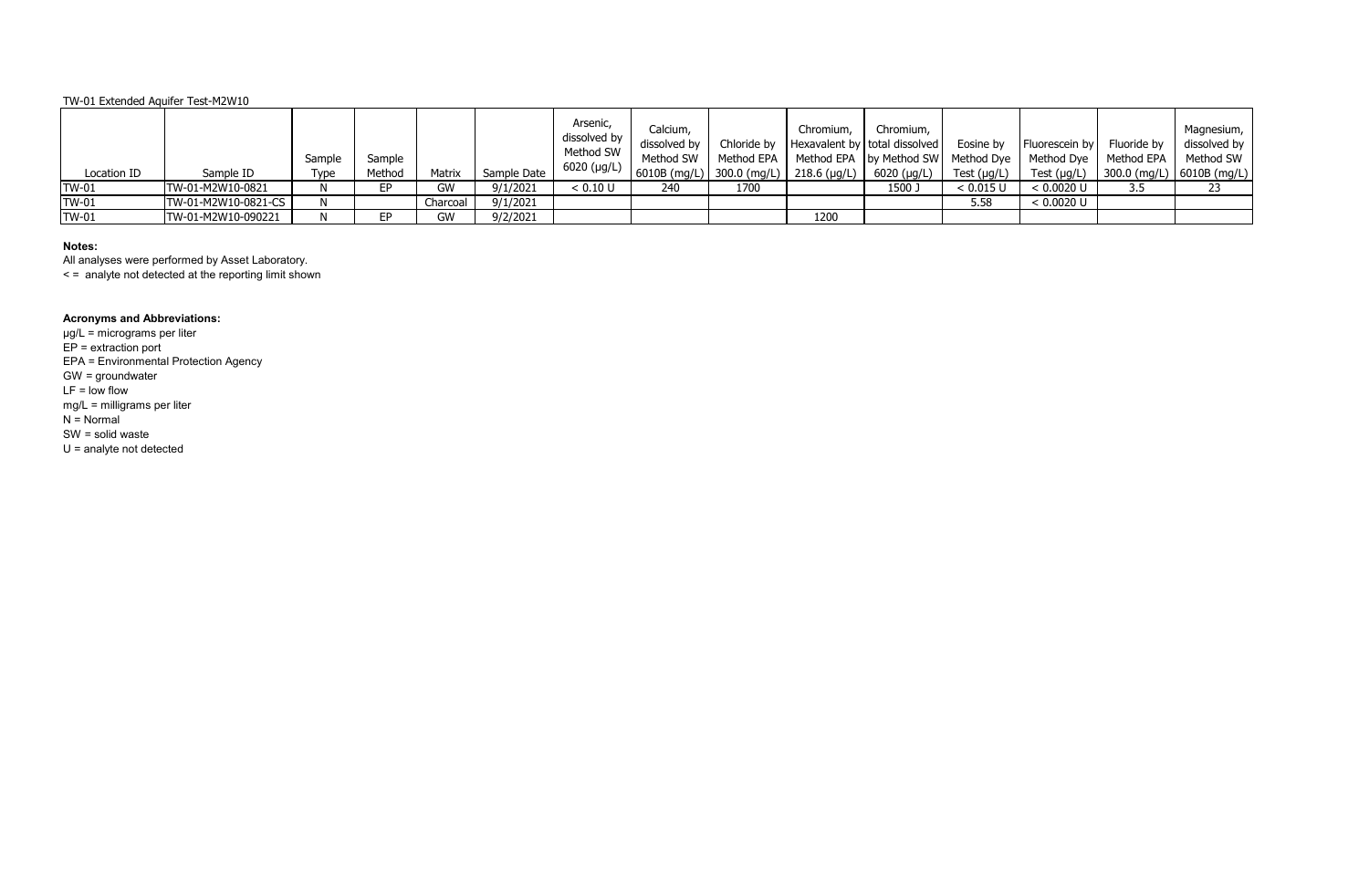| Location ID  | Sample ID           | Sample<br>Type | Sample<br>Method | Matrix   | Sample Date | Arsenic,<br>dissolved by<br>Method SW<br>6020 (µg/L) | Calcium,<br>dissolved by<br>Method SW |      | Chromium, | Chromium,<br>Chloride by   Hexavalent by   total dissolved   Eosine by   Fluorescein by   Fluoride by  <br>Method EPA   Method EPA   by Method SW   Method Dye   Method Dye   Method EPA  <br>  6010B (mg/L)   300.0 (mg/L)   218.6 (µg/L)   6020 (µg/L) | Test (µg/L) |              |     | Magnesium,<br>dissolved by<br>Method SW<br>Test (µg/L)   300.0 (mg/L)   6010B (mg/L) |
|--------------|---------------------|----------------|------------------|----------|-------------|------------------------------------------------------|---------------------------------------|------|-----------|----------------------------------------------------------------------------------------------------------------------------------------------------------------------------------------------------------------------------------------------------------|-------------|--------------|-----|--------------------------------------------------------------------------------------|
| <b>TW-01</b> | TW-01-M2W10-0821    |                | EP.              | GW       | 9/1/2021    | < 0.10 U                                             | 240                                   | 1700 |           | 1500 J                                                                                                                                                                                                                                                   | < 0.015 U   | < 0.0020 U   | 3.5 | 23                                                                                   |
| $TW-01$      | TW-01-M2W10-0821-CS | N              |                  | Charcoal | 9/1/2021    |                                                      |                                       |      |           |                                                                                                                                                                                                                                                          | 5.58        | $< 0.0020$ U |     |                                                                                      |
| <b>TW-01</b> | TW-01-M2W10-090221  |                | EР               | GW       | 9/2/2021    |                                                      |                                       |      | 1200      |                                                                                                                                                                                                                                                          |             |              |     |                                                                                      |

# **Notes:**

All analyses were performed by Asset Laboratory.

< = analyte not detected at the reporting limit shown

# **Acronyms and Abbreviations:**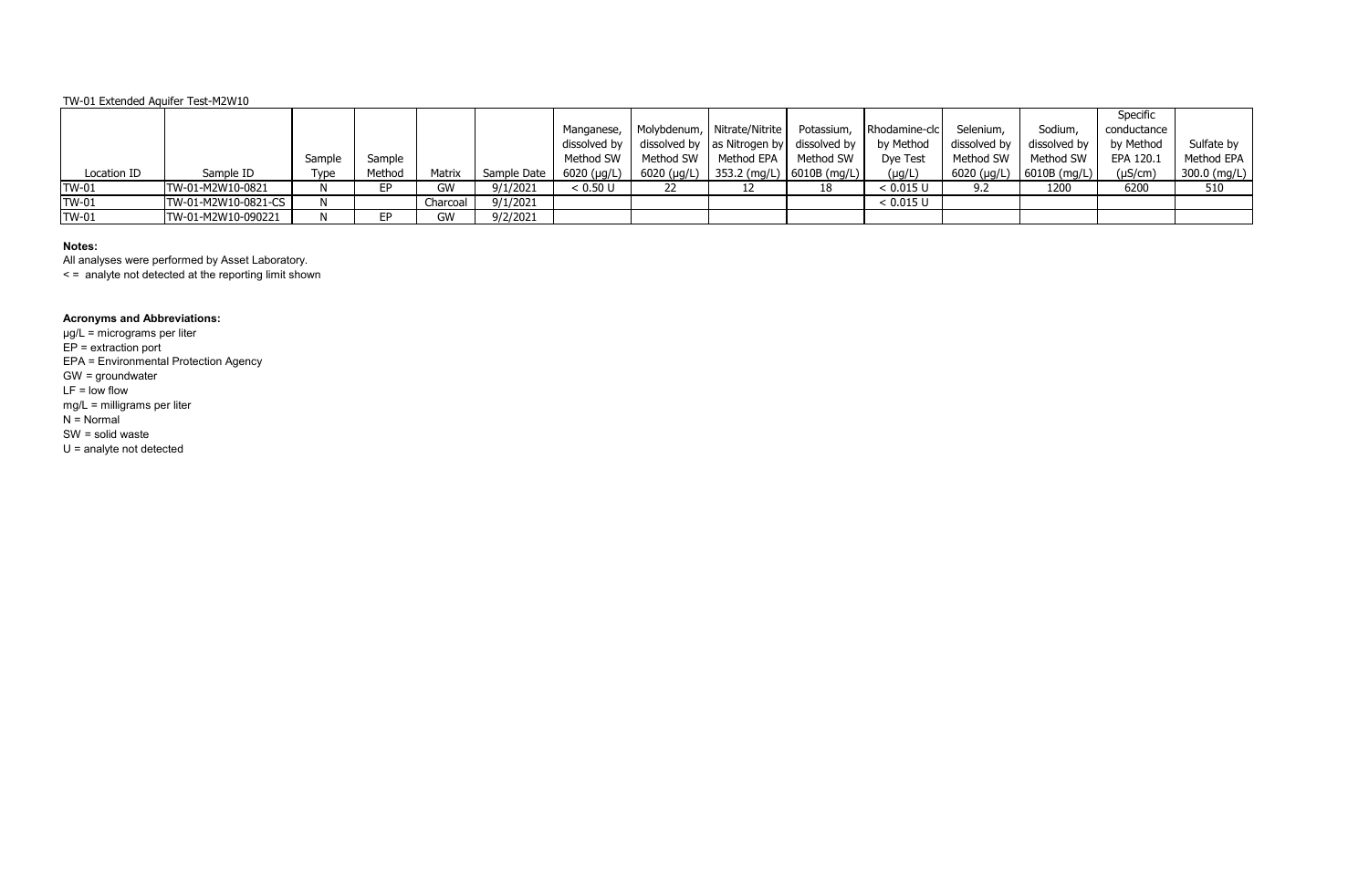# **Notes:**

All analyses were performed by Asset Laboratory.

< = analyte not detected at the reporting limit shown

# **Acronyms and Abbreviations:**

|              |                     |        |        |          |             |             |           |                                                                               |           |                          |              |                                  | Specific     |              |
|--------------|---------------------|--------|--------|----------|-------------|-------------|-----------|-------------------------------------------------------------------------------|-----------|--------------------------|--------------|----------------------------------|--------------|--------------|
|              |                     |        |        |          |             | Manganese,  |           | Molybdenum,   Nitrate/Nitrite                                                 |           | Potassium, Rhodamine-clc | Selenium,    | Sodium,                          | conductance  |              |
|              |                     |        |        |          |             |             |           | dissolved by $\vert$ dissolved by $\vert$ as Nitrogen by $\vert$ dissolved by |           | by Method                | dissolved by | dissolved by                     | by Method    | Sulfate by   |
|              |                     | Sample | Sample |          |             | Method SW   | Method SW | Method EPA                                                                    | Method SW | Dye Test                 | Method SW    | Method SW                        | EPA 120.1    | Method EPA   |
| Location ID  | Sample ID           | Type   | Method | Matrix   | Sample Date | 6020 (µg/L) |           | 6020 (µg/L)   353.2 (mg/L)   6010B (mg/L)                                     |           | $(\mu g/L)$              |              | 6020 ( $\mu$ g/L)   6010B (mg/L) | $(\mu S/cm)$ | 300.0 (mg/L) |
| <b>TW-01</b> | TW-01-M2W10-0821    | N      | EР     | GW       | 9/1/2021    | < 0.50 U    | 22        |                                                                               | 18        | < 0.015 U                | 9.2          | 1200                             | 6200         | 510          |
| <b>TW-01</b> | TW-01-M2W10-0821-CS |        |        | Charcoal | 9/1/2021    |             |           |                                                                               |           | < 0.015 U                |              |                                  |              |              |
| $TW-01$      | TW-01-M2W10-090221  |        | FP.    | GW       | 9/2/2021    |             |           |                                                                               |           |                          |              |                                  |              |              |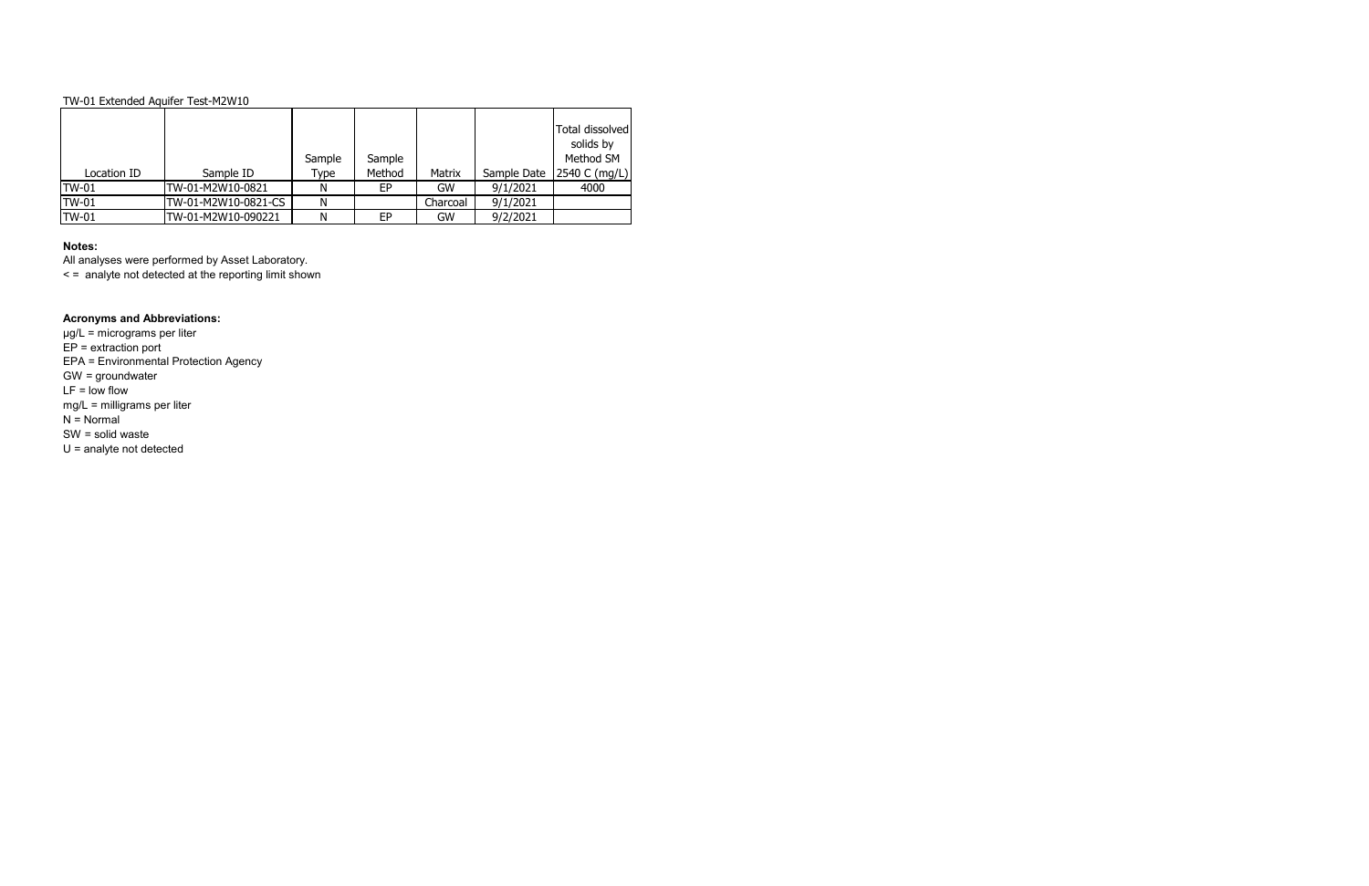## **Notes:**

All analyses were performed by Asset Laboratory.

< = analyte not detected at the reporting limit shown

| Location ID  | Sample ID           | Sample<br>Type | Sample<br>Method | Matrix   | Sample Date | Total dissolved<br>solids by<br>Method SM<br> 2540 C (mg/L) |
|--------------|---------------------|----------------|------------------|----------|-------------|-------------------------------------------------------------|
|              |                     |                |                  |          |             |                                                             |
| <b>TW-01</b> | TW-01-M2W10-0821    | N              | EP               | GW       | 9/1/2021    | 4000                                                        |
| <b>TW-01</b> | TW-01-M2W10-0821-CS | Ν              |                  | Charcoal | 9/1/2021    |                                                             |
| <b>TW-01</b> | TW-01-M2W10-090221  | Ν              | EP               | GW       | 9/2/2021    |                                                             |

# **Acronyms and Abbreviations:**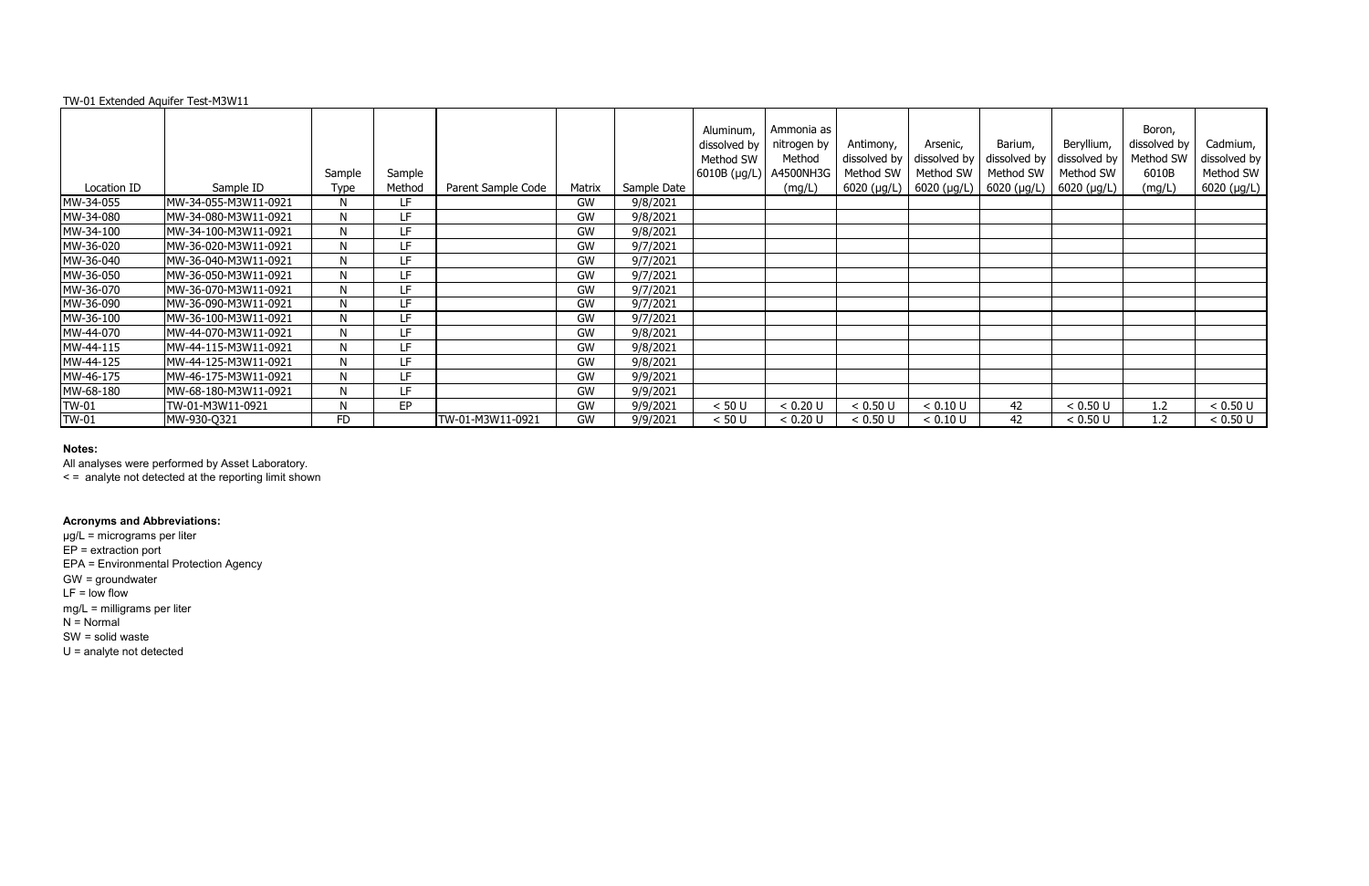|              |                      | Sample      | Sample |                    |        |             | Aluminum,<br>dissolved by<br>Method SW<br> 6010B (µg/L) | Ammonia as<br>nitrogen by<br>Method<br>A4500NH3G | Antimony,<br>dissolved by<br>Method SW | Arsenic,<br>dissolved by<br>Method SW | Barium,<br>Method SW | Beryllium,<br>dissolved by $\vert$ dissolved by<br>Method SW | Boron,<br>dissolved by<br>Method SW<br>6010B | Cadmium,<br>dissolved by<br>Method SW |
|--------------|----------------------|-------------|--------|--------------------|--------|-------------|---------------------------------------------------------|--------------------------------------------------|----------------------------------------|---------------------------------------|----------------------|--------------------------------------------------------------|----------------------------------------------|---------------------------------------|
| Location ID  | Sample ID            | <b>Type</b> | Method | Parent Sample Code | Matrix | Sample Date |                                                         | (mg/L)                                           | $6020$ ( $\mu$ g/L)                    | 6020 (µg/L)                           |                      | 6020 (µg/L)   6020 (µg/L)                                    | (mg/L)                                       | $6020$ (µg/L)                         |
| MW-34-055    | MW-34-055-M3W11-0921 | N           | LF     |                    | GW     | 9/8/2021    |                                                         |                                                  |                                        |                                       |                      |                                                              |                                              |                                       |
| MW-34-080    | MW-34-080-M3W11-0921 | N           | LF     |                    | GW     | 9/8/2021    |                                                         |                                                  |                                        |                                       |                      |                                                              |                                              |                                       |
| MW-34-100    | MW-34-100-M3W11-0921 | N           | LF     |                    | GW     | 9/8/2021    |                                                         |                                                  |                                        |                                       |                      |                                                              |                                              |                                       |
| MW-36-020    | MW-36-020-M3W11-0921 | N           | LF     |                    | GW     | 9/7/2021    |                                                         |                                                  |                                        |                                       |                      |                                                              |                                              |                                       |
| MW-36-040    | MW-36-040-M3W11-0921 | N           | 1F     |                    | GW     | 9/7/2021    |                                                         |                                                  |                                        |                                       |                      |                                                              |                                              |                                       |
| MW-36-050    | MW-36-050-M3W11-0921 | N           | ΙF     |                    | GW     | 9/7/2021    |                                                         |                                                  |                                        |                                       |                      |                                                              |                                              |                                       |
| MW-36-070    | MW-36-070-M3W11-0921 | N           | LF     |                    | GW     | 9/7/2021    |                                                         |                                                  |                                        |                                       |                      |                                                              |                                              |                                       |
| MW-36-090    | MW-36-090-M3W11-0921 | N           | 1F     |                    | GW     | 9/7/2021    |                                                         |                                                  |                                        |                                       |                      |                                                              |                                              |                                       |
| MW-36-100    | MW-36-100-M3W11-0921 | N           | LF     |                    | GW     | 9/7/2021    |                                                         |                                                  |                                        |                                       |                      |                                                              |                                              |                                       |
| MW-44-070    | MW-44-070-M3W11-0921 | N           | LF     |                    | GW     | 9/8/2021    |                                                         |                                                  |                                        |                                       |                      |                                                              |                                              |                                       |
| MW-44-115    | MW-44-115-M3W11-0921 | N           | 1F     |                    | GW     | 9/8/2021    |                                                         |                                                  |                                        |                                       |                      |                                                              |                                              |                                       |
| MW-44-125    | MW-44-125-M3W11-0921 | N           | LF     |                    | GW     | 9/8/2021    |                                                         |                                                  |                                        |                                       |                      |                                                              |                                              |                                       |
| MW-46-175    | MW-46-175-M3W11-0921 | N           | LF     |                    | GW     | 9/9/2021    |                                                         |                                                  |                                        |                                       |                      |                                                              |                                              |                                       |
| MW-68-180    | MW-68-180-M3W11-0921 | N           | 1F     |                    | GW     | 9/9/2021    |                                                         |                                                  |                                        |                                       |                      |                                                              |                                              |                                       |
| <b>TW-01</b> | TW-01-M3W11-0921     | N           | EP     |                    | GW     | 9/9/2021    | < 50 U                                                  | < 0.20 U                                         | < 0.50 U                               | < 0.10 U                              | 42                   | < 0.50 U                                                     | 1.2                                          | < 0.50 U                              |
| <b>TW-01</b> | MW-930-Q321          | <b>FD</b>   |        | TW-01-M3W11-0921   | GW     | 9/9/2021    | < 50 U                                                  | < 0.20 U                                         | < 0.50 U                               | < 0.10 U                              | 42                   | < 0.50 U                                                     | 1.2                                          | < 0.50 U                              |

# **Notes:**

All analyses were performed by Asset Laboratory.

< = analyte not detected at the reporting limit shown

### **Acronyms and Abbreviations:**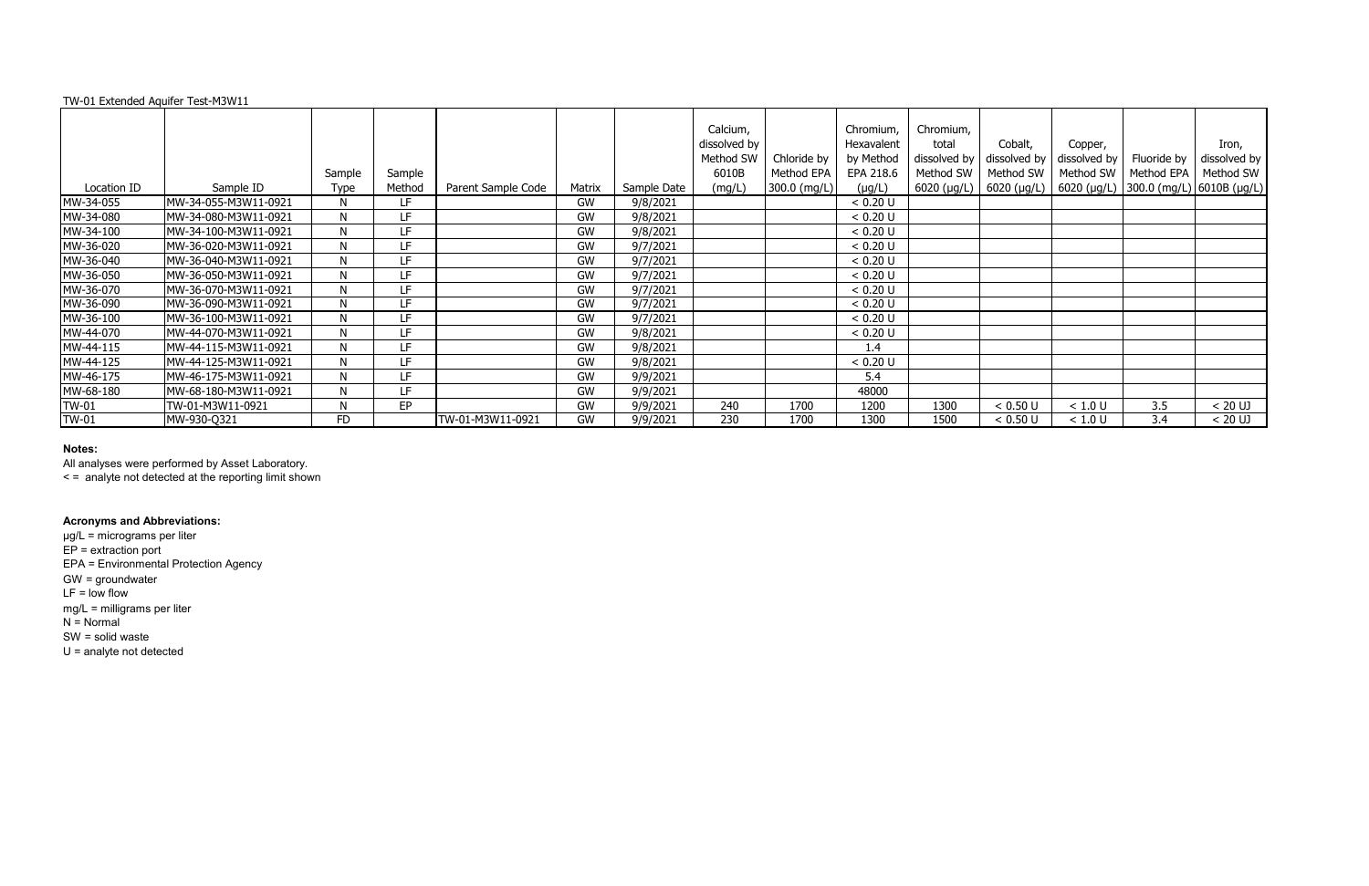# **Notes:**

All analyses were performed by Asset Laboratory.

|              |                      | Sample      | Sample |                    |        |             | Calcium,<br>dissolved by<br>Method SW<br>6010B | Chloride by<br>Method EPA | Chromium,<br>Hexavalent<br>by Method<br>EPA 218.6 | Chromium,<br>total<br>Method SW | Cobalt,<br>dissolved by $\vert$ dissolved by $\vert$ dissolved by $\vert$<br>Method SW | Copper, | Fluoride by<br>Method SW   Method EPA | Iron,<br>dissolved by<br>Method SW                                    |
|--------------|----------------------|-------------|--------|--------------------|--------|-------------|------------------------------------------------|---------------------------|---------------------------------------------------|---------------------------------|----------------------------------------------------------------------------------------|---------|---------------------------------------|-----------------------------------------------------------------------|
| Location ID  | Sample ID            | <b>Type</b> | Method | Parent Sample Code | Matrix | Sample Date | (mg/L)                                         | 300.0 (mg/L)              | $(\mu g/L)$                                       |                                 |                                                                                        |         |                                       | 6020 (µg/L)   6020 (µg/L)   6020 (µg/L)   300.0 (mg/L)   6010B (µg/L) |
| MW-34-055    | MW-34-055-M3W11-0921 | N           | LF.    |                    | GW     | 9/8/2021    |                                                |                           | < 0.20 U                                          |                                 |                                                                                        |         |                                       |                                                                       |
| MW-34-080    | MW-34-080-M3W11-0921 | N           | LF.    |                    | GW     | 9/8/2021    |                                                |                           | < 0.20 U                                          |                                 |                                                                                        |         |                                       |                                                                       |
| MW-34-100    | MW-34-100-M3W11-0921 | N           | LF     |                    | GW     | 9/8/2021    |                                                |                           | < 0.20 U                                          |                                 |                                                                                        |         |                                       |                                                                       |
| MW-36-020    | MW-36-020-M3W11-0921 | N           | LF.    |                    | GW     | 9/7/2021    |                                                |                           | < 0.20 U                                          |                                 |                                                                                        |         |                                       |                                                                       |
| MW-36-040    | MW-36-040-M3W11-0921 | N           | LF.    |                    | GW     | 9/7/2021    |                                                |                           | < 0.20 U                                          |                                 |                                                                                        |         |                                       |                                                                       |
| MW-36-050    | MW-36-050-M3W11-0921 | N           | LF     |                    | GW     | 9/7/2021    |                                                |                           | < 0.20 U                                          |                                 |                                                                                        |         |                                       |                                                                       |
| MW-36-070    | MW-36-070-M3W11-0921 | N           | LF     |                    | GW     | 9/7/2021    |                                                |                           | < 0.20 U                                          |                                 |                                                                                        |         |                                       |                                                                       |
| MW-36-090    | MW-36-090-M3W11-0921 | N           | LF     |                    | GW     | 9/7/2021    |                                                |                           | < 0.20 U                                          |                                 |                                                                                        |         |                                       |                                                                       |
| MW-36-100    | MW-36-100-M3W11-0921 | N           | LF     |                    | GW     | 9/7/2021    |                                                |                           | < 0.20 U                                          |                                 |                                                                                        |         |                                       |                                                                       |
| MW-44-070    | MW-44-070-M3W11-0921 | N           | LF     |                    | GW     | 9/8/2021    |                                                |                           | < 0.20 U                                          |                                 |                                                                                        |         |                                       |                                                                       |
| MW-44-115    | MW-44-115-M3W11-0921 | N           | LF     |                    | GW     | 9/8/2021    |                                                |                           | 1.4                                               |                                 |                                                                                        |         |                                       |                                                                       |
| MW-44-125    | MW-44-125-M3W11-0921 | N           | LF     |                    | GW     | 9/8/2021    |                                                |                           | < 0.20 U                                          |                                 |                                                                                        |         |                                       |                                                                       |
| MW-46-175    | MW-46-175-M3W11-0921 | N           | LF.    |                    | GW     | 9/9/2021    |                                                |                           | 5.4                                               |                                 |                                                                                        |         |                                       |                                                                       |
| MW-68-180    | MW-68-180-M3W11-0921 | N           | LF     |                    | GW     | 9/9/2021    |                                                |                           | 48000                                             |                                 |                                                                                        |         |                                       |                                                                       |
| <b>TW-01</b> | TW-01-M3W11-0921     | N           | EP     |                    | GW     | 9/9/2021    | 240                                            | 1700                      | 1200                                              | 1300                            | < 0.50 U                                                                               | < 1.0 U | 3.5                                   | $< 20$ UJ                                                             |
| <b>TW-01</b> | MW-930-Q321          | <b>FD</b>   |        | TW-01-M3W11-0921   | GW     | 9/9/2021    | 230                                            | 1700                      | 1300                                              | 1500                            | < 0.50 U                                                                               | < 1.0 U | 3.4                                   | < 20 UJ                                                               |

< = analyte not detected at the reporting limit shown

# **Acronyms and Abbreviations:**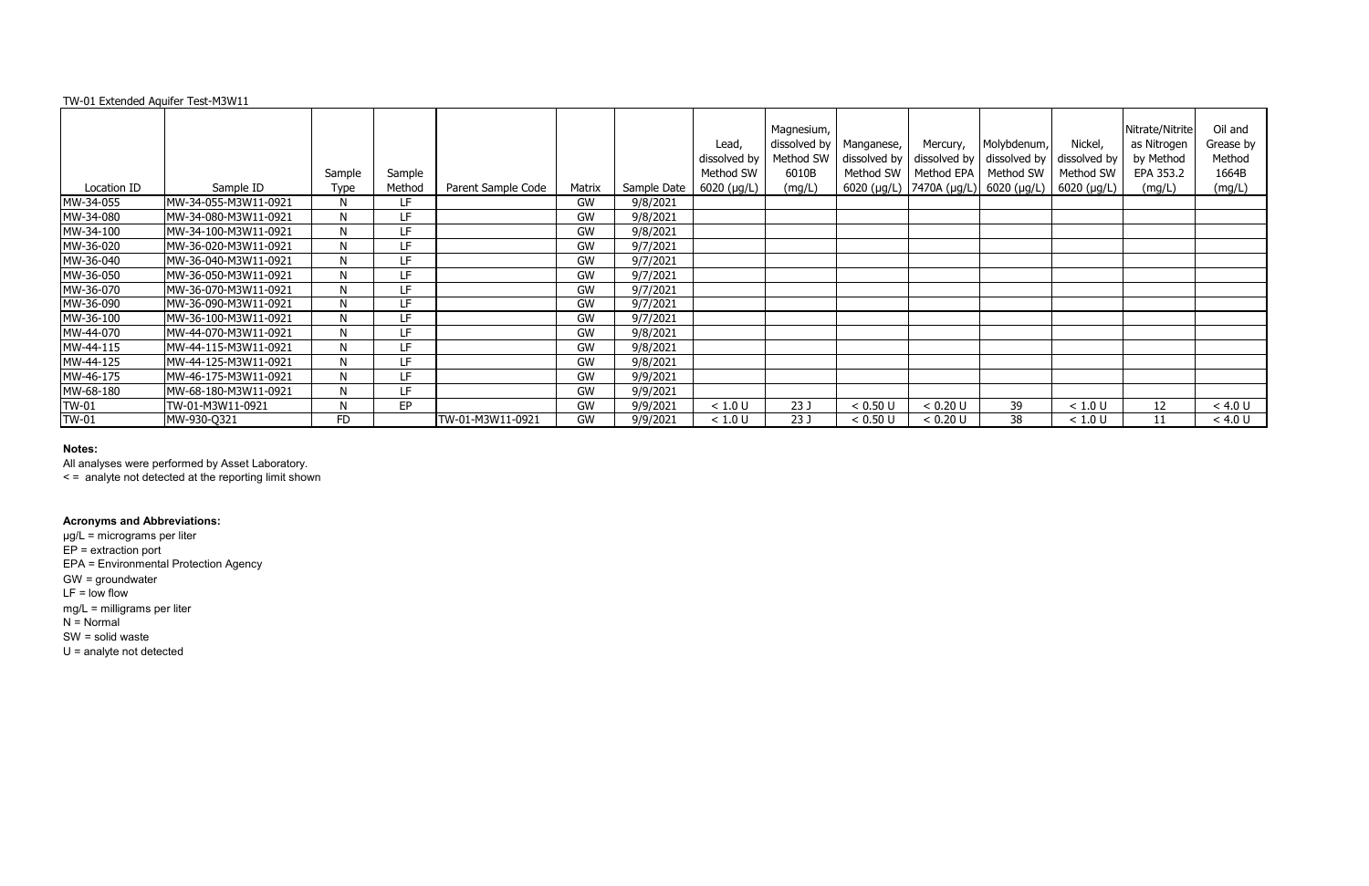### **Notes:**

|              |                      | Sample    | Sample |                    |        |             | Lead,<br>dissolved by<br>Method SW | Magnesium,<br>dissolved by<br>Method SW<br>6010B | Manganese,<br>dissolved by<br>Method SW | Mercury,<br>Method EPA | Molybdenum,<br>dissolved by $\vert$ dissolved by $\vert$ dissolved by<br>Method SW   Method SW | Nickel, | Nitrate/Nitrite<br>as Nitrogen<br>by Method<br>EPA 353.2 | Oil and<br>Grease by<br>Method<br>1664B |
|--------------|----------------------|-----------|--------|--------------------|--------|-------------|------------------------------------|--------------------------------------------------|-----------------------------------------|------------------------|------------------------------------------------------------------------------------------------|---------|----------------------------------------------------------|-----------------------------------------|
| Location ID  | Sample ID            | Type      | Method | Parent Sample Code | Matrix | Sample Date | 6020 (µg/L)                        | (mg/L)                                           |                                         |                        | 6020 (µg/L)   7470A (µg/L)   6020 (µg/L)   6020 (µg/L)                                         |         | (mg/L)                                                   | (mg/L)                                  |
| MW-34-055    | MW-34-055-M3W11-0921 | N         | LF.    |                    | GW     | 9/8/2021    |                                    |                                                  |                                         |                        |                                                                                                |         |                                                          |                                         |
| MW-34-080    | MW-34-080-M3W11-0921 | N         | LF     |                    | GW     | 9/8/2021    |                                    |                                                  |                                         |                        |                                                                                                |         |                                                          |                                         |
| MW-34-100    | MW-34-100-M3W11-0921 | N         | LF     |                    | GW     | 9/8/2021    |                                    |                                                  |                                         |                        |                                                                                                |         |                                                          |                                         |
| MW-36-020    | MW-36-020-M3W11-0921 | N         | LF.    |                    | GW     | 9/7/2021    |                                    |                                                  |                                         |                        |                                                                                                |         |                                                          |                                         |
| MW-36-040    | MW-36-040-M3W11-0921 | N         | LF     |                    | GW     | 9/7/2021    |                                    |                                                  |                                         |                        |                                                                                                |         |                                                          |                                         |
| MW-36-050    | MW-36-050-M3W11-0921 | N         | LF     |                    | GW     | 9/7/2021    |                                    |                                                  |                                         |                        |                                                                                                |         |                                                          |                                         |
| MW-36-070    | MW-36-070-M3W11-0921 | N         | LF     |                    | GW     | 9/7/2021    |                                    |                                                  |                                         |                        |                                                                                                |         |                                                          |                                         |
| MW-36-090    | MW-36-090-M3W11-0921 | N         | LF     |                    | GW     | 9/7/2021    |                                    |                                                  |                                         |                        |                                                                                                |         |                                                          |                                         |
| MW-36-100    | MW-36-100-M3W11-0921 | N         | LF     |                    | GW     | 9/7/2021    |                                    |                                                  |                                         |                        |                                                                                                |         |                                                          |                                         |
| MW-44-070    | MW-44-070-M3W11-0921 | N         | LF.    |                    | GW     | 9/8/2021    |                                    |                                                  |                                         |                        |                                                                                                |         |                                                          |                                         |
| MW-44-115    | MW-44-115-M3W11-0921 | N         | ΙF     |                    | GW     | 9/8/2021    |                                    |                                                  |                                         |                        |                                                                                                |         |                                                          |                                         |
| MW-44-125    | MW-44-125-M3W11-0921 | N         | LF.    |                    | GW     | 9/8/2021    |                                    |                                                  |                                         |                        |                                                                                                |         |                                                          |                                         |
| MW-46-175    | MW-46-175-M3W11-0921 | N         | LF.    |                    | GW     | 9/9/2021    |                                    |                                                  |                                         |                        |                                                                                                |         |                                                          |                                         |
| MW-68-180    | MW-68-180-M3W11-0921 | N         | ΙF     |                    | GW     | 9/9/2021    |                                    |                                                  |                                         |                        |                                                                                                |         |                                                          |                                         |
| <b>TW-01</b> | TW-01-M3W11-0921     | N         | EP     |                    | GW     | 9/9/2021    | < 1.0 U                            | 23J                                              | < 0.50 U                                | < 0.20 U               | 39                                                                                             | < 1.0 U | 12                                                       | < 4.0 U                                 |
| <b>TW-01</b> | MW-930-Q321          | <b>FD</b> |        | TW-01-M3W11-0921   | GW     | 9/9/2021    | < 1.0 U                            | 23J                                              | < 0.50 U                                | < 0.20 U               | 38                                                                                             | < 1.0 U | 11                                                       | < 4.0 U                                 |

All analyses were performed by Asset Laboratory.

< = analyte not detected at the reporting limit shown

### **Acronyms and Abbreviations:**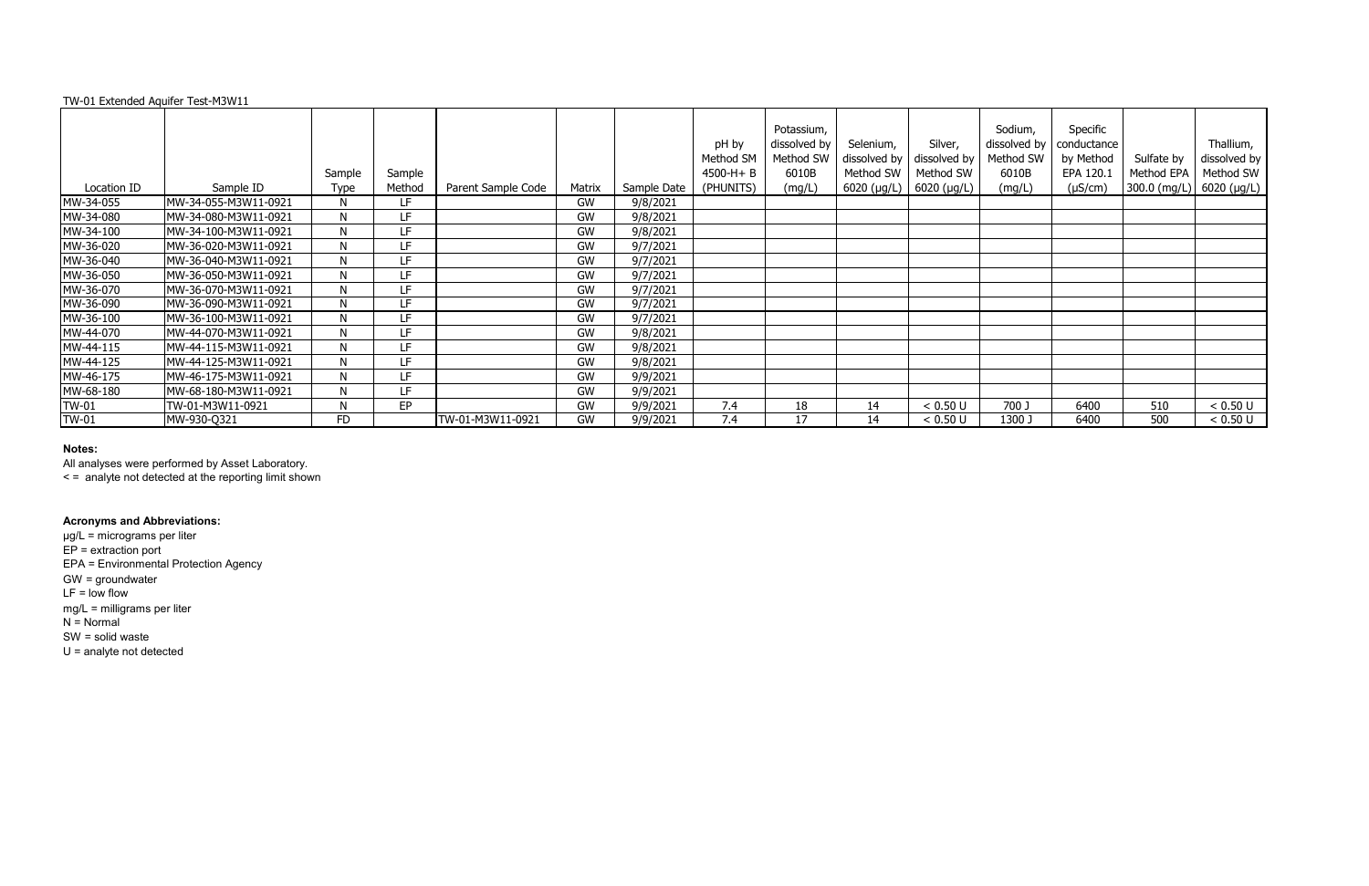|              |                      | Sample      | Sample |                    |           |             | pH by<br>Method SM<br>$4500-H + B$ | Potassium,<br>dissolved by<br>Method SW<br>6010B | Selenium,<br>dissolved by<br>Method SW | Silver,<br>dissolved by<br>Method SW | Sodium,<br>dissolved by<br>Method SW<br>6010B | Specific<br>conductance<br>by Method<br>EPA 120.1 | Sulfate by<br>Method EPA                      | Thallium,<br>dissolved by<br>Method SW |
|--------------|----------------------|-------------|--------|--------------------|-----------|-------------|------------------------------------|--------------------------------------------------|----------------------------------------|--------------------------------------|-----------------------------------------------|---------------------------------------------------|-----------------------------------------------|----------------------------------------|
| Location ID  | Sample ID            | <b>Type</b> | Method | Parent Sample Code | Matrix    | Sample Date | (PHUNITS)                          | (mg/L)                                           | $6020$ ( $\mu$ g/L)                    | $6020$ (µg/L)                        | (mg/L)                                        | $(\mu S/cm)$                                      | $ 300.0 \text{ (mg/L)}  6020 \text{ (µg/L)} $ |                                        |
| MW-34-055    | MW-34-055-M3W11-0921 | N           | LF.    |                    | GW        | 9/8/2021    |                                    |                                                  |                                        |                                      |                                               |                                                   |                                               |                                        |
| MW-34-080    | MW-34-080-M3W11-0921 | N           | LF     |                    | GW        | 9/8/2021    |                                    |                                                  |                                        |                                      |                                               |                                                   |                                               |                                        |
| MW-34-100    | MW-34-100-M3W11-0921 | N           | LF     |                    | GW        | 9/8/2021    |                                    |                                                  |                                        |                                      |                                               |                                                   |                                               |                                        |
| MW-36-020    | MW-36-020-M3W11-0921 | N           | LF.    |                    | GW        | 9/7/2021    |                                    |                                                  |                                        |                                      |                                               |                                                   |                                               |                                        |
| MW-36-040    | MW-36-040-M3W11-0921 | N           | LF     |                    | <b>GW</b> | 9/7/2021    |                                    |                                                  |                                        |                                      |                                               |                                                   |                                               |                                        |
| MW-36-050    | MW-36-050-M3W11-0921 | N           | LF     |                    | GW        | 9/7/2021    |                                    |                                                  |                                        |                                      |                                               |                                                   |                                               |                                        |
| MW-36-070    | MW-36-070-M3W11-0921 | N           | LF.    |                    | GW        | 9/7/2021    |                                    |                                                  |                                        |                                      |                                               |                                                   |                                               |                                        |
| MW-36-090    | MW-36-090-M3W11-0921 | N           | LF     |                    | GW        | 9/7/2021    |                                    |                                                  |                                        |                                      |                                               |                                                   |                                               |                                        |
| MW-36-100    | MW-36-100-M3W11-0921 | N           | LF     |                    | GW        | 9/7/2021    |                                    |                                                  |                                        |                                      |                                               |                                                   |                                               |                                        |
| MW-44-070    | MW-44-070-M3W11-0921 | N           | LF.    |                    | GW        | 9/8/2021    |                                    |                                                  |                                        |                                      |                                               |                                                   |                                               |                                        |
| MW-44-115    | MW-44-115-M3W11-0921 | N           | I F    |                    | GW        | 9/8/2021    |                                    |                                                  |                                        |                                      |                                               |                                                   |                                               |                                        |
| MW-44-125    | MW-44-125-M3W11-0921 | N           | LF     |                    | GW        | 9/8/2021    |                                    |                                                  |                                        |                                      |                                               |                                                   |                                               |                                        |
| MW-46-175    | MW-46-175-M3W11-0921 | N           | LF     |                    | GW        | 9/9/2021    |                                    |                                                  |                                        |                                      |                                               |                                                   |                                               |                                        |
| MW-68-180    | MW-68-180-M3W11-0921 | N           | I F    |                    | GW        | 9/9/2021    |                                    |                                                  |                                        |                                      |                                               |                                                   |                                               |                                        |
| <b>TW-01</b> | TW-01-M3W11-0921     | N           | EP     |                    | GW        | 9/9/2021    | 7.4                                | 18                                               | 14                                     | < 0.50 U                             | 700 J                                         | 6400                                              | 510                                           | < 0.50 U                               |
| <b>TW-01</b> | MW-930-Q321          | <b>FD</b>   |        | TW-01-M3W11-0921   | GW        | 9/9/2021    | 7.4                                | 17                                               | 14                                     | < 0.50 U                             | 1300 J                                        | 6400                                              | 500                                           | < 0.50 U                               |

### **Notes:**

All analyses were performed by Asset Laboratory.

< = analyte not detected at the reporting limit shown

### **Acronyms and Abbreviations:**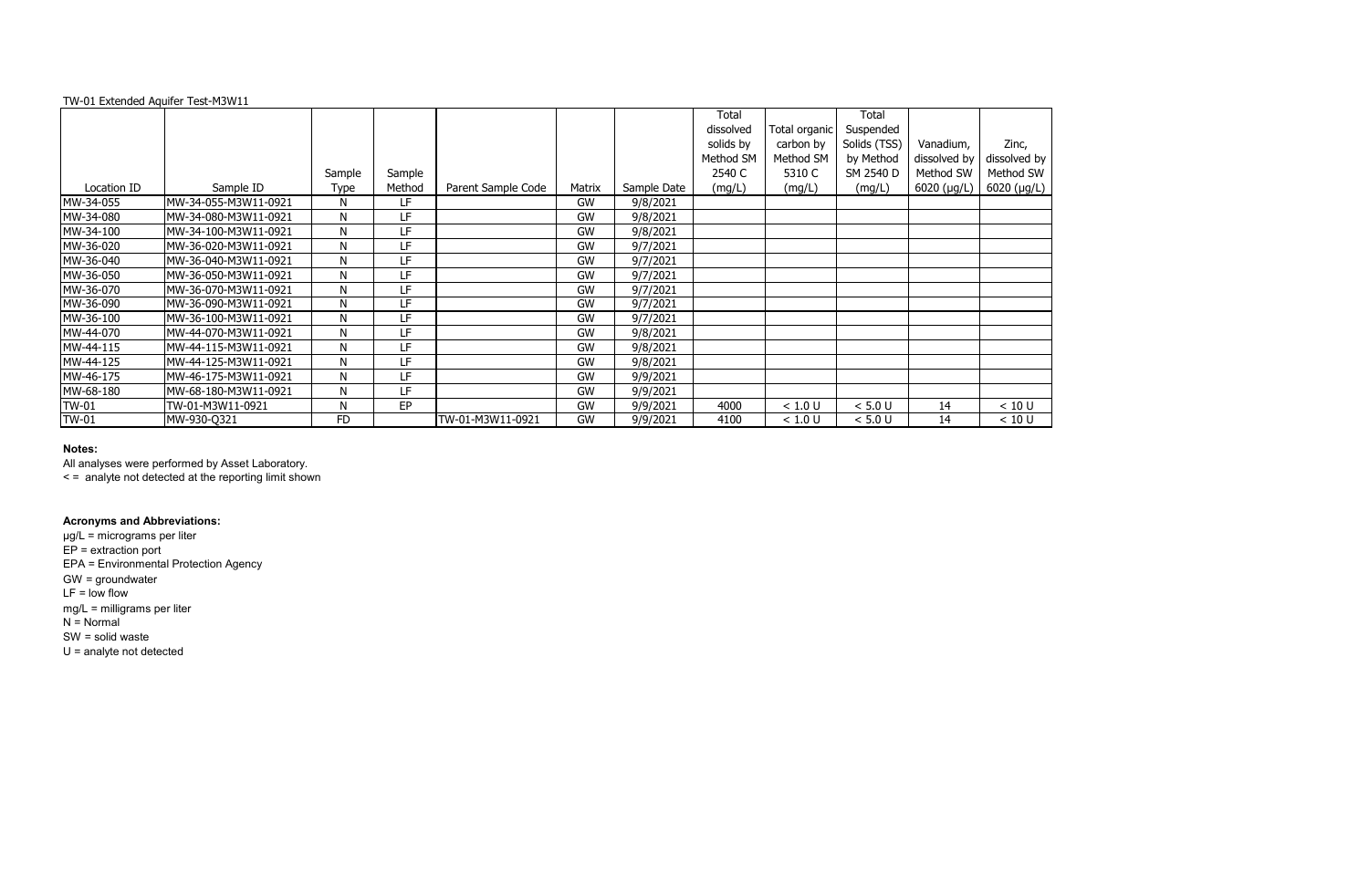|              |                      |              |           |                    |           |             | Total     |               | Total        |              |           |
|--------------|----------------------|--------------|-----------|--------------------|-----------|-------------|-----------|---------------|--------------|--------------|-----------|
|              |                      |              |           |                    |           |             | dissolved | Total organic | Suspended    |              |           |
|              |                      |              |           |                    |           |             | solids by | carbon by     | Solids (TSS) | Vanadium,    | Zinc,     |
|              |                      |              |           |                    |           |             | Method SM | Method SM     | by Method    | dissolved by | dissolved |
|              |                      | Sample       | Sample    |                    |           |             | 2540 C    | 5310 C        | SM 2540 D    | Method SW    | Method S  |
| Location ID  | Sample ID            | Type         | Method    | Parent Sample Code | Matrix    | Sample Date | (mg/L)    | (mg/L)        | (mg/L)       | 6020 (µg/L)  | 6020 (µg  |
| MW-34-055    | MW-34-055-M3W11-0921 | N            | LF        |                    | <b>GW</b> | 9/8/2021    |           |               |              |              |           |
| MW-34-080    | MW-34-080-M3W11-0921 | N            | LF        |                    | GW        | 9/8/2021    |           |               |              |              |           |
| MW-34-100    | MW-34-100-M3W11-0921 | N            | LF        |                    | GW        | 9/8/2021    |           |               |              |              |           |
| MW-36-020    | MW-36-020-M3W11-0921 | N            | LF        |                    | <b>GW</b> | 9/7/2021    |           |               |              |              |           |
| MW-36-040    | MW-36-040-M3W11-0921 | N            | LF        |                    | <b>GW</b> | 9/7/2021    |           |               |              |              |           |
| MW-36-050    | MW-36-050-M3W11-0921 | N            | LF        |                    | GW        | 9/7/2021    |           |               |              |              |           |
| MW-36-070    | MW-36-070-M3W11-0921 | N            | LF        |                    | <b>GW</b> | 9/7/2021    |           |               |              |              |           |
| MW-36-090    | MW-36-090-M3W11-0921 | N            | LF        |                    | GW        | 9/7/2021    |           |               |              |              |           |
| MW-36-100    | MW-36-100-M3W11-0921 | N            | LF        |                    | GW        | 9/7/2021    |           |               |              |              |           |
| MW-44-070    | MW-44-070-M3W11-0921 | N            | <b>LF</b> |                    | <b>GW</b> | 9/8/2021    |           |               |              |              |           |
| MW-44-115    | MW-44-115-M3W11-0921 | N            | LF        |                    | <b>GW</b> | 9/8/2021    |           |               |              |              |           |
| MW-44-125    | MW-44-125-M3W11-0921 | N            | LF        |                    | GW        | 9/8/2021    |           |               |              |              |           |
| MW-46-175    | MW-46-175-M3W11-0921 | $\mathsf{N}$ | <b>LF</b> |                    | <b>GW</b> | 9/9/2021    |           |               |              |              |           |
| MW-68-180    | MW-68-180-M3W11-0921 | N            | LF        |                    | GW        | 9/9/2021    |           |               |              |              |           |
| <b>TW-01</b> | TW-01-M3W11-0921     | N            | EP        |                    | GW        | 9/9/2021    | 4000      | < 1.0 U       | < 5.0 U      | 14           | < 10 U    |
| <b>TW-01</b> | MW-930-Q321          | <b>FD</b>    |           | TW-01-M3W11-0921   | <b>GW</b> | 9/9/2021    | 4100      | < 1.0 U       | < 5.0 U      | 14           | < 10 U    |

### **Notes:**

All analyses were performed by Asset Laboratory.

< = analyte not detected at the reporting limit shown

# **Acronyms and Abbreviations:**

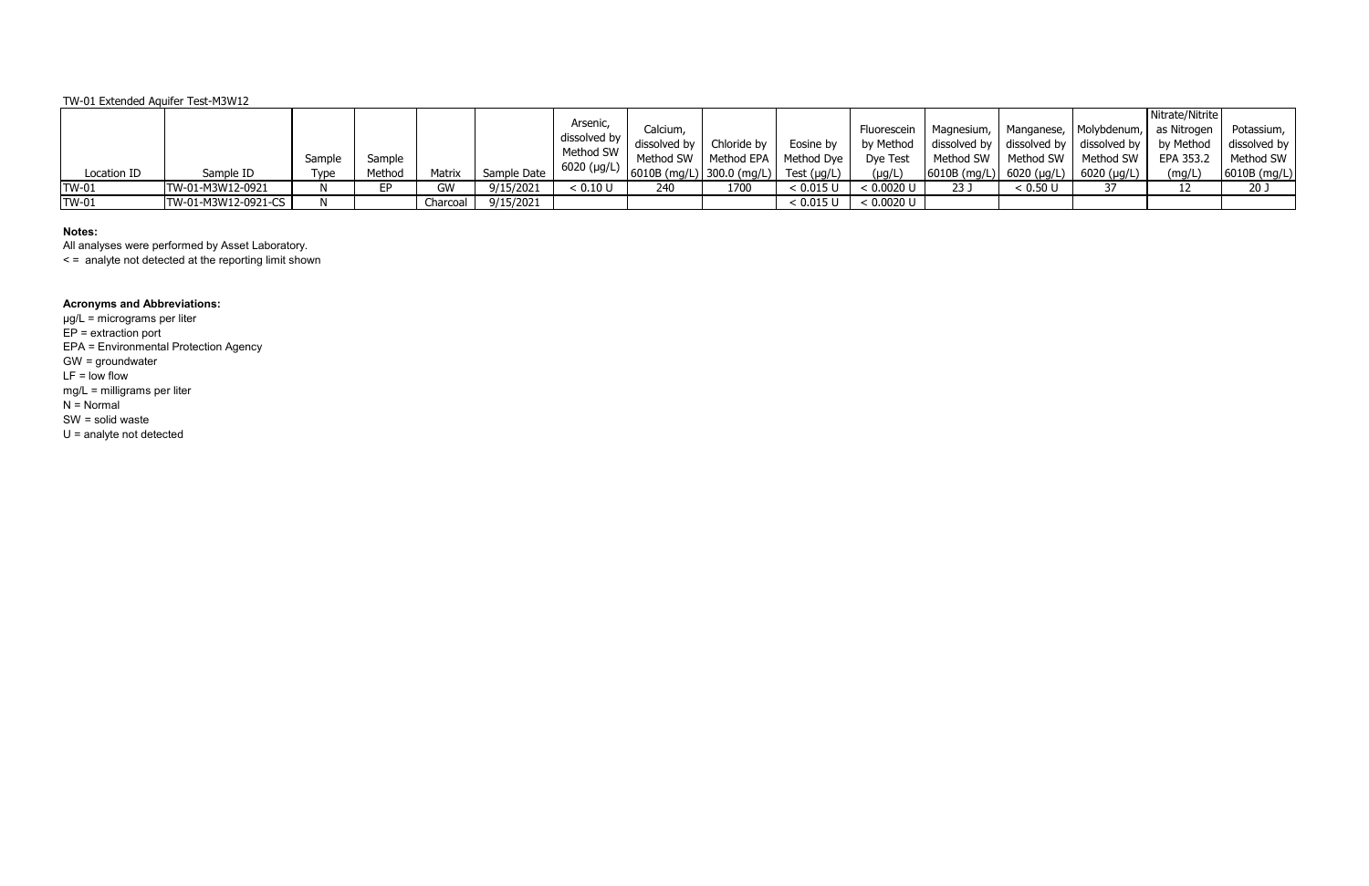| Location ID  | Sample ID           | Sample<br>Type | Sample<br>Method | Matrix   | Sample Date | Arsenic,<br>dissolved by  <br>Method SW<br>6020 (µg/L) | Calcium,<br>dissolved by<br>$\frac{1}{1}$   6010B (mg/L)   300.0 (mg/L)   Test (µg/L) | Chloride by | Eosine by<br>Method SW   Method EPA   Method Dye | Fluorescein<br>by Method<br>Dye Test<br>$(\mu g/L)$ | Magnesium,<br>  dissolved by   dissolved by   dissolved by   by Method<br>$ 6010B \text{ (mg/L)}  6020 \text{ (µg/L)}   6020 \text{ (µg/L)} $ | Manganese,   Molybdenum,   as Nitrogen<br>Method SW   Method SW | Method SW | Nitrate/Nitrite<br>EPA 353.2<br>(mg/L) | Potassium,<br>dissolved by<br>Method SW<br>$6010B$ (mg/L) |
|--------------|---------------------|----------------|------------------|----------|-------------|--------------------------------------------------------|---------------------------------------------------------------------------------------|-------------|--------------------------------------------------|-----------------------------------------------------|-----------------------------------------------------------------------------------------------------------------------------------------------|-----------------------------------------------------------------|-----------|----------------------------------------|-----------------------------------------------------------|
| <b>TW-01</b> | TW-01-M3W12-0921    |                |                  | GW       | 9/15/2021   | < 0.10 U                                               | 240                                                                                   | 1700        | < 0.015 U                                        | < 0.0020 U                                          | 23J                                                                                                                                           | < 0.50 U                                                        |           |                                        | 20 <sub>J</sub>                                           |
| <b>TW-01</b> | TW-01-M3W12-0921-CS |                |                  | Charcoal | 9/15/2021   |                                                        |                                                                                       |             | < 0.015 U                                        | < 0.0020 U                                          |                                                                                                                                               |                                                                 |           |                                        |                                                           |

# **Notes:**

All analyses were performed by Asset Laboratory.

< = analyte not detected at the reporting limit shown

# **Acronyms and Abbreviations:**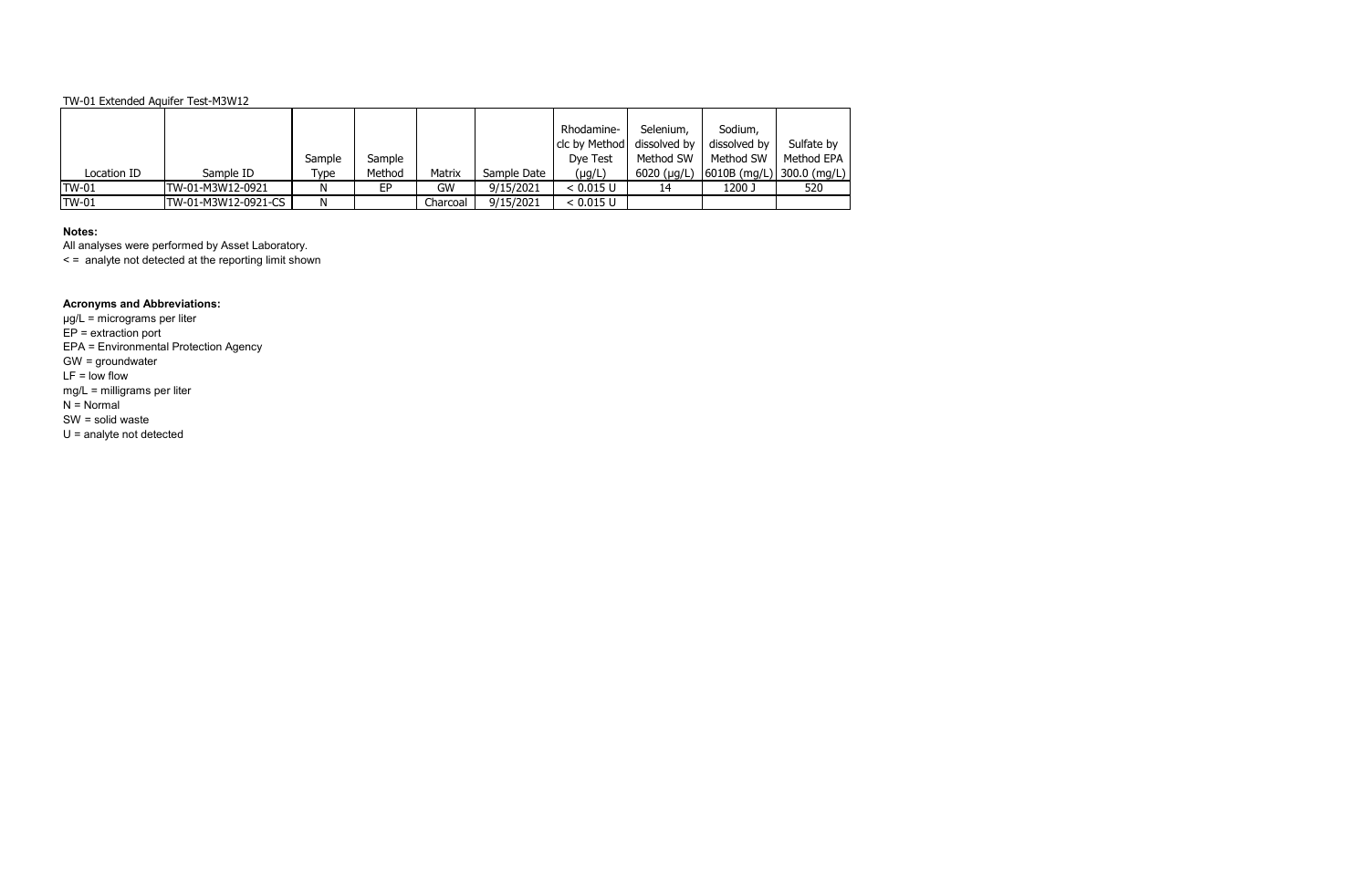# **Notes:**

All analyses were performed by Asset Laboratory.

< = analyte not detected at the reporting limit shown

# **Acronyms and Abbreviations:**

|              |                     |        |        |          |             | Rhodamine-    | Selenium,           | Sodium,                                       |            |
|--------------|---------------------|--------|--------|----------|-------------|---------------|---------------------|-----------------------------------------------|------------|
|              |                     |        |        |          |             | clc by Method | dissolved by        | dissolved by                                  | Sulfate by |
|              |                     | Sample | Sample |          |             | Dye Test      | Method SW           | Method SW                                     | Method EPA |
| Location ID  | Sample ID           | Type   | Method | Matrix   | Sample Date | $(\mu g/L)$   | $6020$ ( $\mu$ g/L) | $ 6010B \text{ (mg/L)} 300.0 \text{ (mg/L)} $ |            |
| <b>TW-01</b> | TW-01-M3W12-0921    | N      | EP     | GW       | 9/15/2021   | < 0.015 U     |                     | 1200 J                                        | 520        |
| <b>TW-01</b> | TW-01-M3W12-0921-CS | N      |        | Charcoal | 9/15/2021   | < 0.015 U     |                     |                                               |            |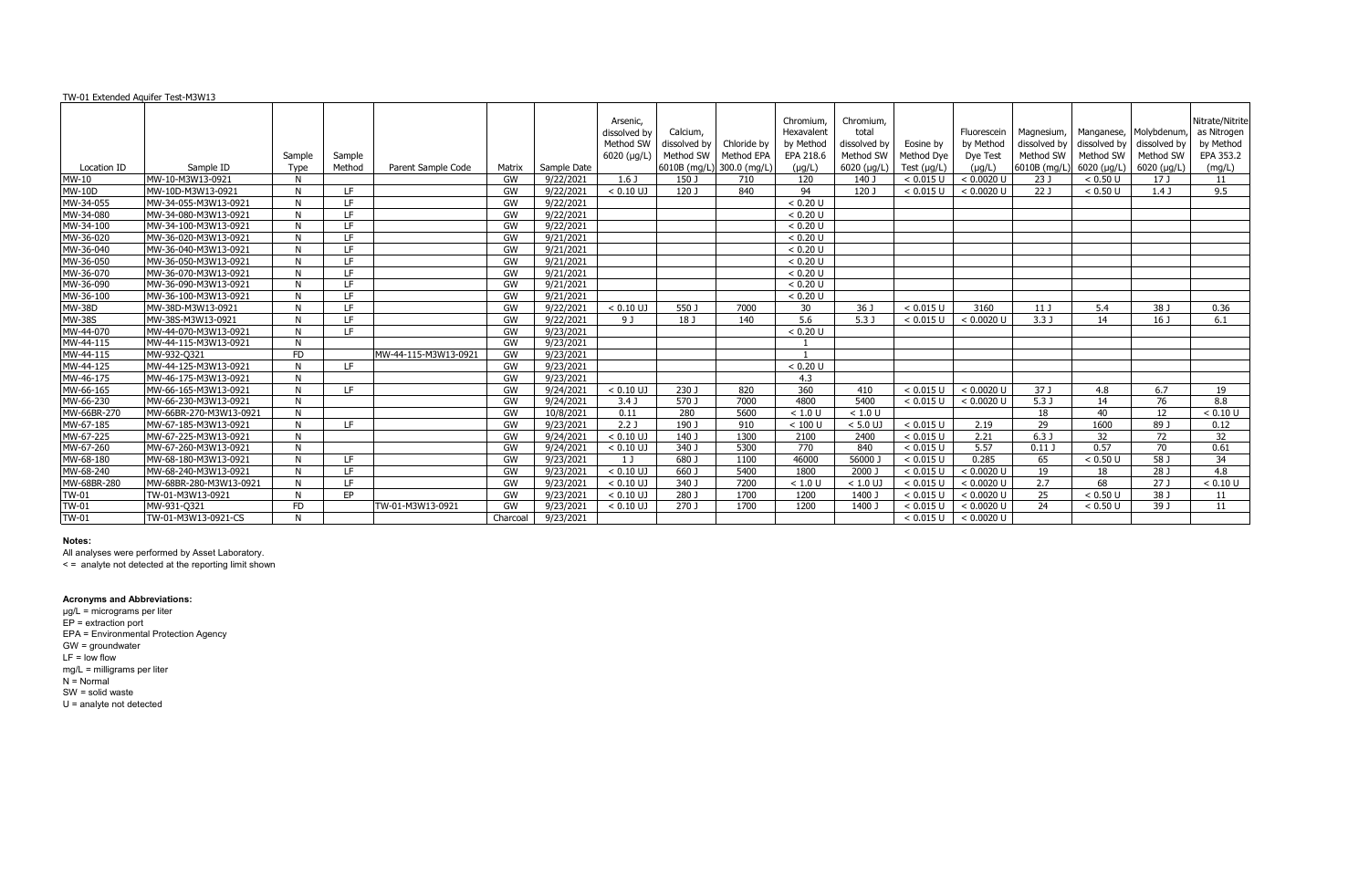|                     |                        |           |           |                      |          |             | Arsenic,         |              |                           | Chromium,       | Chromium.    |                  |             |                  |              |                        | Nitrate/Nitrite |
|---------------------|------------------------|-----------|-----------|----------------------|----------|-------------|------------------|--------------|---------------------------|-----------------|--------------|------------------|-------------|------------------|--------------|------------------------|-----------------|
|                     |                        |           |           |                      |          |             | dissolved by     | Calcium,     |                           | Hexavalent      | total        |                  | Fluorescein | Magnesium,       |              | Manganese, Molybdenum, | as Nitrogen     |
|                     |                        |           |           |                      |          |             | Method SW        | dissolved by | Chloride by               | by Method       | dissolved by | Eosine by        | by Method   | dissolved by     | dissolved by | dissolved by           | by Method       |
|                     |                        | Sample    | Sample    |                      |          |             | 6020 (µg/L)      | Method SW    | Method EPA                | EPA 218.6       | Method SW    | Method Dye       | Dye Test    | Method SW        | Method SW    | Method SW              | EPA 353.2       |
| Location ID         | Sample ID              | Type      | Method    | Parent Sample Code   | Matrix   | Sample Date |                  |              | 6010B (mg/L) 300.0 (mg/L) | $(\mu g/L)$     | 6020 (µg/L)  | Test $(\mu g/L)$ | $(\mu g/L)$ | 6010B (mg/L)     | 6020 (µg/L)  | 6020 (µg/L)            | (mg/L)          |
| <b>MW-10</b>        | MW-10-M3W13-0921       | N         |           |                      | GW       | 9/22/2021   | 1.6 <sub>J</sub> | 150 J        | 710                       | 120             | 140 J        | < 0.015 U        | < 0.0020 U  | 23 J             | < 0.50 U     | 17 J                   | 11              |
| $\overline{MW-10D}$ | MW-10D-M3W13-0921      | N         | IE.       |                      | GW       | 9/22/2021   | $< 0.10$ UJ      | 120 J        | 840                       | 94              | 120 J        | < 0.015 U        | < 0.0020 U  | 22J              | < 0.50 U     | 1.4J                   | 9.5             |
| MW-34-055           | MW-34-055-M3W13-0921   | N         | LE.       |                      | GW       | 9/22/2021   |                  |              |                           | < 0.20 U        |              |                  |             |                  |              |                        |                 |
| MW-34-080           | MW-34-080-M3W13-0921   | N         | LE.       |                      | GW       | 9/22/2021   |                  |              |                           | < 0.20 U        |              |                  |             |                  |              |                        |                 |
| MW-34-100           | MW-34-100-M3W13-0921   | N         | LF.       |                      | GW       | 9/22/2021   |                  |              |                           | < 0.20 U        |              |                  |             |                  |              |                        |                 |
| MW-36-020           | MW-36-020-M3W13-0921   |           | LE.       |                      | GW       | 9/21/2021   |                  |              |                           | < 0.20 U        |              |                  |             |                  |              |                        |                 |
| MW-36-040           | MW-36-040-M3W13-0921   |           | LF.       |                      | GW       | 9/21/2021   |                  |              |                           | < 0.20 U        |              |                  |             |                  |              |                        |                 |
| MW-36-050           | MW-36-050-M3W13-0921   | N         | LF.       |                      | GW       | 9/21/2021   |                  |              |                           | < 0.20 U        |              |                  |             |                  |              |                        |                 |
| MW-36-070           | MW-36-070-M3W13-0921   | N         | IE.       |                      | GW       | 9/21/2021   |                  |              |                           | < 0.20 U        |              |                  |             |                  |              |                        |                 |
| MW-36-090           | MW-36-090-M3W13-0921   | N         | IE.       |                      | GW       | 9/21/2021   |                  |              |                           | < 0.20 U        |              |                  |             |                  |              |                        |                 |
| MW-36-100           | MW-36-100-M3W13-0921   | N         | IE.       |                      | GW       | 9/21/2021   |                  |              |                           | < 0.20 U        |              |                  |             |                  |              |                        |                 |
| MW-38D              | MW-38D-M3W13-0921      | N         | IE.       |                      | GW       | 9/22/2021   | $< 0.10$ UJ      | 550 J        | 7000                      | 30 <sup>°</sup> | 36 J         | < 0.015 U        | 3160        | 11J              | 5.4          | 38 J                   | 0.36            |
| <b>MW-38S</b>       | MW-38S-M3W13-0921      | N         | IE.       |                      | GW       | 9/22/2021   | 9 J              | 18 J         | 140                       | 5.6             | 5.3J         | < 0.015 U        | < 0.0020 U  | 3.3J             | 14           | 16 <sub>J</sub>        | 6.1             |
| MW-44-070           | MW-44-070-M3W13-0921   |           | LE.       |                      | GW       | 9/23/2021   |                  |              |                           | < 0.20 U        |              |                  |             |                  |              |                        |                 |
| MW-44-115           | MW-44-115-M3W13-0921   |           |           |                      | GW       | 9/23/2021   |                  |              |                           |                 |              |                  |             |                  |              |                        |                 |
| MW-44-115           | MW-932-Q321            | <b>FD</b> |           | MW-44-115-M3W13-0921 | GW       | 9/23/2021   |                  |              |                           |                 |              |                  |             |                  |              |                        |                 |
| MW-44-125           | MW-44-125-M3W13-0921   |           | TE.       |                      | GW       | 9/23/2021   |                  |              |                           | < 0.20 U        |              |                  |             |                  |              |                        |                 |
| MW-46-175           | MW-46-175-M3W13-0921   |           |           |                      | GW       | 9/23/2021   |                  |              |                           | 4.3             |              |                  |             |                  |              |                        |                 |
| MW-66-165           | MW-66-165-M3W13-0921   |           | LE.       |                      | GW       | 9/24/2021   | $< 0.10$ UJ      | 230 J        | 820                       | 360             | 410          | < 0.015 U        | < 0.0020 U  | 37 J             | 4.8          | 6.7                    | 19              |
| MW-66-230           | MW-66-230-M3W13-0921   | N         |           |                      | GW       | 9/24/2021   | 3.4J             | 570 J        | 7000                      | 4800            | 5400         | < 0.015 U        | < 0.0020 U  | 5.3 <sub>J</sub> | 14           | 76                     | 8.8             |
| MW-66BR-270         | MW-66BR-270-M3W13-0921 | N         |           |                      | GW       | 10/8/2021   | 0.11             | 280          | 5600                      | < 1.0 U         | < 1.0 U      |                  |             | 18               | 40           | 12                     | < 0.10 U        |
| MW-67-185           | MW-67-185-M3W13-0921   | N         | LE.       |                      | GW       | 9/23/2021   | $2.2$ J          | 190 J        | 910                       | $< 100$ U       | $< 5.0$ UJ   | < 0.015 U        | 2.19        | 29               | 1600         | 89 J                   | 0.12            |
| MW-67-225           | MW-67-225-M3W13-0921   |           |           |                      | GW       | 9/24/2021   | $< 0.10$ UJ      | 140 J        | 1300                      | 2100            | 2400         | < 0.015 U        | 2.21        | 6.3J             | 32           | 72                     | 32              |
| MW-67-260           | MW-67-260-M3W13-0921   | N         |           |                      | GW       | 9/24/2021   | $< 0.10$ UJ      | 340 J        | 5300                      | 770             | 840          | < 0.015 U        | 5.57        | $0.11$ J         | 0.57         | 70                     | 0.61            |
| MW-68-180           | MW-68-180-M3W13-0921   | N         | IE.       |                      | GW       | 9/23/2021   | 1 J              | 680 J        | 1100                      | 46000           | 56000        | < 0.015 U        | 0.285       | 65               | < 0.50 U     | 58 J                   | 34              |
| MW-68-240           | MW-68-240-M3W13-0921   |           | IE.       |                      | GW       | 9/23/2021   | $< 0.10$ UJ      | 660 J        | 5400                      | 1800            | 2000 J       | < 0.015 U        | < 0.0020 U  | 19               | 18           | 28 J                   | 4.8             |
| MW-68BR-280         | MW-68BR-280-M3W13-0921 |           | LF.       |                      | GW       | 9/23/2021   | $< 0.10$ UJ      | 340 J        | 7200                      | < 1.0 U         | $< 1.0$ UJ   | < 0.015 U        | < 0.0020 U  | 2.7              | 68           | $\overline{27J}$       | < 0.10 U        |
| <b>TW-01</b>        | TW-01-M3W13-0921       |           | <b>EP</b> |                      | GW       | 9/23/2021   | $< 0.10$ UJ      | 280 J        | 1700                      | 1200            | 1400 J       | < 0.015 U        | < 0.0020 U  | 25               | < 0.50 U     | 38 J                   | 11              |
| TW-01               | MW-931-0321            | <b>FD</b> |           | TW-01-M3W13-0921     | GW       | 9/23/2021   | $< 0.10$ UJ      | 270 J        | 1700                      | 1200            | 1400         | < 0.015 U        | < 0.0020 U  | 24               | < 0.50 U     | 39 J                   | 11              |
| <b>TW-01</b>        | TW-01-M3W13-0921-CS    | N         |           |                      | Charcoal | 9/23/2021   |                  |              |                           |                 |              | < 0.015 U        | < 0.0020 U  |                  |              |                        |                 |

### **Notes:**

All analyses were performed by Asset Laboratory.

< = analyte not detected at the reporting limit shown

#### **Acronyms and Abbreviations:**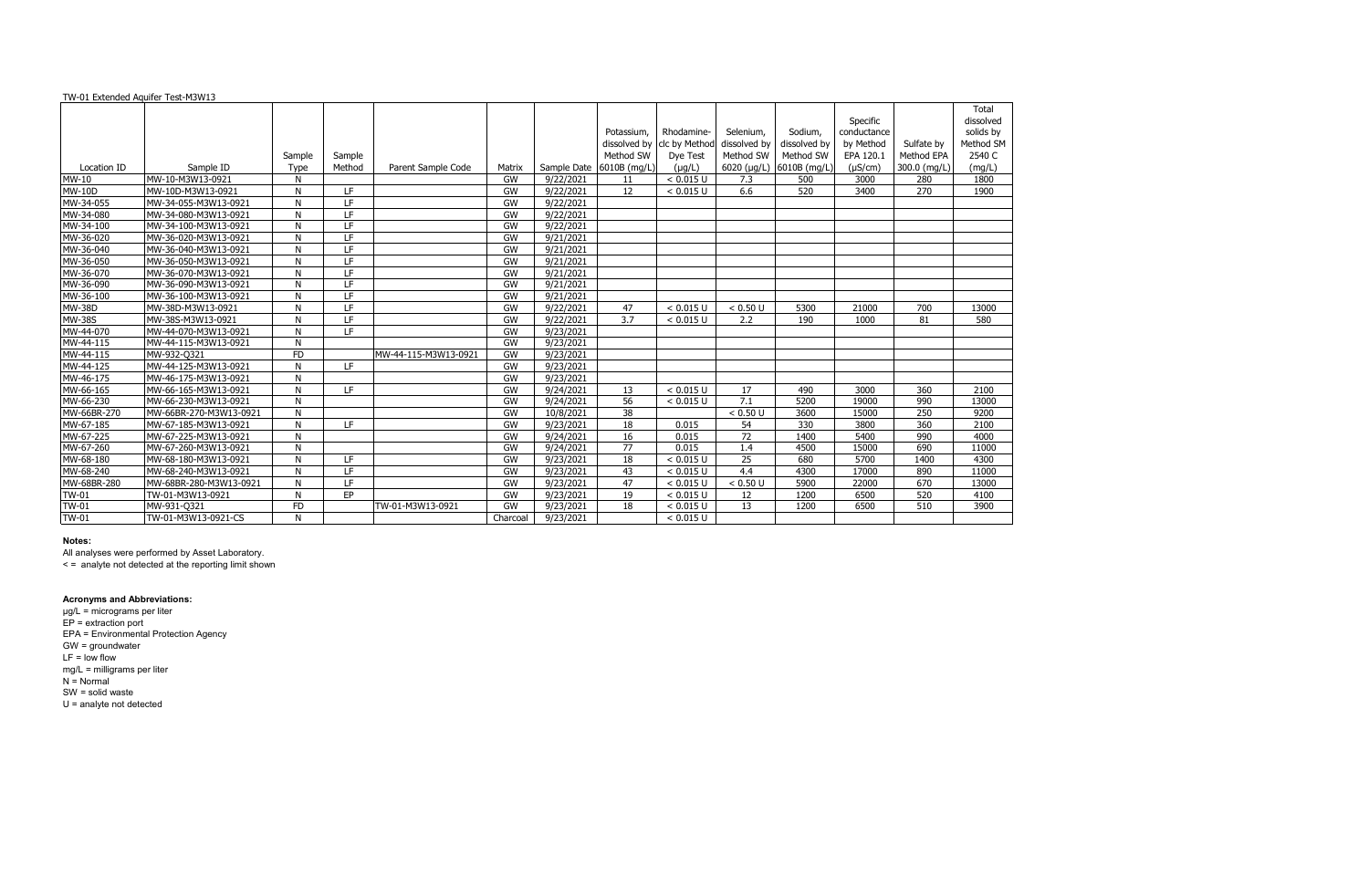|               |                        |           |        |                      |           |                        |                 |                            |                 |              |             |              | Total     |
|---------------|------------------------|-----------|--------|----------------------|-----------|------------------------|-----------------|----------------------------|-----------------|--------------|-------------|--------------|-----------|
|               |                        |           |        |                      |           |                        |                 |                            |                 |              | Specific    |              | dissolved |
|               |                        |           |        |                      |           |                        | Potassium.      | Rhodamine-                 | Selenium,       | Sodium,      | conductance |              | solids by |
|               |                        |           |        |                      |           |                        |                 | dissolved by clc by Method | dissolved by    | dissolved by | by Method   | Sulfate by   | Method SM |
|               |                        | Sample    | Sample |                      |           |                        | Method SW       | Dye Test                   | Method SW       | Method SW    | EPA 120.1   | Method EPA   | 2540 C    |
| Location ID   | Sample ID              | Type      | Method | Parent Sample Code   | Matrix    | Sample Date            | 6010B (mg/L)    | $(\mu q/L)$                | 6020 (µg/L)     | 6010B (mg/L) | (µS/cm)     | 300.0 (mg/L) | (mq/L)    |
| <b>MW-10</b>  | MW-10-M3W13-0921       | N         |        |                      | GW        | 9/22/2021              | 11              | < 0.015 U                  | 7.3             | 500          | 3000        | 280          | 1800      |
| $MW-10D$      | MW-10D-M3W13-0921      | N         | LF.    |                      | GW        | 9/22/2021              | $\overline{12}$ | < 0.015 U                  | 6.6             | 520          | 3400        | 270          | 1900      |
| MW-34-055     | MW-34-055-M3W13-0921   | N         | LF     |                      | <b>GW</b> | 9/22/2021              |                 |                            |                 |              |             |              |           |
| MW-34-080     | MW-34-080-M3W13-0921   | N         | LF     |                      | GW        | 9/22/2021              |                 |                            |                 |              |             |              |           |
| MW-34-100     | MW-34-100-M3W13-0921   | N         | LF     |                      | GW        | 9/22/2021              |                 |                            |                 |              |             |              |           |
| MW-36-020     | MW-36-020-M3W13-0921   | N         | LF     |                      | GW        | 9/21/2021              |                 |                            |                 |              |             |              |           |
| MW-36-040     | MW-36-040-M3W13-0921   | N         | LF     |                      | GW        | 9/21/2021              |                 |                            |                 |              |             |              |           |
| MW-36-050     | MW-36-050-M3W13-0921   | N         | LF     |                      | GW        | 9/21/2021              |                 |                            |                 |              |             |              |           |
| MW-36-070     | MW-36-070-M3W13-0921   | N         | LF     |                      | GW        | 9/21/2021              |                 |                            |                 |              |             |              |           |
| MW-36-090     | MW-36-090-M3W13-0921   | N         | LF     |                      | GW        | 9/21/2021              |                 |                            |                 |              |             |              |           |
| MW-36-100     | MW-36-100-M3W13-0921   | N         | LF     |                      | GW        | 9/21/2021              |                 |                            |                 |              |             |              |           |
| <b>MW-38D</b> | MW-38D-M3W13-0921      | N         | LF     |                      | GW        | 9/22/2021              | 47              | < 0.015 U                  | < 0.50 U        | 5300         | 21000       | 700          | 13000     |
| <b>MW-38S</b> | MW-38S-M3W13-0921      | N         | LF     |                      | GW        | 9/22/2021              | 3.7             | < 0.015 U                  | 2.2             | 190          | 1000        | 81           | 580       |
| MW-44-070     | MW-44-070-M3W13-0921   | N         | LF.    |                      | GW        | 9/23/2021              |                 |                            |                 |              |             |              |           |
| MW-44-115     | MW-44-115-M3W13-0921   | N         |        |                      | GW        | 9/23/2021              |                 |                            |                 |              |             |              |           |
| MW-44-115     | MW-932-Q321            | <b>FD</b> |        | MW-44-115-M3W13-0921 | GW        | 9/23/2021              |                 |                            |                 |              |             |              |           |
| MW-44-125     | MW-44-125-M3W13-0921   | N         | LF.    |                      | GW        | $\frac{1}{9}$ /23/2021 |                 |                            |                 |              |             |              |           |
| MW-46-175     | MW-46-175-M3W13-0921   | N         |        |                      | GW        | 9/23/2021              |                 |                            |                 |              |             |              |           |
| MW-66-165     | MW-66-165-M3W13-0921   | N         | LF.    |                      | GW        | 9/24/2021              | 13              | < 0.015 U                  | 17              | 490          | 3000        | 360          | 2100      |
| MW-66-230     | MW-66-230-M3W13-0921   | N         |        |                      | GW        | 9/24/2021              | 56              | < 0.015 U                  | 7.1             | 5200         | 19000       | 990          | 13000     |
| MW-66BR-270   | MW-66BR-270-M3W13-0921 | N         |        |                      | GW        | 10/8/2021              | $\overline{38}$ |                            | < 0.50 U        | 3600         | 15000       | 250          | 9200      |
| MW-67-185     | MW-67-185-M3W13-0921   | N         | LF     |                      | <b>GW</b> | 9/23/2021              | 18              | 0.015                      | 54              | 330          | 3800        | 360          | 2100      |
| MW-67-225     | MW-67-225-M3W13-0921   | N         |        |                      | GW        | 9/24/2021              | 16              | 0.015                      | $\overline{72}$ | 1400         | 5400        | 990          | 4000      |
| MW-67-260     | MW-67-260-M3W13-0921   | N         |        |                      | GW        | 9/24/2021              | 77              | 0.015                      | 1.4             | 4500         | 15000       | 690          | 11000     |
| MW-68-180     | MW-68-180-M3W13-0921   | N         | LF     |                      | <b>GW</b> | 9/23/2021              | 18              | < 0.015 U                  | 25              | 680          | 5700        | 1400         | 4300      |
| MW-68-240     | MW-68-240-M3W13-0921   | N         | LF     |                      | <b>GW</b> | 9/23/2021              | 43              | < 0.015 U                  | 4.4             | 4300         | 17000       | 890          | 11000     |
| MW-68BR-280   | MW-68BR-280-M3W13-0921 | N         | LF     |                      | <b>GW</b> | 9/23/2021              | 47              | < 0.015 U                  | < 0.50 U        | 5900         | 22000       | 670          | 13000     |
| <b>TW-01</b>  | TW-01-M3W13-0921       | N         | EP     |                      | <b>GW</b> | 9/23/2021              | 19              | < 0.015 U                  | 12              | 1200         | 6500        | 520          | 4100      |
| <b>TW-01</b>  | MW-931-Q321            | <b>FD</b> |        | TW-01-M3W13-0921     | <b>GW</b> | 9/23/2021              | 18              | < 0.015 U                  | 13              | 1200         | 6500        | 510          | 3900      |
| <b>TW-01</b>  | TW-01-M3W13-0921-CS    | N         |        |                      | Charcoal  | 9/23/2021              |                 | < 0.015 U                  |                 |              |             |              |           |
|               |                        |           |        |                      |           |                        |                 |                            |                 |              |             |              |           |

### **Notes:**

All analyses were performed by Asset Laboratory.

< = analyte not detected at the reporting limit shown

### **Acronyms and Abbreviations:**

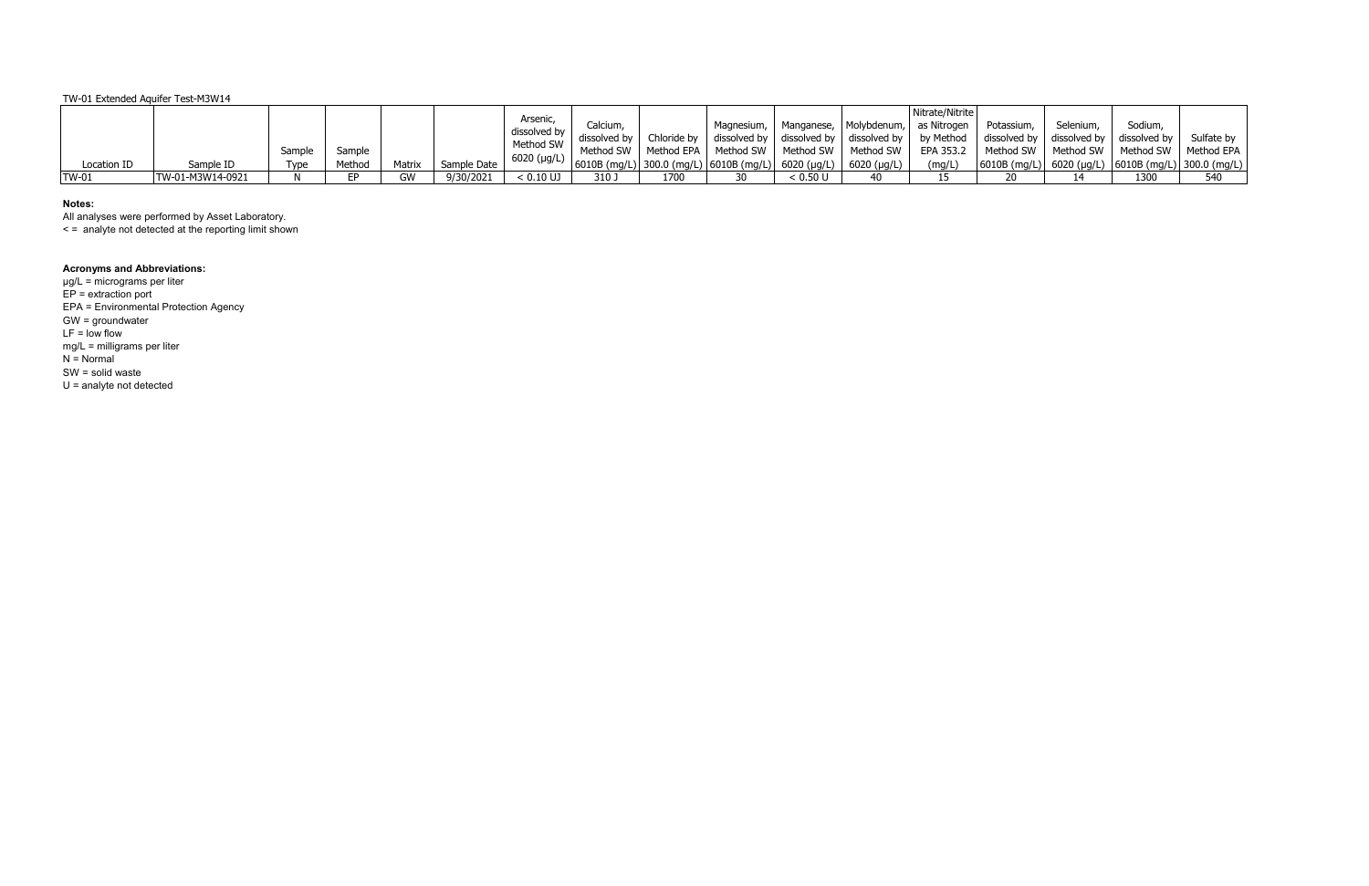| Location ID | Sample ID        | Sample<br>vpe | Sample<br>Method | Matrix    | Sample Date | Arsenic<br>dissolved by<br>Method SW<br>$6020$ ( $\mu$ g/L) | Calcium,<br>dissolved by<br>  6010B (mg/L)   300.0 (mg/L)   6010B (mg/L)   6020 (µg/L)   6020 (µg/L) | Chloride by | Magnesium,   Manganese,   Molybdenum,   as Nitrogen<br>dissolved by dissolved by dissolved by by Method<br>Method SW   Method EPA   Method SW   Method SW   Method SW |          |    | Nitrate/Nitrite<br>EPA 353.2<br>(mq/L) | Potassium,<br>dissolved by dissolved by<br>Method SW   Method SW | Selenium, | Sodium,<br>dissolved by<br>  6010B (mg/L)   6020 (µg/L)   6010B (mg/L)   300.0 (mg/L) | Sulfate by<br>Method SW   Method EPA |
|-------------|------------------|---------------|------------------|-----------|-------------|-------------------------------------------------------------|------------------------------------------------------------------------------------------------------|-------------|-----------------------------------------------------------------------------------------------------------------------------------------------------------------------|----------|----|----------------------------------------|------------------------------------------------------------------|-----------|---------------------------------------------------------------------------------------|--------------------------------------|
| $TW-01$     | TW-01-M3W14-0921 |               |                  | <b>GW</b> | 9/30/2021   | $< 0.10$ UJ                                                 | 310 J                                                                                                | 1700        | 20                                                                                                                                                                    | < 0.50 U | 40 |                                        | 20                                                               |           | 1300                                                                                  | 540                                  |

### **Notes:**

All analyses were performed by Asset Laboratory.

< = analyte not detected at the reporting limit shown

#### **Acronyms and Abbreviations:**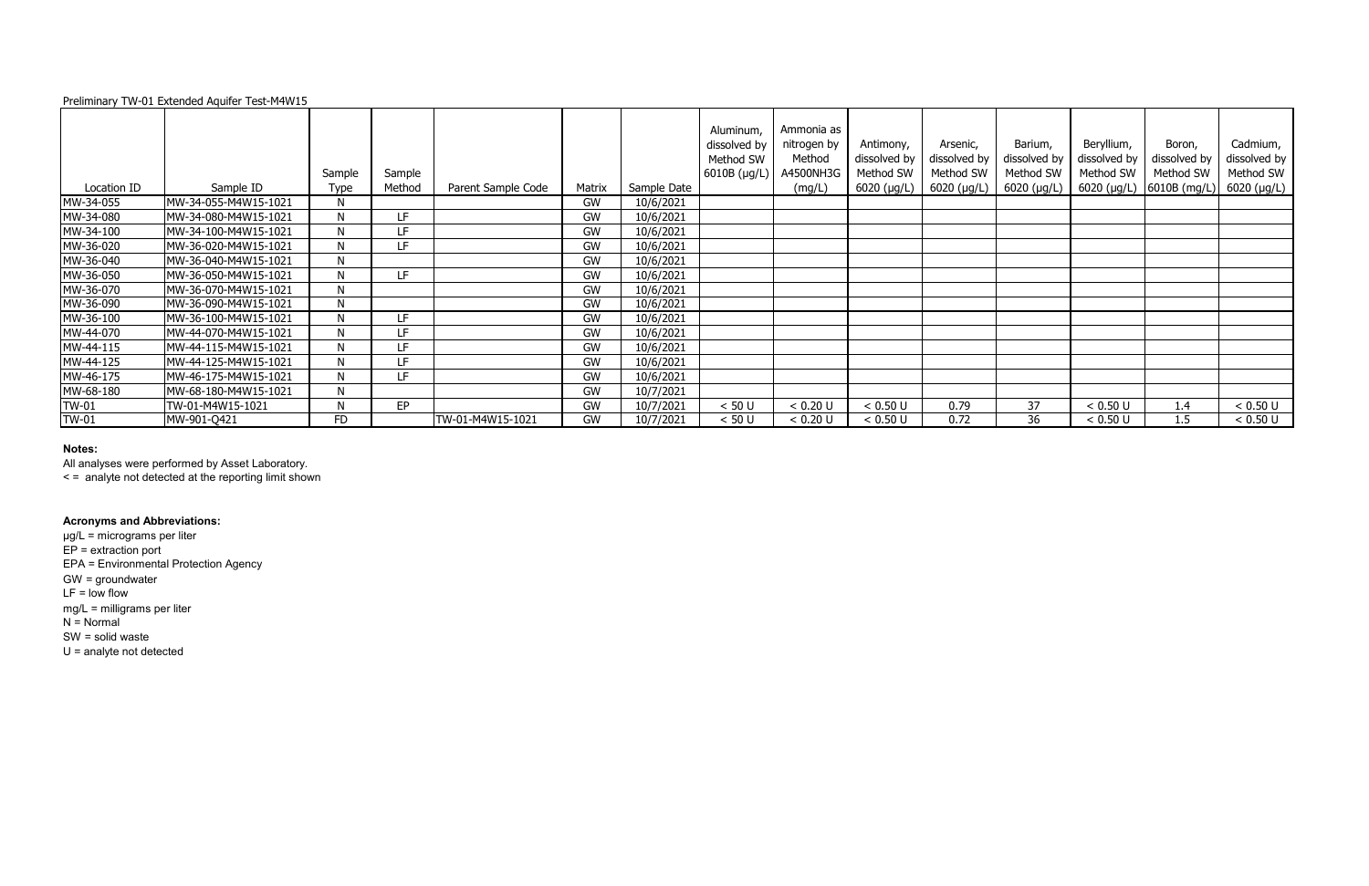| Preliminary TW-01 Extended Aquifer Test-M4W15 |  |
|-----------------------------------------------|--|
|                                               |  |

| Location ID  | Sample ID            | Sample<br><b>Type</b> | Sample<br>Method | Parent Sample Code | Matrix | Sample Date | Aluminum,<br>dissolved by<br>Method SW<br>$6010B$ (µg/L) | Ammonia as<br>nitrogen by<br>Method<br>A4500NH3G<br>(mg/L) | Antimony,<br>dissolved by<br>Method SW<br>$6020$ (µg/L) | Arsenic,<br>dissolved by<br>Method SW<br>6020 (µg/L) | Barium,<br>dissolved by<br>Method SW<br>6020 (µg/L) | Beryllium,<br>dissolved by<br>Method SW | Boron,<br>dissolved by<br>Method SW<br>6020 ( $\mu$ g/L) 6010B (mg/L) | Cadmium,<br>dissolved by<br>Method SW<br>$6020$ (µg/L) |
|--------------|----------------------|-----------------------|------------------|--------------------|--------|-------------|----------------------------------------------------------|------------------------------------------------------------|---------------------------------------------------------|------------------------------------------------------|-----------------------------------------------------|-----------------------------------------|-----------------------------------------------------------------------|--------------------------------------------------------|
| MW-34-055    | MW-34-055-M4W15-1021 | N                     |                  |                    | GW     | 10/6/2021   |                                                          |                                                            |                                                         |                                                      |                                                     |                                         |                                                                       |                                                        |
| MW-34-080    | MW-34-080-M4W15-1021 |                       | LF.              |                    | GW     | 10/6/2021   |                                                          |                                                            |                                                         |                                                      |                                                     |                                         |                                                                       |                                                        |
| MW-34-100    | MW-34-100-M4W15-1021 | N                     | LF.              |                    | GW     | 10/6/2021   |                                                          |                                                            |                                                         |                                                      |                                                     |                                         |                                                                       |                                                        |
| MW-36-020    | MW-36-020-M4W15-1021 | N                     | LF               |                    | GW     | 10/6/2021   |                                                          |                                                            |                                                         |                                                      |                                                     |                                         |                                                                       |                                                        |
| MW-36-040    | MW-36-040-M4W15-1021 | N                     |                  |                    | GW     | 10/6/2021   |                                                          |                                                            |                                                         |                                                      |                                                     |                                         |                                                                       |                                                        |
| MW-36-050    | MW-36-050-M4W15-1021 | N                     | LF.              |                    | GW     | 10/6/2021   |                                                          |                                                            |                                                         |                                                      |                                                     |                                         |                                                                       |                                                        |
| MW-36-070    | MW-36-070-M4W15-1021 | N                     |                  |                    | GW     | 10/6/2021   |                                                          |                                                            |                                                         |                                                      |                                                     |                                         |                                                                       |                                                        |
| MW-36-090    | MW-36-090-M4W15-1021 | N                     |                  |                    | GW     | 10/6/2021   |                                                          |                                                            |                                                         |                                                      |                                                     |                                         |                                                                       |                                                        |
| MW-36-100    | MW-36-100-M4W15-1021 |                       | LF.              |                    | GW     | 10/6/2021   |                                                          |                                                            |                                                         |                                                      |                                                     |                                         |                                                                       |                                                        |
| MW-44-070    | MW-44-070-M4W15-1021 | N                     | LF               |                    | GW     | 10/6/2021   |                                                          |                                                            |                                                         |                                                      |                                                     |                                         |                                                                       |                                                        |
| MW-44-115    | MW-44-115-M4W15-1021 | N                     | LF.              |                    | GW     | 10/6/2021   |                                                          |                                                            |                                                         |                                                      |                                                     |                                         |                                                                       |                                                        |
| MW-44-125    | MW-44-125-M4W15-1021 |                       | LF.              |                    | GW     | 10/6/2021   |                                                          |                                                            |                                                         |                                                      |                                                     |                                         |                                                                       |                                                        |
| MW-46-175    | MW-46-175-M4W15-1021 | N                     | LF.              |                    | GW     | 10/6/2021   |                                                          |                                                            |                                                         |                                                      |                                                     |                                         |                                                                       |                                                        |
| MW-68-180    | MW-68-180-M4W15-1021 | N                     |                  |                    | GW     | 10/7/2021   |                                                          |                                                            |                                                         |                                                      |                                                     |                                         |                                                                       |                                                        |
| <b>TW-01</b> | TW-01-M4W15-1021     | N                     | EP               |                    | GW     | 10/7/2021   | < 50 U                                                   | < 0.20 U                                                   | < 0.50 U                                                | 0.79                                                 | 37                                                  | < 0.50 U                                | 1.4                                                                   | < 0.50 U                                               |
| <b>TW-01</b> | MW-901-Q421          | FD                    |                  | TW-01-M4W15-1021   | GW     | 10/7/2021   | < 50 U                                                   | < 0.20 U                                                   | < 0.50 U                                                | 0.72                                                 | 36                                                  | < 0.50 U                                | 1.5                                                                   | < 0.50 U                                               |

All analyses were performed by Asset Laboratory.

< = analyte not detected at the reporting limit shown

# **Acronyms and Abbreviations:**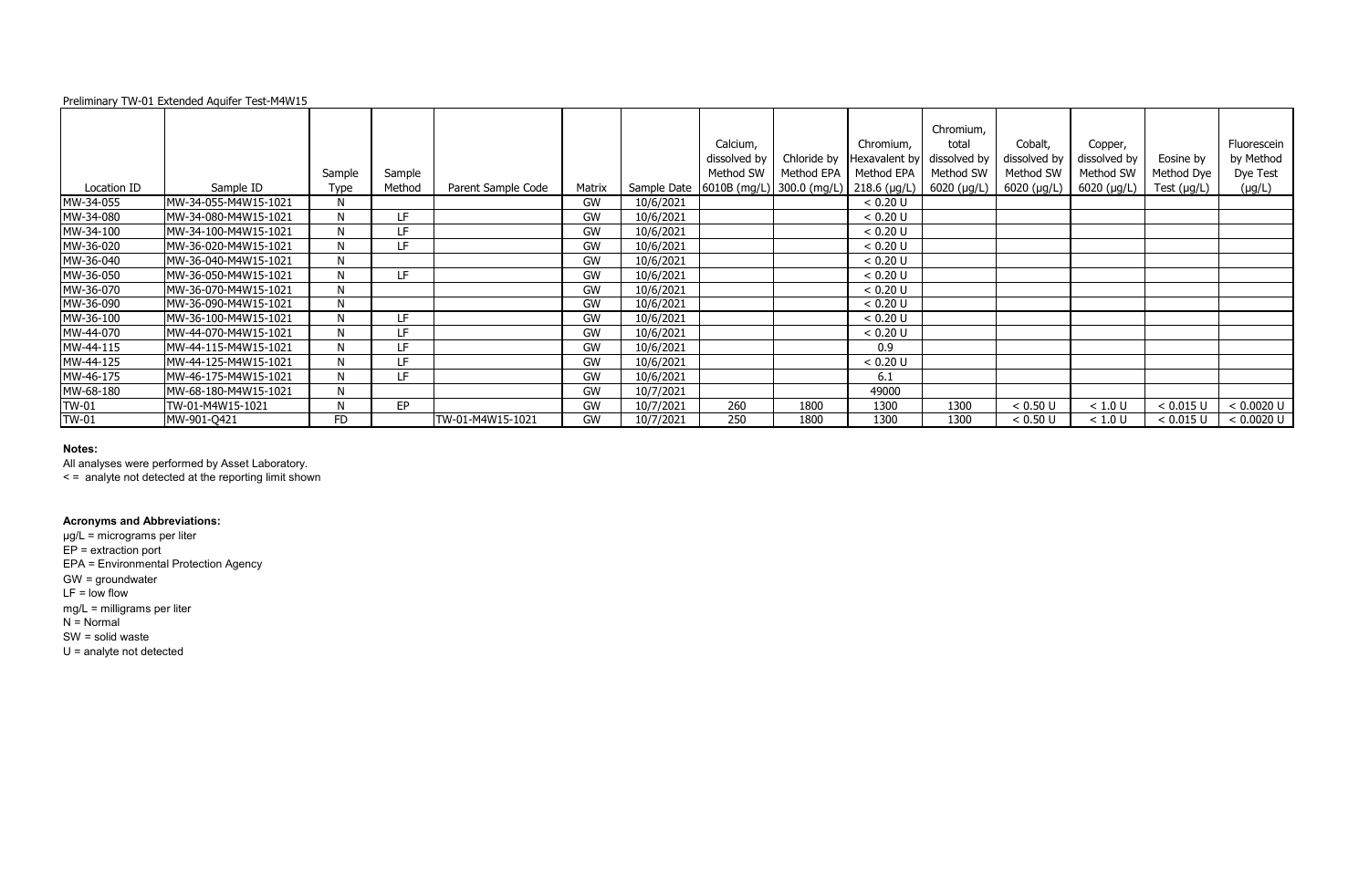| Preliminary TW-01 Extended Aquifer Test-M4W15 |  |  |
|-----------------------------------------------|--|--|
|                                               |  |  |

All analyses were performed by Asset Laboratory.

|              |                      |             |           |                    |        |           | Calcium,<br>dissolved by                                 | Chloride by | Chromium,<br>Hexavalent by | Chromium,<br>total<br>dissolved by | Cobalt,<br>dissolved by | Copper,<br>dissolved by | Eosine by        | Fluorescein<br>by Method |
|--------------|----------------------|-------------|-----------|--------------------|--------|-----------|----------------------------------------------------------|-------------|----------------------------|------------------------------------|-------------------------|-------------------------|------------------|--------------------------|
|              |                      | Sample      | Sample    |                    |        |           | Method SW                                                | Method EPA  | Method EPA                 | Method SW                          | Method SW               | Method SW               | Method Dye       | Dye Test                 |
| Location ID  | Sample ID            | <b>Type</b> | Method    | Parent Sample Code | Matrix |           | Sample Date   6010B (mg/L)   300.0 (mg/L)   218.6 (µg/L) |             |                            | $6020 \; (\mu g/L)$                | 6020 (µg/L)             | 6020 (µg/L)             | Test $(\mu g/L)$ | $(\mu g/L)$              |
| MW-34-055    | MW-34-055-M4W15-1021 | N           |           |                    | GW     | 10/6/2021 |                                                          |             | < 0.20 U                   |                                    |                         |                         |                  |                          |
| MW-34-080    | MW-34-080-M4W15-1021 | N           | LF.       |                    | GW     | 10/6/2021 |                                                          |             | < 0.20 U                   |                                    |                         |                         |                  |                          |
| MW-34-100    | MW-34-100-M4W15-1021 | N           | LF.       |                    | GW     | 10/6/2021 |                                                          |             | < 0.20 U                   |                                    |                         |                         |                  |                          |
| MW-36-020    | MW-36-020-M4W15-1021 | N           | LF.       |                    | GW     | 10/6/2021 |                                                          |             | < 0.20 U                   |                                    |                         |                         |                  |                          |
| MW-36-040    | MW-36-040-M4W15-1021 | N           |           |                    | GW     | 10/6/2021 |                                                          |             | < 0.20 U                   |                                    |                         |                         |                  |                          |
| MW-36-050    | MW-36-050-M4W15-1021 | N           | LF.       |                    | GW     | 10/6/2021 |                                                          |             | < 0.20 U                   |                                    |                         |                         |                  |                          |
| MW-36-070    | MW-36-070-M4W15-1021 | N           |           |                    | GW     | 10/6/2021 |                                                          |             | < 0.20 U                   |                                    |                         |                         |                  |                          |
| MW-36-090    | MW-36-090-M4W15-1021 | N           |           |                    | GW     | 10/6/2021 |                                                          |             | < 0.20 U                   |                                    |                         |                         |                  |                          |
| MW-36-100    | MW-36-100-M4W15-1021 | N           | LF        |                    | GW     | 10/6/2021 |                                                          |             | < 0.20 U                   |                                    |                         |                         |                  |                          |
| MW-44-070    | MW-44-070-M4W15-1021 | N           | LF.       |                    | GW     | 10/6/2021 |                                                          |             | < 0.20 U                   |                                    |                         |                         |                  |                          |
| MW-44-115    | MW-44-115-M4W15-1021 | N           | LF.       |                    | GW     | 10/6/2021 |                                                          |             | 0.9                        |                                    |                         |                         |                  |                          |
| MW-44-125    | MW-44-125-M4W15-1021 | N           | LF.       |                    | GW     | 10/6/2021 |                                                          |             | < 0.20 U                   |                                    |                         |                         |                  |                          |
| MW-46-175    | MW-46-175-M4W15-1021 | N           | LF.       |                    | GW     | 10/6/2021 |                                                          |             | 6.1                        |                                    |                         |                         |                  |                          |
| MW-68-180    | MW-68-180-M4W15-1021 | N           |           |                    | GW     | 10/7/2021 |                                                          |             | 49000                      |                                    |                         |                         |                  |                          |
| TW-01        | TW-01-M4W15-1021     | N           | <b>EP</b> |                    | GW     | 10/7/2021 | 260                                                      | 1800        | 1300                       | 1300                               | < 0.50 U                | < 1.0 U                 | < 0.015 U        | < 0.0020 U               |
| <b>TW-01</b> | MW-901-Q421          | FD          |           | TW-01-M4W15-1021   | GW     | 10/7/2021 | 250                                                      | 1800        | 1300                       | 1300                               | < 0.50 U                | < 1.0 U                 | < 0.015 U        | < 0.0020 U               |

< = analyte not detected at the reporting limit shown

# **Acronyms and Abbreviations:**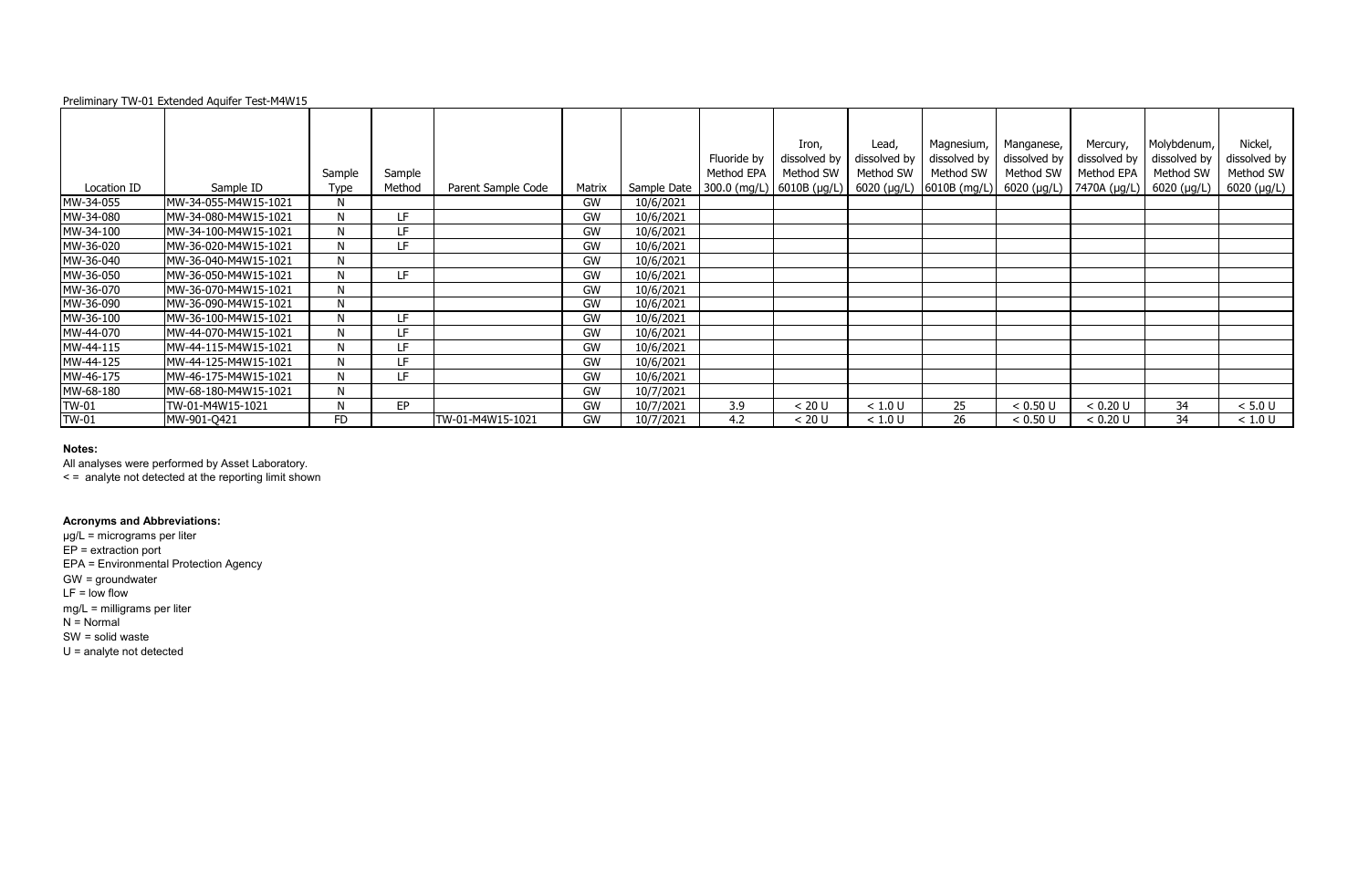| Preliminary TW-01 Extended Aquifer Test-M4W15 |  |  |
|-----------------------------------------------|--|--|
|                                               |  |  |

|              |                      |             |        |                    |           |             |                             | Iron,        | Lead,        | Magnesium,                                            | Manganese,   | Mercury,     | Molybdenum,  | Nickel,       |
|--------------|----------------------|-------------|--------|--------------------|-----------|-------------|-----------------------------|--------------|--------------|-------------------------------------------------------|--------------|--------------|--------------|---------------|
|              |                      |             |        |                    |           |             | Fluoride by                 | dissolved by | dissolved by | dissolved by                                          | dissolved by | dissolved by | dissolved by | dissolved by  |
|              |                      | Sample      | Sample |                    |           |             | Method EPA                  | Method SW    | Method SW    | Method SW                                             | Method SW    | Method EPA   | Method SW    | Method SW     |
| Location ID  | Sample ID            | <b>Type</b> | Method | Parent Sample Code | Matrix    | Sample Date | 300.0 (mg/L)   6010B (µg/L) |              |              | 6020 (μg/L)  6010B (mg/L)  6020 (μg/L)   7470A (μg/L) |              |              | 6020 (µg/L)  | $6020$ (µg/L) |
| MW-34-055    | MW-34-055-M4W15-1021 | N           |        |                    | GW        | 10/6/2021   |                             |              |              |                                                       |              |              |              |               |
| MW-34-080    | MW-34-080-M4W15-1021 | N           | LF.    |                    | GW        | 10/6/2021   |                             |              |              |                                                       |              |              |              |               |
| MW-34-100    | MW-34-100-M4W15-1021 | N           | LF.    |                    | GW        | 10/6/2021   |                             |              |              |                                                       |              |              |              |               |
| MW-36-020    | MW-36-020-M4W15-1021 | N           | LF     |                    | <b>GW</b> | 10/6/2021   |                             |              |              |                                                       |              |              |              |               |
| MW-36-040    | MW-36-040-M4W15-1021 | N           |        |                    | GW        | 10/6/2021   |                             |              |              |                                                       |              |              |              |               |
| MW-36-050    | MW-36-050-M4W15-1021 | N           | LF.    |                    | GW        | 10/6/2021   |                             |              |              |                                                       |              |              |              |               |
| MW-36-070    | MW-36-070-M4W15-1021 | N           |        |                    | <b>GW</b> | 10/6/2021   |                             |              |              |                                                       |              |              |              |               |
| MW-36-090    | MW-36-090-M4W15-1021 | N           |        |                    | <b>GW</b> | 10/6/2021   |                             |              |              |                                                       |              |              |              |               |
| MW-36-100    | MW-36-100-M4W15-1021 | N           | LF     |                    | GW        | 10/6/2021   |                             |              |              |                                                       |              |              |              |               |
| MW-44-070    | MW-44-070-M4W15-1021 | N           | LF     |                    | GW        | 10/6/2021   |                             |              |              |                                                       |              |              |              |               |
| MW-44-115    | MW-44-115-M4W15-1021 | N           | LF.    |                    | <b>GW</b> | 10/6/2021   |                             |              |              |                                                       |              |              |              |               |
| MW-44-125    | MW-44-125-M4W15-1021 | N           | LF     |                    | <b>GW</b> | 10/6/2021   |                             |              |              |                                                       |              |              |              |               |
| MW-46-175    | MW-46-175-M4W15-1021 | N           | LF.    |                    | GW        | 10/6/2021   |                             |              |              |                                                       |              |              |              |               |
| MW-68-180    | MW-68-180-M4W15-1021 | N           |        |                    | <b>GW</b> | 10/7/2021   |                             |              |              |                                                       |              |              |              |               |
| <b>TW-01</b> | TW-01-M4W15-1021     | N           | EP     |                    | GW        | 10/7/2021   | 3.9                         | < 20 U       | < 1.0 U      | 25                                                    | < 0.50 U     | < 0.20 U     | 34           | < 5.0 U       |
| <b>TW-01</b> | MW-901-Q421          | FD          |        | TW-01-M4W15-1021   | <b>GW</b> | 10/7/2021   | 4.2                         | < 20 U       | < 1.0 U      | 26                                                    | < 0.50 U     | < 0.20 U     | 34           | < 1.0 U       |

All analyses were performed by Asset Laboratory.

< = analyte not detected at the reporting limit shown

# **Acronyms and Abbreviations:**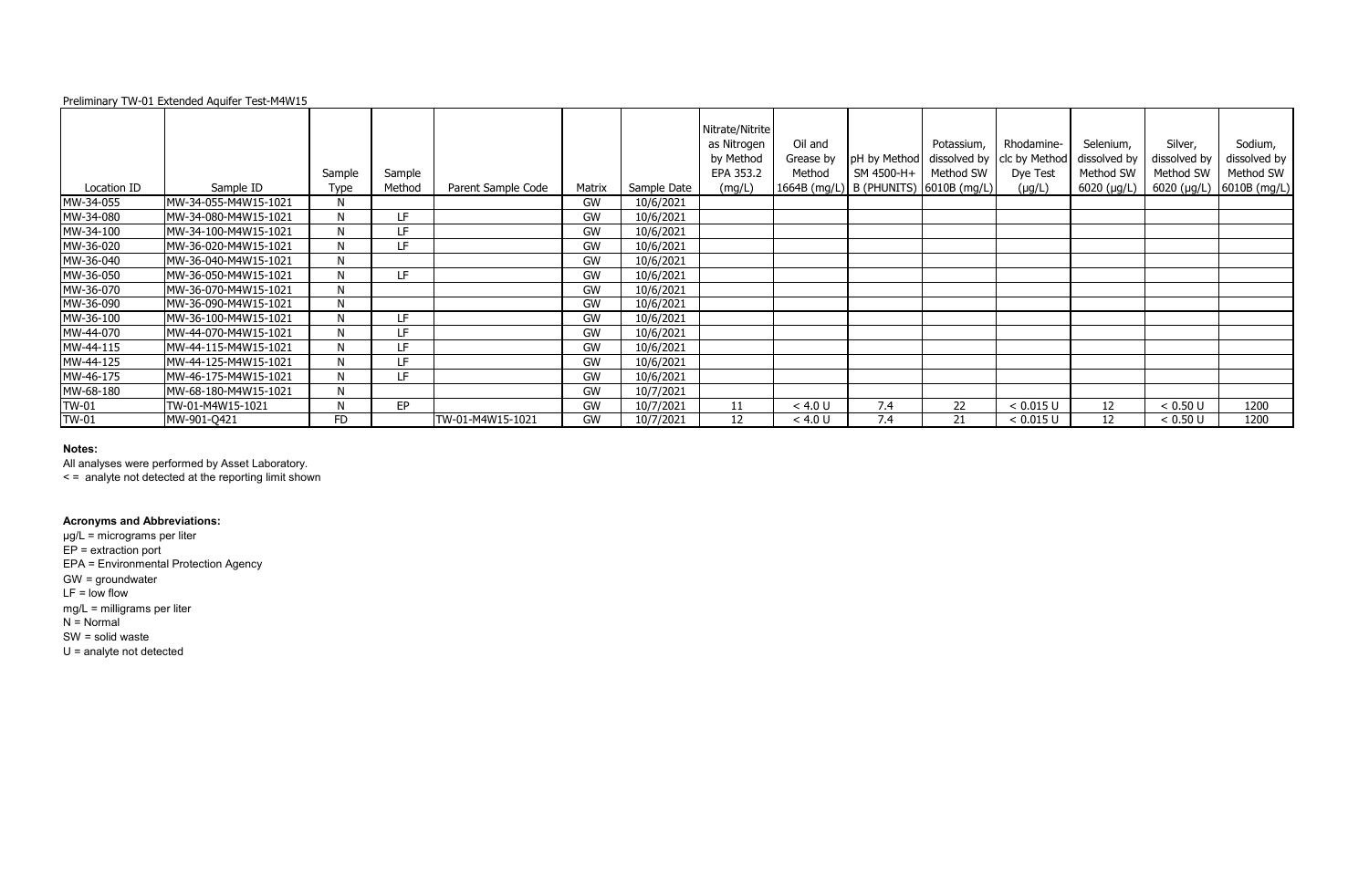| Preliminary TW-01 Extended Aquifer Test-M4W15 |  |
|-----------------------------------------------|--|
|                                               |  |

| Location ID  | Sample ID            | Sample<br><b>Type</b> | Sample<br>Method | Parent Sample Code | Matrix    | Sample Date | Nitrate/Nitrite<br>as Nitrogen<br>by Method<br>EPA 353.2<br>(mg/L) | Oil and<br>Grease by<br>Method | pH by Method<br>SM 4500-H+<br>1664B (mg/L)   B (PHUNITS)   6010B (mg/L) | Potassium,<br>dissolved by<br>Method SW | Rhodamine-<br>clc by Method<br>Dye Test<br>$(\mu g/L)$ | Selenium,<br>dissolved by<br>Method SW<br>$6020$ ( $\mu$ g/L) | Silver,<br>dissolved by<br>Method SW<br>6020 (µg/L) | Sodium,<br>dissolved by<br>Method SW<br>$6010B$ (mg/L) |
|--------------|----------------------|-----------------------|------------------|--------------------|-----------|-------------|--------------------------------------------------------------------|--------------------------------|-------------------------------------------------------------------------|-----------------------------------------|--------------------------------------------------------|---------------------------------------------------------------|-----------------------------------------------------|--------------------------------------------------------|
| MW-34-055    | MW-34-055-M4W15-1021 | N                     |                  |                    | GW        | 10/6/2021   |                                                                    |                                |                                                                         |                                         |                                                        |                                                               |                                                     |                                                        |
| MW-34-080    | MW-34-080-M4W15-1021 | N                     | LF.              |                    | <b>GW</b> | 10/6/2021   |                                                                    |                                |                                                                         |                                         |                                                        |                                                               |                                                     |                                                        |
| MW-34-100    | MW-34-100-M4W15-1021 | N                     | LF.              |                    | GW        | 10/6/2021   |                                                                    |                                |                                                                         |                                         |                                                        |                                                               |                                                     |                                                        |
| MW-36-020    | MW-36-020-M4W15-1021 | N                     | LF               |                    | GW        | 10/6/2021   |                                                                    |                                |                                                                         |                                         |                                                        |                                                               |                                                     |                                                        |
| MW-36-040    | MW-36-040-M4W15-1021 | N                     |                  |                    | <b>GW</b> | 10/6/2021   |                                                                    |                                |                                                                         |                                         |                                                        |                                                               |                                                     |                                                        |
| MW-36-050    | MW-36-050-M4W15-1021 | N                     | LF.              |                    | <b>GW</b> | 10/6/2021   |                                                                    |                                |                                                                         |                                         |                                                        |                                                               |                                                     |                                                        |
| MW-36-070    | MW-36-070-M4W15-1021 | N                     |                  |                    | GW        | 10/6/2021   |                                                                    |                                |                                                                         |                                         |                                                        |                                                               |                                                     |                                                        |
| MW-36-090    | MW-36-090-M4W15-1021 | N                     |                  |                    | <b>GW</b> | 10/6/2021   |                                                                    |                                |                                                                         |                                         |                                                        |                                                               |                                                     |                                                        |
| MW-36-100    | MW-36-100-M4W15-1021 | N                     | LF.              |                    | GW        | 10/6/2021   |                                                                    |                                |                                                                         |                                         |                                                        |                                                               |                                                     |                                                        |
| MW-44-070    | MW-44-070-M4W15-1021 | N                     | LF               |                    | GW        | 10/6/2021   |                                                                    |                                |                                                                         |                                         |                                                        |                                                               |                                                     |                                                        |
| MW-44-115    | MW-44-115-M4W15-1021 | N                     | LF.              |                    | <b>GW</b> | 10/6/2021   |                                                                    |                                |                                                                         |                                         |                                                        |                                                               |                                                     |                                                        |
| MW-44-125    | MW-44-125-M4W15-1021 | N                     | LF               |                    | <b>GW</b> | 10/6/2021   |                                                                    |                                |                                                                         |                                         |                                                        |                                                               |                                                     |                                                        |
| MW-46-175    | MW-46-175-M4W15-1021 | N                     | LF.              |                    | GW        | 10/6/2021   |                                                                    |                                |                                                                         |                                         |                                                        |                                                               |                                                     |                                                        |
| MW-68-180    | MW-68-180-M4W15-1021 | N                     |                  |                    | <b>GW</b> | 10/7/2021   |                                                                    |                                |                                                                         |                                         |                                                        |                                                               |                                                     |                                                        |
| <b>TW-01</b> | TW-01-M4W15-1021     | N                     | EP               |                    | GW        | 10/7/2021   | 11                                                                 | < 4.0 U                        | 7.4                                                                     | 22                                      | < 0.015 U                                              | 12                                                            | < 0.50 U                                            | 1200                                                   |
| <b>TW-01</b> | MW-901-Q421          | FD                    |                  | TW-01-M4W15-1021   | <b>GW</b> | 10/7/2021   | 12                                                                 | < 4.0 U                        | 7.4                                                                     | 21                                      | < 0.015 U                                              | 12                                                            | < 0.50 U                                            | 1200                                                   |

All analyses were performed by Asset Laboratory.

< = analyte not detected at the reporting limit shown

### **Acronyms and Abbreviations:**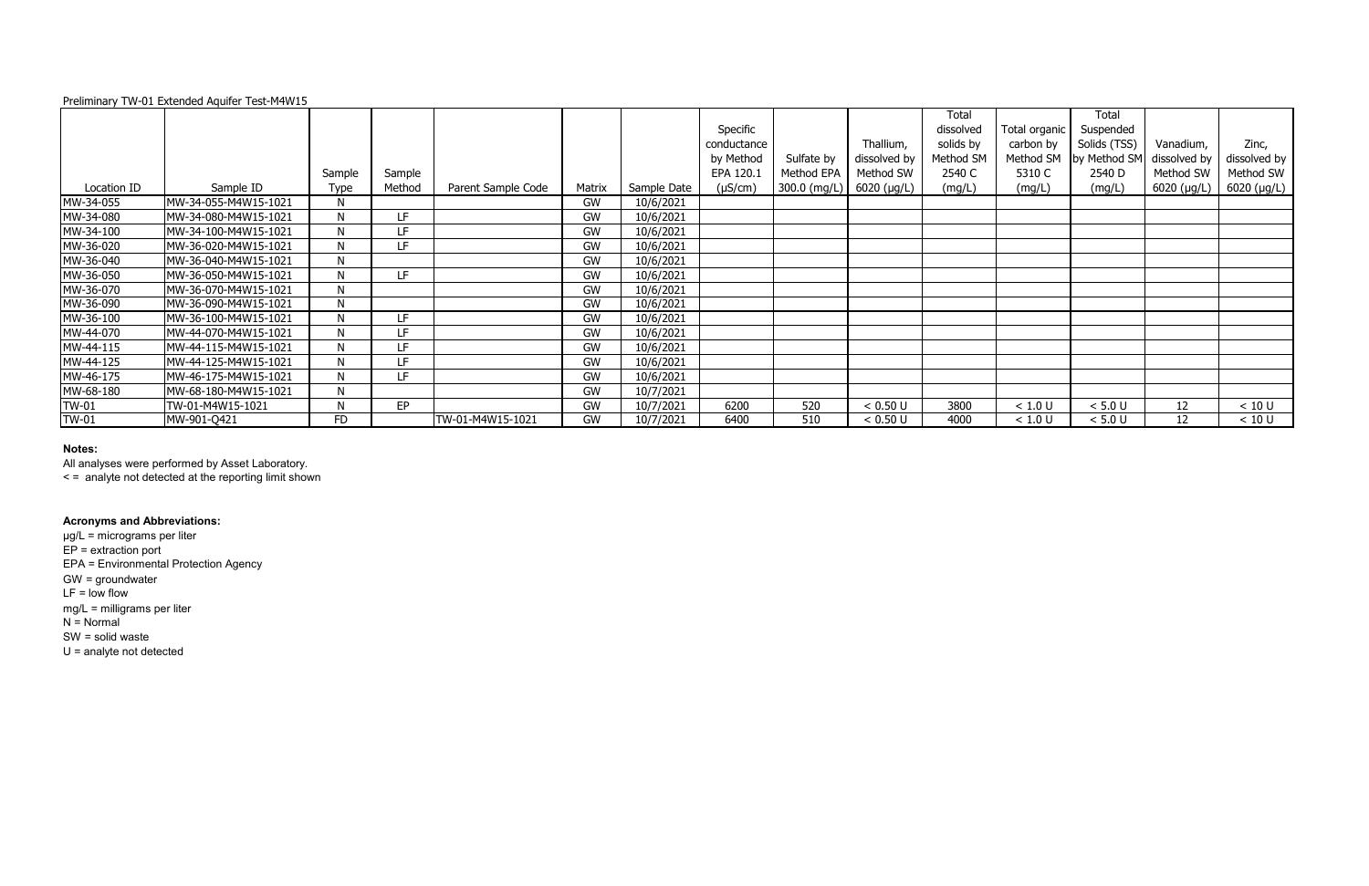| Preliminary TW-01 Extended Aquifer Test-M4W15 |  |  |
|-----------------------------------------------|--|--|
|                                               |  |  |

|              |                      |             |        |                    |        |             | Specific<br>conductance<br>by Method | Sulfate by   | Thallium,<br>dissolved by | Total<br>dissolved<br>solids by<br>Method SM | Total organic<br>carbon by<br>Method SM | Total<br>Suspended<br>Solids (TSS)<br>by Method SM | Vanadium,<br>dissolved by | Zinc,<br>dissolved by |
|--------------|----------------------|-------------|--------|--------------------|--------|-------------|--------------------------------------|--------------|---------------------------|----------------------------------------------|-----------------------------------------|----------------------------------------------------|---------------------------|-----------------------|
|              |                      | Sample      | Sample |                    |        |             | EPA 120.1                            | Method EPA   | Method SW                 | 2540 C                                       | 5310 C                                  | 2540 D                                             | Method SW                 | Method SW             |
| Location ID  | Sample ID            | <b>Type</b> | Method | Parent Sample Code | Matrix | Sample Date | $(\mu S/cm)$                         | 300.0 (mg/L) | 6020 (µg/L)               | (mg/L)                                       | (mg/L)                                  | (mg/L)                                             | $6020$ ( $\mu$ g/L)       | $6020$ (µg/L)         |
| MW-34-055    | MW-34-055-M4W15-1021 | N           |        |                    | GW     | 10/6/2021   |                                      |              |                           |                                              |                                         |                                                    |                           |                       |
| MW-34-080    | MW-34-080-M4W15-1021 |             | LF     |                    | GW     | 10/6/2021   |                                      |              |                           |                                              |                                         |                                                    |                           |                       |
| MW-34-100    | MW-34-100-M4W15-1021 |             | LF.    |                    | GW     | 10/6/2021   |                                      |              |                           |                                              |                                         |                                                    |                           |                       |
| MW-36-020    | MW-36-020-M4W15-1021 | N           | LF.    |                    | GW     | 10/6/2021   |                                      |              |                           |                                              |                                         |                                                    |                           |                       |
| MW-36-040    | MW-36-040-M4W15-1021 | N           |        |                    | GW     | 10/6/2021   |                                      |              |                           |                                              |                                         |                                                    |                           |                       |
| MW-36-050    | MW-36-050-M4W15-1021 |             | LF.    |                    | GW     | 10/6/2021   |                                      |              |                           |                                              |                                         |                                                    |                           |                       |
| MW-36-070    | MW-36-070-M4W15-1021 | N           |        |                    | GW     | 10/6/2021   |                                      |              |                           |                                              |                                         |                                                    |                           |                       |
| MW-36-090    | MW-36-090-M4W15-1021 |             |        |                    | GW     | 10/6/2021   |                                      |              |                           |                                              |                                         |                                                    |                           |                       |
| MW-36-100    | MW-36-100-M4W15-1021 | N           | LF.    |                    | GW     | 10/6/2021   |                                      |              |                           |                                              |                                         |                                                    |                           |                       |
| MW-44-070    | MW-44-070-M4W15-1021 | N           | LF.    |                    | GW     | 10/6/2021   |                                      |              |                           |                                              |                                         |                                                    |                           |                       |
| MW-44-115    | MW-44-115-M4W15-1021 |             | LF.    |                    | GW     | 10/6/2021   |                                      |              |                           |                                              |                                         |                                                    |                           |                       |
| MW-44-125    | MW-44-125-M4W15-1021 |             | LF.    |                    | GW     | 10/6/2021   |                                      |              |                           |                                              |                                         |                                                    |                           |                       |
| MW-46-175    | MW-46-175-M4W15-1021 | N           | LF.    |                    | GW     | 10/6/2021   |                                      |              |                           |                                              |                                         |                                                    |                           |                       |
| MW-68-180    | MW-68-180-M4W15-1021 | N           |        |                    | GW     | 10/7/2021   |                                      |              |                           |                                              |                                         |                                                    |                           |                       |
| TW-01        | TW-01-M4W15-1021     | N           | EP     |                    | GW     | 10/7/2021   | 6200                                 | 520          | < 0.50 U                  | 3800                                         | < 1.0 U                                 | < 5.0 U                                            | 12                        | < 10 U                |
| <b>TW-01</b> | MW-901-Q421          | FD          |        | TW-01-M4W15-1021   | GW     | 10/7/2021   | 6400                                 | 510          | < 0.50 U                  | 4000                                         | < 1.0 U                                 | < 5.0 U                                            | 12                        | < 10 U                |

All analyses were performed by Asset Laboratory.

< = analyte not detected at the reporting limit shown

### **Acronyms and Abbreviations:**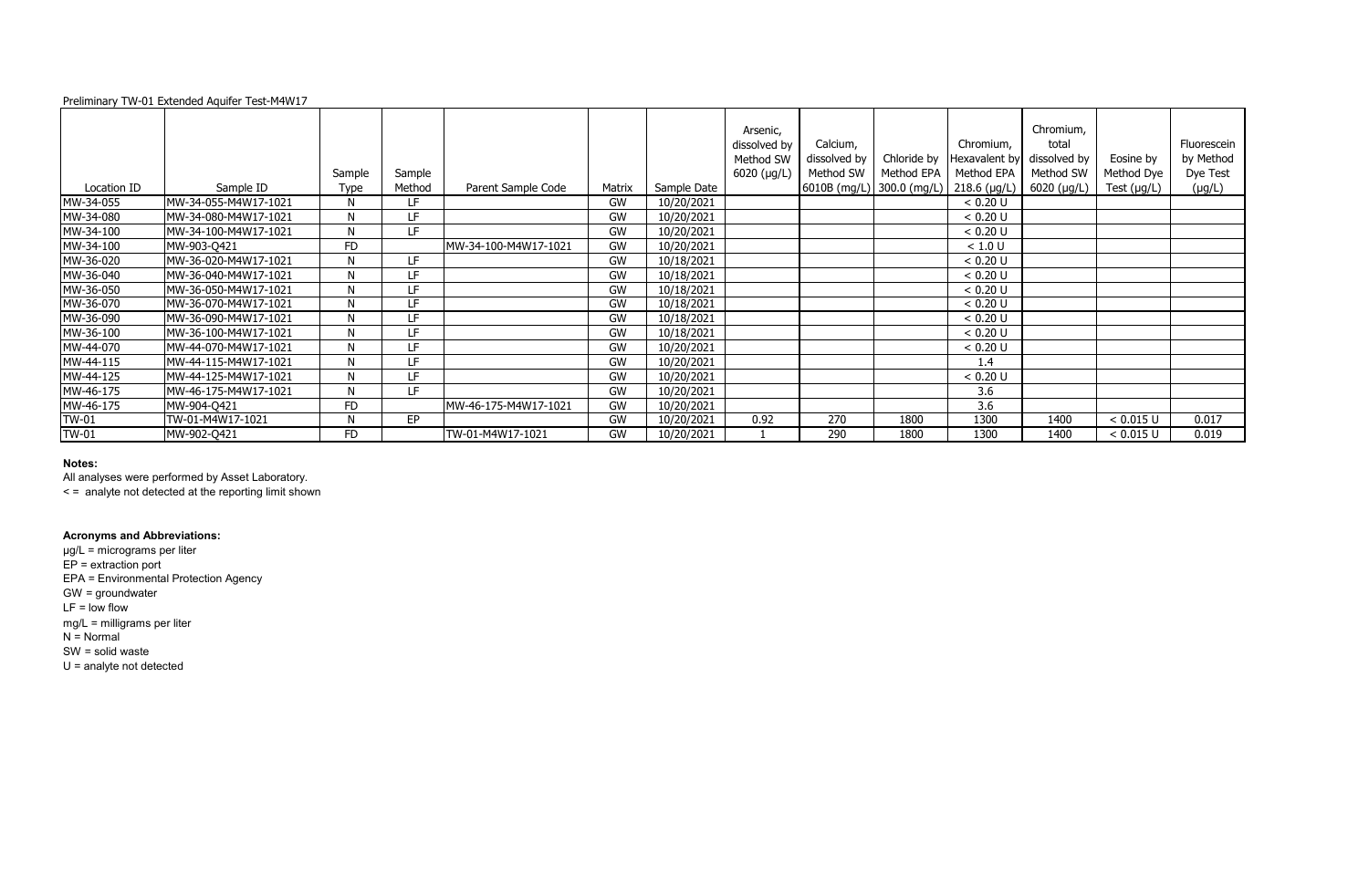### Preliminary TW-01 Extended Aquifer Test-M4W17

| nromium,<br>avalent by<br>thod EPA<br>3.6 (μg/L) | Chromium,<br>total<br>dissolved by<br>Method SW<br>6020 (µg/L) | Eosine by<br>Method Dye<br>Test $(\mu g/L)$ | Fluorescein<br>by Method<br>Dye Test<br>$(\mu g/L)$ |
|--------------------------------------------------|----------------------------------------------------------------|---------------------------------------------|-----------------------------------------------------|
| $< 0.20$ U                                       |                                                                |                                             |                                                     |
| ፡ 0.20 U                                         |                                                                |                                             |                                                     |
| ፡ 0.20 U                                         |                                                                |                                             |                                                     |
| < 1.0 U                                          |                                                                |                                             |                                                     |
| < 0.20 U                                         |                                                                |                                             |                                                     |
| $< 0.20$ U                                       |                                                                |                                             |                                                     |
| ፡ 0.20 U                                         |                                                                |                                             |                                                     |
| < 0.20 U                                         |                                                                |                                             |                                                     |
| $< 0.20$ U                                       |                                                                |                                             |                                                     |
| < 0.20 U                                         |                                                                |                                             |                                                     |
| $< 0.20$ U                                       |                                                                |                                             |                                                     |
| 1.4                                              |                                                                |                                             |                                                     |
| $< 0.20$ U                                       |                                                                |                                             |                                                     |
| 3.6                                              |                                                                |                                             |                                                     |
| 3.6                                              |                                                                |                                             |                                                     |
| 1300                                             | 1400                                                           | < 0.015 U                                   | 0.017                                               |
| 1300                                             | 1400                                                           | < 0.015 U                                   | 0.019                                               |

|              |                       | Sample    | Sample |                       |        |             | Arsenic,<br>dissolved by<br>Method SW<br>6020 (µg/L) | Calcium,<br>dissolved by<br>Method SW | Chloride by<br>Method EPA              | Chromium,<br>Hexavalent by<br>Method EPA | Chromium,<br>total<br>dissolved by<br>Method SW | Eosine by<br>Method Dye | Fluoresc<br>by Meth<br>Dye Te |
|--------------|-----------------------|-----------|--------|-----------------------|--------|-------------|------------------------------------------------------|---------------------------------------|----------------------------------------|------------------------------------------|-------------------------------------------------|-------------------------|-------------------------------|
| Location ID  | Sample ID             | Type      | Method | Parent Sample Code    | Matrix | Sample Date |                                                      |                                       | 6010B (mg/L) 300.0 (mg/L) 218.6 (µg/L) |                                          | $6020$ (µg/L)                                   | Test (µg/L)             | $(\mu g/L)$                   |
| MW-34-055    | MW-34-055-M4W17-1021  | N         | LF.    |                       | GW     | 10/20/2021  |                                                      |                                       |                                        | < 0.20 U                                 |                                                 |                         |                               |
| MW-34-080    | MW-34-080-M4W17-1021  | N         | LF.    |                       | GW     | 10/20/2021  |                                                      |                                       |                                        | < 0.20 U                                 |                                                 |                         |                               |
| MW-34-100    | MW-34-100-M4W17-1021  | N         | LF.    |                       | GW     | 10/20/2021  |                                                      |                                       |                                        | < 0.20 U                                 |                                                 |                         |                               |
| MW-34-100    | MW-903-Q421           | <b>FD</b> |        | MW-34-100-M4W17-1021  | GW     | 10/20/2021  |                                                      |                                       |                                        | < 1.0 U                                  |                                                 |                         |                               |
| MW-36-020    | MW-36-020-M4W17-1021  | N         | LF.    |                       | GW     | 10/18/2021  |                                                      |                                       |                                        | < 0.20 U                                 |                                                 |                         |                               |
| MW-36-040    | MW-36-040-M4W17-1021  | N         | LF.    |                       | GW     | 10/18/2021  |                                                      |                                       |                                        | < 0.20 U                                 |                                                 |                         |                               |
| MW-36-050    | MW-36-050-M4W17-1021  | N         | LF.    |                       | GW     | 10/18/2021  |                                                      |                                       |                                        | < 0.20 U                                 |                                                 |                         |                               |
| MW-36-070    | MW-36-070-M4W17-1021  | N         | LF.    |                       | GW     | 10/18/2021  |                                                      |                                       |                                        | < 0.20 U                                 |                                                 |                         |                               |
| MW-36-090    | MW-36-090-M4W17-1021  | N         | LF.    |                       | GW     | 10/18/2021  |                                                      |                                       |                                        | < 0.20 U                                 |                                                 |                         |                               |
| MW-36-100    | MW-36-100-M4W17-1021  | N         | LF.    |                       | GW     | 10/18/2021  |                                                      |                                       |                                        | < 0.20 U                                 |                                                 |                         |                               |
| MW-44-070    | MW-44-070-M4W17-1021  | N         | LE.    |                       | GW     | 10/20/2021  |                                                      |                                       |                                        | < 0.20 U                                 |                                                 |                         |                               |
| MW-44-115    | IMW-44-115-M4W17-1021 | N         | LF.    |                       | GW     | 10/20/2021  |                                                      |                                       |                                        | 1.4                                      |                                                 |                         |                               |
| MW-44-125    | MW-44-125-M4W17-1021  | N         | LF.    |                       | GW     | 10/20/2021  |                                                      |                                       |                                        | < 0.20 U                                 |                                                 |                         |                               |
| MW-46-175    | MW-46-175-M4W17-1021  | N         | LF.    |                       | GW     | 10/20/2021  |                                                      |                                       |                                        | 3.6                                      |                                                 |                         |                               |
| MW-46-175    | MW-904-Q421           | <b>FD</b> |        | IMW-46-175-M4W17-1021 | GW     | 10/20/2021  |                                                      |                                       |                                        | 3.6                                      |                                                 |                         |                               |
| TW-01        | TW-01-M4W17-1021      | N         | EP     |                       | GW     | 10/20/2021  | 0.92                                                 | 270                                   | 1800                                   | 1300                                     | 1400                                            | < 0.015 U               | 0.017                         |
| <b>TW-01</b> | MW-902-Q421           | <b>FD</b> |        | TW-01-M4W17-1021      | GW     | 10/20/2021  |                                                      | 290                                   | 1800                                   | 1300                                     | 1400                                            | < 0.015 U               | 0.019                         |

### **Notes:**

All analyses were performed by Asset Laboratory.

< = analyte not detected at the reporting limit shown

# **Acronyms and Abbreviations:**